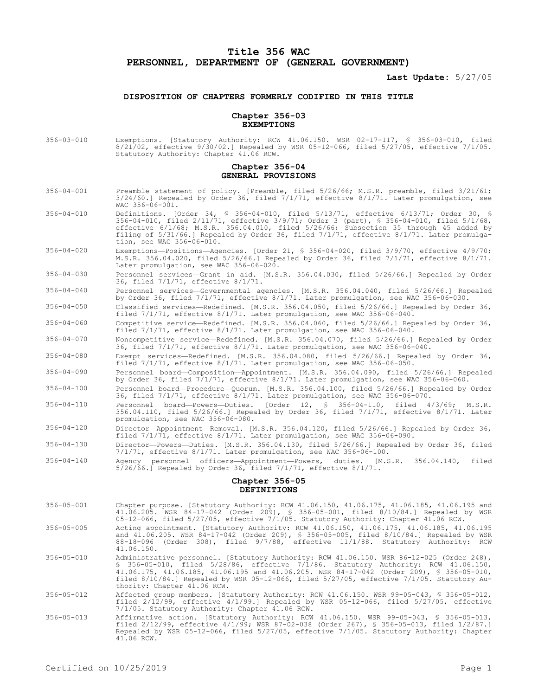# **Title 356 WAC PERSONNEL, DEPARTMENT OF (GENERAL GOVERNMENT)**

**Last Update:** 5/27/05

## **DISPOSITION OF CHAPTERS FORMERLY CODIFIED IN THIS TITLE**

#### **Chapter 356-03 EXEMPTIONS**

356-03-010 Exemptions. [Statutory Authority: RCW 41.06.150. WSR 02-17-117, § 356-03-010, filed 8/21/02, effective 9/30/02.] Repealed by WSR 05-12-066, filed 5/27/05, effective 7/1/05. Statutory Authority: Chapter 41.06 RCW.

## **Chapter 356-04 GENERAL PROVISIONS**

- 356-04-001 Preamble statement of policy. [Preamble, filed 5/26/66; M.S.R. preamble, filed 3/21/61; 3/24/60.] Repealed by Order 36, filed 7/1/71, effective 8/1/71. Later promulgation, see WAC 356-06-001.
- 356-04-010 Definitions. [Order 34, § 356-04-010, filed 5/13/71, effective 6/13/71; Order 30, § 356-04-010, filed 2/11/71, effective 3/9/71; Order 3 (part), § 356-04-010, filed 5/1/68, effective 6/1/68; M.S.R. 356.04.010, filed 5/26/66; Subsection 35 through 45 added by filing of 5/31/66.] Repealed by Order 36, filed 7/1/71, effective 8/1/71. Later promulgation, see WAC 356-06-010.
- 356-04-020 Exemptions—Positions—Agencies. [Order 21, § 356-04-020, filed 3/9/70, effective 4/9/70; M.S.R. 356.04.020, filed 5/26/66.] Repealed by Order 36, filed 7/1/71, effective 8/1/71. Later promulgation, see WAC 356-06-020.
- 356-04-030 Personnel services—Grant in aid. [M.S.R. 356.04.030, filed 5/26/66.] Repealed by Order 36, filed 7/1/71, effective 8/1/71.
- 356-04-040 Personnel services—Governmental agencies. [M.S.R. 356.04.040, filed 5/26/66.] Repealed by Order 36, filed 7/1/71, effective 8/1/71. Later promulgation, see WAC 356-06-030.
- 356-04-050 Classified services—Redefined. [M.S.R. 356.04.050, filed 5/26/66.] Repealed by Order 36, filed 7/1/71, effective 8/1/71. Later promulgation, see WAC 356-06-040.
- 356-04-060 Competitive service—Redefined. [M.S.R. 356.04.060, filed 5/26/66.] Repealed by Order 36, filed 7/1/71, effective 8/1/71. Later promulgation, see WAC 356-06-040.
- 356-04-070 Noncompetitive service—Redefined. [M.S.R. 356.04.070, filed 5/26/66.] Repealed by Order 36, filed 7/1/71, effective 8/1/71. Later promulgation, see WAC 356-06-040.
- 356-04-080 Exempt services—Redefined. [M.S.R. 356.04.080, filed 5/26/66.] Repealed by Order 36, filed 7/1/71, effective 8/1/71. Later promulgation, see WAC 356-06-050.

356-04-090 Personnel board—Composition—Appointment. [M.S.R. 356.04.090, filed 5/26/66.] Repealed by Order 36, filed 7/1/71, effective 8/1/71. Later promulgation, see WAC 356-06-060.

- 356-04-100 Personnel board—Procedure—Quorum. [M.S.R. 356.04.100, filed 5/26/66.] Repealed by Order 36, filed 7/1/71, effective 8/1/71. Later promulgation, see WAC 356-06-070.
- 356-04-110 Personnel board—Powers—Duties. [Order 12, § 356-04-110, filed 4/3/69; M.S.R. 356.04.110, filed 5/26/66.] Repealed by Order 36, filed 7/1/71, effective 8/1/71. Later promulgation, see WAC 356-06-080.
- 356-04-120 Director—Appointment—Removal. [M.S.R. 356.04.120, filed 5/26/66.] Repealed by Order 36, filed 7/1/71, effective 8/1/71. Later promulgation, see WAC 356-06-090.
- 356-04-130 Director—Powers—Duties. [M.S.R. 356.04.130, filed 5/26/66.] Repealed by Order 36, filed 7/1/71, effective 8/1/71. Later promulgation, see WAC 356-06-100.
- 356-04-140 Agency personnel officers—Appointment—Powers, duties. [M.S.R. 356.04.140, filed 5/26/66.] Repealed by Order 36, filed 7/1/71, effective 8/1/71.

# **Chapter 356-05 DEFINITIONS**

- 356-05-001 Chapter purpose. [Statutory Authority: RCW 41.06.150, 41.06.175, 41.06.185, 41.06.195 and 41.06.205. WSR 84-17-042 (Order 209), § 356-05-001, filed 8/10/84.] Repealed by WSR 05-12-066, filed 5/27/05, effective 7/1/05. Statutory Authority: Chapter 41.06 RCW. 356-05-005 Acting appointment. [Statutory Authority: RCW 41.06.150, 41.06.175, 41.06.185, 41.06.195 and 41.06.205. WSR 84-17-042 (Order 209), § 356-05-005, filed 8/10/84.] Repealed by WSR 88-18-096 (Order 308), filed 9/7/88, effective 11/1/88. Statutory Authority: RCW 41.06.150. 356-05-010 Administrative personnel. [Statutory Authority: RCW 41.06.150. WSR 86-12-025 (Order 248), § 356-05-010, filed 5/28/86, effective 7/1/86. Statutory Authority: RCW 41.06.150, 41.06.175, 41.06.185, 41.06.195 and 41.06.205. WSR 84-17-042 (Order 209), § 356-05-010, filed 8/10/84.] Repealed by WSR 05-12-066, filed 5/27/05, effective 7/1/05. Statutory Authority: Chapter 41.06 RCW.
- 356-05-012 Affected group members. [Statutory Authority: RCW 41.06.150. WSR 99-05-043, § 356-05-012, filed 2/12/99, effective 4/1/99.] Repealed by WSR 05-12-066, filed 5/27/05, effective 7/1/05. Statutory Authority: Chapter 41.06 RCW.
- 356-05-013 Affirmative action. [Statutory Authority: RCW 41.06.150. WSR 99-05-043, § 356-05-013, filed 2/12/99, effective 4/1/99; WSR 87-02-038 (Order 267), § 356-05-013, filed 1/2/87.] Repealed by WSR 05-12-066, filed 5/27/05, effective 7/1/05. Statutory Authority: Chapter 41.06 RCW.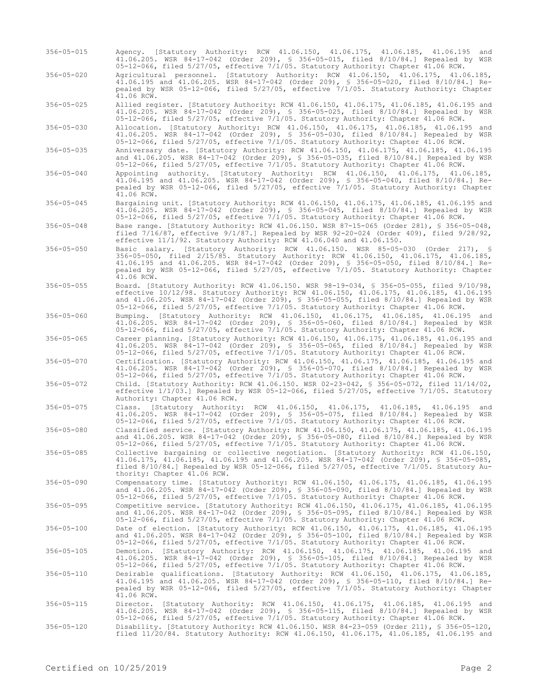- 356-05-015 Agency. [Statutory Authority: RCW 41.06.150, 41.06.175, 41.06.185, 41.06.195 and 41.06.205. WSR 84-17-042 (Order 209), § 356-05-015, filed 8/10/84.] Repealed by WSR 05-12-066, filed 5/27/05, effective 7/1/05. Statutory Authority: Chapter 41.06 RCW.
- 356-05-020 Agricultural personnel. [Statutory Authority: RCW 41.06.150, 41.06.175, 41.06.185, 41.06.195 and 41.06.205. WSR 84-17-042 (Order 209), § 356-05-020, filed 8/10/84.] Repealed by WSR 05-12-066, filed 5/27/05, effective 7/1/05. Statutory Authority: Chapter  $41.06$  RCW.

356-05-025 Allied register. [Statutory Authority: RCW 41.06.150, 41.06.175, 41.06.185, 41.06.195 and 41.06.205. WSR 84-17-042 (Order 209), § 356-05-025, filed 8/10/84.] Repealed by WSR 05-12-066, filed 5/27/05, effective 7/1/05. Statutory Authority: Chapter 41.06 RCW.

356-05-030 Allocation. [Statutory Authority: RCW 41.06.150, 41.06.175, 41.06.185, 41.06.195 and 41.06.205. WSR 84-17-042 (Order 209), § 356-05-030, filed 8/10/84.] Repealed by WSR 05-12-066, filed 5/27/05, effective 7/1/05. Statutory Authority: Chapter 41.06 RCW.

356-05-035 Anniversary date. [Statutory Authority: RCW 41.06.150, 41.06.175, 41.06.185, 41.06.195 and 41.06.205. WSR 84-17-042 (Order 209), § 356-05-035, filed 8/10/84.] Repealed by WSR 05-12-066, filed 5/27/05, effective 7/1/05. Statutory Authority: Chapter 41.06 RCW.

- 356-05-040 Appointing authority. [Statutory Authority: RCW 41.06.150, 41.06.175, 41.06.185, 41.06.195 and 41.06.205. WSR 84-17-042 (Order 209), § 356-05-040, filed 8/10/84.] Repealed by WSR 05-12-066, filed 5/27/05, effective 7/1/05. Statutory Authority: Chapter  $41.06$  RCW.
- 356-05-045 Bargaining unit. [Statutory Authority: RCW 41.06.150, 41.06.175, 41.06.185, 41.06.195 and 41.06.205. WSR 84-17-042 (Order 209), § 356-05-045, filed 8/10/84.] Repealed by WSR 05-12-066, filed 5/27/05, effective 7/1/05. Statutory Authority: Chapter 41.06 RCW.

356-05-048 Base range. [Statutory Authority: RCW 41.06.150. WSR 87-15-065 (Order 281), § 356-05-048, filed 7/16/87, effective 9/1/87.] Repealed by WSR 92-20-024 (Order 409), filed 9/28/92, effective 11/1/92. Statutory Authority: RCW 41.06.040 and 41.06.150.

- 356-05-050 Basic salary. [Statutory Authority: RCW 41.06.150. WSR 85-05-030 (Order 217), § 356-05-050, filed 2/15/85. Statutory Authority: RCW 41.06.150, 41.06.175, 41.06.185, 41.06.195 and 41.06.205. WSR 84-17-042 (Order 209), § 356-05-050, filed 8/10/84.] Repealed by WSR 05-12-066, filed 5/27/05, effective 7/1/05. Statutory Authority: Chapter 41.06 RCW.
- 356-05-055 Board. [Statutory Authority: RCW 41.06.150. WSR 98-19-034, § 356-05-055, filed 9/10/98, effective 10/12/98. Statutory Authority: RCW 41.06.150, 41.06.175, 41.06.185, 41.06.195 and 41.06.205. WSR 84-17-042 (Order 209), § 356-05-055, filed 8/10/84.] Repealed by WSR 05-12-066, filed 5/27/05, effective 7/1/05. Statutory Authority: Chapter 41.06 RCW.

356-05-060 Bumping. [Statutory Authority: RCW 41.06.150, 41.06.175, 41.06.185, 41.06.195 and 41.06.205. WSR 84-17-042 (Order 209), § 356-05-060, filed 8/10/84.] Repealed by WSR 05-12-066, filed 5/27/05, effective 7/1/05. Statutory Authority: Chapter 41.06 RCW.

356-05-065 Career planning. [Statutory Authority: RCW 41.06.150, 41.06.175, 41.06.185, 41.06.195 and 41.06.205. WSR 84-17-042 (Order 209), § 356-05-065, filed 8/10/84.] Repealed by WSR 05-12-066, filed 5/27/05, effective 7/1/05. Statutory Authority: Chapter 41.06 RCW.

356-05-070 Certification. [Statutory Authority: RCW 41.06.150, 41.06.175, 41.06.185, 41.06.195 and 41.06.205. WSR 84-17-042 (Order 209), § 356-05-070, filed 8/10/84.] Repealed by WSR 05-12-066, filed 5/27/05, effective 7/1/05. Statutory Authority: Chapter 41.06 RCW.

- 356-05-072 Child. [Statutory Authority: RCW 41.06.150. WSR 02-23-042, § 356-05-072, filed 11/14/02, effective 1/1/03.] Repealed by WSR 05-12-066, filed 5/27/05, effective 7/1/05. Statutory Authority: Chapter 41.06 RCW.
- 356-05-075 Class. [Statutory Authority: RCW 41.06.150, 41.06.175, 41.06.185, 41.06.195 and 41.06.205. WSR 84-17-042 (Order 209), § 356-05-075, filed 8/10/84.] Repealed by WSR 05-12-066, filed 5/27/05, effective 7/1/05. Statutory Authority: Chapter 41.06 RCW.

356-05-080 Classified service. [Statutory Authority: RCW 41.06.150, 41.06.175, 41.06.185, 41.06.195 and 41.06.205. WSR 84-17-042 (Order 209), § 356-05-080, filed 8/10/84.] Repealed by WSR 05-12-066, filed 5/27/05, effective 7/1/05. Statutory Authority: Chapter 41.06 RCW.

- 356-05-085 Collective bargaining or collective negotiation. [Statutory Authority: RCW 41.06.150, 41.06.175, 41.06.185, 41.06.195 and 41.06.205. WSR 84-17-042 (Order 209), § 356-05-085, filed 8/10/84.] Repealed by WSR 05-12-066, filed 5/27/05, effective 7/1/05. Statutory Authority: Chapter 41.06 RCW.
- 356-05-090 Compensatory time. [Statutory Authority: RCW 41.06.150, 41.06.175, 41.06.185, 41.06.195 and 41.06.205. WSR 84-17-042 (Order 209), § 356-05-090, filed 8/10/84.] Repealed by WSR 05-12-066, filed 5/27/05, effective 7/1/05. Statutory Authority: Chapter 41.06 RCW.
- 356-05-095 Competitive service. [Statutory Authority: RCW 41.06.150, 41.06.175, 41.06.185, 41.06.195 and 41.06.205. WSR 84-17-042 (Order 209), § 356-05-095, filed 8/10/84.] Repealed by WSR 05-12-066, filed 5/27/05, effective 7/1/05. Statutory Authority: Chapter 41.06 RCW.
- 356-05-100 Date of election. [Statutory Authority: RCW 41.06.150, 41.06.175, 41.06.185, 41.06.195 and 41.06.205. WSR 84-17-042 (Order 209), § 356-05-100, filed 8/10/84.] Repealed by WSR 05-12-066, filed 5/27/05, effective 7/1/05. Statutory Authority: Chapter 41.06 RCW.
- 356-05-105 Demotion. [Statutory Authority: RCW 41.06.150, 41.06.175, 41.06.185, 41.06.195 and 41.06.205. WSR 84-17-042 (Order 209), § 356-05-105, filed 8/10/84.] Repealed by WSR 05-12-066, filed 5/27/05, effective 7/1/05. Statutory Authority: Chapter 41.06 RCW.
- 356-05-110 Desirable qualifications. [Statutory Authority: RCW 41.06.150, 41.06.175, 41.06.185,<br>41.06.195 and 41.06.205. WSR 84-17-042 (Order 209), § 356-05-110, filed 8/10/84.] Re-<br>pealed by WSR 05-12-066, filed 5/27/05,  $41.06$  RCW.
- 356-05-115 Director. [Statutory Authority: RCW 41.06.150, 41.06.175, 41.06.185, 41.06.195 and 41.06.205. WSR 84-17-042 (Order 209), § 356-05-115, filed 8/10/84.] Repealed by WSR 05-12-066, filed 5/27/05, effective 7/1/05. Statutory Authority: Chapter 41.06 RCW.
- 356-05-120 Disability. [Statutory Authority: RCW 41.06.150. WSR 84-23-059 (Order 211), § 356-05-120, filed 11/20/84. Statutory Authority: RCW 41.06.150, 41.06.175, 41.06.185, 41.06.195 and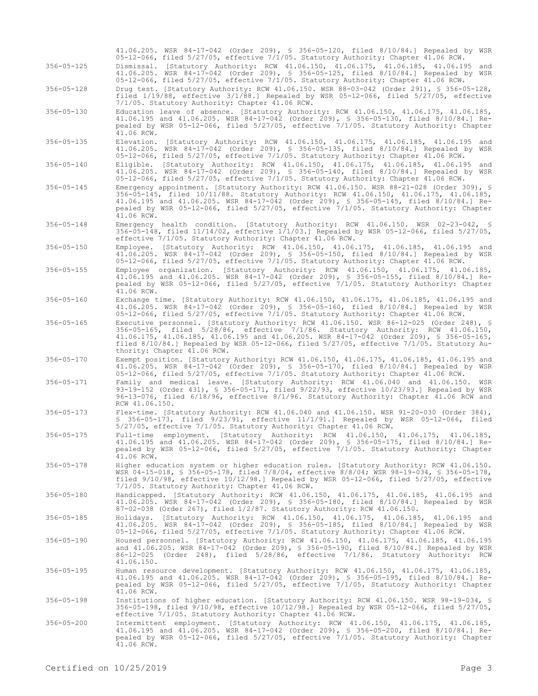|                  | 41.06.205. WSR 84-17-042 (Order 209), § 356-05-120, filed 8/10/84.] Repealed by WSR<br>05-12-066, filed 5/27/05, effective 7/1/05. Statutory Authority: Chapter 41.06 RCW.                                                                                                                                                                                                                           |
|------------------|------------------------------------------------------------------------------------------------------------------------------------------------------------------------------------------------------------------------------------------------------------------------------------------------------------------------------------------------------------------------------------------------------|
| $356 - 05 - 125$ | Dismissal. [Statutory Authority: RCW 41.06.150, 41.06.175, 41.06.185, 41.06.195 and<br>41.06.205. WSR 84-17-042 (Order 209), § 356-05-125, filed 8/10/84.] Repealed by WSR<br>05-12-066, filed 5/27/05, effective 7/1/05. Statutory Authority: Chapter 41.06 RCW.                                                                                                                                    |
| $356 - 05 - 128$ | Drug test. [Statutory Authority: RCW 41.06.150. WSR 88-03-042 (Order 291), § 356-05-128,<br>filed $1/19/88$ , effective $3/1/88$ . Repealed by WSR 05-12-066, filed $5/27/05$ , effective<br>7/1/05. Statutory Authority: Chapter 41.06 RCW.                                                                                                                                                         |
| $356 - 05 - 130$ | Education leave of absence. [Statutory Authority: RCW 41.06.150, 41.06.175, 41.06.185,<br>41.06.195 and 41.06.205. WSR 84-17-042 (Order 209), § 356-05-130, filed 8/10/84.] Re-<br>pealed by WSR 05-12-066, filed 5/27/05, effective 7/1/05. Statutory Authority: Chapter<br>41.06 RCW.                                                                                                              |
| $356 - 05 - 135$ | Elevation. [Statutory Authority: RCW 41.06.150, 41.06.175, 41.06.185, 41.06.195 and<br>41.06.205. WSR 84-17-042 (Order 209), § 356-05-135, filed 8/10/84.] Repealed by WSR<br>05-12-066, filed 5/27/05, effective 7/1/05. Statutory Authority: Chapter 41.06 RCW.                                                                                                                                    |
| $356 - 05 - 140$ | Eligible. [Statutory Authority: RCW 41.06.150, 41.06.175, 41.06.185, 41.06.195 and<br>41.06.205. WSR 84-17-042 (Order 209), § 356-05-140, filed 8/10/84.] Repealed by WSR<br>05-12-066, filed 5/27/05, effective 7/1/05. Statutory Authority: Chapter 41.06 RCW.                                                                                                                                     |
| $356 - 05 - 145$ | Emergency appointment. [Statutory Authority: RCW 41.06.150. WSR 88-21-028 (Order 309), §<br>356-05-145, filed 10/11/88. Statutory Authority: RCW 41.06.150, 41.06.175, 41.06.185,<br>41.06.195 and 41.06.205. WSR 84-17-042 (Order 209), § 356-05-145, filed 8/10/84.] Re-<br>pealed by WSR 05-12-066, filed 5/27/05, effective 7/1/05. Statutory Authority: Chapter<br>41.06 RCW.                   |
| $356 - 05 - 148$ | Emergency health condition. [Statutory Authority: RCW 41.06.150. WSR 02-23-042, §<br>356-05-148, filed $11/14/02$ , effective $1/1/03$ .] Repealed by WSR 05-12-066, filed 5/27/05,<br>effective 7/1/05. Statutory Authority: Chapter 41.06 RCW.                                                                                                                                                     |
| $356 - 05 - 150$ | Employee. [Statutory Authority: RCW 41.06.150, 41.06.175, 41.06.185, 41.06.195 and<br>41.06.205. WSR 84-17-042 (Order 209), § 356-05-150, filed 8/10/84.] Repealed by WSR<br>05-12-066, filed 5/27/05, effective 7/1/05. Statutory Authority: Chapter 41.06 RCW.                                                                                                                                     |
| $356 - 05 - 155$ | Employee organization. [Statutory Authority: RCW 41.06.150, 41.06.175, 41.06.185,<br>41.06.195 and 41.06.205. WSR 84-17-042 (Order 209), § 356-05-155, filed 8/10/84.] Re-<br>pealed by WSR 05-12-066, filed $5/27/05$ , effective $7/1/05$ . Statutory Authority: Chapter<br>41.06 RCW.                                                                                                             |
| $356 - 05 - 160$ | Exchange time. [Statutory Authority: RCW 41.06.150, 41.06.175, 41.06.185, 41.06.195 and<br>41.06.205. WSR 84-17-042 (Order 209), § 356-05-160, filed 8/10/84.] Repealed by WSR<br>05-12-066, filed 5/27/05, effective 7/1/05. Statutory Authority: Chapter 41.06 RCW.                                                                                                                                |
| $356 - 05 - 165$ | Executive personnel. [Statutory Authority: RCW 41.06.150. WSR 86-12-025 (Order 248), §<br>356-05-165, filed 5/28/86, effective 7/1/86. Statutory Authority: RCW 41.06.150,<br>41.06.175, 41.06.185, 41.06.195 and 41.06.205. WSR 84-17-042 (Order 209), § 356-05-165,<br>filed $8/10/84$ .] Repealed by WSR 05-12-066, filed 5/27/05, effective 7/1/05. Statutory Au-<br>thority: Chapter 41.06 RCW. |
| $356 - 05 - 170$ | Exempt position. [Statutory Authority: RCW 41.06.150, 41.06.175, 41.06.185, 41.06.195 and<br>41.06.205. WSR 84-17-042 (Order 209), § 356-05-170, filed 8/10/84.] Repealed by WSR<br>05-12-066, filed 5/27/05, effective 7/1/05. Statutory Authority: Chapter 41.06 RCW.                                                                                                                              |
| $356 - 05 - 171$ | Family and medical leave. [Statutory Authority: RCW 41.06.040 and 41.06.150. WSR<br>93-19-152 (Order 431), § 356-05-171, filed 9/22/93, effective 10/23/93.] Repealed by WSR<br>96-13-076, filed 6/18/96, effective 8/1/96. Statutory Authority: Chapter 41.06 RCW and<br>RCW 41.06.150.                                                                                                             |
| $356 - 05 - 173$ | Flex-time. [Statutory Authority: RCW 41.06.040 and 41.06.150. WSR 91-20-030 (Order 384),<br>\$ 356-05-173, filed 9/23/91, effective 11/1/91.] Repealed by WSR 05-12-066, filed<br>5/27/05, effective 7/1/05. Statutory Authority: Chapter 41.06 RCW.                                                                                                                                                 |
| $356 - 05 - 175$ | employment. [Statutory Authority: RCW 41.06.150,<br>Full-time<br>$41.06.175$ ,<br>$41.06.185$ ,<br>41.06.195 and 41.06.205. WSR 84-17-042 (Order 209), \$ 356-05-175, filed 8/10/84.] Re-<br>pealed by WSR 05-12-066, filed 5/27/05, effective 7/1/05. Statutory Authority: Chapter<br>41.06 RCW.                                                                                                    |
| $356 - 05 - 178$ | Higher education system or higher education rules. [Statutory Authority: RCW 41.06.150.<br>WSR 04-15-018, § 356-05-178, filed 7/8/04, effective 8/8/04; WSR 98-19-034, § 356-05-178,<br>filed $9/10/98$ , effective $10/12/98$ . Repealed by WSR 05-12-066, filed $5/27/05$ , effective<br>7/1/05. Statutory Authority: Chapter 41.06 RCW.                                                           |
| $356 - 05 - 180$ | Handicapped. [Statutory Authority: RCW 41.06.150, 41.06.175, 41.06.185, 41.06.195 and<br>41.06.205. WSR 84-17-042 (Order 209), § 356-05-180, filed 8/10/84.] Repealed by WSR<br>87-02-038 (Order 267), filed 1/2/87. Statutory Authority: RCW 41.06.150.                                                                                                                                             |
| $356 - 05 - 185$ | Holidays. [Statutory Authority: RCW 41.06.150, 41.06.175, 41.06.185, 41.06.195 and<br>41.06.205. WSR 84-17-042 (Order 209), § 356-05-185, filed 8/10/84.] Repealed by WSR<br>05-12-066, filed 5/27/05, effective 7/1/05. Statutory Authority: Chapter 41.06 RCW.                                                                                                                                     |
| $356 - 05 - 190$ | Housed personnel. [Statutory Authority: RCW 41.06.150, 41.06.175, 41.06.185, 41.06.195<br>and 41.06.205. WSR 84-17-042 (Order 209), § 356-05-190, filed 8/10/84.] Repealed by WSR<br>86-12-025 (Order 248), filed 5/28/86, effective 7/1/86. Statutory Authority: RCW<br>41.06.150.                                                                                                                  |
| $356 - 05 - 195$ | Human resource development. [Statutory Authority: RCW 41.06.150, 41.06.175, 41.06.185,<br>41.06.195 and 41.06.205. WSR 84-17-042 (Order 209), § 356-05-195, filed 8/10/84.] Re-<br>pealed by WSR 05-12-066, filed 5/27/05, effective 7/1/05. Statutory Authority: Chapter<br>41.06 RCW.                                                                                                              |
| $356 - 05 - 198$ | Institutions of higher education. [Statutory Authority: RCW 41.06.150. WSR 98-19-034, §<br>356-05-198, filed $9/10/98$ , effective $10/12/98$ . Repealed by WSR 05-12-066, filed 5/27/05,<br>effective 7/1/05. Statutory Authority: Chapter 41.06 RCW.                                                                                                                                               |
| $356 - 05 - 200$ | Intermittent employment. [Statutory Authority: RCW 41.06.150, 41.06.175, 41.06.185,<br>41.06.195 and 41.06.205. WSR 84-17-042 (Order 209), \$ 356-05-200, filed 8/10/84.] Re-<br>pealed by WSR 05-12-066, filed 5/27/05, effective 7/1/05. Statutory Authority: Chapter<br>41.06 RCW.                                                                                                                |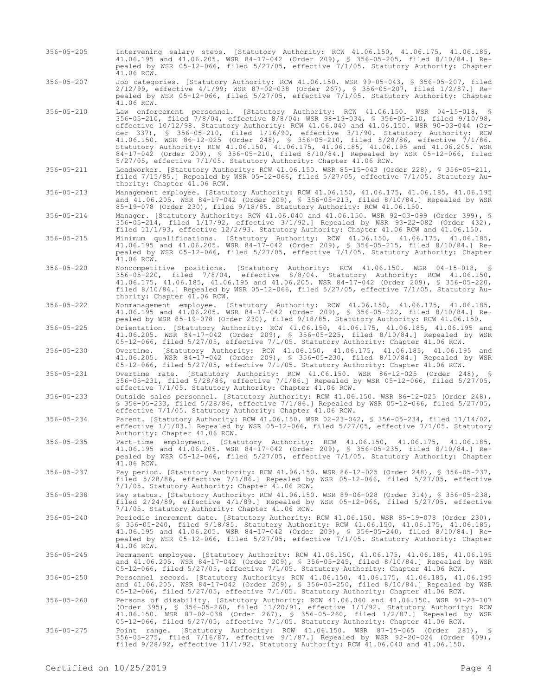- 356-05-205 Intervening salary steps. [Statutory Authority: RCW 41.06.150, 41.06.175, 41.06.185, 41.06.195 and 41.06.205. WSR 84-17-042 (Order 209), § 356-05-205, filed 8/10/84.] Repealed by WSR 05-12-066, filed 5/27/05, effective 7/1/05. Statutory Authority: Chapter 41.06 RCW.
- 356-05-207 Job categories. [Statutory Authority: RCW 41.06.150. WSR 99-05-043, § 356-05-207, filed 2/12/99, effective 4/1/99; WSR 87-02-038 (Order 267), § 356-05-207, filed 1/2/87.] Repealed by WSR 05-12-066, filed 5/27/05, effective 7/1/05. Statutory Authority: Chapter 41.06 RCW.
- 356-05-210 Law enforcement personnel. [Statutory Authority: RCW 41.06.150. WSR 04-15-018, § 356-05-210, filed 7/8/04, effective 8/8/04; WSR 98-19-034, § 356-05-210, filed 9/10/98, effective 10/12/98. Statutory Authority: RCW 41.06.040 and 41.06.150. WSR 90-03-044 (Order 337), § 356-05-210, filed 1/16/90, effective 3/1/90. Statutory Authority: RCW 41.06.150. WSR 86-12-025 (Order 248), § 356-05-210, filed 5/28/86, effective 7/1/86. Statutory Authority: RCW 41.06.150, 41.06.175, 41.06.185, 41.06.195 and 41.06.205. WSR 84-17-042 (Order 209), § 356-05-210, filed 8/10/84.] Repealed by WSR 05-12-066, filed 5/27/05, effective 7/1/05. Statutory Authority: Chapter 41.06 RCW.
- 356-05-211 Leadworker. [Statutory Authority: RCW 41.06.150. WSR 85-15-043 (Order 228), § 356-05-211, filed 7/15/85.] Repealed by WSR 05-12-066, filed 5/27/05, effective 7/1/05. Statutory Authority: Chapter 41.06 RCW.
- 356-05-213 Management employee. [Statutory Authority: RCW 41.06.150, 41.06.175, 41.06.185, 41.06.195 and 41.06.205. WSR 84-17-042 (Order 209), § 356-05-213, filed 8/10/84.] Repealed by WSR 85-19-078 (Order 230), filed 9/18/85. Statutory Authority: RCW 41.06.150.

356-05-214 Manager. [Statutory Authority: RCW 41.06.040 and 41.06.150. WSR 92-03-099 (Order 399), § 356-05-214, filed 1/17/92, effective 3/1/92.] Repealed by WSR 93-22-082 (Order 432), filed 11/1/93, effective 12/2/93. Statutory Authority: Chapter 41.06 RCW and 41.06.150.

- 356-05-215 Minimum qualifications. [Statutory Authority: RCW 41.06.150, 41.06.175, 41.06.185, 41.06.195 and 41.06.205. WSR 84-17-042 (Order 209), § 356-05-215, filed 8/10/84.] Repealed by WSR 05-12-066, filed 5/27/05, effective 7/1/05. Statutory Authority: Chapter  $41.06$  RCW.
- 356-05-220 Noncompetitive positions. [Statutory Authority: RCW 41.06.150. WSR 04-15-018, § 356-05-220, filed 7/8/04, effective 8/8/04. Statutory Authority: RCW 41.06.150, 41.06.175, 41.06.185, 41.06.195 and 41.06.205. WSR 84-17-042 (Order 209), § 356-05-220, filed 8/10/84.] Repealed by WSR 05-12-066, filed 5/27/05, effective 7/1/05. Statutory Authority: Chapter 41.06 RCW.
- 356-05-222 Nonmanagement employee. [Statutory Authority: RCW 41.06.150, 41.06.175, 41.06.185, 41.06.195 and 41.06.205. WSR 84-17-042 (Order 209), § 356-05-222, filed 8/10/84.] Repealed by WSR 85-19-078 (Order 230), filed 9/18/85. Statutory Authority: RCW 41.06.150.
- 356-05-225 Orientation. [Statutory Authority: RCW 41.06.150, 41.06.175, 41.06.185, 41.06.195 and 41.06.205. WSR 84-17-042 (Order 209), § 356-05-225, filed 8/10/84.] Repealed by WSR 05-12-066, filed 5/27/05, effective 7/1/05. Statutory Authority: Chapter 41.06 RCW.
- 356-05-230 Overtime. [Statutory Authority: RCW 41.06.150, 41.06.175, 41.06.185, 41.06.195 and 41.06.205. WSR 84-17-042 (Order 209), § 356-05-230, filed 8/10/84.] Repealed by WSR 05-12-066, filed 5/27/05, effective 7/1/05. Statutory Authority: Chapter 41.06 RCW.
- 356-05-231 Overtime rate. [Statutory Authority: RCW 41.06.150. WSR 86-12-025 (Order 248), § 356-05-231, filed 5/28/86, effective 7/1/86.] Repealed by WSR 05-12-066, filed 5/27/05, effective 7/1/05. Statutory Authority: Chapter 41.06 RCW.

356-05-233 Outside sales personnel. [Statutory Authority: RCW 41.06.150. WSR 86-12-025 (Order 248), § 356-05-233, filed 5/28/86, effective 7/1/86.] Repealed by WSR 05-12-066, filed 5/27/05, effective 7/1/05. Statutory Authority: Chapter 41.06 RCW.

- 356-05-234 Parent. [Statutory Authority: RCW 41.06.150. WSR 02-23-042, § 356-05-234, filed 11/14/02, effective 1/1/03.] Repealed by WSR 05-12-066, filed 5/27/05, effective 7/1/05. Statutory Authority: Chapter 41.06 RCW.
- 356-05-235 Part-time employment. [Statutory Authority: RCW 41.06.150, 41.06.175, 41.06.185, 41.06.195 and 41.06.205. WSR 84-17-042 (Order 209), § 356-05-235, filed 8/10/84.] Repealed by WSR 05-12-066, filed 5/27/05, effective 7/1/05. Statutory Authority: Chapter  $41.06$  RCW.
- 356-05-237 Pay period. [Statutory Authority: RCW 41.06.150. WSR 86-12-025 (Order 248), § 356-05-237, filed 5/28/86, effective 7/1/86.] Repealed by WSR 05-12-066, filed 5/27/05, effective 7/1/05. Statutory Authority: Chapter 41.06 RCW.
- 356-05-238 Pay status. [Statutory Authority: RCW 41.06.150. WSR 89-06-028 (Order 314), § 356-05-238, filed 2/24/89, effective 4/1/89.] Repealed by WSR 05-12-066, filed 5/27/05, effective 7/1/05. Statutory Authority: Chapter 41.06 RCW.
- 356-05-240 Periodic increment date. [Statutory Authority: RCW 41.06.150. WSR 85-19-078 (Order 230), § 356-05-240, filed 9/18/85. Statutory Authority: RCW 41.06.150, 41.06.175, 41.06.185, 41.06.195 and 41.06.205. WSR 84-17-042 (Order 209), § 356-05-240, filed 8/10/84.] Repealed by WSR 05-12-066, filed 5/27/05, effective 7/1/05. Statutory Authority: Chapter 41.06 RCW.
- 356-05-245 Permanent employee. [Statutory Authority: RCW 41.06.150, 41.06.175, 41.06.185, 41.06.195 and 41.06.205. WSR 84-17-042 (Order 209), § 356-05-245, filed 8/10/84.] Repealed by WSR 05-12-066, filed 5/27/05, effective 7/1/05. Statutory Authority: Chapter 41.06 RCW.
- 356-05-250 Personnel record. [Statutory Authority: RCW 41.06.150, 41.06.175, 41.06.185, 41.06.195<br>and 41.06.205. WSR 84-17-042 (Order 209), § 356-05-250, filed 8/10/84.] Repealed by WSR<br>05-12-066, filed 5/27/05, effective
- 356-05-260 Persons of disability. [Statutory Authority: RCW 41.06.040 and 41.06.150. WSR 91-23-107 (Order 395), § 356-05-260, filed 11/20/91, effective 1/1/92. Statutory Authority: RCW 41.06.150. WSR 87-02-038 (Order 267), § 356-05-260, filed 1/2/87.] Repealed by WSR 05-12-066, filed 5/27/05, effective 7/1/05. Statutory Authority: Chapter 41.06 RCW.
- 356-05-275 Point range. [Statutory Authority: RCW 41.06.150. WSR 87-15-065 (Order 281), § 356-05-275, filed 7/16/87, effective 9/1/87.] Repealed by WSR 92-20-024 (Order 409), filed 9/28/92, effective 11/1/92. Statutory Authority: RCW 41.06.040 and 41.06.150.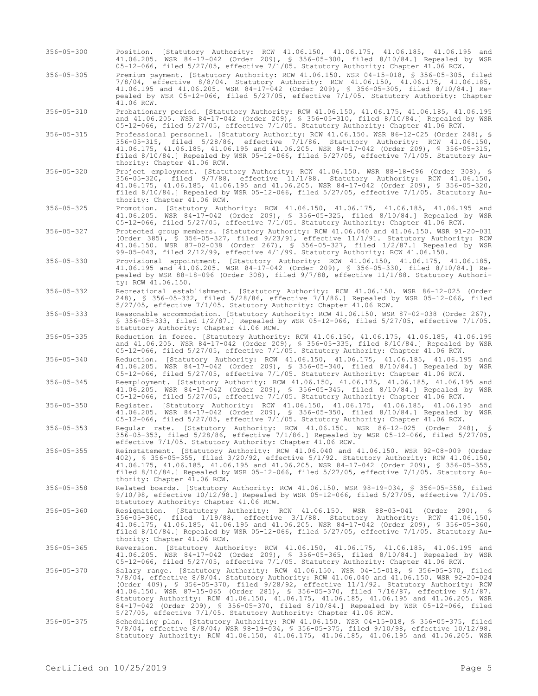- 356-05-300 Position. [Statutory Authority: RCW 41.06.150, 41.06.175, 41.06.185, 41.06.195 and 41.06.205. WSR 84-17-042 (Order 209), § 356-05-300, filed 8/10/84.] Repealed by WSR 05-12-066, filed 5/27/05, effective 7/1/05. Statutory Authority: Chapter 41.06 RCW.
- 356-05-305 Premium payment. [Statutory Authority: RCW 41.06.150. WSR 04-15-018, § 356-05-305, filed 7/8/04, effective 8/8/04. Statutory Authority: RCW 41.06.150, 41.06.175, 41.06.185, 41.06.195 and 41.06.205. WSR 84-17-042 (Order 209), § 356-05-305, filed 8/10/84.] Repealed by WSR 05-12-066, filed 5/27/05, effective 7/1/05. Statutory Authority: Chapter 41.06 RCW.

356-05-310 Probationary period. [Statutory Authority: RCW 41.06.150, 41.06.175, 41.06.185, 41.06.195 and 41.06.205. WSR 84-17-042 (Order 209), § 356-05-310, filed 8/10/84.] Repealed by WSR 05-12-066, filed 5/27/05, effective 7/1/05. Statutory Authority: Chapter 41.06 RCW.

- 356-05-315 Professional personnel. [Statutory Authority: RCW 41.06.150. WSR 86-12-025 (Order 248), § 356-05-315, filed 5/28/86, effective 7/1/86. Statutory Authority: RCW 41.06.150, 41.06.175, 41.06.185, 41.06.195 and 41.06.205. WSR 84-17-042 (Order 209), § 356-05-315, filed 8/10/84.] Repealed by WSR 05-12-066, filed 5/27/05, effective 7/1/05. Statutory Authority: Chapter 41.06 RCW.
- 356-05-320 Project employment. [Statutory Authority: RCW 41.06.150. WSR 88-18-096 (Order 308), § 356-05-320, filed 9/7/88, effective 11/1/88. Statutory Authority: RCW 41.06.150, 41.06.175, 41.06.185, 41.06.195 and 41.06.205. WSR 84-17-042 (Order 209), § 356-05-320, filed 8/10/84.] Repealed by WSR 05-12-066, filed 5/27/05, effective 7/1/05. Statutory Authority: Chapter 41.06 RCW.

356-05-325 Promotion. [Statutory Authority: RCW 41.06.150, 41.06.175, 41.06.185, 41.06.195 and 41.06.205. WSR 84-17-042 (Order 209), § 356-05-325, filed 8/10/84.] Repealed by WSR 05-12-066, filed 5/27/05, effective 7/1/05. Statutory Authority: Chapter 41.06 RCW.

- 356-05-327 Protected group members. [Statutory Authority: RCW 41.06.040 and 41.06.150. WSR 91-20-031 (Order 385), § 356-05-327, filed 9/23/91, effective 11/1/91. Statutory Authority: RCW 41.06.150. WSR 87-02-038 (Order 267), § 356-05-327, filed 1/2/87.] Repealed by WSR 99-05-043, filed 2/12/99, effective 4/1/99. Statutory Authority: RCW 41.06.150.
- 356-05-330 Provisional appointment. [Statutory Authority: RCW 41.06.150, 41.06.175, 41.06.185, 41.06.195 and 41.06.205. WSR 84-17-042 (Order 209), § 356-05-330, filed 8/10/84.] Repealed by WSR 88-18-096 (Order 308), filed 9/7/88, effective 11/1/88. Statutory Authority: RCW 41.06.150.
- 356-05-332 Recreational establishment. [Statutory Authority: RCW 41.06.150. WSR 86-12-025 (Order 248), § 356-05-332, filed 5/28/86, effective 7/1/86.] Repealed by WSR 05-12-066, filed 5/27/05, effective 7/1/05. Statutory Authority: Chapter 41.06 RCW.

356-05-333 Reasonable accommodation. [Statutory Authority: RCW 41.06.150. WSR 87-02-038 (Order 267), § 356-05-333, filed 1/2/87.] Repealed by WSR 05-12-066, filed 5/27/05, effective 7/1/05. Statutory Authority: Chapter 41.06 RCW.

356-05-335 Reduction in force. [Statutory Authority: RCW 41.06.150, 41.06.175, 41.06.185, 41.06.195 and 41.06.205. WSR 84-17-042 (Order 209), § 356-05-335, filed 8/10/84.] Repealed by WSR 05-12-066, filed 5/27/05, effective 7/1/05. Statutory Authority: Chapter 41.06 RCW.

- 356-05-340 Reduction. [Statutory Authority: RCW 41.06.150, 41.06.175, 41.06.185, 41.06.195 and 41.06.205. WSR 84-17-042 (Order 209), § 356-05-340, filed 8/10/84.] Repealed by WSR 05-12-066, filed 5/27/05, effective 7/1/05. Statutory Authority: Chapter 41.06 RCW.
- 356-05-345 Reemployment. [Statutory Authority: RCW 41.06.150, 41.06.175, 41.06.185, 41.06.195 and 41.06.205. WSR 84-17-042 (Order 209), § 356-05-345, filed 8/10/84.] Repealed by WSR 05-12-066, filed 5/27/05, effective 7/1/05. Statutory Authority: Chapter 41.06 RCW.
- 356-05-350 Register. [Statutory Authority: RCW 41.06.150, 41.06.175, 41.06.185, 41.06.195 and 41.06.205. WSR 84-17-042 (Order 209), § 356-05-350, filed 8/10/84.] Repealed by WSR 05-12-066, filed 5/27/05, effective 7/1/05. Statutory Authority: Chapter 41.06 RCW.

356-05-353 Regular rate. [Statutory Authority: RCW 41.06.150. WSR 86-12-025 (Order 248), § 356-05-353, filed 5/28/86, effective 7/1/86.] Repealed by WSR 05-12-066, filed 5/27/05, effective 7/1/05. Statutory Authority: Chapter 41.06 RCW.

356-05-355 Reinstatement. [Statutory Authority: RCW 41.06.040 and 41.06.150. WSR 92-08-009 (Order 402), § 356-05-355, filed 3/20/92, effective 5/1/92. Statutory Authority: RCW 41.06.150, 41.06.175, 41.06.185, 41.06.195 and 41.06.205. WSR 84-17-042 (Order 209), § 356-05-355, filed 8/10/84.] Repealed by WSR 05-12-066, filed 5/27/05, effective 7/1/05. Statutory Authority: Chapter 41.06 RCW.

356-05-358 Related boards. [Statutory Authority: RCW 41.06.150. WSR 98-19-034, § 356-05-358, filed 9/10/98, effective 10/12/98.] Repealed by WSR 05-12-066, filed 5/27/05, effective 7/1/05. Statutory Authority: Chapter 41.06 RCW.

- 356-05-360 Resignation. [Statutory Authority: RCW 41.06.150. WSR 88-03-041 (Order 290), § 356-05-360, filed 1/19/88, effective 3/1/88. Statutory Authority: RCW 41.06.150, 41.06.175, 41.06.185, 41.06.195 and 41.06.205. WSR 84-17-042 (Order 209), § 356-05-360, filed 8/10/84.] Repealed by WSR 05-12-066, filed 5/27/05, effective 7/1/05. Statutory Authority: Chapter 41.06 RCW.
- 356-05-365 Reversion. [Statutory Authority: RCW 41.06.150, 41.06.175, 41.06.185, 41.06.195 and 41.06.205. WSR 84-17-042 (Order 209), § 356-05-365, filed 8/10/84.] Repealed by WSR 05-12-066, filed 5/27/05, effective 7/1/05. Statutory Authority: Chapter 41.06 RCW.
- 356-05-370 Salary range. [Statutory Authority: RCW 41.06.150. WSR 04-15-018, § 356-05-370, filed 7/8/04, effective 8/8/04. Statutory Authority: RCW 41.06.040 and 41.06.150. WSR 92-20-024<br>(Order 409), § 356-05-370, filed 9/28/92, effective 11/1/92. Statutory Authority: RCW<br>41.06.150. WSR 87-15-065 (Order 281), § 356-05 Statutory Authority: RCW 41.06.150, 41.06.175, 41.06.185, 41.06.195 and 41.06.205. WSR 84-17-042 (Order 209), § 356-05-370, filed 8/10/84.] Repealed by WSR 05-12-066, filed 5/27/05, effective 7/1/05. Statutory Authority: Chapter 41.06 RCW.
- 356-05-375 Scheduling plan. [Statutory Authority: RCW 41.06.150. WSR 04-15-018, § 356-05-375, filed 7/8/04, effective 8/8/04; WSR 98-19-034, § 356-05-375, filed 9/10/98, effective 10/12/98. Statutory Authority: RCW 41.06.150, 41.06.175, 41.06.185, 41.06.195 and 41.06.205. WSR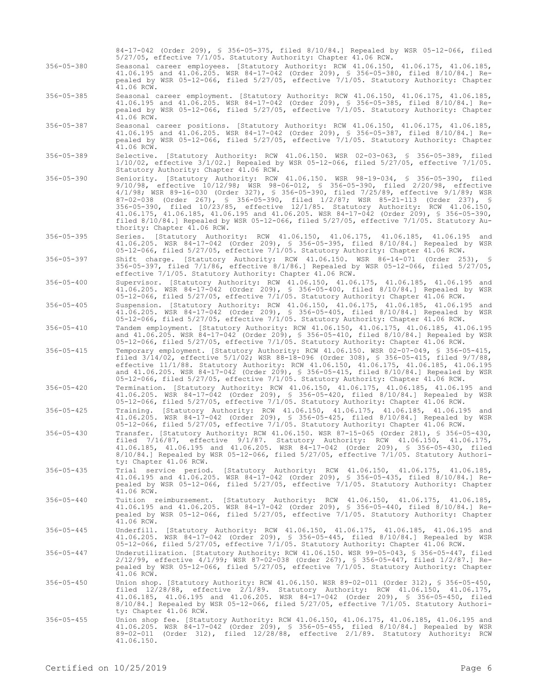|                  | 84-17-042 (Order 209), § 356-05-375, filed 8/10/84.] Repealed by WSR 05-12-066, filed<br>5/27/05, effective 7/1/05. Statutory Authority: Chapter 41.06 RCW.                                                                                                                                                                                                                                                                                                                                                                                                                                                                                                               |
|------------------|---------------------------------------------------------------------------------------------------------------------------------------------------------------------------------------------------------------------------------------------------------------------------------------------------------------------------------------------------------------------------------------------------------------------------------------------------------------------------------------------------------------------------------------------------------------------------------------------------------------------------------------------------------------------------|
| $356 - 05 - 380$ | Seasonal career employees. [Statutory Authority: RCW 41.06.150, 41.06.175, 41.06.185,<br>41.06.195 and 41.06.205. WSR 84-17-042 (Order 209), § 356-05-380, filed 8/10/84.] Re-<br>pealed by WSR 05-12-066, filed 5/27/05, effective 7/1/05. Statutory Authority: Chapter<br>41.06 RCW.                                                                                                                                                                                                                                                                                                                                                                                    |
| $356 - 05 - 385$ | Seasonal career employment. [Statutory Authority: RCW 41.06.150, 41.06.175, 41.06.185,<br>41.06.195 and 41.06.205. WSR 84-17-042 (Order 209), § 356-05-385, filed 8/10/84.] Re-<br>pealed by WSR 05-12-066, filed 5/27/05, effective 7/1/05. Statutory Authority: Chapter<br>41.06 RCW.                                                                                                                                                                                                                                                                                                                                                                                   |
| $356 - 05 - 387$ | Seasonal career positions. [Statutory Authority: RCW 41.06.150, 41.06.175, 41.06.185,<br>41.06.195 and 41.06.205. WSR 84-17-042 (Order 209), § 356-05-387, filed 8/10/84.] Re-<br>pealed by WSR 05-12-066, filed 5/27/05, effective 7/1/05. Statutory Authority: Chapter<br>41.06 RCW.                                                                                                                                                                                                                                                                                                                                                                                    |
| $356 - 05 - 389$ | Selective. [Statutory Authority: RCW 41.06.150. WSR 02-03-063, § 356-05-389, filed<br>$1/10/02$ , effective $3/1/02$ . Repealed by WSR 05-12-066, filed 5/27/05, effective 7/1/05.<br>Statutory Authority: Chapter 41.06 RCW.                                                                                                                                                                                                                                                                                                                                                                                                                                             |
| $356 - 05 - 390$ | Seniority. [Statutory Authority: RCW 41.06.150. WSR 98-19-034, § 356-05-390, filed<br>9/10/98, effective 10/12/98; WSR 98-06-012, § 356-05-390, filed 2/20/98, effective<br>4/1/98; WSR 89-16-030 (Order 327), § 356-05-390, filed 7/25/89, effective 9/1/89; WSR<br>87-02-038 (Order 267), § 356-05-390, filed 1/2/87; WSR 85-21-113 (Order 237), §<br>356-05-390, filed 10/23/85, effective 12/1/85. Statutory Authority: RCW 41.06.150,<br>41.06.175, 41.06.185, 41.06.195 and 41.06.205. WSR 84-17-042 (Order 209), § 356-05-390,<br>filed $8/10/84$ . Repealed by WSR 05-12-066, filed $5/27/05$ , effective $7/1/05$ . Statutory Au-<br>thority: Chapter 41.06 RCW. |
| $356 - 05 - 395$ | Series. [Statutory Authority: RCW 41.06.150, 41.06.175, 41.06.185, 41.06.195<br>and<br>41.06.205. WSR 84-17-042 (Order 209), § 356-05-395, filed 8/10/84.] Repealed by WSR<br>05-12-066, filed 5/27/05, effective 7/1/05. Statutory Authority: Chapter 41.06 RCW.                                                                                                                                                                                                                                                                                                                                                                                                         |
| $356 - 05 - 397$ | Shift charge. [Statutory Authority: RCW 41.06.150. WSR 86-14-071 (Order 253), §<br>356-05-397, filed $7/1/86$ , effective $8/1/86$ .] Repealed by WSR 05-12-066, filed 5/27/05,<br>effective 7/1/05. Statutory Authority: Chapter 41.06 RCW.                                                                                                                                                                                                                                                                                                                                                                                                                              |
| $356 - 05 - 400$ | Supervisor. [Statutory Authority: RCW 41.06.150, 41.06.175, 41.06.185, 41.06.195 and<br>41.06.205. WSR 84-17-042 (Order 209), § 356-05-400, filed 8/10/84.] Repealed by WSR<br>05-12-066, filed 5/27/05, effective 7/1/05. Statutory Authority: Chapter 41.06 RCW.                                                                                                                                                                                                                                                                                                                                                                                                        |
| $356 - 05 - 405$ | Suspension. [Statutory Authority: RCW 41.06.150, 41.06.175, 41.06.185, 41.06.195 and<br>41.06.205. WSR 84-17-042 (Order 209), § 356-05-405, filed 8/10/84.] Repealed by WSR<br>05-12-066, filed 5/27/05, effective 7/1/05. Statutory Authority: Chapter 41.06 RCW.                                                                                                                                                                                                                                                                                                                                                                                                        |
| $356 - 05 - 410$ | Tandem employment. [Statutory Authority: RCW 41.06.150, 41.06.175, 41.06.185, 41.06.195<br>and 41.06.205. WSR 84-17-042 (Order 209), § 356-05-410, filed 8/10/84.] Repealed by WSR<br>05-12-066, filed 5/27/05, effective 7/1/05. Statutory Authority: Chapter 41.06 RCW.                                                                                                                                                                                                                                                                                                                                                                                                 |
| $356 - 05 - 415$ | Temporary employment. [Statutory Authority: RCW 41.06.150. WSR 02-07-049, § 356-05-415,<br>filed 3/14/02, effective 5/1/02; WSR 88-18-096 (Order 308), § 356-05-415, filed 9/7/88,<br>effective 11/1/88. Statutory Authority: RCW 41.06.150, 41.06.175, 41.06.185, 41.06.195<br>and 41.06.205. WSR 84-17-042 (Order 209), § 356-05-415, filed 8/10/84.] Repealed by WSR<br>05-12-066, filed 5/27/05, effective 7/1/05. Statutory Authority: Chapter 41.06 RCW.                                                                                                                                                                                                            |
| $356 - 05 - 420$ | Termination. [Statutory Authority: RCW 41.06.150, 41.06.175, 41.06.185, 41.06.195 and<br>41.06.205. WSR 84-17-042 (Order 209), § 356-05-420, filed 8/10/84.] Repealed by WSR<br>05-12-066, filed 5/27/05, effective 7/1/05. Statutory Authority: Chapter 41.06 RCW.                                                                                                                                                                                                                                                                                                                                                                                                       |
| $356 - 05 - 425$ | Training. [Statutory Authority: RCW 41.06.150, 41.06.175, 41.06.185, 41.06.195 and<br>41.06.205. WSR 84-17-042 (Order 209), § 356-05-425, filed 8/10/84.] Repealed by WSR<br>05-12-066, filed 5/27/05, effective 7/1/05. Statutory Authority: Chapter 41.06 RCW.                                                                                                                                                                                                                                                                                                                                                                                                          |
| $356 - 05 - 430$ | Transfer. [Statutory Authority: RCW 41.06.150. WSR 87-15-065 (Order 281), § 356-05-430,<br>filed $7/16/87$ , effective $9/1/87$ . Statutory Authority: RCW 41.06.150, 41.06.175,<br>41.06.185, 41.06.195 and 41.06.205. WSR 84-17-042 (Order 209), § 356-05-430, filed<br>$8/10/84$ .] Repealed by WSR 05-12-066, filed 5/27/05, effective 7/1/05. Statutory Authori-<br>ty: Chapter 41.06 RCW.                                                                                                                                                                                                                                                                           |
| $356 - 05 - 435$ | Trial service period. [Statutory Authority: RCW 41.06.150, 41.06.175, 41.06.185,<br>41.06.195 and 41.06.205. WSR 84-17-042 (Order 209), § 356-05-435, filed 8/10/84.] Re-<br>pealed by WSR 05-12-066, filed 5/27/05, effective 7/1/05. Statutory Authority: Chapter<br>41.06 RCW.                                                                                                                                                                                                                                                                                                                                                                                         |
| $356 - 05 - 440$ | Tuition reimbursement. [Statutory Authority: RCW 41.06.150, 41.06.175, 41.06.185,<br>41.06.195 and 41.06.205. WSR 84-17-042 (Order 209), § 356-05-440, filed 8/10/84.] Re-<br>pealed by WSR 05-12-066, filed 5/27/05, effective 7/1/05. Statutory Authority: Chapter<br>41.06 RCW.                                                                                                                                                                                                                                                                                                                                                                                        |
| $356 - 05 - 445$ | Underfill. [Statutory Authority: RCW 41.06.150, 41.06.175, 41.06.185, 41.06.195 and<br>41.06.205. WSR 84-17-042 (Order 209), § 356-05-445, filed 8/10/84.] Repealed by WSR<br>05-12-066, filed 5/27/05, effective 7/1/05. Statutory Authority: Chapter 41.06 RCW.                                                                                                                                                                                                                                                                                                                                                                                                         |
| $356 - 05 - 447$ | Underutilization. [Statutory Authority: RCW 41.06.150. WSR 99-05-043, \$ 356-05-447, filed<br>$2/12/99$ , effective $4/1/99$ ; WSR 87-02-038 (Order 267), § 356-05-447, filed $1/2/87$ . Re-<br>pealed by WSR 05-12-066, filed 5/27/05, effective 7/1/05. Statutory Authority: Chapter<br>41.06 RCW.                                                                                                                                                                                                                                                                                                                                                                      |
| $356 - 05 - 450$ | Union shop. [Statutory Authority: RCW 41.06.150. WSR 89-02-011 (Order 312), § 356-05-450,<br>filed 12/28/88, effective 2/1/89. Statutory Authority: RCW 41.06.150, 41.06.175,<br>41.06.185, 41.06.195 and 41.06.205. WSR 84-17-042 (Order 209), § 356-05-450, filed<br>8/10/84.] Repealed by WSR 05-12-066, filed 5/27/05, effective 7/1/05. Statutory Authori-<br>ty: Chapter 41.06 RCW.                                                                                                                                                                                                                                                                                 |
| $356 - 05 - 455$ | Union shop fee. [Statutory Authority: RCW 41.06.150, 41.06.175, 41.06.185, 41.06.195 and<br>41.06.205. WSR 84-17-042 (Order 209), § 356-05-455, filed 8/10/84.] Repealed by WSR<br>$89-02-011$ (Order 312), filed $12/28/88$ , effective $2/1/89$ . Statutory Authority: RCW<br>41.06.150.                                                                                                                                                                                                                                                                                                                                                                                |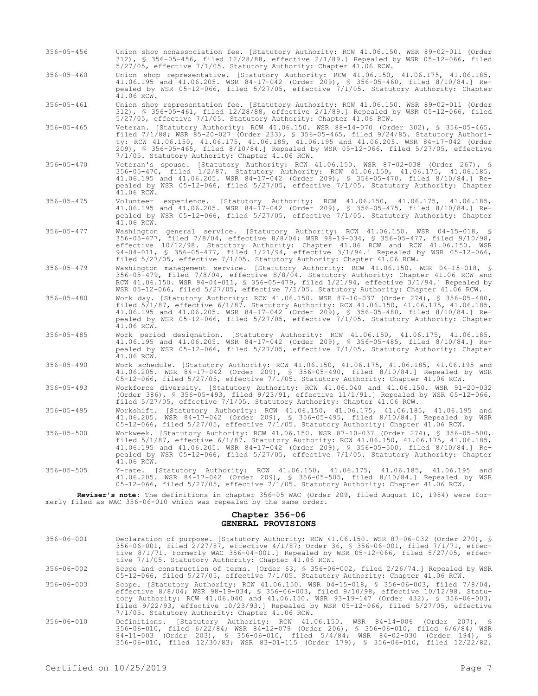- 356-05-456 Union shop nonassociation fee. [Statutory Authority: RCW 41.06.150. WSR 89-02-011 (Order 312), § 356-05-456, filed 12/28/88, effective 2/1/89.] Repealed by WSR 05-12-066, filed 5/27/05, effective 7/1/05. Statutory Authority: Chapter 41.06 RCW.
- 356-05-460 Union shop representative. [Statutory Authority: RCW 41.06.150, 41.06.175, 41.06.185, 41.06.195 and 41.06.205. WSR 84-17-042 (Order 209), § 356-05-460, filed 8/10/84.] Repealed by WSR 05-12-066, filed 5/27/05, effective 7/1/05. Statutory Authority: Chapter  $41.06$  RCW.

356-05-461 Union shop representation fee. [Statutory Authority: RCW 41.06.150. WSR 89-02-011 (Order 312), § 356-05-461, filed 12/28/88, effective 2/1/89.] Repealed by WSR 05-12-066, filed 5/27/05, effective 7/1/05. Statutory Authority: Chapter 41.06 RCW.

- 356-05-465 Veteran. [Statutory Authority: RCW 41.06.150. WSR 88-14-070 (Order 302), § 356-05-465, filed 7/1/88; WSR 85-20-027 (Order 233), § 356-05-465, filed 9/24/85. Statutory Authority: RCW 41.06.150, 41.06.175, 41.06.185, 41.06.195 and 41.06.205. WSR 84-17-042 (Order 209), § 356-05-465, filed 8/10/84.] Repealed by WSR 05-12-066, filed 5/27/05, effective 7/1/05. Statutory Authority: Chapter 41.06 RCW.
- 356-05-470 Veteran's spouse. [Statutory Authority: RCW 41.06.150. WSR 87-02-038 (Order 267), § 356-05-470, filed 1/2/87. Statutory Authority: RCW 41.06.150, 41.06.175, 41.06.185, 41.06.195 and 41.06.205. WSR 84-17-042 (Order 209), § 356-05-470, filed 8/10/84.] Repealed by WSR 05-12-066, filed 5/27/05, effective 7/1/05. Statutory Authority: Chapter  $41.06$  RCW.
- 356-05-475 Volunteer experience. [Statutory Authority: RCW 41.06.150, 41.06.175, 41.06.185, 41.06.195 and 41.06.205. WSR 84-17-042 (Order 209), § 356-05-475, filed 8/10/84.] Repealed by WSR 05-12-066, filed 5/27/05, effective 7/1/05. Statutory Authority: Chapter  $41.06$  RCW.
- 356-05-477 Washington general service. [Statutory Authority: RCW 41.06.150. WSR 04-15-018, § 356-05-477, filed 7/8/04, effective 8/8/04; WSR 98-19-034, § 356-05-477, filed 9/10/98, effective 10/12/98. Statutory Authority: Chapter 41.06 RCW and RCW 41.06.150. WSR 94-04-011, § 356-05-477, filed 1/21/94, effective 3/1/94.] Repealed by WSR 05-12-066, filed 5/27/05, effective 7/1/05. Statutory Authority: Chapter 41.06 RCW.
- 356-05-479 Washington management service. [Statutory Authority: RCW 41.06.150. WSR 04-15-018, § 356-05-479, filed 7/8/04, effective 8/8/04. Statutory Authority: Chapter 41.06 RCW and RCW 41.06.150. WSR 94-04-011, § 356-05-479, filed 1/21/94, effective 3/1/94.] Repealed by WSR 05-12-066, filed 5/27/05, effective 7/1/05. Statutory Authority: Chapter 41.06 RCW.
- 356-05-480 Work day. [Statutory Authority: RCW 41.06.150. WSR 87-10-037 (Order 274), § 356-05-480, filed 5/1/87, effective 6/1/87. Statutory Authority: RCW 41.06.150, 41.06.175, 41.06.185, 41.06.195 and 41.06.205. WSR 84-17-042 (Order 209), § 356-05-480, filed 8/10/84.] Repealed by WSR 05-12-066, filed 5/27/05, effective 7/1/05. Statutory Authority: Chapter 41.06 RCW.
- 356-05-485 Work period designation. [Statutory Authority: RCW 41.06.150, 41.06.175, 41.06.185, 41.06.195 and 41.06.205. WSR 84-17-042 (Order 209), § 356-05-485, filed 8/10/84.] Repealed by WSR 05-12-066, filed 5/27/05, effective 7/1/05. Statutory Authority: Chapter 41.06 RCW.
- 356-05-490 Work schedule. [Statutory Authority: RCW 41.06.150, 41.06.175, 41.06.185, 41.06.195 and 41.06.205. WSR 84-17-042 (Order 209), § 356-05-490, filed 8/10/84.] Repealed by WSR 05-12-066, filed 5/27/05, effective 7/1/05. Statutory Authority: Chapter 41.06 RCW.
- 356-05-493 Workforce diversity. [Statutory Authority: RCW 41.06.040 and 41.06.150. WSR 91-20-032 (Order 386), § 356-05-493, filed 9/23/91, effective 11/1/91.] Repealed by WSR 05-12-066, filed 5/27/05, effective 7/1/05. Statutory Authority: Chapter 41.06 RCW.
- 356-05-495 Workshift. [Statutory Authority: RCW 41.06.150, 41.06.175, 41.06.185, 41.06.195 and 41.06.205. WSR 84-17-042 (Order 209), § 356-05-495, filed 8/10/84.] Repealed by WSR 05-12-066, filed 5/27/05, effective 7/1/05. Statutory Authority: Chapter 41.06 RCW.
- 356-05-500 Workweek. [Statutory Authority: RCW 41.06.150. WSR 87-10-037 (Order 274), § 356-05-500, filed 5/1/87, effective 6/1/87. Statutory Authority: RCW 41.06.150, 41.06.175, 41.06.185, 41.06.195 and 41.06.205. WSR 84-17-042 (Order 209), § 356-05-500, filed 8/10/84.] Repealed by WSR 05-12-066, filed 5/27/05, effective 7/1/05. Statutory Authority: Chapter 41.06 RCW.
- 356-05-505 Y-rate. [Statutory Authority: RCW 41.06.150, 41.06.175, 41.06.185, 41.06.195 and 41.06.205. WSR 84-17-042 (Order 209), § 356-05-505, filed 8/10/84.] Repealed by WSR 05-12-066, filed 5/27/05, effective 7/1/05. Statutory Authority: Chapter 41.06 RCW.

**Reviser's note:** The definitions in chapter 356-05 WAC (Order 209, filed August 10, 1984) were formerly filed as WAC 356-06-010 which was repealed by the same order.

# **Chapter 356-06 GENERAL PROVISIONS**

| $356 - 06 - 001$ | Declaration of purpose. [Statutory Authority: RCW 41.06.150. WSR 87-06-032 (Order 270), §<br>356-06-001, filed 2/27/87, effective 4/1/87; Order 36, § 356-06-001, filed 7/1/71, effec-<br>tive $8/1/71$ . Formerly WAC 356-04-001.] Repealed by WSR 05-12-066, filed 5/27/05, effec-<br>tive 7/1/05. Statutory Authority: Chapter 41.06 RCW.                                                                                       |  |  |  |  |  |  |
|------------------|------------------------------------------------------------------------------------------------------------------------------------------------------------------------------------------------------------------------------------------------------------------------------------------------------------------------------------------------------------------------------------------------------------------------------------|--|--|--|--|--|--|
| $356 - 06 - 002$ | Scope and construction of terms. [Order 63, § 356-06-002, filed 2/26/74.] Repealed by WSR<br>05-12-066, filed 5/27/05, effective 7/1/05. Statutory Authority: Chapter 41.06 RCW.                                                                                                                                                                                                                                                   |  |  |  |  |  |  |
| $356 - 06 - 003$ | Scope. [Statutory Authority: RCW 41.06.150. WSR 04-15-018, § 356-06-003, filed 7/8/04,<br>effective 8/8/04; WSR 98-19-034, § 356-06-003, filed 9/10/98, effective 10/12/98. Statu-<br>tory Authority: RCW 41.06.040 and 41.06.150. WSR 93-19-147 (Order 432), § 356-06-003,<br>filed $9/22/93$ , effective $10/23/93$ .] Repealed by WSR 05-12-066, filed $5/27/05$ , effective<br>7/1/05. Statutory Authority: Chapter 41.06 RCW. |  |  |  |  |  |  |
| 356-06-010       | Definitions. [Statutory Authority: RCW 41.06.150. WSR 84-14-006 (Order 207), §<br>356-06-010, filed 6/22/84; WSR 84-12-079 (Order 206), § 356-06-010, filed 6/6/84; WSR<br>84-11-003 (Order 203), § 356-06-010, filed 5/4/84; WSR 84-02-030 (Order 194), §<br>356-06-010, filed 12/30/83; WSR 83-01-115 (Order 179), § 356-06-010, filed 12/22/82.                                                                                 |  |  |  |  |  |  |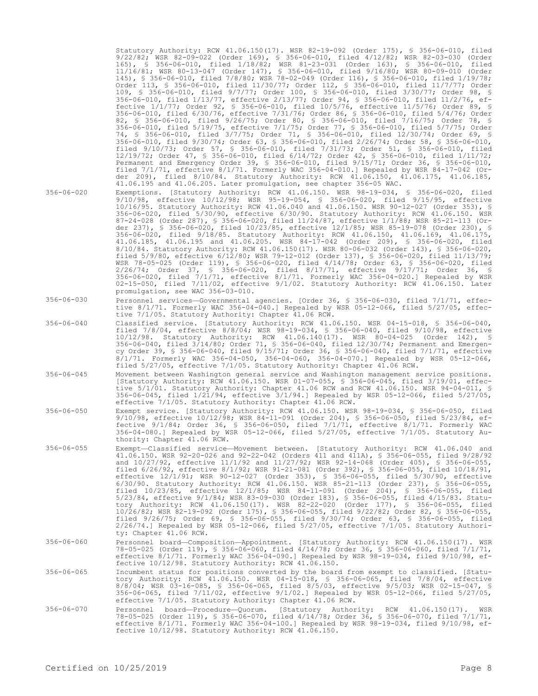|                  | Statutory Authority: RCW 41.06.150(17). WSR 82-19-092 (Order 175), § 356-06-010, filed<br>9/22/82; WSR 82-09-022 (Order 169), § 356-06-010, filed 4/12/82; WSR 82-03-030 (Order<br>165), § 356-06-010, filed 1/18/82; WSR 81-23-031 (Order 163), § 356-06-010, filed<br>11/16/81; WSR 80-13-047 (Order 147), § 356-06-010, filed 9/16/80; WSR 80-09-010 (Order<br>145), § 356-06-010, filed 7/8/80; WSR 78-02-049 (Order 116), § 356-06-010, filed 1/19/78;<br>Order 113, § 356-06-010, filed 11/30/77; Order 112, § 356-06-010, filed 11/7/77; Order<br>109, § 356-06-010, filed 9/7/77; Order 100, § 356-06-010, filed 3/30/77; Order 98, §<br>356-06-010, filed 1/13/77, effective 2/13/77; Order 94, § 356-06-010, filed 11/2/76, ef-<br>fective $1/1/77$ ; Order 92, § 356-06-010, filed $10/5/76$ , effective $11/5/76$ ; Order 89, §<br>356-06-010, filed 6/30/76, effective 7/31/76; Order 86, § 356-06-010, filed 5/4/76; Order<br>82, § 356-06-010, filed 9/26/75; Order 80, § 356-06-010, filed 7/16/75; Order 78, §<br>356-06-010, filed 5/19/75, effective 7/1/75; Order 77, § 356-06-010, filed 5/7/75; Order<br>74, § 356-06-010, filed 3/7/75; Order 71, § 356-06-010, filed 12/30/74; Order 69, §<br>356-06-010, filed 9/30/74; Order 63, § 356-06-010, filed 2/26/74; Order 58, § 356-06-010,<br>filed $9/10/73$ ; Order 57, § 356-06-010, filed 7/31/73; Order 51, § 356-06-010, filed<br>$12/19/72$ ; Order 47, § 356-06-010, filed 6/14/72; Order 42, § 356-06-010, filed 1/11/72;<br>Permanent and Emergency Order 39, § 356-06-010, filed $9/15/71$ ; Order 36, § 356-06-010,<br>filed $7/1/71$ , effective $8/1/71$ . Formerly WAC 356-04-010.] Repealed by WSR 84-17-042 (Or-<br>der 209), filed 8/10/84. Statutory Authority: RCW 41.06.150, 41.06.175, 41.06.185,<br>41.06.195 and 41.06.205. Later promulgation, see chapter 356-05 WAC. |
|------------------|----------------------------------------------------------------------------------------------------------------------------------------------------------------------------------------------------------------------------------------------------------------------------------------------------------------------------------------------------------------------------------------------------------------------------------------------------------------------------------------------------------------------------------------------------------------------------------------------------------------------------------------------------------------------------------------------------------------------------------------------------------------------------------------------------------------------------------------------------------------------------------------------------------------------------------------------------------------------------------------------------------------------------------------------------------------------------------------------------------------------------------------------------------------------------------------------------------------------------------------------------------------------------------------------------------------------------------------------------------------------------------------------------------------------------------------------------------------------------------------------------------------------------------------------------------------------------------------------------------------------------------------------------------------------------------------------------------------------------------------------------------------------------------------------------------------------------------------------------------------------|
| 356-06-020       | Exemptions. [Statutory Authority: RCW 41.06.150. WSR 98-19-034, § 356-06-020, filed<br>9/10/98, effective 10/12/98; WSR 95-19-054, § 356-06-020, filed 9/15/95, effective<br>10/16/95. Statutory Authority: RCW 41.06.040 and 41.06.150. WSR 90-12-027 (Order 353), §<br>356-06-020, filed 5/30/90, effective 6/30/90. Statutory Authority: RCW 41.06.150. WSR<br>87-24-028 (Order 287), § 356-06-020, filed 11/24/87, effective 1/1/88; WSR 85-21-113 (Or-<br>der 237), § 356-06-020, filed 10/23/85, effective 12/1/85; WSR 85-19-078 (Order 230), §<br>356-06-020, filed 9/18/85. Statutory Authority: RCW 41.06.150, 41.06.169, 41.06.175,<br>41.06.185, 41.06.195 and 41.06.205. WSR 84-17-042 (Order 209), § 356-06-020, filed<br>8/10/84. Statutory Authority: RCW 41.06.150(17). WSR 80-06-032 (Order 143), § 356-06-020,<br>filed 5/9/80, effective $6/12/80$ ; WSR 79-12-012 (Order 137), § 356-06-020, filed 11/13/79;<br>WSR 78-05-025 (Order 119), § 356-06-020, filed 4/14/78; Order 63, § 356-06-020, filed<br>$2/26/74$ ; Order 37, § 356-06-020, filed 8/17/71, effective 9/17/71; Order 36, §<br>$356-06-020$ , filed $7/1/71$ , effective $8/1/71$ . Formerly WAC 356-04-020.] Repealed by WSR<br>$02-15-050$ , filed $7/11/02$ , effective $9/1/02$ . Statutory Authority: RCW 41.06.150. Later<br>promulgation, see WAC 356-03-010.                                                                                                                                                                                                                                                                                                                                                                                                                                                                                                             |
| 356-06-030       | Personnel services—Governmental agencies. [Order 36, § 356-06-030, filed 7/1/71, effec-<br>tive 8/1/71. Formerly WAC 356-04-040.] Repealed by WSR 05-12-066, filed 5/27/05, effec-<br>tive 7/1/05. Statutory Authority: Chapter 41.06 RCW.                                                                                                                                                                                                                                                                                                                                                                                                                                                                                                                                                                                                                                                                                                                                                                                                                                                                                                                                                                                                                                                                                                                                                                                                                                                                                                                                                                                                                                                                                                                                                                                                                           |
| 356-06-040       | Classified service. [Statutory Authority: RCW 41.06.150. WSR 04-15-018, § 356-06-040,<br>filed $7/8/04$ , effective $8/8/04$ ; WSR 98-19-034, § 356-06-040, filed 9/10/98, effective<br>$10/12/98$ . Statutory Authority: RCW 41.06.140(17). WSR 80-04-025 (Order 142), §<br>356-06-040, filed 3/14/80; Order 71, § 356-06-040, filed 12/30/74; Permanent and Emergen-<br>cy Order 39, § 356-06-040, filed $9/15/71$ ; Order 36, § 356-06-040, filed 7/1/71, effective<br>8/1/71. Formerly WAC 356-04-050, 356-04-060, 356-04-070.] Repealed by WSR 05-12-066,<br>filed 5/27/05, effective 7/1/05. Statutory Authority: Chapter 41.06 RCW.                                                                                                                                                                                                                                                                                                                                                                                                                                                                                                                                                                                                                                                                                                                                                                                                                                                                                                                                                                                                                                                                                                                                                                                                                           |
| 356-06-045       | Movement between Washington general service and Washington management service positions.<br>[Statutory Authority: RCW 41.06.150. WSR 01-07-055, § 356-06-045, filed $3/19/01$ , effec-<br>tive 5/1/01. Statutory Authority: Chapter 41.06 RCW and RCW 41.06.150. WSR 94-04-011, §<br>356-06-045, filed $1/21/94$ , effective $3/1/94$ .] Repealed by WSR 05-12-066, filed 5/27/05,<br>effective 7/1/05. Statutory Authority: Chapter 41.06 RCW.                                                                                                                                                                                                                                                                                                                                                                                                                                                                                                                                                                                                                                                                                                                                                                                                                                                                                                                                                                                                                                                                                                                                                                                                                                                                                                                                                                                                                      |
| 356-06-050       | Exempt service. [Statutory Authority: RCW 41.06.150. WSR 98-19-034, § 356-06-050, filed<br>$9/10/98$ , effective $10/12/98$ ; WSR 84-11-091 (Order 204), § 356-06-050, filed 5/23/84, ef-<br>fective $9/1/84$ ; Order 36, § 356-06-050, filed $7/1/71$ , effective $8/1/71$ . Formerly WAC<br>356-04-080.] Repealed by WSR 05-12-066, filed $5/27/05$ , effective $7/1/05$ . Statutory Au-<br>thority: Chapter 41.06 RCW.                                                                                                                                                                                                                                                                                                                                                                                                                                                                                                                                                                                                                                                                                                                                                                                                                                                                                                                                                                                                                                                                                                                                                                                                                                                                                                                                                                                                                                            |
| $356 - 06 - 055$ | Exempt-Classified service-Movement between. [Statutory Authority: RCW 41.06.040 and<br>41.06.150. WSR 92-20-026 and 92-22-042 (Orders 411 and 411A), § 356-06-055, filed 9/28/92<br>and 10/27/92, effective 11/1/92 and 11/27/92; WSR 92-14-068 (Order 405), § 356-06-055,<br>filed 6/26/92, effective 8/1/92; WSR 91-21-081 (Order 392), § 356-06-055, filed 10/18/91,<br>effective 12/1/91; WSR 90-12-027 (Order 353), § 356-06-055, filed 5/30/90, effective<br>6/30/90. Statutory Authority: RCW 41.06.150. WSR 85-21-113 (Order 237), § 356-06-055,<br>filed $10/23/85$ , effective $12/1/85$ ; WSR 84-11-091 (Order 204), § 356-06-055, filed<br>5/23/84, effective 9/1/84; WSR 83-09-030 (Order 183), § 356-06-055, filed 4/15/83. Statu-<br>tory Authority: RCW 41.06.150(17). WSR 82-22-020 (Order 177), § 356-06-055, filed<br>10/26/82; WSR 82-19-092 (Order 175), § 356-06-055, filed 9/22/82; Order 82, § 356-06-055,<br>filed $9/26/75$ ; Order 69, § 356-06-055, filed $9/30/74$ ; Order 63, § 356-06-055, filed<br>$2/26/74$ .] Repealed by WSR 05-12-066, filed 5/27/05, effective 7/1/05. Statutory Authori-<br>ty: Chapter 41.06 RCW.                                                                                                                                                                                                                                                                                                                                                                                                                                                                                                                                                                                                                                                                                                             |
| $356 - 06 - 060$ | Personnel board-Composition-Appointment. [Statutory Authority: RCW 41.06.150(17). WSR<br>78-05-025 (Order 119), § 356-06-060, filed 4/14/78; Order 36, § 356-06-060, filed 7/1/71,<br>effective $8/1/71$ . Formerly WAC 356-04-090.] Repealed by WSR 98-19-034, filed 9/10/98, ef-<br>fective 10/12/98. Statutory Authority: RCW 41.06.150.                                                                                                                                                                                                                                                                                                                                                                                                                                                                                                                                                                                                                                                                                                                                                                                                                                                                                                                                                                                                                                                                                                                                                                                                                                                                                                                                                                                                                                                                                                                          |
| 356-06-065       | Incumbent status for positions converted by the board from exempt to classified. [Statu-<br>tory Authority: RCW 41.06.150. WSR 04-15-018, § 356-06-065, filed 7/8/04, effective<br>8/8/04; WSR 03-16-085, \$ 356-06-065, filed 8/5/03, effective 9/5/03; WSR 02-15-047, \$<br>356-06-065, filed $7/11/02$ , effective $9/1/02$ . Repealed by WSR 05-12-066, filed 5/27/05,<br>effective 7/1/05. Statutory Authority: Chapter 41.06 RCW.                                                                                                                                                                                                                                                                                                                                                                                                                                                                                                                                                                                                                                                                                                                                                                                                                                                                                                                                                                                                                                                                                                                                                                                                                                                                                                                                                                                                                              |
| 356-06-070       | board-Procedure-Quorum. [Statutory Authority: RCW<br>Personnel<br>$41.06.150(17)$ .<br>WSR<br>78-05-025 (Order 119), § 356-06-070, filed 4/14/78; Order 36, § 356-06-070, filed 7/1/71,<br>effective $8/1/71$ . Formerly WAC 356-04-100.] Repealed by WSR 98-19-034, filed 9/10/98, ef-<br>fective 10/12/98. Statutory Authority: RCW 41.06.150.                                                                                                                                                                                                                                                                                                                                                                                                                                                                                                                                                                                                                                                                                                                                                                                                                                                                                                                                                                                                                                                                                                                                                                                                                                                                                                                                                                                                                                                                                                                     |
|                  |                                                                                                                                                                                                                                                                                                                                                                                                                                                                                                                                                                                                                                                                                                                                                                                                                                                                                                                                                                                                                                                                                                                                                                                                                                                                                                                                                                                                                                                                                                                                                                                                                                                                                                                                                                                                                                                                      |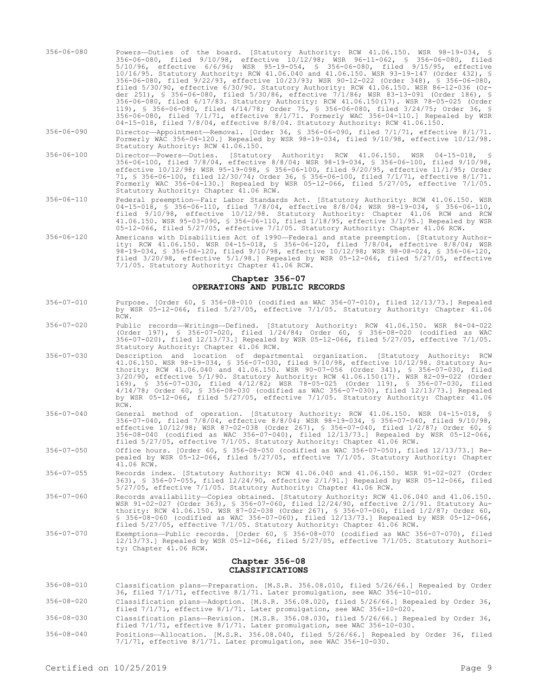- 356-06-080 Powers—Duties of the board. [Statutory Authority: RCW 41.06.150. WSR 98-19-034, § 356-06-080, filed 9/10/98, effective 10/12/98; WSR 96-11-062, § 356-06-080, filed 5/10/96, effective 6/6/96; WSR 95-19-054, § 356-06-080, filed 9/15/95, effective 10/16/95. Statutory Authority: RCW 41.06.040 and 41.06.150. WSR 93-19-147 (Order 432), § 356-06-080, filed 9/22/93, effective 10/23/93; WSR 90-12-022 (Order 348), § 356-06-080, filed 5/30/90, effective 6/30/90. Statutory Authority: RCW 41.06.150. WSR 86-12-036 (Order 251), § 356-06-080, filed 5/30/86, effective 7/1/86; WSR 83-13-091 (Order 186), § 356-06-080, filed 6/17/83. Statutory Authority: RCW 41.06.150(17). WSR 78-05-025 (Order 119), § 356-06-080, filed 4/14/78; Order 75, § 356-06-080, filed 3/24/75; Order 36, § 356-06-080, filed 7/1/71, effective 8/1/71. Formerly WAC 356-04-110.] Repealed by WSR 04-15-018, filed 7/8/04, effective 8/8/04. Statutory Authority: RCW 41.06.150.
- 356-06-090 Director—Appointment—Removal. [Order 36, § 356-06-090, filed 7/1/71, effective 8/1/71. Formerly WAC 356-04-120.] Repealed by WSR 98-19-034, filed 9/10/98, effective 10/12/98. Statutory Authority: RCW 41.06.150.
- 356-06-100 Director—Powers—Duties. [Statutory Authority: RCW 41.06.150. WSR 04-15-018, § 356-06-100, filed 7/8/04, effective 8/8/04; WSR 98-19-034, § 356-06-100, filed 9/10/98, effective 10/12/98; WSR 95-19-098, § 356-06-100, filed 9/20/95, effective 11/1/95; Order 71, § 356-06-100, filed 12/30/74; Order 36, § 356-06-100, filed 7/1/71, effective 8/1/71. Formerly WAC 356-04-130.] Repealed by WSR 05-12-066, filed 5/27/05, effective 7/1/05. Statutory Authority: Chapter 41.06 RCW.
- 356-06-110 Federal preemption—Fair Labor Standards Act. [Statutory Authority: RCW 41.06.150. WSR 04-15-018, § 356-06-110, filed 7/8/04, effective 8/8/04; WSR 98-19-034, § 356-06-110, filed 9/10/98, effective 10/12/98. Statutory Authority: Chapter 41.06 RCW and RCW 41.06.150. WSR 95-03-090, § 356-06-110, filed 1/18/95, effective 3/1/95.] Repealed by WSR 05-12-066, filed 5/27/05, effective 7/1/05. Statutory Authority: Chapter 41.06 RCW.
- 356-06-120 Americans with Disabilities Act of 1990—Federal and state preemption. [Statutory Authority: RCW 41.06.150. WSR 04-15-018, § 356-06-120, filed 7/8/04, effective 8/8/04; WSR 98-19-034, § 356-06-120, filed 9/10/98, effective 10/12/98; WSR 98-08-024, § 356-06-120, filed 3/20/98, effective 5/1/98.] Repealed by WSR 05-12-066, filed 5/27/05, effective 7/1/05. Statutory Authority: Chapter 41.06 RCW.

# **Chapter 356-07 OPERATIONS AND PUBLIC RECORDS**

- 356-07-010 Purpose. [Order 60, § 356-08-010 (codified as WAC 356-07-010), filed 12/13/73.] Repealed by WSR 05-12-066, filed 5/27/05, effective 7/1/05. Statutory Authority: Chapter 41.06 RCW.
- 356-07-020 Public records—Writings—Defined. [Statutory Authority: RCW 41.06.150. WSR 84-04-022 (Order 197), § 356-07-020, filed 1/24/84; Order 60, § 356-08-020 (codified as WAC 356-07-020), filed 12/13/73.] Repealed by WSR 05-12-066, filed 5/27/05, effective 7/1/05. Statutory Authority: Chapter 41.06 RCW.
- 356-07-030 Description and location of departmental organization. [Statutory Authority: RCW 41.06.150. WSR 98-19-034, § 356-07-030, filed 9/10/98, effective 10/12/98. Statutory Authority: RCW 41.06.040 and 41.06.150. WSR 90-07-056 (Order 341), § 356-07-030, filed 3/20/90, effective 5/1/90. Statutory Authority: RCW 41.06.150(17). WSR 82-09-022 (Order 169), § 356-07-030, filed 4/12/82; WSR 78-05-025 (Order 119), § 356-07-030, filed 4/14/78; Order 60, § 356-08-030 (codified as WAC 356-07-030), filed 12/13/73.] Repealed by WSR 05-12-066, filed 5/27/05, effective 7/1/05. Statutory Authority: Chapter 41.06 RCW.
- 356-07-040 General method of operation. [Statutory Authority: RCW 41.06.150. WSR 04-15-018, § 356-07-040, filed 7/8/04, effective 8/8/04; WSR 98-19-034, § 356-07-040, filed 9/10/98, effective 10/12/98; WSR 87-02-038 (Order 267), § 356-07-040, filed 1/2/87; Order 60, § 356-08-040 (codified as WAC 356-07-040), filed 12/13/73.] Repealed by WSR 05-12-066, filed 5/27/05, effective 7/1/05. Statutory Authority: Chapter 41.06 RCW.
- 356-07-050 Office hours. [Order 60, § 356-08-050 (codified as WAC 356-07-050), filed 12/13/73.] Repealed by WSR 05-12-066, filed 5/27/05, effective 7/1/05. Statutory Authority: Chapter  $41.06$  RCW.
- 356-07-055 Records index. [Statutory Authority: RCW 41.06.040 and 41.06.150. WSR 91-02-027 (Order 363), § 356-07-055, filed 12/24/90, effective 2/1/91.] Repealed by WSR 05-12-066, filed 5/27/05, effective 7/1/05. Statutory Authority: Chapter 41.06 RCW.
- 356-07-060 Records availability—Copies obtained. [Statutory Authority: RCW 41.06.040 and 41.06.150. WSR 91-02-027 (Order 363), § 356-07-060, filed 12/24/90, effective 2/1/91. Statutory Authority: RCW 41.06.150. WSR 87-02-038 (Order 267), § 356-07-060, filed 1/2/87; Order 60, § 356-08-060 (codified as WAC 356-07-060), filed 12/13/73.] Repealed by WSR 05-12-066, filed 5/27/05, effective 7/1/05. Statutory Authority: Chapter 41.06 RCW.
- 356-07-070 Exemptions—Public records. [Order 60, § 356-08-070 (codified as WAC 356-07-070), filed 12/13/73.] Repealed by WSR 05-12-066, filed 5/27/05, effective 7/1/05. Statutory Authority: Chapter 41.06 RCW.

#### **Chapter 356-08 CLASSIFICATIONS**

- 356-08-010 Classification plans—Preparation. [M.S.R. 356.08.010, filed 5/26/66.] Repealed by Order 36, filed 7/1/71, effective 8/1/71. Later promulgation, see WAC 356-10-010.
- 356-08-020 Classification plans—Adoption. [M.S.R. 356.08.020, filed 5/26/66.] Repealed by Order 36, filed 7/1/71, effective 8/1/71. Later promulgation, see WAC 356-10-020.
- 356-08-030 Classification plans—Revision. [M.S.R. 356.08.030, filed 5/26/66.] Repealed by Order 36, filed 7/1/71, effective 8/1/71. Later promulgation, see WAC 356-10-030.
- 356-08-040 Positions—Allocation. [M.S.R. 356.08.040, filed 5/26/66.] Repealed by Order 36, filed 7/1/71, effective 8/1/71. Later promulgation, see WAC 356-10-030.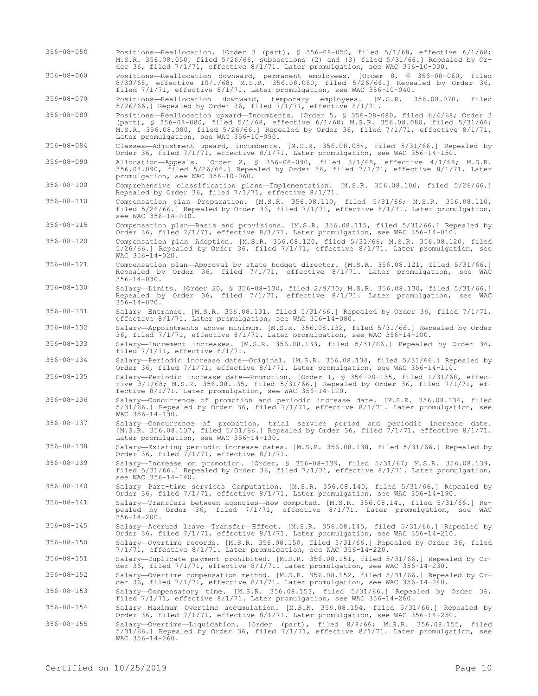- 356-08-050 Positions—Reallocation. [Order 3 (part), § 356-08-050, filed 5/1/68, effective 6/1/68; M.S.R. 356.08.050, filed 5/26/66, subsections (2) and (3) filed 5/31/66.] Repealed by Order 36, filed 7/1/71, effective 8/1/71. Later promulgation, see WAC 356-10-030.
- 356-08-060 Positions—Reallocation downward, permanent employees. [Order 8, § 356-08-060, filed 8/30/68, effective 10/1/68; M.S.R. 356.08.060, filed 5/26/66.] Repealed by Order 36, filed 7/1/71, effective 8/1/71. Later promulgation, see WAC 356-10-040.

356-08-070 Positions—Reallocation downward, temporary employees. [M.S.R. 356.08.070, filed  $5/26/66$ .] Repealed by Order 36, filed  $7/1/71$ , effective  $8/1/71$ .

356-08-080 Positions—Reallocation upward—Incumbents. [Order 5, § 356-08-080, filed 6/4/68; Order 3 (part), § 356-08-080, filed 5/1/68, effective 6/1/68; M.S.R. 356.08.080, filed 5/31/66; M.S.R. 356.08.080, filed 5/26/66.] Repealed by Order 36, filed 7/1/71, effective 8/1/71. Later promulgation, see WAC 356-10-050.

356-08-084 Classes—Adjustment upward, incumbents. [M.S.R. 356.08.084, filed 5/31/66.] Repealed by Order 36, filed 7/1/71, effective 8/1/71. Later promulgation, see WAC 356-14-150.

356-08-090 Allocation—Appeals. [Order 2, § 356-08-090, filed 3/1/68, effective 4/1/68; M.S.R. 356.08.090, filed 5/26/66.] Repealed by Order 36, filed 7/1/71, effective 8/1/71. Later promulgation, see WAC 356-10-060.

356-08-100 Comprehensive classification plans—Implementation. [M.S.R. 356.08.100, filed 5/26/66.] Repealed by Order 36, filed 7/1/71, effective 8/1/71.

- 356-08-110 Compensation plan—Preparation. [M.S.R. 356.08.110, filed 5/31/66; M.S.R. 356.08.110, filed 5/26/66.] Repealed by Order 36, filed 7/1/71, effective 8/1/71. Later promulgation, see WAC 356-14-010.
- 356-08-115 Compensation plan—Basis and provisions. [M.S.R. 356.08.115, filed 5/31/66.] Repealed by Order 36, filed 7/1/71, effective 8/1/71. Later promulgation, see WAC 356-14-010.
- 356-08-120 Compensation plan—Adoption. [M.S.R. 356.08.120, filed 5/31/66; M.S.R. 356.08.120, filed 5/26/66.] Repealed by Order 36, filed 7/1/71, effective 8/1/71. Later promulgation, see WAC 356-14-020.
- 356-08-121 Compensation plan—Approval by state budget director. [M.S.R. 356.08.121, filed 5/31/66.] Repealed by Order 36, filed 7/1/71, effective 8/1/71. Later promulgation, see WAC  $356 - 14 - 030.$
- 356-08-130 Salary—Limits. [Order 20, § 356-08-130, filed 2/9/70; M.S.R. 356.08.130, filed 5/31/66.] Repealed by Order 36, filed 7/1/71, effective 8/1/71. Later promulgation, see WAC  $356 - 14 - 070$ .
- 356-08-131 Salary—Entrance. [M.S.R. 356.08.131, filed 5/31/66.] Repealed by Order 36, filed 7/1/71, effective 8/1/71. Later promulgation, see WAC 356-14-080.

356-08-132 Salary—Appointments above minimum. [M.S.R. 356.08.132, filed 5/31/66.] Repealed by Order 36, filed 7/1/71, effective 8/1/71. Later promulgation, see WAC 356-14-100.

356-08-133 Salary—Increment increases. [M.S.R. 356.08.133, filed 5/31/66.] Repealed by Order 36, filed 7/1/71, effective 8/1/71.

356-08-134 Salary—Periodic increase date—Original. [M.S.R. 356.08.134, filed 5/31/66.] Repealed by Order 36, filed 7/1/71, effective 8/1/71. Later promulgation, see WAC 356-14-110.

- 356-08-135 Salary—Periodic increase date—Promotion. [Order 1, § 356-08-135, filed 1/31/68, effective 3/1/68; M.S.R. 356.08.135, filed 5/31/66.] Repealed by Order 36, filed 7/1/71, effective 8/1/71. Later promulgation, see WAC 356-14-120.
- 356-08-136 Salary—Concurrence of promotion and periodic increase date. [M.S.R. 356.08.136, filed 5/31/66.] Repealed by Order 36, filed 7/1/71, effective 8/1/71. Later promulgation, see WAC 356-14-130.
- 356-08-137 Salary—Concurrence of probation, trial service period and periodic increase date. [M.S.R. 356.08.137, filed 5/31/66.] Repealed by Order 36, filed 7/1/71, effective 8/1/71. Later promulgation, see WAC 356-14-130.

356-08-138 Salary—Existing periodic increase dates. [M.S.R. 356.08.138, filed 5/31/66.] Repealed by Order 36, filed 7/1/71, effective 8/1/71.

- 356-08-139 Salary—Increase on promotion. [Order, § 356-08-139, filed 5/31/67; M.S.R. 356.08.139, filed 5/31/66.] Repealed by Order 36, filed 7/1/71, effective 8/1/71. Later promulgation, see WAC 356-14-140.
- 356-08-140 Salary—Part-time services—Computation. [M.S.R. 356.08.140, filed 5/31/66.] Repealed by Order 36, filed 7/1/71, effective 8/1/71. Later promulgation, see WAC 356-14-190.
- 356-08-141 Salary—Transfers between agencies—How computed. [M.S.R. 356.08.141, filed 5/31/66.] Repealed by Order 36, filed 7/1/71, effective 8/1/71. Later promulgation, see WAC  $356 - 14 - 200$ .
- 356-08-145 Salary—Accrued leave—Transfer—Effect. [M.S.R. 356.08.145, filed 5/31/66.] Repealed by Order 36, filed 7/1/71, effective 8/1/71. Later promulgation, see WAC 356-14-210.

356-08-150 Salary—Overtime records. [M.S.R. 356.08.150, filed 5/31/66.] Repealed by Order 36, filed 7/1/71, effective 8/1/71. Later promulgation, see WAC 356-14-220.

356-08-151 Salary—Duplicate payment prohibited. [M.S.R. 356.08.151, filed 5/31/66.] Repealed by Order 36, filed 7/1/71, effective 8/1/71. Later promulgation, see WAC 356-14-230.

356-08-152 Salary—Overtime compensation method. [M.S.R. 356.08.152, filed 5/31/66.] Repealed by Order 36, filed 7/1/71, effective 8/1/71. Later promulgation, see WAC 356-14-240.

356-08-153 Salary—Compensatory time. [M.S.R. 356.08.153, filed 5/31/66.] Repealed by Order 36, filed 7/1/71, effective 8/1/71. Later promulgation, see WAC 356-14-260.

- 356-08-154 Salary—Maximum—Overtime accumulation. [M.S.R. 356.08.154, filed 5/31/66.] Repealed by Order 36, filed 7/1/71, effective 8/1/71. Later promulgation, see WAC 356-14-250.
- 356-08-155 Salary—Overtime—Liquidation. [Order (part), filed 8/8/66; M.S.R. 356.08.155, filed 5/31/66.] Repealed by Order 36, filed 7/1/71, effective 8/1/71. Later promulgation, see WAC 356-14-260.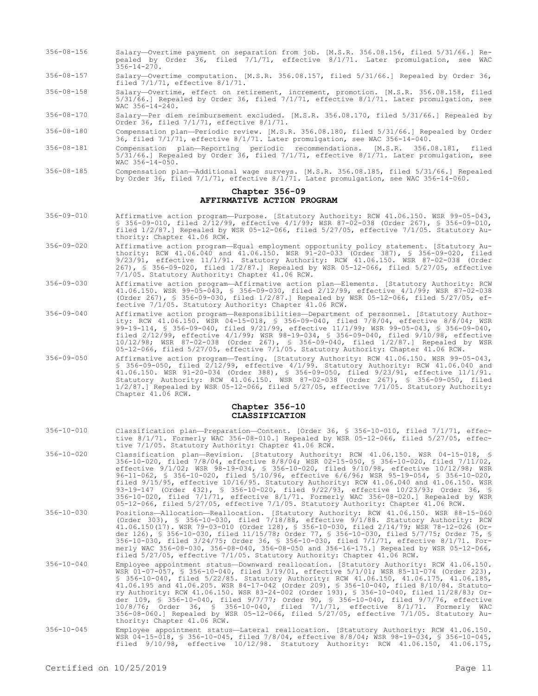- 356-08-156 Salary—Overtime payment on separation from job. [M.S.R. 356.08.156, filed 5/31/66.] Repealed by Order 36, filed 7/1/71, effective 8/1/71. Later promulgation, see WAC 356-14-270.
- 356-08-157 Salary—Overtime computation. [M.S.R. 356.08.157, filed 5/31/66.] Repealed by Order 36, filed 7/1/71, effective 8/1/71.
- 356-08-158 Salary—Overtime, effect on retirement, increment, promotion. [M.S.R. 356.08.158, filed 5/31/66.] Repealed by Order 36, filed 7/1/71, effective 8/1/71. Later promulgation, see  $WAC$  356-14-240.
- 356-08-170 Salary—Per diem reimbursement excluded. [M.S.R. 356.08.170, filed 5/31/66.] Repealed by Order 36, filed 7/1/71, effective 8/1/71.

356-08-180 Compensation plan—Periodic review. [M.S.R. 356.08.180, filed 5/31/66.] Repealed by Order 36, filed 7/1/71, effective 8/1/71. Later promulgation, see WAC 356-14-040.

- 356-08-181 Compensation plan—Reporting periodic recommendations. [M.S.R. 356.08.181, filed 5/31/66.] Repealed by Order 36, filed 7/1/71, effective 8/1/71. Later promulgation, see  $WAC$  356-14-050.
- 356-08-185 Compensation plan—Additional wage surveys. [M.S.R. 356.08.185, filed 5/31/66.] Repealed by Order 36, filed 7/1/71, effective 8/1/71. Later promulgation, see WAC 356-14-060.

#### **Chapter 356-09 AFFIRMATIVE ACTION PROGRAM**

- 356-09-010 Affirmative action program—Purpose. [Statutory Authority: RCW 41.06.150. WSR 99-05-043, § 356-09-010, filed 2/12/99, effective 4/1/99; WSR 87-02-038 (Order 267), § 356-09-010, filed 1/2/87.] Repealed by WSR 05-12-066, filed 5/27/05, effective 7/1/05. Statutory Authority: Chapter 41.06 RCW.
- 356-09-020 Affirmative action program—Equal employment opportunity policy statement. [Statutory Authority: RCW 41.06.040 and 41.06.150. WSR 91-20-033 (Order 387), § 356-09-020, filed 9/23/91, effective 11/1/91. Statutory Authority: RCW 41.06.150. WSR 87-02-038 (Order 267), § 356-09-020, filed 1/2/87.] Repealed by WSR 05-12-066, filed 5/27/05, effective 7/1/05. Statutory Authority: Chapter 41.06 RCW.
- 356-09-030 Affirmative action program—Affirmative action plan—Elements. [Statutory Authority: RCW 41.06.150. WSR 99-05-043, § 356-09-030, filed 2/12/99, effective 4/1/99; WSR 87-02-038 (Order 267), § 356-09-030, filed 1/2/87.] Repealed by WSR 05-12-066, filed 5/27/05, effective 7/1/05. Statutory Authority: Chapter 41.06 RCW.
- 356-09-040 Affirmative action program—Responsibilities—Department of personnel. [Statutory Authority: RCW 41.06.150. WSR 04-15-018, § 356-09-040, filed 7/8/04, effective 8/8/04; WSR 99-19-114, § 356-09-040, filed 9/21/99, effective 11/1/99; WSR 99-05-043, § 356-09-040, filed 2/12/99, effective 4/1/99; WSR 98-19-034, § 356-09-040, filed 9/10/98, effective 10/12/98; WSR 87-02-038 (Order 267), § 356-09-040, filed 1/2/87.] Repealed by WSR 05-12-066, filed 5/27/05, effective 7/1/05. Statutory Authority: Chapter 41.06 RCW.
- 356-09-050 Affirmative action program—Testing. [Statutory Authority: RCW 41.06.150. WSR 99-05-043, § 356-09-050, filed 2/12/99, effective 4/1/99. Statutory Authority: RCW 41.06.040 and 41.06.150. WSR 91-20-034 (Order 388), § 356-09-050, filed 9/23/91, effective 11/1/91. Statutory Authority: RCW 41.06.150. WSR 87-02-038 (Order 267), § 356-09-050, filed 1/2/87.] Repealed by WSR 05-12-066, filed 5/27/05, effective 7/1/05. Statutory Authority: Chapter 41.06 RCW.

# **Chapter 356-10 CLASSIFICATION**

- 356-10-010 Classification plan—Preparation—Content. [Order 36, § 356-10-010, filed 7/1/71, effective 8/1/71. Formerly WAC 356-08-010.] Repealed by WSR 05-12-066, filed 5/27/05, effective 7/1/05. Statutory Authority: Chapter 41.06 RCW.
- 356-10-020 Classification plan—Revision. [Statutory Authority: RCW 41.06.150. WSR 04-15-018, 356-10-020, filed 7/8/04, effective 8/8/04; WSR 02-15-050, § 356-10-020, filed 7/11/02, effective 9/1/02; WSR 98-19-034, § 356-10-020, filed 9/10/98, effective 10/12/98; WSR 96-11-062, § 356-10-020, filed 5/10/96, effective 6/6/96; WSR 95-19-054, § 356-10-020, filed 9/15/95, effective 10/16/95. Statutory Authority: RCW 41.06.040 and 41.06.150. WSR 93-19-147 (Order 432), § 356-10-020, filed 9/22/93, effective 10/23/93; Order 36, § 356-10-020, filed 7/1/71, effective 8/1/71. Formerly WAC 356-08-020.] Repealed by WSR 05-12-066, filed 5/27/05, effective 7/1/05. Statutory Authority: Chapter 41.06 RCW.
- 356-10-030 Positions—Allocation—Reallocation. [Statutory Authority: RCW 41.06.150. WSR 88-15-060 (Order 303), § 356-10-030, filed 7/18/88, effective 9/1/88. Statutory Authority: RCW 41.06.150(17). WSR 79-03-010 (Order 128), § 356-10-030, filed 2/14/79; WSR 78-12-026 (Order 126), § 356-10-030, filed 11/15/78; Order 77, § 356-10-030, filed 5/7/75; Order 75, § 356-10-030, filed 3/24/75; Order 36, § 356-10-030, filed 7/1/71, effective 8/1/71. Formerly WAC 356-08-030, 356-08-040, 356-08-050 and 356-16-175.] Repealed by WSR 05-12-066, filed 5/27/05, effective 7/1/05. Statutory Authority: Chapter 41.06 RCW.
- 356-10-040 Employee appointment status—Downward reallocation. [Statutory Authority: RCW 41.06.150. WSR 01-07-057, § 356-10-040, filed 3/19/01, effective 5/1/01; WSR 85-11-074 (Order 223), \$ 356-10-040, filed 5/22/85. Statutory Authority: RCW 41.06.150, 41.06.175, 41.06.185,<br>41.06.195 and 41.06.205. WSR 84-17-042 (Order 209), \$ 356-10-040, filed 8/10/84. Statuto-<br>ry Authority: RCW 41.06.150. WSR 83-24-002 (O der 109, § 356-10-040, filed 9/7/77; Order 90, § 356-10-040, filed 9/7/76, effective 10/8/76; Order 36, § 356-10-040, filed 7/1/71, effective 8/1/71. Formerly WAC 356-08-060.] Repealed by WSR 05-12-066, filed 5/27/05, effective 7/1/05. Statutory Authority: Chapter 41.06 RCW.
- 356-10-045 Employee appointment status—Lateral reallocation. [Statutory Authority: RCW 41.06.150. WSR 04-15-018, § 356-10-045, filed 7/8/04, effective 8/8/04; WSR 98-19-034, § 356-10-045, filed 9/10/98, effective 10/12/98. Statutory Authority: RCW 41.06.150, 41.06.175,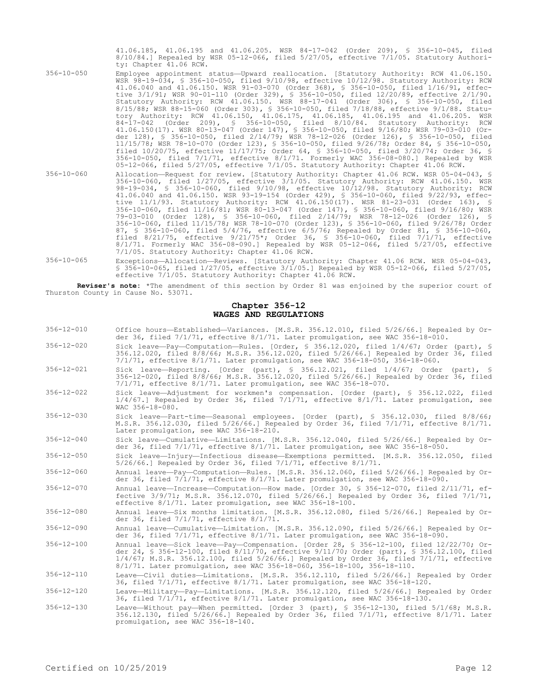41.06.185, 41.06.195 and 41.06.205. WSR 84-17-042 (Order 209), § 356-10-045, filed 8/10/84.] Repealed by WSR 05-12-066, filed 5/27/05, effective 7/1/05. Statutory Authority: Chapter 41.06 RCW.

- 356-10-050 Employee appointment status—Upward reallocation. [Statutory Authority: RCW 41.06.150. WSR 98-19-034, § 356-10-050, filed 9/10/98, effective 10/12/98. Statutory Authority: RCW 41.06.040 and 41.06.150. WSR 91-03-070 (Order 368), § 356-10-050, filed 1/16/91, effective 3/1/91; WSR 90-01-110 (Order 329), § 356-10-050, filed 12/20/89, effective 2/1/90. Statutory Authority: RCW 41.06.150. WSR 88-17-041 (Order 306), § 356-10-050, filed 8/15/88; WSR 88-15-060 (Order 303), § 356-10-050, filed 7/18/88, effective 9/1/88. Statutory Authority: RCW 41.06.150, 41.06.175, 41.06.185, 41.06.195 and 41.06.205. WSR 84-17-042 (Order 209), § 356-10-050, filed 8/10/84. Statutory Authority: RCW 41.06.150(17). WSR 80-13-047 (Order 147), § 356-10-050, filed 9/16/80; WSR 79-03-010 (Order 128), § 356-10-050, filed 2/14/79; WSR 78-12-026 (Order 126), § 356-10-050, filed 11/15/78; WSR 78-10-070 (Order 123), § 356-10-050, filed 9/26/78; Order 84, § 356-10-050, filed 10/20/75, effective 11/17/75; Order 64, § 356-10-050, filed 3/20/74; Order 36, § 356-10-050, filed 7/1/71, effective 8/1/71. Formerly WAC 356-08-080.] Repealed by WSR 05-12-066, filed 5/27/05, effective 7/1/05. Statutory Authority: Chapter 41.06 RCW.
- 356-10-060 Allocation—Request for review. [Statutory Authority: Chapter 41.06 RCW. WSR 05-04-043, § 356-10-060, filed 1/27/05, effective 3/1/05. Statutory Authority: RCW 41.06.150. WSR 98-19-034, § 356-10-060, filed 9/10/98, effective 10/12/98. Statutory Authority: RCW 41.06.040 and 41.06.150. WSR 93-19-154 (Order 429), § 356-10-060, filed 9/22/93, effective 11/1/93. Statutory Authority: RCW 41.06.150(17). WSR 81-23-031 (Order 163), § 356-10-060, filed 11/16/81; WSR 80-13-047 (Order 147), § 356-10-060, filed 9/16/80; WSR 79-03-010 (Order 128), § 356-10-060, filed 2/14/79; WSR 78-12-026 (Order 126), § 356-10-060, filed 11/15/78; WSR 78-10-070 (Order 123), § 356-10-060, filed 9/26/78; Order 87, § 356-10-060, filed 5/4/76, effective 6/5/76; Repealed by Order 81, § 356-10-060, filed 8/21/75, effective 9/21/75\*; Order 36, § 356-10-060, filed 7/1/71, effective 8/1/71. Formerly WAC 356-08-090.] Repealed by WSR 05-12-066, filed 5/27/05, effective 7/1/05. Statutory Authority: Chapter 41.06 RCW.
- 356-10-065 Exceptions—Allocation—Reviews. [Statutory Authority: Chapter 41.06 RCW. WSR 05-04-043, § 356-10-065, filed 1/27/05, effective 3/1/05.] Repealed by WSR 05-12-066, filed 5/27/05, effective 7/1/05. Statutory Authority: Chapter 41.06 RCW.

**Reviser's note:** \*The amendment of this section by Order 81 was enjoined by the superior court of Thurston County in Cause No. 53071.

## **Chapter 356-12 WAGES AND REGULATIONS**

| $356 - 12 - 010$ | Office hours-Established-Variances. [M.S.R. 356.12.010, filed 5/26/66.] Repealed by Or-<br>der 36, filed 7/1/71, effective 8/1/71. Later promulgation, see WAC 356-18-010.                                                                                                                                                                                    |
|------------------|---------------------------------------------------------------------------------------------------------------------------------------------------------------------------------------------------------------------------------------------------------------------------------------------------------------------------------------------------------------|
| $356 - 12 - 020$ | Sick leave-Pay-Computation-Rules. [Order, § 356.12.020, filed 1/4/67; Order (part), §<br>356.12.020, filed 8/8/66; M.S.R. 356.12.020, filed 5/26/66.1 Repealed by Order 36, filed<br>7/1/71, effective 8/1/71. Later promulgation, see WAC 356-18-050, 356-18-060.                                                                                            |
| $356 - 12 - 021$ | Sick leave-Reporting. [Order (part), § 356.12.021, filed $1/4/67$ ; Order (part), §<br>356-12-020, filed 8/8/66; M.S.R. 356.12.020, filed 5/26/66.] Repealed by Order 36, filed<br>$7/1/71$ , effective $8/1/71$ . Later promulgation, see WAC 356-18-070.                                                                                                    |
| $356 - 12 - 022$ | Sick leave-Adjustment for workmen's compensation. [Order (part), § 356.12.022, filed<br>$1/4/67$ . Repealed by Order 36, filed $7/1/71$ , effective $8/1/71$ . Later promulgation, see<br>WAC 356-18-080.                                                                                                                                                     |
| $356 - 12 - 030$ | Sick leave-Part-time-Seasonal employees. [Order (part), § 356.12.030, filed 8/8/66;<br>M.S.R. 356.12.030, filed 5/26/66.] Repealed by Order 36, filed 7/1/71, effective 8/1/71.<br>Later promulgation, see WAC 356-18-210.                                                                                                                                    |
| $356 - 12 - 040$ | Sick leave-Cumulative-Limitations. [M.S.R. 356.12.040, filed 5/26/66.] Repealed by Or-<br>der 36, filed 7/1/71, effective 8/1/71. Later promulgation, see WAC 356-18-050.                                                                                                                                                                                     |
| $356 - 12 - 050$ | Sick leave-Injury-Infectious disease-Exemptions permitted. [M.S.R. 356.12.050, filed<br>$5/26/66.$ Repealed by Order 36, filed $7/1/71$ , effective $8/1/71$ .                                                                                                                                                                                                |
| $356 - 12 - 060$ | Annual leave-Pay-Computation-Rules. [M.S.R. 356.12.060, filed 5/26/66.] Repealed by Or-<br>der 36, filed 7/1/71, effective 8/1/71. Later promulgation, see WAC 356-18-090.                                                                                                                                                                                    |
| $356 - 12 - 070$ | Annual leave-Increase-Computation-How made. [Order 30, § 356-12-070, filed 2/11/71, ef-<br>fective 3/9/71; M.S.R. 356.12.070, filed 5/26/66.1 Repealed by Order 36, filed 7/1/71,<br>effective 8/1/71. Later promulgation, see WAC 356-18-100.                                                                                                                |
| $356 - 12 - 080$ | Annual leave-Six months limitation. [M.S.R. 356.12.080, filed 5/26/66.] Repealed by Or-<br>der 36, filed 7/1/71, effective 8/1/71.                                                                                                                                                                                                                            |
| $356 - 12 - 090$ | Annual leave-Cumulative-Limitation. [M.S.R. 356.12.090, filed 5/26/66.] Repealed by Or-<br>der 36, filed 7/1/71, effective 8/1/71. Later promulgation, see WAC 356-18-090.                                                                                                                                                                                    |
| $356 - 12 - 100$ | Annual leave-Sick leave-Pay-Compensation. [Order 28, § 356-12-100, filed 12/22/70; Or-<br>der 24, § 356-12-100, filed 8/11/70, effective 9/11/70; Order (part), § 356.12.100, filed<br>$1/4/67$ ; M.S.R. 356.12.100, filed 5/26/66.] Repealed by Order 36, filed 7/1/71, effective<br>8/1/71. Later promulgation, see WAC 356-18-060, 356-18-100, 356-18-110. |
| $356 - 12 - 110$ | Leave-Civil duties-Limitations. [M.S.R. 356.12.110, filed 5/26/66.] Repealed by Order<br>36, filed 7/1/71, effective 8/1/71. Later promulgation, see WAC 356-18-120.                                                                                                                                                                                          |
| $356 - 12 - 120$ | Leave-Military-Pay-Limitations. [M.S.R. 356.12.120, filed 5/26/66.] Repealed by Order<br>36, filed 7/1/71, effective 8/1/71. Later promulgation, see WAC 356-18-130.                                                                                                                                                                                          |
| $356 - 12 - 130$ | Leave-Without pay-When permitted. [Order 3 (part), § 356-12-130, filed 5/1/68; M.S.R.<br>356.12.130, filed 5/26/66.] Repealed by Order 36, filed $7/1/71$ , effective 8/1/71. Later<br>promulgation, see WAC 356-18-140.                                                                                                                                      |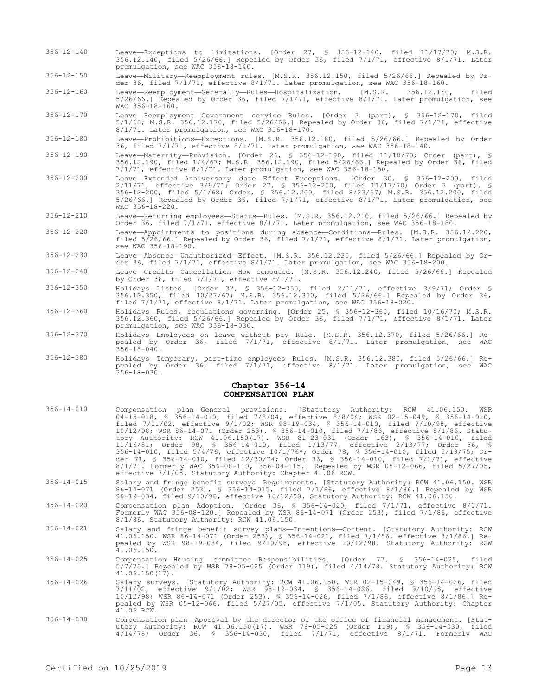- 356-12-140 Leave—Exceptions to limitations. [Order 27, § 356-12-140, filed 11/17/70; M.S.R. 356.12.140, filed 5/26/66.] Repealed by Order 36, filed 7/1/71, effective 8/1/71. Later promulgation, see WAC 356-18-140.
- 356-12-150 Leave—Military—Reemployment rules. [M.S.R. 356.12.150, filed 5/26/66.] Repealed by Order 36, filed 7/1/71, effective 8/1/71. Later promulgation, see WAC 356-18-160.
- 356-12-160 Leave—Reemployment—Generally—Rules—Hospitalization. [M.S.R. 356.12.160, filed  $5/26/66.$ ] Repealed by Order 36, filed  $7/1/71$ , effective  $8/1/71$ . Later promulgation, see WAC 356-18-160.
- 356-12-170 Leave—Reemployment—Government service—Rules. [Order 3 (part), § 356-12-170, filed 5/1/68; M.S.R. 356.12.170, filed 5/26/66.] Repealed by Order 36, filed 7/1/71, effective 8/1/71. Later promulgation, see WAC 356-18-170.
- 356-12-180 Leave—Prohibitions—Exceptions. [M.S.R. 356.12.180, filed 5/26/66.] Repealed by Order 36, filed 7/1/71, effective 8/1/71. Later promulgation, see WAC 356-18-140.
- 356-12-190 Leave—Maternity—Provision. [Order 26, § 356-12-190, filed 11/10/70; Order (part), § 356.12.190, filed 1/4/67; M.S.R. 356.12.190, filed 5/26/66.] Repealed by Order 36, filed 7/1/71, effective 8/1/71. Later promulgation, see WAC 356-18-150.
- 356-12-200 Leave—Extended—Anniversary date—Effect—Exceptions. [Order 30, § 356-12-200, filed 2/11/71, effective 3/9/71; Order 27, § 356-12-200, filed 11/17/70; Order 3 (part), § 356-12-200, filed 5/1/68; Order, § 356.12.200, filed 8/23/67; M.S.R. 356.12.200, filed 5/26/66.] Repealed by Order 36, filed 7/1/71, effective 8/1/71. Later promulgation, see  $WAC$  356-18-220.
- 356-12-210 Leave—Returning employees—Status—Rules. [M.S.R. 356.12.210, filed 5/26/66.] Repealed by Order 36, filed 7/1/71, effective 8/1/71. Later promulgation, see WAC 356-18-180.
- 356-12-220 Leave—Appointments to positions during absence—Conditions—Rules. [M.S.R. 356.12.220, filed 5/26/66.] Repealed by Order 36, filed 7/1/71, effective 8/1/71. Later promulgation, see WAC 356-18-190.
- 356-12-230 Leave—Absence—Unauthorized—Effect. [M.S.R. 356.12.230, filed 5/26/66.] Repealed by Order 36, filed 7/1/71, effective 8/1/71. Later promulgation, see WAC 356-18-200.
- 356-12-240 Leave—Credits—Cancellation—How computed. [M.S.R. 356.12.240, filed 5/26/66.] Repealed by Order 36, filed 7/1/71, effective 8/1/71.
- 356-12-350 Holidays—Listed. [Order 32, § 356-12-350, filed 2/11/71, effective 3/9/71; Order § 356.12.350, filed 10/27/67; M.S.R. 356.12.350, filed 5/26/66.] Repealed by Order 36, filed 7/1/71, effective 8/1/71. Later promulgation, see WAC 356-18-020.
- 356-12-360 Holidays—Rules, regulations governing. [Order 25, § 356-12-360, filed 10/16/70; M.S.R. 356.12.360, filed 5/26/66.] Repealed by Order 36, filed 7/1/71, effective 8/1/71. Later promulgation, see WAC 356-18-030.
- 356-12-370 Holidays—Employees on leave without pay—Rule. [M.S.R. 356.12.370, filed 5/26/66.] Repealed by Order 36, filed 7/1/71, effective 8/1/71. Later promulgation, see WAC  $356 - 18 - 040$ .
- 356-12-380 Holidays—Temporary, part-time employees—Rules. [M.S.R. 356.12.380, filed 5/26/66.] Repealed by Order 36, filed 7/1/71, effective 8/1/71. Later promulgation, see WAC 356-18-030.

#### **Chapter 356-14 COMPENSATION PLAN**

- 356-14-010 Compensation plan—General provisions. [Statutory Authority: RCW 41.06.150. WSR 04-15-018, § 356-14-010, filed 7/8/04, effective 8/8/04; WSR 02-15-049, § 356-14-010, filed 7/11/02, effective 9/1/02; WSR 98-19-034, § 356-14-010, filed 9/10/98, effective 10/12/98; WSR 86-14-071 (Order 253), § 356-14-010, filed 7/1/86, effective 8/1/86. Statutory Authority: RCW 41.06.150(17). WSR 81-23-031 (Order 163), § 356-14-010, filed 11/16/81; Order 98, § 356-14-010, filed 1/13/77, effective 2/13/77; Order 86, § 356-14-010, filed 5/4/76, effective 10/1/76\*; Order 78, § 356-14-010, filed 5/19/75; Order 71, § 356-14-010, filed 12/30/74; Order 36, § 356-14-010, filed 7/1/71, effective 8/1/71. Formerly WAC 356-08-110, 356-08-115.] Repealed by WSR 05-12-066, filed 5/27/05, effective 7/1/05. Statutory Authority: Chapter 41.06 RCW.
- 356-14-015 Salary and fringe benefit surveys—Requirements. [Statutory Authority: RCW 41.06.150. WSR 86-14-071 (Order 253), § 356-14-015, filed 7/1/86, effective 8/1/86.] Repealed by WSR 98-19-034, filed 9/10/98, effective 10/12/98. Statutory Authority: RCW 41.06.150.
- 356-14-020 Compensation plan—Adoption. [Order 36, § 356-14-020, filed 7/1/71, effective 8/1/71. Formerly WAC 356-08-120.] Repealed by WSR 86-14-071 (Order 253), filed 7/1/86, effective 8/1/86. Statutory Authority: RCW 41.06.150.
- 356-14-021 Salary and fringe benefit survey plans—Intentions—Content. [Statutory Authority: RCW 41.06.150. WSR 86-14-071 (Order 253), § 356-14-021, filed 7/1/86, effective 8/1/86.] Repealed by WSR 98-19-034, filed 9/10/98, effective 10/12/98. Statutory Authority: RCW  $41.06.150.$
- 356-14-025 Compensation—Housing committee—Responsibilities. [Order 77, § 356-14-025, filed 5/7/75.] Repealed by WSR 78-05-025 (Order 119), filed 4/14/78. Statutory Authority: RCW 41.06.150(17).
- 356-14-026 Salary surveys. [Statutory Authority: RCW 41.06.150. WSR 02-15-049, § 356-14-026, filed 7/11/02, effective 9/1/02; WSR 98-19-034, § 356-14-026, filed 9/10/98, effective 10/12/98; WSR 86-14-071 (Order 253), § 356-14-026, filed 7/1/86, effective 8/1/86.] Repealed by WSR 05-12-066, filed 5/27/05, effective 7/1/05. Statutory Authority: Chapter 41.06 RCW.
- 356-14-030 Compensation plan—Approval by the director of the office of financial management. [Statutory Authority: RCW 41.06.150(17). WSR 78-05-025 (Order 119), § 356-14-030, filed 4/14/78; Order 36, § 356-14-030, filed 7/1/71, effective 8/1/71. Formerly WAC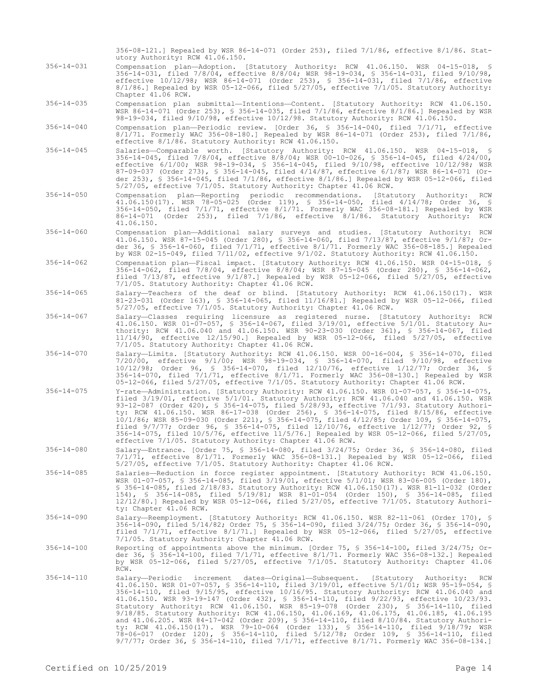356-08-121.] Repealed by WSR 86-14-071 (Order 253), filed 7/1/86, effective 8/1/86. Statutory Authority: RCW 41.06.150.

- 356-14-031 Compensation plan—Adoption. [Statutory Authority: RCW 41.06.150. WSR 04-15-018, § 356-14-031, filed 7/8/04, effective 8/8/04; WSR 98-19-034, § 356-14-031, filed 9/10/98, effective 10/12/98; WSR 86-14-071 (Order 253), § 356-14-031, filed 7/1/86, effective 8/1/86.] Repealed by WSR 05-12-066, filed 5/27/05, effective 7/1/05. Statutory Authority: Chapter 41.06 RCW.
- 356-14-035 Compensation plan submittal—Intentions—Content. [Statutory Authority: RCW 41.06.150. WSR 86-14-071 (Order 253), § 356-14-035, filed 7/1/86, effective 8/1/86.] Repealed by WSR 98-19-034, filed 9/10/98, effective 10/12/98. Statutory Authority: RCW 41.06.150.
- 356-14-040 Compensation plan—Periodic review. [Order 36, § 356-14-040, filed 7/1/71, effective 8/1/71. Formerly WAC 356-08-180.] Repealed by WSR 86-14-071 (Order 253), filed 7/1/86, effective 8/1/86. Statutory Authority: RCW 41.06.150.
- 356-14-045 Salaries—Comparable worth. [Statutory Authority: RCW 41.06.150. WSR 04-15-018, 356-14-045, filed 7/8/04, effective 8/8/04; WSR 00-10-026, § 356-14-045, filed 4/24/00, effective 6/1/00; WSR 98-19-034, § 356-14-045, filed 9/10/98, effective 10/12/98; WSR 87-09-037 (Order 273), § 356-14-045, filed 4/14/87, effective 6/1/87; WSR 86-14-071 (Order 253), § 356-14-045, filed 7/1/86, effective 8/1/86.] Repealed by WSR 05-12-066, filed 5/27/05, effective 7/1/05. Statutory Authority: Chapter 41.06 RCW.
- 356-14-050 Compensation plan—Reporting periodic recommendations. [Statutory Authority: RCW 41.06.150(17). WSR 78-05-025 (Order 119), § 356-14-050, filed 4/14/78; Order 36, § 356-14-050, filed 7/1/71, effective 8/1/71. Formerly WAC 356-08-181.] Repealed by WSR 86-14-071 (Order 253), filed 7/1/86, effective 8/1/86. Statutory Authority: RCW 41.06.150.
- 356-14-060 Compensation plan—Additional salary surveys and studies. [Statutory Authority: RCW 41.06.150. WSR 87-15-045 (Order 280), § 356-14-060, filed 7/13/87, effective 9/1/87; Order 36, § 356-14-060, filed 7/1/71, effective 8/1/71. Formerly WAC 356-08-185.] Repealed by WSR 02-15-049, filed 7/11/02, effective 9/1/02. Statutory Authority: RCW 41.06.150.
- 356-14-062 Compensation plan—Fiscal impact. [Statutory Authority: RCW 41.06.150. WSR 04-15-018, § 356-14-062, filed 7/8/04, effective 8/8/04; WSR 87-15-045 (Order 280), § 356-14-062, filed 7/13/87, effective 9/1/87.] Repealed by WSR 05-12-066, filed 5/27/05, effective 7/1/05. Statutory Authority: Chapter 41.06 RCW.
- 356-14-065 Salary—Teachers of the deaf or blind. [Statutory Authority: RCW 41.06.150(17). WSR 81-23-031 (Order 163), § 356-14-065, filed 11/16/81.] Repealed by WSR 05-12-066, filed 5/27/05, effective 7/1/05. Statutory Authority: Chapter 41.06 RCW.
- 356-14-067 Salary—Classes requiring licensure as registered nurse. [Statutory Authority: RCW 41.06.150. WSR 01-07-057, § 356-14-067, filed 3/19/01, effective 5/1/01. Statutory Authority: RCW 41.06.040 and 41.06.150. WSR 90-23-030 (Order 361), § 356-14-067, filed 11/14/90, effective 12/15/90.] Repealed by WSR 05-12-066, filed 5/27/05, effective 7/1/05. Statutory Authority: Chapter 41.06 RCW.
- 356-14-070 Salary—Limits. [Statutory Authority: RCW 41.06.150. WSR 00-16-004, § 356-14-070, filed 7/20/00, effective 9/1/00; WSR 98-19-034, § 356-14-070, filed 9/10/98, effective 10/12/98; Order 96, § 356-14-070, filed 12/10/76, effective 1/12/77; Order 36, § 356-14-070, filed 7/1/71, effective 8/1/71. Formerly WAC 356-08-130.] Repealed by WSR 05-12-066, filed 5/27/05, effective 7/1/05. Statutory Authority: Chapter 41.06 RCW.
- 356-14-075 Y-rate—Administration. [Statutory Authority: RCW 41.06.150. WSR 01-07-057, § 356-14-075, filed 3/19/01, effective 5/1/01. Statutory Authority: RCW 41.06.040 and 41.06.150. WSR 93-12-087 (Order 420), § 356-14-075, filed 5/28/93, effective 7/1/93. Statutory Authority: RCW 41.06.150. WSR 86-17-038 (Order 256), § 356-14-075, filed 8/15/86, effective 10/1/86; WSR 85-09-030 (Order 221), § 356-14-075, filed 4/12/85; Order 109, § 356-14-075, filed 9/7/77; Order 96, § 356-14-075, filed 12/10/76, effective 1/12/77; Order 92, § 356-14-075, filed 10/5/76, effective 11/5/76.] Repealed by WSR 05-12-066, filed 5/27/05, effective 7/1/05. Statutory Authority: Chapter 41.06 RCW.
- 356-14-080 Salary—Entrance. [Order 75, § 356-14-080, filed 3/24/75; Order 36, § 356-14-080, filed 7/1/71, effective 8/1/71. Formerly WAC 356-08-131.] Repealed by WSR 05-12-066, filed 5/27/05, effective 7/1/05. Statutory Authority: Chapter 41.06 RCW.
- 356-14-085 Salaries—Reduction in force register appointment. [Statutory Authority: RCW 41.06.150. WSR 01-07-057, § 356-14-085, filed 3/19/01, effective 5/1/01; WSR 83-06-005 (Order 180), § 356-14-085, filed 2/18/83. Statutory Authority: RCW 41.06.150(17). WSR 81-11-032 (Order 154), § 356-14-085, filed 5/19/81; WSR 81-01-054 (Order 150), § 356-14-085, filed 12/12/80.] Repealed by WSR 05-12-066, filed 5/27/05, effective 7/1/05. Statutory Authority: Chapter 41.06 RCW.
- 356-14-090 Salary—Reemployment. [Statutory Authority: RCW 41.06.150. WSR 82-11-061 (Order 170), § 356-14-090, filed 5/14/82; Order 75, § 356-14-090, filed 3/24/75; Order 36, § 356-14-090, filed 7/1/71, effective 8/1/71.] Repealed by WSR 05-12-066, filed 5/27/05, effective 7/1/05. Statutory Authority: Chapter 41.06 RCW.
- 356-14-100 Reporting of appointments above the minimum. [Order 75, § 356-14-100, filed 3/24/75; Order 36, § 356-14-100, filed 7/1/71, effective 8/1/71. Formerly WAC 356-08-132.] Repealed by WSR 05-12-066, filed 5/27/05, effective 7/1/05. Statutory Authority: Chapter 41.06 RCW.
- 356-14-110 Salary—Periodic increment dates—Original—Subsequent. [Statutory Authority: RCW<br>41.06.150. WSR 01-07-057, \$ 356-14-110, filed 3/19/01, effective 5/1/01; WSR 95-19-054, \$<br>356-14-110, filed 9/15/95, effective 10/16 41.06.150. WSR 93-19-147 (Order 432), § 356-14-110, filed 9/22/93, effective 10/23/93. Statutory Authority: RCW 41.06.150. WSR 85-19-078 (Order 230), § 356-14-110, filed 9/18/85. Statutory Authority: RCW 41.06.150, 41.06.169, 41.06.175, 41.06.185, 41.06.195 and 41.06.205. WSR 84-17-042 (Order 209), § 356-14-110, filed 8/10/84. Statutory Authority: RCW 41.06.150(17). WSR 79-10-064 (Order 133), § 356-14-110, filed 9/18/79; WSR 78-06-017 (Order 120), § 356-14-110, filed 5/12/78; Order 109, § 356-14-110, filed 9/7/77; Order 36, § 356-14-110, filed 7/1/71, effective 8/1/71. Formerly WAC 356-08-134.]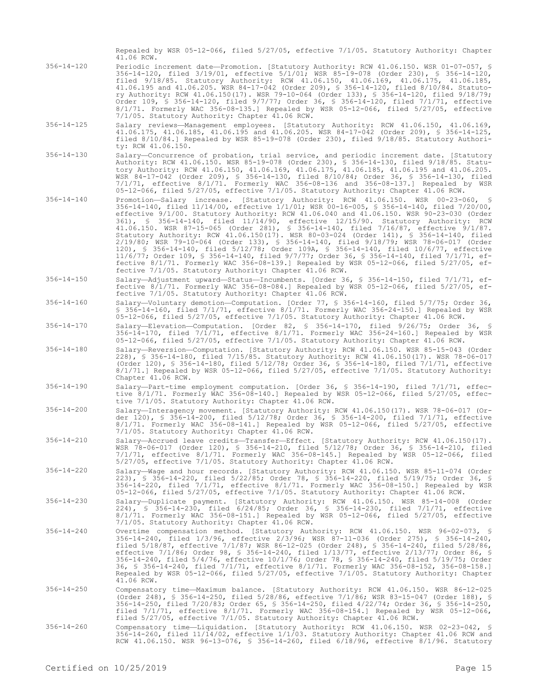Repealed by WSR 05-12-066, filed 5/27/05, effective 7/1/05. Statutory Authority: Chapter 41.06 RCW.

- 356-14-120 Periodic increment date—Promotion. [Statutory Authority: RCW 41.06.150. WSR 01-07-057, § 356-14-120, filed 3/19/01, effective 5/1/01; WSR 85-19-078 (Order 230), § 356-14-120, filed 9/18/85. Statutory Authority: RCW 41.06.150, 41.06.169, 41.06.175, 41.06.185, 41.06.195 and 41.06.205. WSR 84-17-042 (Order 209), § 356-14-120, filed 8/10/84. Statutory Authority: RCW 41.06.150(17). WSR 79-10-064 (Order 133), § 356-14-120, filed 9/18/79; Order 109, § 356-14-120, filed 9/7/77; Order 36, § 356-14-120, filed 7/1/71, effective 8/1/71. Formerly WAC 356-08-135.] Repealed by WSR 05-12-066, filed 5/27/05, effective 7/1/05. Statutory Authority: Chapter 41.06 RCW.
- 356-14-125 Salary reviews—Management employees. [Statutory Authority: RCW 41.06.150, 41.06.169, 41.06.175, 41.06.185, 41.06.195 and 41.06.205. WSR 84-17-042 (Order 209), § 356-14-125, filed 8/10/84.] Repealed by WSR 85-19-078 (Order 230), filed 9/18/85. Statutory Authority: RCW 41.06.150.
- 356-14-130 Salary—Concurrence of probation, trial service, and periodic increment date. [Statutory Authority: RCW 41.06.150. WSR 85-19-078 (Order 230), § 356-14-130, filed 9/18/85. Statutory Authority: RCW 41.06.150, 41.06.169, 41.06.175, 41.06.185, 41.06.195 and 41.06.205. WSR 84-17-042 (Order 209), § 356-14-130, filed 8/10/84; Order 36, § 356-14-130, filed 7/1/71, effective 8/1/71. Formerly WAC 356-08-136 and 356-08-137.] Repealed by WSR 05-12-066, filed 5/27/05, effective 7/1/05. Statutory Authority: Chapter 41.06 RCW.
- 356-14-140 Promotion—Salary increase. [Statutory Authority: RCW 41.06.150. WSR 00-23-060, § 356-14-140, filed 11/14/00, effective 1/1/01; WSR 00-16-005, § 356-14-140, filed 7/20/00, effective 9/1/00. Statutory Authority: RCW 41.06.040 and 41.06.150. WSR 90-23-030 (Order 361), § 356-14-140, filed 11/14/90, effective 12/15/90. Statutory Authority: RCW 41.06.150. WSR 87-15-065 (Order 281), § 356-14-140, filed 7/16/87, effective 9/1/87. Statutory Authority: RCW 41.06.150(17). WSR 80-03-024 (Order 141), § 356-14-140, filed 2/19/80; WSR 79-10-064 (Order 133), § 356-14-140, filed 9/18/79; WSR 78-06-017 (Order 120), § 356-14-140, filed 5/12/78; Order 109A, § 356-14-140, filed 10/6/77, effective 11/6/77; Order 109, § 356-14-140, filed 9/7/77; Order 36, § 356-14-140, filed 7/1/71, effective 8/1/71. Formerly WAC 356-08-139.] Repealed by WSR 05-12-066, filed 5/27/05, effective 7/1/05. Statutory Authority: Chapter 41.06 RCW.
- 356-14-150 Salary—Adjustment upward—Status—Incumbents. [Order 36, § 356-14-150, filed 7/1/71, effective 8/1/71. Formerly WAC 356-08-084.] Repealed by WSR 05-12-066, filed 5/27/05, effective 7/1/05. Statutory Authority: Chapter 41.06 RCW.
- 356-14-160 Salary—Voluntary demotion—Computation. [Order 77, § 356-14-160, filed 5/7/75; Order 36, § 356-14-160, filed 7/1/71, effective 8/1/71. Formerly WAC 356-24-150.] Repealed by WSR 05-12-066, filed 5/27/05, effective 7/1/05. Statutory Authority: Chapter 41.06 RCW.

356-14-170 Salary—Elevation—Computation. [Order 82, § 356-14-170, filed 9/26/75; Order 36, § 356-14-170, filed 7/1/71, effective 8/1/71. Formerly WAC 356-24-160.] Repealed by WSR 05-12-066, filed 5/27/05, effective 7/1/05. Statutory Authority: Chapter 41.06 RCW.

- 356-14-180 Salary—Reversion—Computation. [Statutory Authority: RCW 41.06.150. WSR 85-15-043 (Order 228), § 356-14-180, filed 7/15/85. Statutory Authority: RCW 41.06.150(17). WSR 78-06-017 (Order 120), § 356-14-180, filed 5/12/78; Order 36, § 356-14-180, filed 7/1/71, effective 8/1/71.] Repealed by WSR 05-12-066, filed 5/27/05, effective 7/1/05. Statutory Authority: Chapter 41.06 RCW.
- 356-14-190 Salary—Part-time employment computation. [Order 36, § 356-14-190, filed 7/1/71, effective 8/1/71. Formerly WAC 356-08-140.] Repealed by WSR 05-12-066, filed 5/27/05, effective 7/1/05. Statutory Authority: Chapter 41.06 RCW.
- 356-14-200 Salary—Interagency movement. [Statutory Authority: RCW 41.06.150(17). WSR 78-06-017 (Order 120), § 356-14-200, filed 5/12/78; Order 36, § 356-14-200, filed 7/1/71, effective 8/1/71. Formerly WAC 356-08-141.] Repealed by WSR 05-12-066, filed 5/27/05, effective 7/1/05. Statutory Authority: Chapter 41.06 RCW.
- 356-14-210 Salary—Accrued leave credits—Transfer—Effect. [Statutory Authority: RCW 41.06.150(17). WSR 78-06-017 (Order 120), § 356-14-210, filed 5/12/78; Order 36, § 356-14-210, filed 7/1/71, effective 8/1/71. Formerly WAC 356-08-145.] Repealed by WSR 05-12-066, filed 5/27/05, effective 7/1/05. Statutory Authority: Chapter 41.06 RCW.
- 356-14-220 Salary—Wage and hour records. [Statutory Authority: RCW 41.06.150. WSR 85-11-074 (Order 223), § 356-14-220, filed 5/22/85; Order 78, § 356-14-220, filed 5/19/75; Order 36, § 356-14-220, filed 7/1/71, effective 8/1/71. Formerly WAC 356-08-150.] Repealed by WSR 05-12-066, filed 5/27/05, effective 7/1/05. Statutory Authority: Chapter 41.06 RCW.
- 356-14-230 Salary—Duplicate payment. [Statutory Authority: RCW 41.06.150. WSR 85-14-008 (Order 224), § 356-14-230, filed 6/24/85; Order 36, § 356-14-230, filed 7/1/71, effective 8/1/71. Formerly WAC 356-08-151.] Repealed by WSR 05-12-066, filed 5/27/05, effective 7/1/05. Statutory Authority: Chapter 41.06 RCW.
- 356-14-240 Overtime compensation method. [Statutory Authority: RCW 41.06.150. WSR 96-02-073, § 356-14-240, filed 1/3/96, effective 2/3/96; WSR 87-11-036 (Order 275), § 356-14-240, filed 5/18/87, effective 7/1/87; WSR 86-12-025 (Order 248), § 356-14-240, filed 5/28/86, effective 7/1/86; Order 98, § 356-14-240, filed 1/13/77, effective 2/13/77; Order 86, § 356-14-240, filed 5/4/76, effective 10/1/76; Order 78, § 356-14-240, filed 5/19/75; Order 36, § 356-14-240, filed 7/1/71, effective 8/1/71. Formerly WAC 356-08-152, 356-08-158.] Repealed by WSR 05-12-066, filed 5/27/05, effective 7/1/05. Statutory Authority: Chapter 41.06 RCW.
- 356-14-250 Compensatory time—Maximum balance. [Statutory Authority: RCW 41.06.150. WSR 86-12-025 (Order 248), § 356-14-250, filed 5/28/86, effective 7/1/86; WSR 83-15-047 (Order 188), § 356-14-250, filed 7/20/83; Order 65, § 356-14-250, filed 4/22/74; Order 36, § 356-14-250, filed 7/1/71, effective 8/1/71. Formerly WAC 356-08-154.] Repealed by WSR 05-12-066, filed 5/27/05, effective 7/1/05. Statutory Authority: Chapter 41.06 RCW.
- 356-14-260 Compensatory time—Liquidation. [Statutory Authority: RCW 41.06.150. WSR 02-23-042, § 356-14-260, filed 11/14/02, effective 1/1/03. Statutory Authority: Chapter 41.06 RCW and RCW 41.06.150. WSR 96-13-076, § 356-14-260, filed 6/18/96, effective 8/1/96. Statutory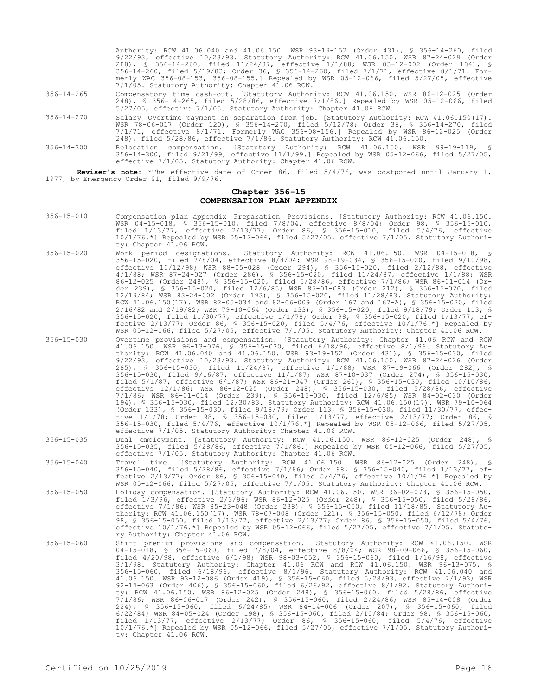|                  | Authority: RCW 41.06.040 and 41.06.150. WSR 93-19-152 (Order 431), § 356-14-260, filed<br>9/22/93, effective 10/23/93. Statutory Authority: RCW 41.06.150. WSR 87-24-029 (Order<br>288), § 356-14-260, filed 11/24/87, effective 1/1/88; WSR 83-12-002 (Order 184), §<br>356-14-260, filed 5/19/83; Order 36, § 356-14-260, filed 7/1/71, effective 8/1/71. For-<br>merly WAC 356-08-153, 356-08-155.] Repealed by WSR 05-12-066, filed 5/27/05, effective<br>7/1/05. Statutory Authority: Chapter 41.06 RCW. |
|------------------|---------------------------------------------------------------------------------------------------------------------------------------------------------------------------------------------------------------------------------------------------------------------------------------------------------------------------------------------------------------------------------------------------------------------------------------------------------------------------------------------------------------|
| $356 - 14 - 265$ | Compensatory time cash-out. [Statutory Authority: RCW 41.06.150. WSR 86-12-025 (Order<br>248), § 356-14-265, filed 5/28/86, effective 7/1/86.] Repealed by WSR 05-12-066, filed<br>5/27/05, effective 7/1/05. Statutory Authority: Chapter 41.06 RCW.                                                                                                                                                                                                                                                         |
| $356 - 14 - 270$ | Salary-Overtime payment on separation from job. [Statutory Authority: RCW 41.06.150(17).<br>WSR 78-06-017 (Order 120), § 356-14-270, filed 5/12/78; Order 36, § 356-14-270, filed<br>$7/1/71$ , effective $8/1/71$ . Formerly WAC 356-08-156.] Repealed by WSR 86-12-025 (Order<br>248), filed 5/28/86, effective 7/1/86. Statutory Authority: RCW 41.06.150.                                                                                                                                                 |
| $356 - 14 - 300$ | Relocation compensation. [Statutory Authority: RCW 41.06.150. WSR 99-19-119, §<br>356-14-300, filed 9/21/99, effective 11/1/99.] Repealed by WSR 05-12-066, filed 5/27/05,<br>effective 7/1/05. Statutory Authority: Chapter 41.06 RCW.                                                                                                                                                                                                                                                                       |

**Reviser's note:** \*The effective date of Order 86, filed 5/4/76, was postponed until January 1, 1977, by Emergency Order 91, filed 9/9/76.

## **Chapter 356-15 COMPENSATION PLAN APPENDIX**

- 356-15-010 Compensation plan appendix—Preparation—Provisions. [Statutory Authority: RCW 41.06.150. WSR 04-15-018, § 356-15-010, filed 7/8/04, effective 8/8/04; Order 98, § 356-15-010, filed 1/13/77, effective 2/13/77; Order 86, § 356-15-010, filed 5/4/76, effective 10/1/76.\*] Repealed by WSR 05-12-066, filed 5/27/05, effective 7/1/05. Statutory Authority: Chapter 41.06 RCW.
- 356-15-020 Work period designations. [Statutory Authority: RCW 41.06.150. WSR 04-15-018, § 356-15-020, filed 7/8/04, effective 8/8/04; WSR 98-19-034, § 356-15-020, filed 9/10/98, effective 10/12/98; WSR 88-05-028 (Order 294), § 356-15-020, filed 2/12/88, effective 4/1/88; WSR 87-24-027 (Order 286), § 356-15-020, filed 11/24/87, effective 1/1/88; WSR 86-12-025 (Order 248), § 356-15-020, filed 5/28/86, effective 7/1/86; WSR 86-01-014 (Order 239), § 356-15-020, filed 12/6/85; WSR 85-01-083 (Order 212), § 356-15-020, filed 12/19/84; WSR 83-24-002 (Order 193), § 356-15-020, filed 11/28/83. Statutory Authority: RCW 41.06.150(17). WSR 82-05-034 and 82-06-009 (Order 167 and 167-A), § 356-15-020, filed 2/16/82 and 2/19/82; WSR 79-10-064 (Order 133), § 356-15-020, filed 9/18/79; Order 113, § 356-15-020, filed 11/30/77, effective 1/1/78; Order 98, § 356-15-020, filed 1/13/77, effective  $2/13/77$ ; Order 86, § 356-15-020, filed  $5/4/76$ , effective  $10/1/76.*$ ] Repealed by WSR 05-12-066, filed 5/27/05, effective 7/1/05. Statutory Authority: Chapter 41.06 RCW.
- 356-15-030 Overtime provisions and compensation. [Statutory Authority: Chapter 41.06 RCW and RCW 41.06.150. WSR 96-13-076, § 356-15-030, filed 6/18/96, effective 8/1/96. Statutory Authority: RCW 41.06.040 and 41.06.150. WSR 93-19-152 (Order 431), § 356-15-030, filed 9/22/93, effective 10/23/93. Statutory Authority: RCW 41.06.150. WSR 87-24-026 (Order 285), § 356-15-030, filed 11/24/87, effective 1/1/88; WSR 87-19-066 (Order 282), § 356-15-030, filed 9/16/87, effective 11/1/87; WSR 87-10-037 (Order 274), § 356-15-030, filed 5/1/87, effective 6/1/87; WSR 86-21-047 (Order 260), § 356-15-030, filed 10/10/86, effective 12/1/86; WSR 86-12-025 (Order 248), § 356-15-030, filed 5/28/86, effective 7/1/86; WSR 86-01-014 (Order 239), § 356-15-030, filed 12/6/85; WSR 84-02-030 (Order 194), § 356-15-030, filed 12/30/83. Statutory Authority: RCW 41.06.150(17). WSR 79-10-064 (Order 133), § 356-15-030, filed 9/18/79; Order 113, § 356-15-030, filed 11/30/77, effective 1/1/78; Order 98, § 356-15-030, filed 1/13/77, effective 2/13/77; Order 86, § 356-15-030, filed 5/4/76, effective 10/1/76.\*] Repealed by WSR 05-12-066, filed 5/27/05, effective 7/1/05. Statutory Authority: Chapter 41.06 RCW.

356-15-035 Dual employment. [Statutory Authority: RCW 41.06.150. WSR 86-12-025 (Order 248), § 356-15-035, filed 5/28/86, effective 7/1/86.] Repealed by WSR 05-12-066, filed 5/27/05, effective 7/1/05. Statutory Authority: Chapter 41.06 RCW.

- 356-15-040 Travel time. [Statutory Authority: RCW 41.06.150. WSR 86-12-025 (Order 248), § 356-15-040, filed 5/28/86, effective 7/1/86; Order 98, § 356-15-040, filed 1/13/77, effective  $2/13/77$ ; Order 86, § 356-15-040, filed  $5/4/76$ , effective  $10/1/76.*$ ] Repealed by WSR 05-12-066, filed 5/27/05, effective 7/1/05. Statutory Authority: Chapter 41.06 RCW.
- 356-15-050 Holiday compensation. [Statutory Authority: RCW 41.06.150. WSR 96-02-073, § 356-15-050, filed 1/3/96, effective 2/3/96; WSR 86-12-025 (Order 248), § 356-15-050, filed 5/28/86, effective 7/1/86; WSR 85-23-048 (Order 238), § 356-15-050, filed 11/18/85. Statutory Authority: RCW 41.06.150(17). WSR 78-07-008 (Order 121), § 356-15-050, filed 6/12/78; Order 98, § 356-15-050, filed 1/13/77, effective 2/13/77; Order 86, § 356-15-050, filed 5/4/76, effective 10/1/76.\*] Repealed by WSR 05-12-066, filed 5/27/05, effective 7/1/05. Statutory Authority: Chapter 41.06 RCW.
- 356-15-060 Shift premium provisions and compensation. [Statutory Authority: RCW 41.06.150. WSR 04-15-018, § 356-15-060, filed 7/8/04, effective 8/8/04; WSR 98-09-066, § 356-15-060, filed 4/20/98, effective 6/1/98; WSR 98-03-052, § 356-15-060, filed 1/16/98, effective 3/1/98. Statutory Authority: Chapter 41.06 RCW and RCW 41.06.150. WSR 96-13-075, § 356-15-060, filed 6/18/96, effective 8/1/96. Statutory Authority: RCW 41.06.040 and 41.06.150. WSR 93-12-086 (Order 419), § 356-15-060, filed 5/28/93, effective 7/1/93; WSR<br>92-14-063 (Order 406), § 356-15-060, filed 6/26/92, effective 8/1/92. Statutory Authori-<br>ty: RCW 41.06.150. WSR 86-12-025 (Order 248) 7/1/86; WSR 86-06-017 (Order 242), § 356-15-060, filed 2/24/86; WSR 85-14-008 (Order 224), § 356-15-060, filed 6/24/85; WSR 84-14-006 (Order 207), § 356-15-060, filed 6/22/84; WSR 84-05-024 (Order 198), § 356-15-060, filed 2/10/84; Order 98, § 356-15-060, filed 1/13/77, effective 2/13/77; Order 86, § 356-15-060, filed 5/4/76, effective 10/1/76.\*] Repealed by WSR 05-12-066, filed 5/27/05, effective 7/1/05. Statutory Authority: Chapter 41.06 RCW.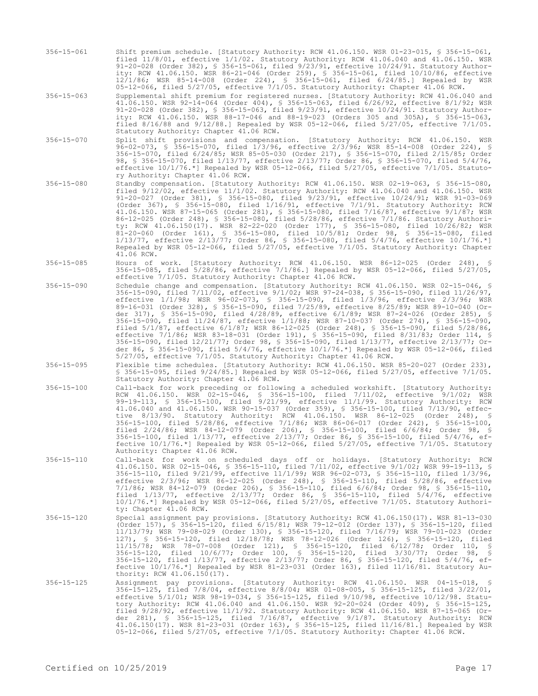- 356-15-061 Shift premium schedule. [Statutory Authority: RCW 41.06.150. WSR 01-23-015, § 356-15-061, filed 11/8/01, effective 1/1/02. Statutory Authority: RCW 41.06.040 and 41.06.150. WSR 91-20-028 (Order 382), § 356-15-061, filed 9/23/91, effective 10/24/91. Statutory Authority: RCW 41.06.150. WSR 86-21-046 (Order 259), § 356-15-061, filed 10/10/86, effective 12/1/86; WSR 85-14-008 (Order 224), § 356-15-061, filed 6/24/85.] Repealed by WSR 05-12-066, filed 5/27/05, effective 7/1/05. Statutory Authority: Chapter 41.06 RCW.
- 356-15-063 Supplemental shift premium for registered nurses. [Statutory Authority: RCW 41.06.040 and 41.06.150. WSR 92-14-064 (Order 404), § 356-15-063, filed 6/26/92, effective 8/1/92; WSR 91-20-028 (Order 382), § 356-15-063, filed 9/23/91, effective 10/24/91. Statutory Authority: RCW 41.06.150. WSR 88-17-046 and 88-19-023 (Orders 305 and 305A), § 356-15-063, filed 8/16/88 and 9/12/88.] Repealed by WSR 05-12-066, filed 5/27/05, effective 7/1/05. Statutory Authority: Chapter 41.06 RCW.
- 356-15-070 Split shift provisions and compensation. [Statutory Authority: RCW 41.06.150. WSR 96-02-073, § 356-15-070, filed 1/3/96, effective 2/3/96; WSR 85-14-008 (Order 224), § 356-15-070, filed 6/24/85; WSR 85-05-030 (Order 217), § 356-15-070, filed 2/15/85; Order 98, § 356-15-070, filed 1/13/77, effective 2/13/77; Order 86, § 356-15-070, filed 5/4/76, effective 10/1/76.\*] Repealed by WSR 05-12-066, filed 5/27/05, effective 7/1/05. Statutory Authority: Chapter 41.06 RCW.
- 356-15-080 Standby compensation. [Statutory Authority: RCW 41.06.150. WSR 02-19-063, § 356-15-080, filed 9/12/02, effective 11/1/02. Statutory Authority: RCW 41.06.040 and 41.06.150. WSR 91-20-027 (Order 381), § 356-15-080, filed 9/23/91, effective 10/24/91; WSR 91-03-069 (Order 367), § 356-15-080, filed 1/16/91, effective 7/1/91. Statutory Authority: RCW 41.06.150. WSR 87-15-065 (Order 281), § 356-15-080, filed 7/16/87, effective 9/1/87; WSR 86-12-025 (Order 248), § 356-15-080, filed 5/28/86, effective 7/1/86. Statutory Authority: RCW 41.06.150(17). WSR 82-22-020 (Order 177), § 356-15-080, filed 10/26/82; WSR 81-20-060 (Order 161), § 356-15-080, filed 10/5/81; Order 98, § 356-15-080, filed 1/13/77, effective 2/13/77; Order 86, § 356-15-080, filed 5/4/76, effective 10/1/76.\*] Repealed by WSR 05-12-066, filed 5/27/05, effective 7/1/05. Statutory Authority: Chapter 41.06 RCW.
- 356-15-085 Hours of work. [Statutory Authority: RCW 41.06.150. WSR 86-12-025 (Order 248), § 356-15-085, filed 5/28/86, effective 7/1/86.] Repealed by WSR 05-12-066, filed 5/27/05, effective 7/1/05. Statutory Authority: Chapter 41.06 RCW.
- 356-15-090 Schedule change and compensation. [Statutory Authority: RCW 41.06.150. WSR 02-15-046, § 356-15-090, filed 7/11/02, effective 9/1/02; WSR 97-24-038, § 356-15-090, filed 11/26/97, effective 1/1/98; WSR 96-02-073, § 356-15-090, filed 1/3/96, effective 2/3/96; WSR 89-16-031 (Order 328), § 356-15-090, filed 7/25/89, effective 8/25/89; WSR 89-10-040 (Order 317), § 356-15-090, filed 4/28/89, effective 6/1/89; WSR 87-24-026 (Order 285), § 356-15-090, filed 11/24/87, effective 1/1/88; WSR 87-10-037 (Order 274), § 356-15-090, filed 5/1/87, effective 6/1/87; WSR 86-12-025 (Order 248), § 356-15-090, filed 5/28/86, effective 7/1/86; WSR 83-18-031 (Order 191), § 356-15-090, filed 8/31/83; Order 114, § 356-15-090, filed 12/21/77; Order 98, § 356-15-090, filed 1/13/77, effective 2/13/77; Order 86, § 356-15-090, filed 5/4/76, effective 10/1/76.\*] Repealed by WSR 05-12-066, filed 5/27/05, effective 7/1/05. Statutory Authority: Chapter 41.06 RCW.
- 356-15-095 Flexible time schedules. [Statutory Authority: RCW 41.06.150. WSR 85-20-027 (Order 233), § 356-15-095, filed 9/24/85.] Repealed by WSR 05-12-066, filed 5/27/05, effective 7/1/05. Statutory Authority: Chapter 41.06 RCW.
- 356-15-100 Call-back for work preceding or following a scheduled workshift. [Statutory Authority: RCW 41.06.150. WSR 02-15-046, § 356-15-100, filed 7/11/02, effective 9/1/02; WSR 99-19-113, § 356-15-100, filed 9/21/99, effective 11/1/99. Statutory Authority: RCW 41.06.040 and 41.06.150. WSR 90-15-037 (Order 359), § 356-15-100, filed 7/13/90, effective 8/13/90. Statutory Authority: RCW 41.06.150. WSR 86-12-025 (Order 248), § 356-15-100, filed 5/28/86, effective 7/1/86; WSR 86-06-017 (Order 242), § 356-15-100, filed 2/24/86; WSR 84-12-079 (Order 206), § 356-15-100, filed 6/6/84; Order 98, § 356-15-100, filed 1/13/77, effective 2/13/77; Order 86, § 356-15-100, filed 5/4/76, effective 10/1/76.\*] Repealed by WSR 05-12-066, filed 5/27/05, effective 7/1/05. Statutory Authority: Chapter 41.06 RCW.
- 356-15-110 Call-back for work on scheduled days off or holidays. [Statutory Authority: RCW 41.06.150. WSR 02-15-046, § 356-15-110, filed 7/11/02, effective 9/1/02; WSR 99-19-113, § 356-15-110, filed 9/21/99, effective 11/1/99; WSR 96-02-073, § 356-15-110, filed 1/3/96, effective 2/3/96; WSR 86-12-025 (Order 248), § 356-15-110, filed 5/28/86, effective 7/1/86; WSR 84-12-079 (Order 206), § 356-15-110, filed 6/6/84; Order 98, § 356-15-110, filed 1/13/77, effective 2/13/77; Order 86, § 356-15-110, filed 5/4/76, effective 10/1/76.\*] Repealed by WSR 05-12-066, filed 5/27/05, effective 7/1/05. Statutory Authority: Chapter 41.06 RCW.
- 356-15-120 Special assignment pay provisions. [Statutory Authority: RCW 41.06.150(17). WSR 81-13-030 (Order 157), § 356-15-120, filed 6/15/81; WSR 79-12-012 (Order 137), § 356-15-120, filed 11/13/79; WSR 79-08-029 (Order 130), § 356-15-120, filed 7/16/79; WSR 79-01-023 (Order 127), § 356-15-120, filed 12/18/78; WSR 78-12-026 (Order 126), § 356-15-120, filed 11/15/78; WSR 78-07-008 (Order 121), § 356-15-120, filed 6/12/78; Order 110, § 356-15-120, filed 10/6/77; Order 100, § 356-15-120, filed 3/30/77; Order 98, § 356-15-120, filed 1/13/77, effective 2/13/77; Order 86, § 356-15-120, filed 5/4/76, effective 10/1/76.\*] Repealed by WSR 81-23-031 (Order 163), filed 11/16/81. Statutory Authority: RCW 41.06.150(17).
- 356-15-125 Assignment pay provisions. [Statutory Authority: RCW 41.06.150. WSR 04-15-018, § 356-15-125, filed 7/8/04, effective 8/8/04; WSR 01-08-005, § 356-15-125, filed 3/22/01, effective 5/1/01; WSR 98-19-034, § 356-15-125, filed 9/10/98, effective 10/12/98. Statutory Authority: RCW 41.06.040 and 41.06.150. WSR 92-20-024 (Order 409), § 356-15-125, filed 9/28/92, effective 11/1/92. Statutory Authority: RCW 41.06.150. WSR 87-15-065 (Order 281), § 356-15-125, filed 7/16/87, effective 9/1/87. Statutory Authority: RCW 41.06.150(17). WSR 81-23-031 (Order 163), § 356-15-125, filed 11/16/81.] Repealed by WSR 05-12-066, filed 5/27/05, effective 7/1/05. Statutory Authority: Chapter 41.06 RCW.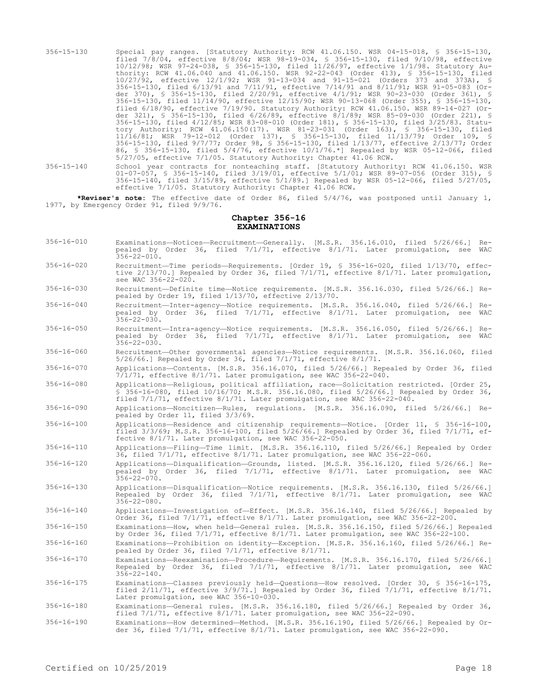- 356-15-130 Special pay ranges. [Statutory Authority: RCW 41.06.150. WSR 04-15-018, § 356-15-130, filed 7/8/04, effective 8/8/04; WSR 98-19-034, § 356-15-130, filed 9/10/98, effective 10/12/98; WSR 97-24-038, § 356-15-130, filed 11/26/97, effective 1/1/98. Statutory Authority: RCW 41.06.040 and 41.06.150. WSR 92-22-043 (Order 413), § 356-15-130, filed 10/27/92, effective 12/1/92; WSR 91-13-034 and 91-15-021 (Orders 373 and 373A), § 356-15-130, filed 6/13/91 and 7/11/91, effective 7/14/91 and 8/11/91; WSR 91-05-083 (Order 370), § 356-15-130, filed 2/20/91, effective 4/1/91; WSR 90-23-030 (Order 361), § 356-15-130, filed 11/14/90, effective 12/15/90; WSR 90-13-068 (Order 355), § 356-15-130, filed 6/18/90, effective 7/19/90. Statutory Authority: RCW 41.06.150. WSR 89-14-027 (Order 321), § 356-15-130, filed 6/26/89, effective 8/1/89; WSR 85-09-030 (Order 221), § 356-15-130, filed 4/12/85; WSR 83-08-010 (Order 181), § 356-15-130, filed 3/25/83. Statutory Authority: RCW 41.06.150(17). WSR 81-23-031 (Order 163), § 356-15-130, filed 11/16/81; WSR 79-12-012 (Order 137), § 356-15-130, filed 11/13/79; Order 109, § 356-15-130, filed 9/7/77; Order 98, § 356-15-130, filed 1/13/77, effective 2/13/77; Order 86, § 356-15-130, filed 5/4/76, effective 10/1/76.\*] Repealed by WSR 05-12-066, filed 5/27/05, effective 7/1/05. Statutory Authority: Chapter 41.06 RCW.
- 356-15-140 School year contracts for nonteaching staff. [Statutory Authority: RCW 41.06.150. WSR 01-07-057, § 356-15-140, filed 3/19/01, effective 5/1/01; WSR 89-07-056 (Order 315), § 356-15-140, filed 3/15/89, effective 5/1/89.] Repealed by WSR 05-12-066, filed 5/27/05, effective 7/1/05. Statutory Authority: Chapter 41.06 RCW.

**\*Reviser's note:** The effective date of Order 86, filed 5/4/76, was postponed until January 1, 1977, by Emergency Order 91, filed 9/9/76.

#### **Chapter 356-16 EXAMINATIONS**

- 356-16-010 Examinations—Notices—Recruitment—Generally. [M.S.R. 356.16.010, filed 5/26/66.] Repealed by Order 36, filed 7/1/71, effective 8/1/71. Later promulgation, see WAC 356-22-010.
- 356-16-020 Recruitment—Time periods—Requirements. [Order 19, § 356-16-020, filed 1/13/70, effective 2/13/70.] Repealed by Order 36, filed 7/1/71, effective 8/1/71. Later promulgation, see WAC 356-22-020.
- 356-16-030 Recruitment—Definite time—Notice requirements. [M.S.R. 356.16.030, filed 5/26/66.] Repealed by Order 19, filed 1/13/70, effective 2/13/70.
- 356-16-040 Recruitment—Inter-agency—Notice requirements. [M.S.R. 356.16.040, filed 5/26/66.] Repealed by Order 36, filed 7/1/71, effective 8/1/71. Later promulgation, see WAC  $356 - 22 - 030$ .
- 356-16-050 Recruitment—Intra-agency—Notice requirements. [M.S.R. 356.16.050, filed 5/26/66.] Repealed by Order 36, filed 7/1/71, effective 8/1/71. Later promulgation, see WAC  $356 - 22 - 030$ .
- 356-16-060 Recruitment—Other governmental agencies—Notice requirements. [M.S.R. 356.16.060, filed 5/26/66.] Repealed by Order 36, filed 7/1/71, effective 8/1/71.

356-16-070 Applications—Contents. [M.S.R. 356.16.070, filed 5/26/66.] Repealed by Order 36, filed  $7/1/71$ , effective 8/1/71. Later promulgation, see WAC 356-22-040.

356-16-080 Applications—Religious, political affiliation, race—Solicitation restricted. [Order 25, § 356-16-080, filed 10/16/70; M.S.R. 356.16.080, filed 5/26/66.] Repealed by Order 36, filed 7/1/71, effective 8/1/71. Later promulgation, see WAC 356-22-040.

356-16-090 Applications—Noncitizen—Rules, regulations. [M.S.R. 356.16.090, filed 5/26/66.] Repealed by Order 11, filed 3/3/69.

356-16-100 Applications—Residence and citizenship requirements—Notice. [Order 11, § 356-16-100, filed 3/3/69; M.S.R. 356-16-100, filed 5/26/66.] Repealed by Order 36, filed 7/1/71, effective 8/1/71. Later promulgation, see WAC 356-22-050.

356-16-110 Applications—Filing—Time limit. [M.S.R. 356.16.110, filed 5/26/66.] Repealed by Order 36, filed 7/1/71, effective 8/1/71. Later promulgation, see WAC 356-22-060.

- 356-16-120 Applications—Disqualification—Grounds, listed. [M.S.R. 356.16.120, filed 5/26/66.] Repealed by Order 36, filed 7/1/71, effective 8/1/71. Later promulgation, see WAC  $356 - 22 - 070$ .
- 356-16-130 Applications—Disqualification—Notice requirements. [M.S.R. 356.16.130, filed 5/26/66.] Repealed by Order 36, filed 7/1/71, effective 8/1/71. Later promulgation, see WAC 356-22-080.
- 356-16-140 Applications—Investigation of—Effect. [M.S.R. 356.16.140, filed 5/26/66.] Repealed by Order 36, filed 7/1/71, effective 8/1/71. Later promulgation, see WAC 356-22-200.
- 356-16-150 Examinations—How, when held—General rules. [M.S.R. 356.16.150, filed 5/26/66.] Repealed by Order 36, filed 7/1/71, effective 8/1/71. Later promulgation, see WAC 356-22-100.
- 356-16-160 Examinations—Prohibition on identity—Exception. [M.S.R. 356.16.160, filed 5/26/66.] Repealed by Order 36, filed 7/1/71, effective 8/1/71.
- 356-16-170 Examinations—Reexamination—Procedure—Requirements. [M.S.R. 356.16.170, filed 5/26/66.] Repealed by Order 36, filed 7/1/71, effective 8/1/71. Later promulgation, see WAC  $356 - 22 - 140$ .
- 356-16-175 Examinations—Classes previously held—Questions—How resolved. [Order 30, § 356-16-175, filed 2/11/71, effective 3/9/71.] Repealed by Order 36, filed 7/1/71, effective 8/1/71. Later promulgation, see WAC 356-10-030.
- 356-16-180 Examinations—General rules. [M.S.R. 356.16.180, filed 5/26/66.] Repealed by Order 36, filed 7/1/71, effective 8/1/71. Later promulgation, see WAC 356-22-090.
- 356-16-190 Examinations—How determined—Method. [M.S.R. 356.16.190, filed 5/26/66.] Repealed by Order 36, filed 7/1/71, effective 8/1/71. Later promulgation, see WAC 356-22-090.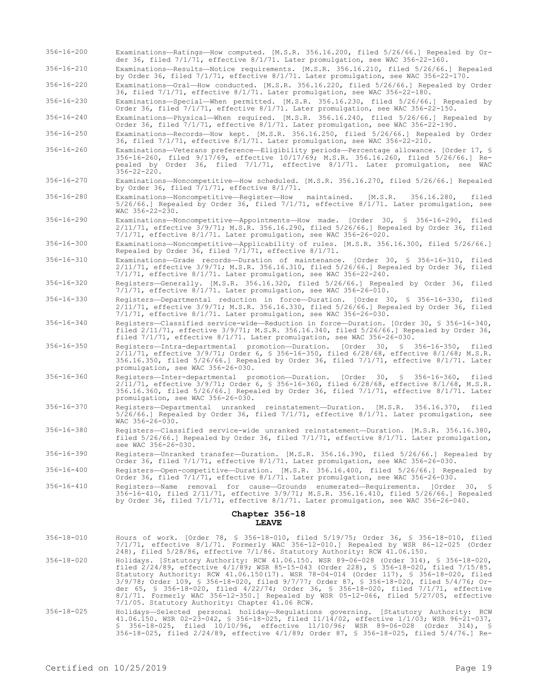- 356-16-200 Examinations—Ratings—How computed. [M.S.R. 356.16.200, filed 5/26/66.] Repealed by Order 36, filed 7/1/71, effective 8/1/71. Later promulgation, see WAC 356-22-160.
- 356-16-210 Examinations—Results—Notice requirements. [M.S.R. 356.16.210, filed 5/26/66.] Repealed by Order 36, filed 7/1/71, effective 8/1/71. Later promulgation, see WAC 356-22-170.
- 356-16-220 Examinations—Oral—How conducted. [M.S.R. 356.16.220, filed 5/26/66.] Repealed by Order 36, filed 7/1/71, effective 8/1/71. Later promulgation, see WAC 356-22-180.

356-16-230 Examinations—Special—When permitted. [M.S.R. 356.16.230, filed 5/26/66.] Repealed by Order 36, filed 7/1/71, effective 8/1/71. Later promulgation, see WAC 356-22-150.

356-16-240 Examinations—Physical—When required. [M.S.R. 356.16.240, filed 5/26/66.] Repealed by Order 36, filed 7/1/71, effective 8/1/71. Later promulgation, see WAC 356-22-190.

356-16-250 Examinations—Records—How kept. [M.S.R. 356.16.250, filed 5/26/66.] Repealed by Order 36, filed 7/1/71, effective 8/1/71. Later promulgation, see WAC 356-22-210.

- 356-16-260 Examinations—Veterans preference—Eligibility periods—Percentage allowance. [Order 17, § 356-16-260, filed 9/17/69, effective 10/17/69; M.S.R. 356.16.260, filed 5/26/66.] Repealed by Order 36, filed 7/1/71, effective 8/1/71. Later promulgation, see WAC 356-22-220.
- 356-16-270 Examinations—Noncompetitive—How scheduled. [M.S.R. 356.16.270, filed 5/26/66.] Repealed by Order 36, filed  $7/1/71$ , effective  $8/1/71$ .
- 356-16-280 Examinations—Noncompetitive—Register—How maintained. [M.S.R. 356.16.280, filed 5/26/66.] Repealed by Order 36, filed 7/1/71, effective 8/1/71. Later promulgation, see WAC 356-22-230.
- 356-16-290 Examinations—Noncompetitive—Appointments—How made. [Order 30, § 356-16-290, filed 2/11/71, effective 3/9/71; M.S.R. 356.16.290, filed 5/26/66.] Repealed by Order 36, filed 7/1/71, effective 8/1/71. Later promulgation, see WAC 356-26-020.

356-16-300 Examinations—Noncompetitive—Applicability of rules. [M.S.R. 356.16.300, filed 5/26/66.] Repealed by Order 36, filed 7/1/71, effective 8/1/71.

356-16-310 Examinations—Grade records—Duration of maintenance. [Order 30, § 356-16-310, filed 2/11/71, effective 3/9/71; M.S.R. 356.16.310, filed 5/26/66.] Repealed by Order 36, filed 7/1/71, effective 8/1/71. Later promulgation, see WAC 356-22-240.

356-16-320 Registers—Generally. [M.S.R. 356.16.320, filed 5/26/66.] Repealed by Order 36, filed 7/1/71, effective 8/1/71. Later promulgation, see WAC 356-26-010.

- 356-16-330 Registers—Departmental reduction in force—Duration. [Order 30, § 356-16-330, filed 2/11/71, effective 3/9/71; M.S.R. 356.16.330, filed 5/26/66.] Repealed by Order 36, filed 7/1/71, effective 8/1/71. Later promulgation, see WAC 356-26-030.
- 356-16-340 Registers—Classified service-wide—Reduction in force—Duration. [Order 30, § 356-16-340, filed 2/11/71, effective 3/9/71; M.S.R. 356.16.340, filed 5/26/66.] Repealed by Order 36, filed 7/1/71, effective 8/1/71. Later promulgation, see WAC 356-26-030.
- 356-16-350 Registers—Intra-departmental promotion—Duration. [Order 30, § 356-16-350, filed 2/11/71, effective 3/9/71; Order 6, § 356-16-350, filed 6/28/68, effective 8/1/68; M.S.R. 356.16.350, filed 5/26/66.] Repealed by Order 36, filed 7/1/71, effective 8/1/71. Later promulgation, see WAC 356-26-030.
- 356-16-360 Registers—Inter-departmental promotion—Duration. [Order 30, § 356-16-360, filed 2/11/71, effective 3/9/71; Order 6, § 356-16-360, filed 6/28/68, effective 8/1/68, M.S.R. 356.16.360, filed 5/26/66.] Repealed by Order 36, filed 7/1/71, effective 8/1/71. Later promulgation, see WAC 356-26-030.
- 356-16-370 Registers—Departmental unranked reinstatement—Duration. [M.S.R. 356.16.370, filed 5/26/66.] Repealed by Order 36, filed 7/1/71, effective 8/1/71. Later promulgation, see WAC 356-26-030.
- 356-16-380 Registers—Classified service-wide unranked reinstatement—Duration. [M.S.R. 356.16.380, filed 5/26/66.] Repealed by Order 36, filed 7/1/71, effective 8/1/71. Later promulgation, see WAC 356-26-030.
- 356-16-390 Registers—Unranked transfer—Duration. [M.S.R. 356.16.390, filed 5/26/66.] Repealed by Order 36, filed 7/1/71, effective 8/1/71. Later promulgation, see WAC 356-26-030.
- 356-16-400 Registers—Open-competitive—Duration. [M.S.R. 356.16.400, filed 5/26/66.] Repealed by Order 36, filed 7/1/71, effective 8/1/71. Later promulgation, see WAC 356-26-030.
- 356-16-410 Registers—Name removal for cause—Grounds enumerated—Requirements. [Order 30, § 356-16-410, filed 2/11/71, effective 3/9/71; M.S.R. 356.16.410, filed 5/26/66.] Repealed by Order 36, filed 7/1/71, effective 8/1/71. Later promulgation, see WAC 356-26-040.

#### **Chapter 356-18 LEAVE**

- 356-18-010 Hours of work. [Order 78, § 356-18-010, filed 5/19/75; Order 36, § 356-18-010, filed 7/1/71, effective 8/1/71. Formerly WAC 356-12-010.] Repealed by WSR 86-12-025 (Order 248), filed 5/28/86, effective 7/1/86. Statutory Authority: RCW 41.06.150.
- 356-18-020 Holidays. [Statutory Authority: RCW 41.06.150. WSR 89-06-028 (Order 314), § 356-18-020, filed 2/24/89, effective 4/1/89; WSR 85-15-043 (Order 228), § 356-18-020, filed 7/15/85. Statutory Authority: RCW 41.06.150(17). WSR 78-04-014 (Order 117), § 356-18-020, filed 3/9/78; Order 109, § 356-18-020, filed 9/7/77; Order 87, § 356-18-020, filed 5/4/76; Order 65, § 356-18-020, filed 4/22/74; Order 36, § 356-18-020, filed 7/1/71, effective 8/1/71. Formerly WAC 356-12-350.] Repealed by WSR 05-12-066, filed 5/27/05, effective 7/1/05. Statutory Authority: Chapter 41.06 RCW.
- 356-18-025 Holidays—Selected personal holiday—Regulations governing. [Statutory Authority: RCW 41.06.150. WSR 02-23-042, § 356-18-025, filed 11/14/02, effective 1/1/03; WSR 96-21-037, § 356-18-025, filed 10/10/96, effective 11/10/96; WSR 89-06-028 (Order 314), § 356-18-025, filed 2/24/89, effective 4/1/89; Order 87, § 356-18-025, filed 5/4/76.] Re-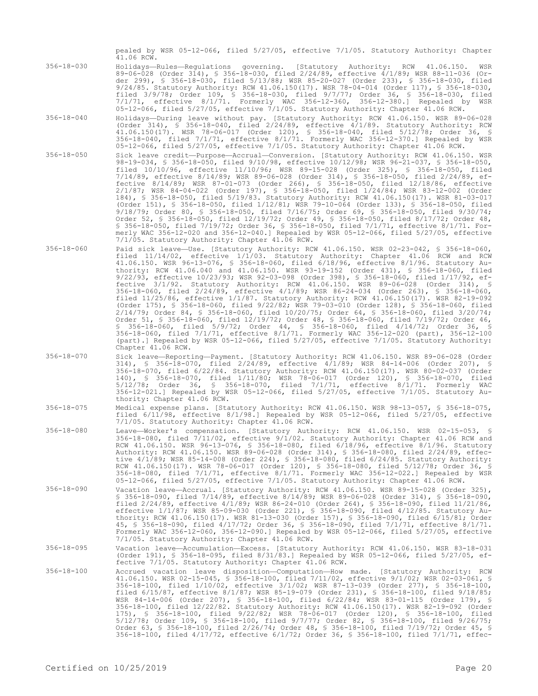pealed by WSR 05-12-066, filed 5/27/05, effective 7/1/05. Statutory Authority: Chapter  $41.06$  RCW.

- 356-18-030 Holidays—Rules—Regulations governing. [Statutory Authority: RCW 41.06.150. WSR 89-06-028 (Order 314), § 356-18-030, filed 2/24/89, effective 4/1/89; WSR 88-11-036 (Order 299), § 356-18-030, filed 5/13/88; WSR 85-20-027 (Order 233), § 356-18-030, filed 9/24/85. Statutory Authority: RCW 41.06.150(17). WSR 78-04-014 (Order 117), § 356-18-030, filed 3/9/78; Order 109, § 356-18-030, filed 9/7/77; Order 36, § 356-18-030, filed 7/1/71, effective 8/1/71. Formerly WAC 356-12-360, 356-12-380.] Repealed by WSR 05-12-066, filed 5/27/05, effective 7/1/05. Statutory Authority: Chapter 41.06 RCW.
- 356-18-040 Holidays—During leave without pay. [Statutory Authority: RCW 41.06.150. WSR 89-06-028 (Order 314), § 356-18-040, filed 2/24/89, effective 4/1/89. Statutory Authority: RCW 41.06.150(17). WSR 78-06-017 (Order 120), § 356-18-040, filed 5/12/78; Order 36, § 356-18-040, filed 7/1/71, effective 8/1/71. Formerly WAC 356-12-370.] Repealed by WSR 05-12-066, filed 5/27/05, effective 7/1/05. Statutory Authority: Chapter 41.06 RCW.
- 356-18-050 Sick leave credit—Purpose—Accrual—Conversion. [Statutory Authority: RCW 41.06.150. WSR 98-19-034, § 356-18-050, filed 9/10/98, effective 10/12/98; WSR 96-21-037, § 356-18-050, filed 10/10/96, effective 11/10/96; WSR 89-15-028 (Order 325), § 356-18-050, filed 7/14/89, effective 8/14/89; WSR 89-06-028 (Order 314), § 356-18-050, filed 2/24/89, effective 8/14/89; WSR 87-01-073 (Order 266), § 356-18-050, filed 12/18/86, effective 2/1/87; WSR 84-04-022 (Order 197), § 356-18-050, filed 1/24/84; WSR 83-12-002 (Order 184), § 356-18-050, filed 5/19/83. Statutory Authority: RCW 41.06.150(17). WSR 81-03-017 (Order 151), § 356-18-050, filed 1/12/81; WSR 79-10-064 (Order 133), § 356-18-050, filed 9/18/79; Order 80, § 356-18-050, filed 7/16/75; Order 69, § 356-18-050, filed 9/30/74; Order 52, § 356-18-050, filed 12/19/72; Order 49, § 356-18-050, filed 8/17/72; Order 48, § 356-18-050, filed 7/19/72; Order 36, § 356-18-050, filed 7/1/71, effective 8/1/71. Formerly WAC 356-12-020 and 356-12-040.] Repealed by WSR 05-12-066, filed 5/27/05, effective 7/1/05. Statutory Authority: Chapter 41.06 RCW.
- 356-18-060 Paid sick leave—Use. [Statutory Authority: RCW 41.06.150. WSR 02-23-042, § 356-18-060, filed 11/14/02, effective 1/1/03. Statutory Authority: Chapter 41.06 RCW and RCW 41.06.150. WSR 96-13-076, § 356-18-060, filed 6/18/96, effective 8/1/96. Statutory Authority: RCW 41.06.040 and 41.06.150. WSR 93-19-152 (Order 431), § 356-18-060, filed 9/22/93, effective 10/23/93; WSR 92-03-098 (Order 398), § 356-18-060, filed 1/17/92, effective 3/1/92. Statutory Authority: RCW 41.06.150. WSR 89-06-028 (Order 314), § 356-18-060, filed 2/24/89, effective 4/1/89; WSR 86-24-034 (Order 263), § 356-18-060, filed 11/25/86, effective 1/1/87. Statutory Authority: RCW 41.06.150(17). WSR 82-19-092 (Order 175), § 356-18-060, filed 9/22/82; WSR 79-03-010 (Order 128), § 356-18-060, filed 2/14/79; Order 84, § 356-18-060, filed 10/20/75; Order 64, § 356-18-060, filed 3/20/74; Order 51, § 356-18-060, filed 12/19/72; Order 48, § 356-18-060, filed 7/19/72; Order 46, § 356-18-060, filed 5/9/72; Order 44, § 356-18-060, filed 4/14/72; Order 36, § 356-18-060, filed 7/1/71, effective 8/1/71. Formerly WAC 356-12-020 (part), 356-12-100 (part).] Repealed by WSR 05-12-066, filed 5/27/05, effective 7/1/05. Statutory Authority: Chapter 41.06 RCW.
- 356-18-070 Sick leave—Reporting—Payment. [Statutory Authority: RCW 41.06.150. WSR 89-06-028 (Order 314), § 356-18-070, filed 2/24/89, effective 4/1/89; WSR 84-14-006 (Order 207), § 356-18-070, filed 6/22/84. Statutory Authority: RCW 41.06.150(17). WSR 80-02-037 (Order 140), § 356-18-070, filed 1/11/80; WSR 78-06-017 (Order 120), § 356-18-070, filed 5/12/78; Order 36, § 356-18-070, filed 7/1/71, effective 8/1/71. Formerly WAC 356-12-021.] Repealed by WSR 05-12-066, filed 5/27/05, effective 7/1/05. Statutory Authority: Chapter 41.06 RCW.
- 356-18-075 Medical expense plans. [Statutory Authority: RCW 41.06.150. WSR 98-13-057, § 356-18-075, filed 6/11/98, effective 8/1/98.] Repealed by WSR 05-12-066, filed 5/27/05, effective 7/1/05. Statutory Authority: Chapter 41.06 RCW.
- 356-18-080 Leave—Worker's compensation. [Statutory Authority: RCW 41.06.150. WSR 02-15-053, § 356-18-080, filed 7/11/02, effective 9/1/02. Statutory Authority: Chapter 41.06 RCW and RCW 41.06.150. WSR 96-13-076, § 356-18-080, filed 6/18/96, effective 8/1/96. Statutory Authority: RCW 41.06.150. WSR 89-06-028 (Order 314), § 356-18-080, filed 2/24/89, effective 4/1/89; WSR 85-14-008 (Order 224), § 356-18-080, filed 6/24/85. Statutory Authority: RCW 41.06.150(17). WSR 78-06-017 (Order 120), § 356-18-080, filed 5/12/78; Order 36, § 356-18-080, filed 7/1/71, effective 8/1/71. Formerly WAC 356-12-022.] Repealed by WSR 05-12-066, filed 5/27/05, effective 7/1/05. Statutory Authority: Chapter 41.06 RCW.
- 356-18-090 Vacation leave—Accrual. [Statutory Authority: RCW 41.06.150. WSR 89-15-028 (Order 325), § 356-18-090, filed 7/14/89, effective 8/14/89; WSR 89-06-028 (Order 314), § 356-18-090, filed 2/24/89, effective 4/1/89; WSR 86-24-010 (Order 264), § 356-18-090, filed 11/21/86, effective 1/1/87; WSR 85-09-030 (Order 221), § 356-18-090, filed 4/12/85. Statutory Authority: RCW 41.06.150(17). WSR 81-13-030 (Order 157), § 356-18-090, filed 6/15/81; Order 45, § 356-18-090, filed 4/17/72; Order 36, § 356-18-090, filed 7/1/71, effective 8/1/71. Formerly WAC 356-12-060, 356-12-090.] Repealed by WSR 05-12-066, filed 5/27/05, effective 7/1/05. Statutory Authority: Chapter 41.06 RCW.

356-18-095 Vacation leave—Accumulation—Excess. [Statutory Authority: RCW 41.06.150. WSR 83-18-031 (Order 191), § 356-18-095, filed 8/31/83.] Repealed by WSR 05-12-066, filed 5/27/05, effective 7/1/05. Statutory Authority: Chapter 41.06 RCW.

356-18-100 Accrued vacation leave disposition—Computation—How made. [Statutory Authority: RCW 41.06.150. WSR 02-15-045, § 356-18-100, filed 7/11/02, effective 9/1/02; WSR 02-03-061, §<br>356-18-100, filed 1/10/02, effective 3/1/02; WSR 87-13-039 (Order 277), § 356-18-100,<br>filed 6/15/87, effective 8/1/87; WSR 85-19-079 WSR 84-14-006 (Order 207), § 356-18-100, filed 6/22/84; WSR 83-01-115 (Order 179), § 356-18-100, filed 12/22/82. Statutory Authority: RCW 41.06.150(17). WSR 82-19-092 (Order 175), § 356-18-100, filed 9/22/82; WSR 78-06-017 (Order 120), § 356-18-100, filed 5/12/78; Order 109, § 356-18-100, filed 9/7/77; Order 82, § 356-18-100, filed 9/26/75; Order 63, § 356-18-100, filed 2/26/74; Order 48, § 356-18-100, filed 7/19/72; Order 45, § 356-18-100, filed 4/17/72, effective 6/1/72; Order 36, § 356-18-100, filed 7/1/71, effec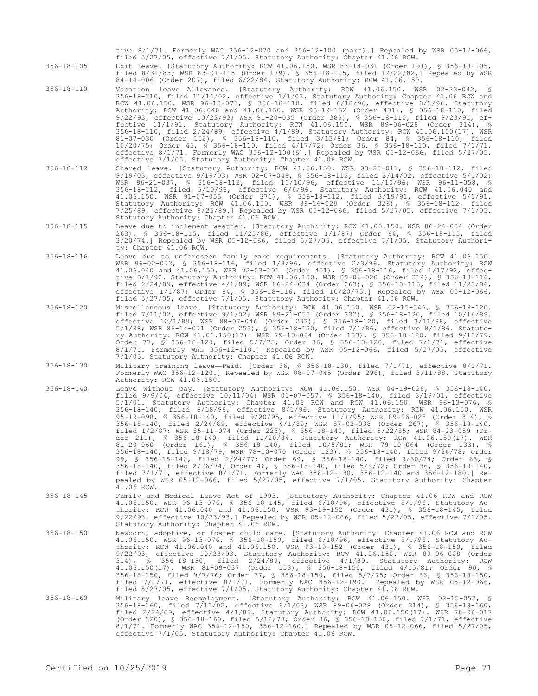tive 8/1/71. Formerly WAC 356-12-070 and 356-12-100 (part).] Repealed by WSR 05-12-066, filed 5/27/05, effective 7/1/05. Statutory Authority: Chapter 41.06 RCW.

356-18-105 Exit leave. [Statutory Authority: RCW 41.06.150. WSR 83-18-031 (Order 191), § 356-18-105, filed 8/31/83; WSR 83-01-115 (Order 179), § 356-18-105, filed 12/22/82.] Repealed by WSR 84-14-006 (Order 207), filed 6/22/84. Statutory Authority: RCW 41.06.150.

- 356-18-110 Vacation leave—Allowance. [Statutory Authority: RCW 41.06.150. WSR 02-23-042, § 356-18-110, filed 11/14/02, effective 1/1/03. Statutory Authority: Chapter 41.06 RCW and RCW 41.06.150. WSR 96-13-076, § 356-18-110, filed 6/18/96, effective 8/1/96. Statutory Authority: RCW 41.06.040 and 41.06.150. WSR 93-19-152 (Order 431), § 356-18-110, filed 9/22/93, effective 10/23/93; WSR 91-20-035 (Order 389), § 356-18-110, filed 9/23/91, effective 11/1/91. Statutory Authority: RCW 41.06.150. WSR 89-06-028 (Order 314), § 356-18-110, filed 2/24/89, effective 4/1/89. Statutory Authority: RCW 41.06.150(17). WSR 81-07-030 (Order 152), § 356-18-110, filed 3/13/81; Order 84, § 356-18-110, filed 10/20/75; Order 45, § 356-18-110, filed 4/17/72; Order 36, § 356-18-110, filed 7/1/71, effective 8/1/71. Formerly WAC 356-12-100(6).] Repealed by WSR 05-12-066, filed 5/27/05, effective 7/1/05. Statutory Authority: Chapter 41.06 RCW.
- 356-18-112 Shared leave. [Statutory Authority: RCW 41.06.150. WSR 03-20-011, § 356-18-112, filed 9/19/03, effective 9/19/03; WSR 02-07-049, § 356-18-112, filed 3/14/02, effective 5/1/02; WSR 96-21-037, § 356-18-112, filed 10/10/96, effective 11/10/96; WSR 96-11-058, § 356-18-112, filed 5/10/96, effective 6/6/96. Statutory Authority: RCW 41.06.040 and 41.06.150. WSR 91-07-055 (Order 371), § 356-18-112, filed 3/19/91, effective 5/1/91. Statutory Authority: RCW 41.06.150. WSR 89-16-029 (Order 326), § 356-18-112, filed 7/25/89, effective 8/25/89.] Repealed by WSR 05-12-066, filed 5/27/05, effective 7/1/05. Statutory Authority: Chapter 41.06 RCW.
- 356-18-115 Leave due to inclement weather. [Statutory Authority: RCW 41.06.150. WSR 86-24-034 (Order 263), § 356-18-115, filed 11/25/86, effective 1/1/87; Order 64, § 356-18-115, filed 3/20/74.] Repealed by WSR 05-12-066, filed 5/27/05, effective 7/1/05. Statutory Authority: Chapter 41.06 RCW.
- 356-18-116 Leave due to unforeseen family care requirements. [Statutory Authority: RCW 41.06.150. WSR 96-02-073, § 356-18-116, filed 1/3/96, effective 2/3/96. Statutory Authority: RCW 41.06.040 and 41.06.150. WSR 92-03-101 (Order 401), § 356-18-116, filed 1/17/92, effective 3/1/92. Statutory Authority: RCW 41.06.150. WSR 89-06-028 (Order 314), § 356-18-116, filed 2/24/89, effective 4/1/89; WSR 86-24-034 (Order 263), § 356-18-116, filed 11/25/86, effective 1/1/87; Order 84, § 356-18-116, filed 10/20/75.] Repealed by WSR 05-12-066, filed 5/27/05, effective 7/1/05. Statutory Authority: Chapter 41.06 RCW.
- 356-18-120 Miscellaneous leave. [Statutory Authority: RCW 41.06.150. WSR 02-15-046, § 356-18-120, filed 7/11/02, effective 9/1/02; WSR 89-21-055 (Order 332), § 356-18-120, filed 10/16/89, effective 12/1/89; WSR 88-07-046 (Order 297), § 356-18-120, filed 3/11/88, effective 5/1/88; WSR 86-14-071 (Order 253), § 356-18-120, filed 7/1/86, effective 8/1/86. Statutory Authority: RCW 41.06.150(17). WSR 79-10-064 (Order 133), § 356-18-120, filed 9/18/79; Order 77, § 356-18-120, filed 5/7/75; Order 36, § 356-18-120, filed 7/1/71, effective 8/1/71. Formerly WAC 356-12-110.] Repealed by WSR 05-12-066, filed 5/27/05, effective 7/1/05. Statutory Authority: Chapter 41.06 RCW.
- 356-18-130 Military training leave—Paid. [Order 36, § 356-18-130, filed 7/1/71, effective 8/1/71. Formerly WAC 356-12-120.] Repealed by WSR 88-07-045 (Order 296), filed 3/11/88. Statutory Authority: RCW 41.06.150.
- 356-18-140 Leave without pay. [Statutory Authority: RCW 41.06.150. WSR 04-19-028, § 356-18-140, filed 9/9/04, effective 10/11/04; WSR 01-07-057, § 356-18-140, filed 3/19/01, effective 5/1/01. Statutory Authority: Chapter 41.06 RCW and RCW 41.06.150. WSR 96-13-076, § 356-18-140, filed 6/18/96, effective 8/1/96. Statutory Authority: RCW 41.06.150. WSR 95-19-098, § 356-18-140, filed 9/20/95, effective 11/1/95; WSR 89-06-028 (Order 314), § 356-18-140, filed 2/24/89, effective 4/1/89; WSR 87-02-038 (Order 267), § 356-18-140, filed 1/2/87; WSR 85-11-074 (Order 223), § 356-18-140, filed 5/22/85; WSR 84-23-059 (Order 211), § 356-18-140, filed 11/20/84. Statutory Authority: RCW 41.06.150(17). WSR 81-20-060 (Order 161), § 356-18-140, filed 10/5/81; WSR 79-10-064 (Order 133), § 356-18-140, filed 9/18/79; WSR 78-10-070 (Order 123), § 356-18-140, filed 9/26/78; Order 99, § 356-18-140, filed 2/24/77; Order 69, § 356-18-140, filed 9/30/74; Order 63, § 356-18-140, filed 2/26/74; Order 46, § 356-18-140, filed 5/9/72; Order 36, § 356-18-140, filed 7/1/71, effective 8/1/71. Formerly WAC 356-12-130, 356-12-140 and 356-12-180.] Repealed by WSR 05-12-066, filed 5/27/05, effective 7/1/05. Statutory Authority: Chapter 41.06 RCW.
- 356-18-145 Family and Medical Leave Act of 1993. [Statutory Authority: Chapter 41.06 RCW and RCW 41.06.150. WSR 96-13-076, § 356-18-145, filed 6/18/96, effective 8/1/96. Statutory Authority: RCW 41.06.040 and 41.06.150. WSR 93-19-152 (Order 431), § 356-18-145, filed 9/22/93, effective 10/23/93.] Repealed by WSR 05-12-066, filed 5/27/05, effective 7/1/05. Statutory Authority: Chapter 41.06 RCW.
- 356-18-150 Newborn, adoptive, or foster child care. [Statutory Authority: Chapter 41.06 RCW and RCW 41.06.150. WSR 96-13-076, § 356-18-150, filed 6/18/96, effective 8/1/96. Statutory Authority: RCW 41.06.040 and 41.06.150. WSR 93-19-152 (Order 431), § 356-18-150, filed 9/22/93, effective 10/23/93. Statutory Authority: RCW 41.06.150. WSR 89-06-028 (Order 314), § 356-18-150, filed 2/24/89, effective 4/1/89. Statutory Authority: RCW 41.06.150(17). WSR 81-09-037 (Order 153), § 356-18-150, filed 4/15/81; Order 90, § 356–18–150, filed 9/7/76; Order 77, § 356–18–150, filed 5/7/75; Order 36, § 356–18–150,<br>filed 7/1/71, effective 8/1/71. Formerly WAC 356–12–190.] Repealed by WSR 05–12–066,<br>filed 5/27/05, effective 7/1/05. Statutory Author
- 356-18-160 Military leave—Reemployment. [Statutory Authority: RCW 41.06.150. WSR 02-15-052, § 356-18-160, filed 7/11/02, effective 9/1/02; WSR 89-06-028 (Order 314), § 356-18-160, filed 2/24/89, effective 4/1/89. Statutory Authority: RCW 41.06.150(17). WSR 78-06-017 (Order 120), § 356-18-160, filed 5/12/78; Order 36, § 356-18-160, filed 7/1/71, effective 8/1/71. Formerly WAC 356-12-150, 356-12-160.] Repealed by WSR 05-12-066, filed 5/27/05, effective 7/1/05. Statutory Authority: Chapter 41.06 RCW.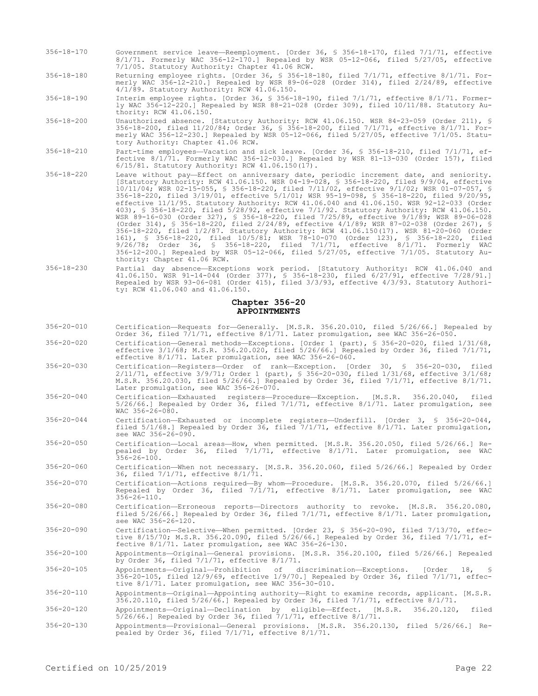- 356-18-170 Government service leave—Reemployment. [Order 36, § 356-18-170, filed 7/1/71, effective 8/1/71. Formerly WAC 356-12-170.] Repealed by WSR 05-12-066, filed 5/27/05, effective 7/1/05. Statutory Authority: Chapter 41.06 RCW.
- 356-18-180 Returning employee rights. [Order 36, § 356-18-180, filed 7/1/71, effective 8/1/71. Formerly WAC 356-12-210.] Repealed by WSR 89-06-028 (Order 314), filed 2/24/89, effective 4/1/89. Statutory Authority: RCW 41.06.150.
- 356-18-190 Interim employee rights. [Order 36, § 356-18-190, filed 7/1/71, effective 8/1/71. Formerly WAC 356-12-220.] Repealed by WSR 88-21-028 (Order 309), filed 10/11/88. Statutory Authority: RCW 41.06.150.
- 356-18-200 Unauthorized absence. [Statutory Authority: RCW 41.06.150. WSR 84-23-059 (Order 211), § 356-18-200, filed 11/20/84; Order 36, § 356-18-200, filed 7/1/71, effective 8/1/71. Formerly WAC 356-12-230.] Repealed by WSR 05-12-066, filed 5/27/05, effective 7/1/05. Statutory Authority: Chapter 41.06 RCW.
- 356-18-210 Part-time employees—Vacation and sick leave. [Order 36, § 356-18-210, filed 7/1/71, effective 8/1/71. Formerly WAC 356-12-030.] Repealed by WSR 81-13-030 (Order 157), filed 6/15/81. Statutory Authority: RCW 41.06.150(17).
- 356-18-220 Leave without pay—Effect on anniversary date, periodic increment date, and seniority. [Statutory Authority: RCW 41.06.150. WSR 04-19-028, § 356-18-220, filed 9/9/04, effective 10/11/04; WSR 02-15-055, § 356-18-220, filed 7/11/02, effective 9/1/02; WSR 01-07-057, § 356-18-220, filed 3/19/01, effective 5/1/01; WSR 95-19-098, § 356-18-220, filed 9/20/95, effective 11/1/95. Statutory Authority: RCW 41.06.040 and 41.06.150. WSR 92-12-033 (Order 403), § 356-18-220, filed 5/28/92, effective 7/1/92. Statutory Authority: RCW 41.06.150. WSR 89-16-030 (Order 327), § 356-18-220, filed 7/25/89, effective 9/1/89; WSR 89-06-028 (Order 314), § 356-18-220, filed 2/24/89, effective 4/1/89; WSR 87-02-038 (Order 267), § 356-18-220, filed 1/2/87. Statutory Authority: RCW 41.06.150(17). WSR 81-20-060 (Order 161), § 356-18-220, filed 10/5/81; WSR 78-10-070 (Order 123), § 356-18-220, filed 9/26/78; Order 36, § 356-18-220, filed 7/1/71, effective 8/1/71. Formerly WAC 356-12-200.] Repealed by WSR 05-12-066, filed 5/27/05, effective 7/1/05. Statutory Authority: Chapter 41.06 RCW.
- 356-18-230 Partial day absence—Exceptions work period. [Statutory Authority: RCW 41.06.040 and 41.06.150. WSR 91-14-044 (Order 377), § 356-18-230, filed 6/27/91, effective 7/28/91.] Repealed by WSR 93-06-081 (Order 415), filed 3/3/93, effective 4/3/93. Statutory Authority: RCW 41.06.040 and 41.06.150.

# **Chapter 356-20 APPOINTMENTS**

- 356-20-010 Certification—Requests for—Generally. [M.S.R. 356.20.010, filed 5/26/66.] Repealed by Order 36, filed 7/1/71, effective 8/1/71. Later promulgation, see WAC 356-26-050.
- 356-20-020 Certification—General methods—Exceptions. [Order 1 (part), § 356-20-020, filed 1/31/68, effective 3/1/68; M.S.R. 356.20.020, filed 5/26/66.] Repealed by Order 36, filed 7/1/71, effective 8/1/71. Later promulgation, see WAC 356-26-060.
- 356-20-030 Certification—Registers—Order of rank—Exception. [Order 30, § 356-20-030, filed 2/11/71, effective 3/9/71; Order 1 (part), § 356-20-030, filed 1/31/68, effective 3/1/68; M.S.R. 356.20.030, filed 5/26/66.] Repealed by Order 36, filed 7/1/71, effective 8/1/71. Later promulgation, see WAC 356-26-070.
- 356-20-040 Certification—Exhausted registers—Procedure—Exception. [M.S.R. 356.20.040, filed 5/26/66.] Repealed by Order 36, filed 7/1/71, effective 8/1/71. Later promulgation, see WAC 356-26-080.
- 356-20-044 Certification—Exhausted or incomplete registers—Underfill. [Order 3, § 356-20-044, filed 5/1/68.] Repealed by Order 36, filed 7/1/71, effective 8/1/71. Later promulgation, see WAC 356-26-090.
- 356-20-050 Certification—Local areas—How, when permitted. [M.S.R. 356.20.050, filed 5/26/66.] Repealed by Order 36, filed 7/1/71, effective 8/1/71. Later promulgation, see WAC 356-26-100.
- 356-20-060 Certification—When not necessary. [M.S.R. 356.20.060, filed 5/26/66.] Repealed by Order 36, filed 7/1/71, effective 8/1/71.
- 356-20-070 Certification—Actions required—By whom—Procedure. [M.S.R. 356.20.070, filed 5/26/66.] Repealed by Order 36, filed 7/1/71, effective 8/1/71. Later promulgation, see WAC  $356 - 26 - 110$ .
- 356-20-080 Certification—Erroneous reports—Directors authority to revoke. [M.S.R. 356.20.080, filed 5/26/66.] Repealed by Order 36, filed 7/1/71, effective 8/1/71. Later promulgation, see WAC 356-26-120.
- 356-20-090 Certification—Selective—When permitted. [Order 23, § 356-20-090, filed 7/13/70, effective 8/15/70; M.S.R. 356.20.090, filed 5/26/66.] Repealed by Order 36, filed 7/1/71, effective 8/1/71. Later promulgation, see WAC 356-26-130.
- 356-20-100 Appointments—Original—General provisions. [M.S.R. 356.20.100, filed 5/26/66.] Repealed by Order 36, filed 7/1/71, effective 8/1/71.

356-20-105 Appointments—Original—Prohibition of discrimination—Exceptions. [Order 18, § 356-20-105, filed 12/9/69, effective 1/9/70.] Repealed by Order 36, filed 7/1/71, effective 8/1/71. Later promulgation, see WAC 356-30-010.

356-20-110 Appointments—Original—Appointing authority—Right to examine records, applicant. [M.S.R. 356.20.110, filed 5/26/66.] Repealed by Order 36, filed 7/1/71, effective 8/1/71.

356-20-120 Appointments—Original—Declination by eligible—Effect. [M.S.R. 356.20.120, filed 5/26/66.] Repealed by Order 36, filed 7/1/71, effective 8/1/71.

356-20-130 Appointments—Provisional—General provisions. [M.S.R. 356.20.130, filed 5/26/66.] Repealed by Order 36, filed 7/1/71, effective 8/1/71.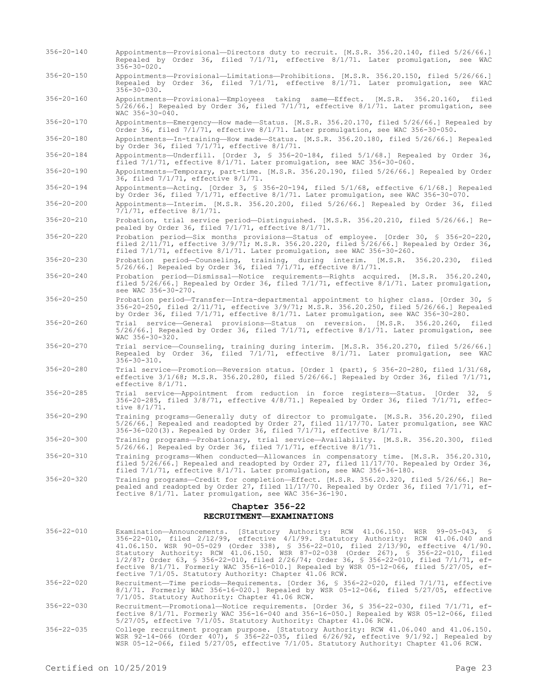- 356-20-140 Appointments—Provisional—Directors duty to recruit. [M.S.R. 356.20.140, filed 5/26/66.] Repealed by Order 36, filed 7/1/71, effective 8/1/71. Later promulgation, see WAC 356-30-020. 356-20-150 Appointments—Provisional—Limitations—Prohibitions. [M.S.R. 356.20.150, filed 5/26/66.] Repealed by Order 36, filed 7/1/71, effective 8/1/71. Later promulgation, see WAC  $356 - 30 - 030$ .
- 356-20-160 Appointments—Provisional—Employees taking same—Effect. [M.S.R. 356.20.160, filed 5/26/66.] Repealed by Order 36, filed  $7/1/71$ , effective  $8/1/71$ . Later promulgation, see WAC 356-30-040.
- 356-20-170 Appointments—Emergency—How made—Status. [M.S.R. 356.20.170, filed 5/26/66.] Repealed by Order 36, filed 7/1/71, effective 8/1/71. Later promulgation, see WAC 356-30-050.
- 356-20-180 Appointments—In-training—How made—Status. [M.S.R. 356.20.180, filed 5/26/66.] Repealed by Order 36, filed 7/1/71, effective 8/1/71.
- 356-20-184 Appointments—Underfill. [Order 3, § 356-20-184, filed 5/1/68.] Repealed by Order 36, filed  $7/1/71$ , effective  $8/1/71$ . Later promulgation, see WAC 356-30-060.
- 356-20-190 Appointments—Temporary, part-time. [M.S.R. 356.20.190, filed 5/26/66.] Repealed by Order 36, filed 7/1/71, effective 8/1/71.
- 356-20-194 Appointments—Acting. [Order 3, § 356-20-194, filed 5/1/68, effective 6/1/68.] Repealed by Order 36, filed 7/1/71, effective 8/1/71. Later promulgation, see WAC 356-30-070.
- 356-20-200 Appointments—Interim. [M.S.R. 356.20.200, filed 5/26/66.] Repealed by Order 36, filed 7/1/71, effective 8/1/71.
- 356-20-210 Probation, trial service period—Distinguished. [M.S.R. 356.20.210, filed 5/26/66.] Repealed by Order 36, filed 7/1/71, effective 8/1/71.
- 356-20-220 Probation period—Six months provisions—Status of employee. [Order 30, § 356-20-220, filed 2/11/71, effective 3/9/71; M.S.R. 356.20.220, filed 5/26/66.] Repealed by Order 36, filed 7/1/71, effective 8/1/71. Later promulgation, see WAC 356-30-260.
- 356-20-230 Probation period—Counseling, training, during interim. [M.S.R. 356.20.230, filed 5/26/66.] Repealed by Order 36, filed 7/1/71, effective 8/1/71.
- 356-20-240 Probation period—Dismissal—Notice requirements—Rights acquired. [M.S.R. 356.20.240, filed 5/26/66.] Repealed by Order 36, filed 7/1/71, effective 8/1/71. Later promulgation, see WAC 356-30-270.
- 356-20-250 Probation period—Transfer—Intra-departmental appointment to higher class. [Order 30, § 356-20-250, filed 2/11/71, effective 3/9/71; M.S.R. 356.20.250, filed 5/26/66.] Repealed by Order 36, filed 7/1/71, effective 8/1/71. Later promulgation, see WAC 356-30-280.
- 356-20-260 Trial service—General provisions—Status on reversion. [M.S.R. 356.20.260, filed 5/26/66.] Repealed by Order 36, filed 7/1/71, effective 8/1/71. Later promulgation, see WAC 356-30-320.
- 356-20-270 Trial service—Counseling, training during interim. [M.S.R. 356.20.270, filed 5/26/66.] Repealed by Order 36, filed 7/1/71, effective 8/1/71. Later promulgation, see WAC 356-30-310.
- 356-20-280 Trial service—Promotion—Reversion status. [Order 1 (part), § 356-20-280, filed 1/31/68, effective 3/1/68; M.S.R. 356.20.280, filed 5/26/66.] Repealed by Order 36, filed 7/1/71, effective 8/1/71.
- 356-20-285 Trial service—Appointment from reduction in force registers—Status. [Order 32, § 356-20-285, filed 3/8/71, effective 4/8/71.] Repealed by Order 36, filed 7/1/71, effective 8/1/71.
- 356-20-290 Training programs—Generally duty of director to promulgate. [M.S.R. 356.20.290, filed 5/26/66.] Repealed and readopted by Order 27, filed 11/17/70. Later promulgation, see WAC 356-36-020(3). Repealed by Order 36, filed 7/1/71, effective 8/1/71.
- 356-20-300 Training programs—Probationary, trial service—Availability. [M.S.R. 356.20.300, filed 5/26/66.] Repealed by Order 36, filed 7/1/71, effective 8/1/71.
- 356-20-310 Training programs—When conducted—Allowances in compensatory time. [M.S.R. 356.20.310, filed 5/26/66.] Repealed and readopted by Order 27, filed 11/17/70. Repealed by Order 36, filed 7/1/71, effective 8/1/71. Later promulgation, see WAC 356-36-180.
- 356-20-320 Training programs—Credit for completion—Effect. [M.S.R. 356.20.320, filed 5/26/66.] Repealed and readopted by Order 27, filed 11/17/70. Repealed by Order 36, filed 7/1/71, effective 8/1/71. Later promulgation, see WAC 356-36-190.

# **Chapter 356-22 RECRUITMENT—EXAMINATIONS**

- 356-22-010 Examination—Announcements. [Statutory Authority: RCW 41.06.150. WSR 99-05-043, § 356-22-010, filed 2/12/99, effective 4/1/99. Statutory Authority: RCW 41.06.040 and 41.06.150. WSR 90-05-029 (Order 338), § 356-22-010, filed 2/13/90, effective 4/1/90. Statutory Authority: RCW 41.06.150. WSR 87-02-038 (Order 267), § 356-22-010, filed 1/2/87; Order 63, § 356-22-010, filed 2/26/74; Order 36, § 356-22-010, filed 7/1/71, effective 8/1/71. Formerly WAC 356-16-010.] Repealed by WSR 05-12-066, filed 5/27/05, effective 7/1/05. Statutory Authority: Chapter 41.06 RCW. 356-22-020 Recruitment—Time periods—Requirements. [Order 36, § 356-22-020, filed 7/1/71, effective 8/1/71. Formerly WAC 356-16-020.] Repealed by WSR 05-12-066, filed 5/27/05, effective 7/1/05. Statutory Authority: Chapter 41.06 RCW.
- 356-22-030 Recruitment—Promotional—Notice requirements. [Order 36, § 356-22-030, filed 7/1/71, effective 8/1/71. Formerly WAC 356-16-040 and 356-16-050.] Repealed by WSR 05-12-066, filed 5/27/05, effective 7/1/05. Statutory Authority: Chapter 41.06 RCW.
- 356-22-035 College recruitment program purpose. [Statutory Authority: RCW 41.06.040 and 41.06.150. WSR 92-14-066 (Order 407), § 356-22-035, filed 6/26/92, effective 9/1/92.] Repealed by WSR 05-12-066, filed 5/27/05, effective 7/1/05. Statutory Authority: Chapter 41.06 RCW.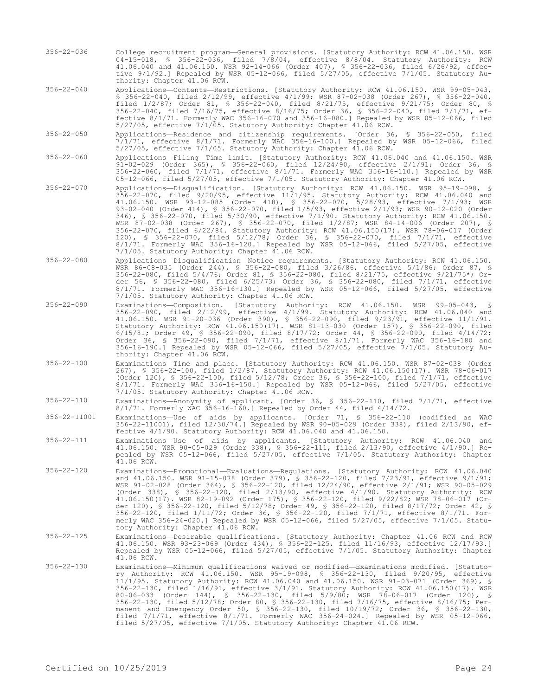356-22-036 College recruitment program—General provisions. [Statutory Authority: RCW 41.06.150. WSR 04-15-018, § 356-22-036, filed 7/8/04, effective 8/8/04. Statutory Authority: RCW 41.06.040 and 41.06.150. WSR 92-14-066 (Order 407), § 356-22-036, filed 6/26/92, effective 9/1/92.] Repealed by WSR 05-12-066, filed 5/27/05, effective 7/1/05. Statutory Authority: Chapter 41.06 RCW.

356-22-040 Applications—Contents—Restrictions. [Statutory Authority: RCW 41.06.150. WSR 99-05-043, § 356-22-040, filed 2/12/99, effective 4/1/99; WSR 87-02-038 (Order 267), § 356-22-040, filed 1/2/87; Order 81, § 356-22-040, filed 8/21/75, effective 9/21/75; Order 80, § 356-22-040, filed 7/16/75, effective 8/16/75; Order 36, § 356-22-040, filed 7/1/71, effective 8/1/71. Formerly WAC 356-16-070 and 356-16-080.] Repealed by WSR 05-12-066, filed 5/27/05, effective 7/1/05. Statutory Authority: Chapter 41.06 RCW.

356-22-050 Applications—Residence and citizenship requirements. [Order 36, § 356-22-050, filed 7/1/71, effective 8/1/71. Formerly WAC 356-16-100.] Repealed by WSR 05-12-066, filed 5/27/05, effective 7/1/05. Statutory Authority: Chapter 41.06 RCW.

356-22-060 Applications—Filing—Time limit. [Statutory Authority: RCW 41.06.040 and 41.06.150. WSR 91-02-029 (Order 365), § 356-22-060, filed 12/24/90, effective 2/1/91; Order 36, § 356-22-060, filed 7/1/71, effective 8/1/71. Formerly WAC 356-16-110.] Repealed by WSR 05-12-066, filed 5/27/05, effective 7/1/05. Statutory Authority: Chapter 41.06 RCW.

356-22-070 Applications—Disqualification. [Statutory Authority: RCW 41.06.150. WSR 95-19-098, § 356-22-070, filed 9/20/95, effective 11/1/95. Statutory Authority: RCW 41.06.040 and 41.06.150. WSR 93-12-085 (Order 418), § 356-22-070, 5/28/93, effective 7/1/93; WSR 93-02-040 (Order 414), § 356-22-070, filed 1/5/93, effective 2/1/93; WSR 90-12-020 (Order 346), § 356-22-070, filed 5/30/90, effective 7/1/90. Statutory Authority: RCW 41.06.150. WSR 87-02-038 (Order 267), § 356-22-070, filed 1/2/87; WSR 84-14-006 (Order 207), § 356-22-070, filed 6/22/84. Statutory Authority: RCW 41.06.150(17). WSR 78-06-017 (Order 120), § 356-22-070, filed 5/12/78; Order 36, § 356-22-070, filed 7/1/71, effective 8/1/71. Formerly WAC 356-16-120.] Repealed by WSR 05-12-066, filed 5/27/05, effective 7/1/05. Statutory Authority: Chapter 41.06 RCW.

- 356-22-080 Applications—Disqualification—Notice requirements. [Statutory Authority: RCW 41.06.150. WSR 86-08-035 (Order 244), § 356-22-080, filed 3/26/86, effective 5/1/86; Order 87, § 356-22-080, filed 5/4/76; Order 81, § 356-22-080, filed 8/21/75, effective 9/21/75\*; Order 56, § 356-22-080, filed 6/25/73; Order 36, § 356-22-080, filed 7/1/71, effective 8/1/71. Formerly WAC 356-16-130.] Repealed by WSR 05-12-066, filed 5/27/05, effective 7/1/05. Statutory Authority: Chapter 41.06 RCW.
- 356-22-090 Examinations—Composition. [Statutory Authority: RCW 41.06.150. WSR 99-05-043, § 356-22-090, filed 2/12/99, effective 4/1/99. Statutory Authority: RCW 41.06.040 and 41.06.150. WSR 91-20-036 (Order 390), § 356-22-090, filed 9/23/91, effective 11/1/91. Statutory Authority: RCW 41.06.150(17). WSR 81-13-030 (Order 157), § 356-22-090, filed 6/15/81; Order 49, § 356-22-090, filed 8/17/72; Order 44, § 356-22-090, filed 4/14/72; Order 36, § 356-22-090, filed 7/1/71, effective 8/1/71. Formerly WAC 356-16-180 and 356-16-190.] Repealed by WSR 05-12-066, filed 5/27/05, effective 7/1/05. Statutory Authority: Chapter 41.06 RCW.
- 356-22-100 Examinations—Time and place. [Statutory Authority: RCW 41.06.150. WSR 87-02-038 (Order 267), § 356-22-100, filed 1/2/87. Statutory Authority: RCW 41.06.150(17). WSR 78-06-017 (Order 120), § 356-22-100, filed 5/12/78; Order 36, § 356-22-100, filed 7/1/71, effective 8/1/71. Formerly WAC 356-16-150.] Repealed by WSR 05-12-066, filed 5/27/05, effective 7/1/05. Statutory Authority: Chapter 41.06 RCW.

356-22-110 Examinations—Anonymity of applicant. [Order 36, § 356-22-110, filed 7/1/71, effective 8/1/71. Formerly WAC 356-16-160.] Repealed by Order 44, filed 4/14/72.

356-22-11001 Examinations—Use of aids by applicants. [Order 71, § 356-22-110 (codified as WAC 356-22-11001), filed 12/30/74.] Repealed by WSR 90-05-029 (Order 338), filed 2/13/90, effective 4/1/90. Statutory Authority: RCW 41.06.040 and 41.06.150.

356-22-111 Examinations—Use of aids by applicants. [Statutory Authority: RCW 41.06.040 and 41.06.150. WSR 90-05-029 (Order 338), § 356-22-111, filed 2/13/90, effective 4/1/90.] Repealed by WSR 05-12-066, filed 5/27/05, effective 7/1/05. Statutory Authority: Chapter  $41.06$  RCW.

- 356-22-120 Examinations—Promotional—Evaluations—Regulations. [Statutory Authority: RCW 41.06.040 and 41.06.150. WSR 91-15-078 (Order 379), § 356-22-120, filed 7/23/91, effective 9/1/91; WSR 91-02-028 (Order 364), § 356-22-120, filed 12/24/90, effective 2/1/91; WSR 90-05-029 (Order 338), § 356-22-120, filed 2/13/90, effective 4/1/90. Statutory Authority: RCW 41.06.150(17). WSR 82-19-092 (Order 175), § 356-22-120, filed 9/22/82; WSR 78-06-017 (Order 120), § 356-22-120, filed 5/12/78; Order 49, § 356-22-120, filed 8/17/72; Order 42, § 356-22-120, filed 1/11/72; Order 36, § 356-22-120, filed 7/1/71, effective 8/1/71. Formerly WAC 356-24-020.] Repealed by WSR 05-12-066, filed 5/27/05, effective 7/1/05. Statutory Authority: Chapter 41.06 RCW.
- 356-22-125 Examinations—Desirable qualifications. [Statutory Authority: Chapter 41.06 RCW and RCW 41.06.150. WSR 93-23-069 (Order 434), § 356-22-125, filed 11/16/93, effective 12/17/93.] Repealed by WSR 05-12-066, filed 5/27/05, effective 7/1/05. Statutory Authority: Chapter 41.06 RCW.
- 356-22-130 Examinations—Minimum qualifications waived or modified—Examinations modified. [Statutory Authority: RCW 41.06.150. WSR 95-19-098, § 356-22-130, filed 9/20/95, effective 11/1/95. Statutory Authority: RCW 41.06.040 and 41.06.150. WSR 91-03-071 (Order 369), § 356-22-130, filed 1/16/91, effective 3/1/91. Statutory Authority: RCW 41.06.150(17). WSR 80-06-033 (Order 144), § 356-22-130, filed 5/9/80; WSR 78-06-017 (Order 120), § 356-22-130, filed 5/12/78; Order 80, § 356-22-130, filed 7/16/75, effective 8/16/75; Permanent and Emergency Order 50, § 356-22-130, filed 10/19/72; Order 36, § 356-22-130, filed 7/1/71, effective 8/1/71. Formerly WAC 356-24-024.] Repealed by WSR 05-12-066, filed 5/27/05, effective 7/1/05. Statutory Authority: Chapter 41.06 RCW.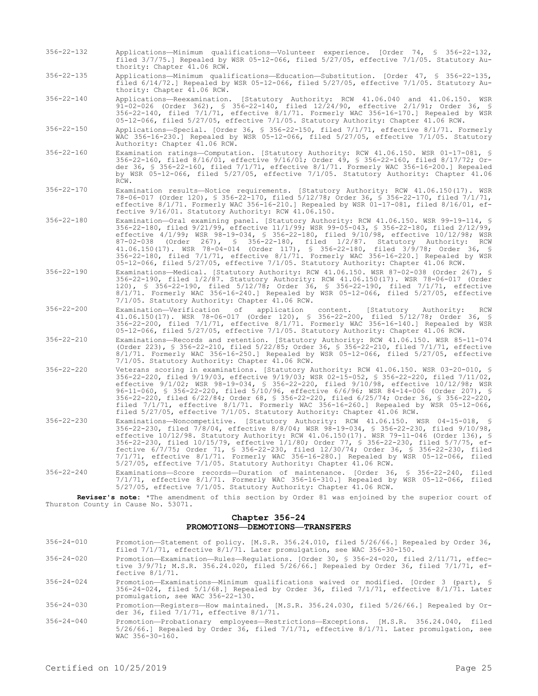- 356-22-132 Applications—Minimum qualifications—Volunteer experience. [Order 74, § 356-22-132, filed 3/7/75.] Repealed by WSR 05-12-066, filed 5/27/05, effective 7/1/05. Statutory Authority: Chapter 41.06 RCW.
- 356-22-135 Applications—Minimum qualifications—Education—Substitution. [Order 47, § 356-22-135, filed 6/14/72.] Repealed by WSR 05-12-066, filed 5/27/05, effective 7/1/05. Statutory Authority: Chapter 41.06 RCW.
- 356-22-140 Applications—Reexamination. [Statutory Authority: RCW 41.06.040 and 41.06.150. WSR 91-02-026 (Order 362), § 356-22-140, filed 12/24/90, effective 2/1/91; Order 36, § 356-22-140, filed 7/1/71, effective 8/1/71. Formerly WAC 356-16-170.] Repealed by WSR 05-12-066, filed 5/27/05, effective 7/1/05. Statutory Authority: Chapter 41.06 RCW.
- 356-22-150 Applications—Special. [Order 36, § 356-22-150, filed 7/1/71, effective 8/1/71. Formerly WAC 356-16-230.] Repealed by WSR 05-12-066, filed 5/27/05, effective 7/1/05. Statutory Authority: Chapter 41.06 RCW.
- 356-22-160 Examination ratings—Computation. [Statutory Authority: RCW 41.06.150. WSR 01-17-081, § 356-22-160, filed 8/16/01, effective 9/16/01; Order 49, § 356-22-160, filed 8/17/72; Order 36, § 356-22-160, filed 7/1/71, effective 8/1/71. Formerly WAC 356-16-200.] Repealed by WSR 05-12-066, filed 5/27/05, effective 7/1/05. Statutory Authority: Chapter 41.06 RCW.
- 356-22-170 Examination results—Notice requirements. [Statutory Authority: RCW 41.06.150(17). WSR 78-06-017 (Order 120), § 356-22-170, filed 5/12/78; Order 36, § 356-22-170, filed 7/1/71, effective 8/1/71. Formerly WAC 356-16-210.] Repealed by WSR 01-17-081, filed 8/16/01, effective 9/16/01. Statutory Authority: RCW 41.06.150.
- 356-22-180 Examination—Oral examining panel. [Statutory Authority: RCW 41.06.150. WSR 99-19-114, § 356-22-180, filed 9/21/99, effective 11/1/99; WSR 99-05-043, § 356-22-180, filed 2/12/99, effective 4/1/99; WSR 98-19-034, § 356-22-180, filed 9/10/98, effective 10/12/98; WSR 87-02-038 (Order 267), § 356-22-180, filed 1/2/87. Statutory Authority: RCW 41.06.150(17). WSR 78-04-014 (Order 117), § 356-22-180, filed 3/9/78; Order 36, § 356-22-180, filed 7/1/71, effective 8/1/71. Formerly WAC 356-16-220.] Repealed by WSR 05-12-066, filed 5/27/05, effective 7/1/05. Statutory Authority: Chapter 41.06 RCW.
- 356-22-190 Examinations—Medical. [Statutory Authority: RCW 41.06.150. WSR 87-02-038 (Order 267), § 356-22-190, filed 1/2/87. Statutory Authority: RCW 41.06.150(17). WSR 78-06-017 (Order 120), § 356-22-190, filed 5/12/78; Order 36, § 356-22-190, filed 7/1/71, effective 8/1/71. Formerly WAC 356-16-240.] Repealed by WSR 05-12-066, filed 5/27/05, effective 7/1/05. Statutory Authority: Chapter 41.06 RCW.
- 356-22-200 Examination—Verification of application content. [Statutory Authority: RCW 41.06.150(17). WSR 78-06-017 (Order 120), § 356-22-200, filed 5/12/78; Order 36, § 356-22-200, filed 7/1/71, effective 8/1/71. Formerly WAC 356-16-140.] Repealed by WSR 05-12-066, filed 5/27/05, effective 7/1/05. Statutory Authority: Chapter 41.06 RCW.
- 356-22-210 Examinations—Records and retention. [Statutory Authority: RCW 41.06.150. WSR 85-11-074 (Order 223), § 356-22-210, filed 5/22/85; Order 36, § 356-22-210, filed 7/1/71, effective 8/1/71. Formerly WAC 356-16-250.] Repealed by WSR 05-12-066, filed 5/27/05, effective 7/1/05. Statutory Authority: Chapter 41.06 RCW.
- 356-22-220 Veterans scoring in examinations. [Statutory Authority: RCW 41.06.150. WSR 03-20-010, § 356-22-220, filed 9/19/03, effective 9/19/03; WSR 02-15-052, § 356-22-220, filed 7/11/02, effective 9/1/02; WSR 98-19-034, § 356-22-220, filed 9/10/98, effective 10/12/98; WSR 96-11-060, § 356-22-220, filed 5/10/96, effective 6/6/96; WSR 84-14-006 (Order 207), § 356-22-220, filed 6/22/84; Order 68, § 356-22-220, filed 6/25/74; Order 36, § 356-22-220, filed 7/1/71, effective 8/1/71. Formerly WAC 356-16-260.] Repealed by WSR 05-12-066, filed 5/27/05, effective 7/1/05. Statutory Authority: Chapter 41.06 RCW.
- 356-22-230 Examinations—Noncompetitive. [Statutory Authority: RCW 41.06.150. WSR 04-15-018, § 356-22-230, filed 7/8/04, effective 8/8/04; WSR 98-19-034, § 356-22-230, filed 9/10/98, effective 10/12/98. Statutory Authority: RCW 41.06.150(17). WSR 79-11-046 (Order 136), § 356-22-230, filed 10/15/79, effective 1/1/80; Order 77, § 356-22-230, filed 5/7/75, effective 6/7/75; Order 71, § 356-22-230, filed 12/30/74; Order 36, § 356-22-230, filed 7/1/71, effective 8/1/71. Formerly WAC 356-16-280.] Repealed by WSR 05-12-066, filed 5/27/05, effective 7/1/05. Statutory Authority: Chapter 41.06 RCW.
- 356-22-240 Examinations—Score records—Duration of maintenance. [Order 36, § 356-22-240, filed 7/1/71, effective 8/1/71. Formerly WAC 356-16-310.] Repealed by WSR 05-12-066, filed 5/27/05, effective 7/1/05. Statutory Authority: Chapter 41.06 RCW.

**Reviser's note:** \*The amendment of this section by Order 81 was enjoined by the superior court of Thurston County in Cause No. 53071.

# **Chapter 356-24 PROMOTIONS—DEMOTIONS—TRANSFERS**

- 356-24-010 Promotion—Statement of policy. [M.S.R. 356.24.010, filed 5/26/66.] Repealed by Order 36, filed 7/1/71, effective 8/1/71. Later promulgation, see WAC 356-30-150.
- 356-24-020 Promotion—Examination—Rules—Regulations. [Order 30, § 356-24-020, filed 2/11/71, effective 3/9/71; M.S.R. 356.24.020, filed 5/26/66.] Repealed by Order 36, filed 7/1/71, effective 8/1/71.
- 356-24-024 Promotion—Examinations—Minimum qualifications waived or modified. [Order 3 (part), § 356-24-024, filed 5/1/68.] Repealed by Order 36, filed 7/1/71, effective 8/1/71. Later promulgation, see WAC 356-22-130.
- 356-24-030 Promotion—Registers—How maintained. [M.S.R. 356.24.030, filed 5/26/66.] Repealed by Order 36, filed 7/1/71, effective 8/1/71.
- 356-24-040 Promotion—Probationary employees—Restrictions—Exceptions. [M.S.R. 356.24.040, filed 5/26/66.] Repealed by Order 36, filed 7/1/71, effective 8/1/71. Later promulgation, see WAC 356-30-160.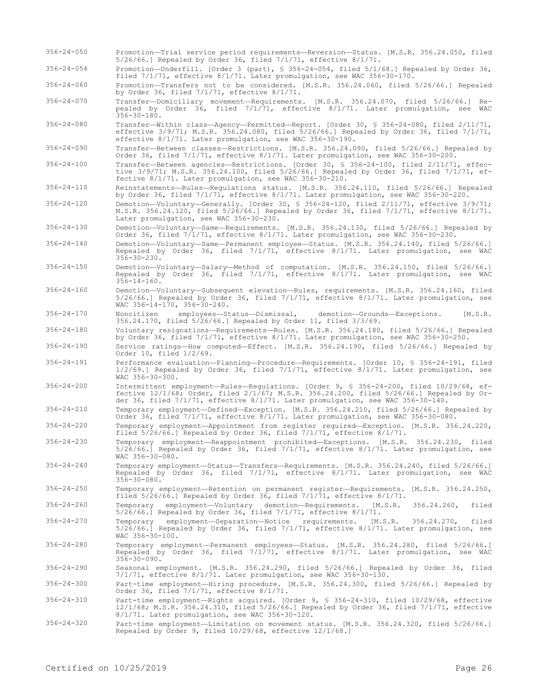356-24-060 Promotion—Transfers not to be considered. [M.S.R. 356.24.060, filed 5/26/66.] Repealed by Order 36, filed 7/1/71, effective 8/1/71. 356-24-070 Transfer—Domiciliary movement—Requirements. [M.S.R. 356.24.070, filed 5/26/66.] Repealed by Order 36, filed 7/1/71, effective 8/1/71. Later promulgation, see WAC  $356 - 30 - 180$ . 356-24-080 Transfer—Within class—Agency—Permitted—Report. [Order 30, § 356-24-080, filed 2/11/71, effective 3/9/71; M.S.R. 356.24.080, filed 5/26/66.] Repealed by Order 36, filed 7/1/71, effective 8/1/71. Later promulgation, see WAC 356-30-190. 356-24-090 Transfer—Between classes—Restrictions. [M.S.R. 356.24.090, filed 5/26/66.] Repealed by Order 36, filed 7/1/71, effective 8/1/71. Later promulgation, see WAC 356-30-200. 356-24-100 Transfer—Between agencies—Restrictions. [Order 30, § 356-24-100, filed 2/11/71, effective 3/9/71; M.S.R. 356.24.100, filed 5/26/66.] Repealed by Order 36, filed 7/1/71, effective 8/1/71. Later promulgation, see WAC 356-30-210. 356-24-110 Reinstatements—Rules—Regulations status. [M.S.R. 356.24.110, filed 5/26/66.] Repealed by Order 36, filed 7/1/71, effective 8/1/71. Later promulgation, see WAC 356-30-220. 356-24-120 Demotion—Voluntary—Generally. [Order 30, § 356-24-120, filed 2/11/71, effective 3/9/71; M.S.R. 356.24.120, filed 5/26/66.] Repealed by Order 36, filed 7/1/71, effective 8/1/71. Later promulgation, see WAC 356-30-230. 356-24-130 Demotion—Voluntary—Same—Requirements. [M.S.R. 356.24.130, filed 5/26/66.] Repealed by Order 36, filed 7/1/71, effective 8/1/71. Later promulgation, see WAC 356-30-230. 356-24-140 Demotion—Voluntary—Same—Permanent employee—Status. [M.S.R. 356.24.140, filed 5/26/66.] Repealed by Order 36, filed 7/1/71, effective 8/1/71. Later promulgation, see WAC 356-30-230. 356-24-150 Demotion—Voluntary—Salary—Method of computation. [M.S.R. 356.24.150, filed 5/26/66.] Repealed by Order 36, filed 7/1/71, effective 8/1/71. Later promulgation, see WAC  $356 - 14 - 160.$ 356-24-160 Demotion—Voluntary—Subsequent elevation—Rules, requirements. [M.S.R. 356.24.160, filed 5/26/66.] Repealed by Order 36, filed 7/1/71, effective 8/1/71. Later promulgation, see WAC  $356-14-170$ ,  $356-30-240$ . 356-24-170 Noncitizen employees—Status—Dismissal, demotion—Grounds—Exceptions. [M.S.R. 356.24.170, filed 5/26/66.] Repealed by Order 11, filed 3/3/69. 356-24-180 Voluntary resignations—Requirements—Rules. [M.S.R. 356.24.180, filed 5/26/66.] Repealed by Order 36, filed 7/1/71, effective 8/1/71. Later promulgation, see WAC 356-30-250. 356-24-190 Service ratings—How computed—Effect. [M.S.R. 356.24.190, filed 5/26/66.] Repealed by Order 10, filed 1/2/69. 356-24-191 Performance evaluation—Planning—Procedure—Requirements. [Order 10, § 356-24-191, filed 1/2/69.] Repealed by Order 36, filed 7/1/71, effective 8/1/71. Later promulgation, see WAC 356-30-300. 356-24-200 Intermittent employment—Rules—Regulations. [Order 9, § 356-24-200, filed 10/29/68, effective 12/1/68; Order, filed 2/1/67; M.S.R. 356.24.200, filed 5/26/66.] Repealed by Order 36, filed 7/1/71, effective 8/1/71. Later promulgation, see WAC 356-30-140. 356-24-210 Temporary employment—Defined—Exception. [M.S.R. 356.24.210, filed 5/26/66.] Repealed by Order 36, filed 7/1/71, effective 8/1/71. Later promulgation, see WAC 356-30-080. 356-24-220 Temporary employment—Appointment from register required—Exception. [M.S.R. 356.24.220, filed 5/26/66.] Repealed by Order 36, filed 7/1/71, effective 8/1/71. 356-24-230 Temporary employment—Reappointment prohibited—Exceptions. [M.S.R. 356.24.230, filed 5/26/66.] Repealed by Order 36, filed 7/1/71, effective 8/1/71. Later promulgation, see  $WAC$  356-30-080. 356-24-240 Temporary employment—Status—Transfers—Requirements. [M.S.R. 356.24.240, filed 5/26/66.] Repealed by Order 36, filed 7/1/71, effective 8/1/71. Later promulgation, see WAC 356-30-080. 356-24-250 Temporary employment—Retention on permanent register—Requirements. [M.S.R. 356.24.250, filed 5/26/66.] Repealed by Order 36, filed 7/1/71, effective 8/1/71. 356-24-260 Temporary employment—Voluntary demotion—Requirements. [M.S.R. 356.24.260, filed 5/26/66.] Repealed by Order 36, filed 7/1/71, effective 8/1/71. 356-24-270 Temporary employment—Separation—Notice requirements. [M.S.R. 356.24.270, filed 5/26/66.] Repealed by Order 36, filed 7/1/71, effective 8/1/71. Later promulgation, see  $WAC$  356-30-100. 356-24-280 Temporary employment—Permanent employees—Status. [M.S.R. 356.24.280, filed 5/26/66.] Repealed by Order 36, filed 7/1/71, effective 8/1/71. Later promulgation, see WAC 356-30-090. 356-24-290 Seasonal employment. [M.S.R. 356.24.290, filed 5/26/66.] Repealed by Order 36, filed 7/1/71, effective 8/1/71. Later promulgation, see WAC 356-30-130. 356-24-300 Part-time employment—Hiring procedure. [M.S.R. 356.24.300, filed 5/26/66.] Repealed by Order 36, filed 7/1/71, effective 8/1/71. 356-24-310 Part-time employment—Rights acquired. [Order 9, § 356-24-310, filed 10/29/68, effective 12/1/68; M.S.R. 356.24.310, filed 5/26/66.] Repealed by Order 36, filed 7/1/71, effective 8/1/71. Later promulgation, see WAC 356-30-120.

356-24-050 Promotion—Trial service period requirements—Reversion—Status. [M.S.R. 356.24.050, filed

356-24-054 Promotion—Underfill. [Order 3 (part), § 356-24-054, filed 5/1/68.] Repealed by Order 36, filed 7/1/71, effective 8/1/71. Later promulgation, see WAC 356-30-170.

5/26/66.] Repealed by Order 36, filed 7/1/71, effective 8/1/71.

356-24-320 Part-time employment—Limitation on movement status. [M.S.R. 356.24.320, filed 5/26/66.] Repealed by Order 9, filed 10/29/68, effective 12/1/68.]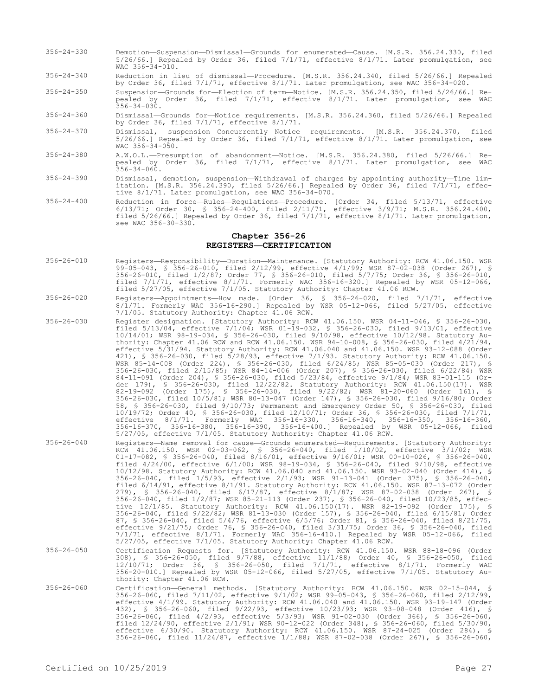- 356-24-330 Demotion—Suspension—Dismissal—Grounds for enumerated—Cause. [M.S.R. 356.24.330, filed 5/26/66.] Repealed by Order 36, filed 7/1/71, effective 8/1/71. Later promulgation, see WAC 356-34-010.
- 356-24-340 Reduction in lieu of dismissal—Procedure. [M.S.R. 356.24.340, filed 5/26/66.] Repealed by Order 36, filed 7/1/71, effective 8/1/71. Later promulgation, see WAC 356-34-020.
- 356-24-350 Suspension—Grounds for—Election of term—Notice. [M.S.R. 356.24.350, filed 5/26/66.] Repealed by Order 36, filed 7/1/71, effective 8/1/71. Later promulgation, see WAC  $356 - 34 - 030$ .
- 356-24-360 Dismissal—Grounds for—Notice requirements. [M.S.R. 356.24.360, filed 5/26/66.] Repealed by Order 36, filed 7/1/71, effective 8/1/71.
- 356-24-370 Dismissal, suspension—Concurrently—Notice requirements. [M.S.R. 356.24.370, filed 5/26/66.] Repealed by Order 36, filed 7/1/71, effective 8/1/71. Later promulgation, see WAC 356-34-050.
- 356-24-380 A.W.O.L.—Presumption of abandonment—Notice. [M.S.R. 356.24.380, filed 5/26/66.] Repealed by Order 36, filed 7/1/71, effective 8/1/71. Later promulgation, see WAC 356-34-060.
- 356-24-390 Dismissal, demotion, suspension—Withdrawal of charges by appointing authority—Time limitation. [M.S.R. 356.24.390, filed 5/26/66.] Repealed by Order 36, filed 7/1/71, effective 8/1/71. Later promulgation, see WAC 356-34-070.
- 356-24-400 Reduction in force—Rules—Regulations—Procedure. [Order 34, filed 5/13/71, effective 6/13/71; Order 30, § 356-24-400, filed 2/11/71, effective 3/9/71; M.S.R. 356.24.400, filed 5/26/66.] Repealed by Order 36, filed 7/1/71, effective 8/1/71. Later promulgation, see WAC 356-30-330.

# **Chapter 356-26 REGISTERS—CERTIFICATION**

- 356-26-010 Registers—Responsibility—Duration—Maintenance. [Statutory Authority: RCW 41.06.150. WSR 99-05-043, § 356-26-010, filed 2/12/99, effective 4/1/99; WSR 87-02-038 (Order 267), § 356-26-010, filed 1/2/87; Order 77, § 356-26-010, filed 5/7/75; Order 36, § 356-26-010, filed 7/1/71, effective 8/1/71. Formerly WAC 356-16-320.] Repealed by WSR 05-12-066, filed 5/27/05, effective 7/1/05. Statutory Authority: Chapter 41.06 RCW.
- 356-26-020 Registers—Appointments—How made. [Order 36, § 356-26-020, filed 7/1/71, effective 8/1/71. Formerly WAC 356-16-290.] Repealed by WSR 05-12-066, filed 5/27/05, effective 7/1/05. Statutory Authority: Chapter 41.06 RCW.
- 356-26-030 Register designation. [Statutory Authority: RCW 41.06.150. WSR 04-11-046, § 356-26-030, filed 5/13/04, effective 7/1/04; WSR 01-19-032, § 356-26-030, filed 9/13/01, effective 10/14/01; WSR 98-19-034, § 356-26-030, filed 9/10/98, effective 10/12/98. Statutory Authority: Chapter 41.06 RCW and RCW 41.06.150. WSR 94-10-008, § 356-26-030, filed 4/21/94, effective 5/31/94. Statutory Authority: RCW 41.06.040 and 41.06.150. WSR 93-12-088 (Order 421), § 356-26-030, filed 5/28/93, effective 7/1/93. Statutory Authority: RCW 41.06.150. WSR 85-14-008 (Order 224), § 356-26-030, filed 6/24/85; WSR 85-05-030 (Order 217), § 356-26-030, filed 2/15/85; WSR 84-14-006 (Order 207), § 356-26-030, filed 6/22/84; WSR 84-11-091 (Order 204), § 356-26-030, filed 5/23/84, effective 9/1/84; WSR 83-01-115 (Order 179), § 356-26-030, filed 12/22/82. Statutory Authority: RCW 41.06.150(17). WSR 82-19-092 (Order 175), § 356-26-030, filed 9/22/82; WSR 81-20-060 (Order 161), § 356-26-030, filed 10/5/81; WSR 80-13-047 (Order 147), § 356-26-030, filed 9/16/80; Order 58, § 356-26-030, filed 9/10/73; Permanent and Emergency Order 50, § 356-26-030, filed 10/19/72; Order 40, § 356-26-030, filed 12/10/71; Order 36, § 356-26-030, filed 7/1/71, effective 8/1/71. Formerly WAC 356-16-330, 356-16-340, 356-16-350, 356-16-360, 356-16-370, 356-16-380, 356-16-390, 356-16-400.] Repealed by WSR 05-12-066, filed 5/27/05, effective 7/1/05. Statutory Authority: Chapter 41.06 RCW.
- 356-26-040 Registers—Name removal for cause—Grounds enumerated—Requirements. [Statutory Authority: RCW 41.06.150. WSR 02-03-062, § 356-26-040, filed 1/10/02, effective 3/1/02; WSR 01-17-082, § 356-26-040, filed 8/16/01, effective 9/16/01; WSR 00-10-026, § 356-26-040, filed 4/24/00, effective 6/1/00; WSR 98-19-034, § 356-26-040, filed 9/10/98, effective 10/12/98. Statutory Authority: RCW 41.06.040 and 41.06.150. WSR 93-02-040 (Order 414), § 356-26-040, filed 1/5/93, effective 2/1/93; WSR 91-13-041 (Order 375), § 356-26-040, filed 6/14/91, effective 8/1/91. Statutory Authority: RCW 41.06.150. WSR 87-13-072 (Order 279), § 356-26-040, filed 6/17/87, effective 8/1/87; WSR 87-02-038 (Order 267), § 356-26-040, filed 1/2/87; WSR 85-21-113 (Order 237), § 356-26-040, filed 10/23/85, effective 12/1/85. Statutory Authority: RCW 41.06.150(17). WSR 82-19-092 (Order 175), § 356-26-040, filed 9/22/82; WSR 81-13-030 (Order 157), § 356-26-040, filed 6/15/81; Order 87, § 356-26-040, filed 5/4/76, effective 6/5/76; Order 81, § 356-26-040, filed 8/21/75, effective 9/21/75; Order 76, § 356-26-040, filed 3/31/75; Order 36, § 356-26-040, filed 7/1/71, effective 8/1/71. Formerly WAC 356-16-410.] Repealed by WSR 05-12-066, filed 5/27/05, effective 7/1/05. Statutory Authority: Chapter 41.06 RCW.
- 356-26-050 Certification—Requests for. [Statutory Authority: RCW 41.06.150. WSR 88-18-096 (Order 308), § 356-26-050, filed 9/7/88, effective 11/1/88; Order 40, § 356-26-050, filed 12/10/71; Order 36, § 356-26-050, filed 7/1/71, effective 8/1/71. Formerly WAC 356-20-010.] Repealed by WSR 05-12-066, filed 5/27/05, effective 7/1/05. Statutory Authority: Chapter 41.06 RCW.
- 356-26-060 Certification—General methods. [Statutory Authority: RCW 41.06.150. WSR 02-15-044, § 356-26-060, filed 7/11/02, effective 9/1/02; WSR 99-05-043, § 356-26-060, filed 2/12/99, effective 4/1/99. Statutory Authority: RCW 41.06.040 and 41.06.150. WSR 93-19-147 (Order 432), § 356-26-060, filed 9/22/93, effective 10/23/93; WSR 93-08-048 (Order 416), § 356-26-060, filed 4/2/93, effective 5/3/93; WSR 91-02-030 (Order 366), § 356-26-060, filed 12/24/90, effective 2/1/91; WSR 90-12-022 (Order 348), § 356-26-060, filed 5/30/90, effective 6/30/90. Statutory Authority: RCW 41.06.150. WSR 87-24-025 (Order 284), § 356-26-060, filed 11/24/87, effective 1/1/88; WSR 87-02-038 (Order 267), § 356-26-060,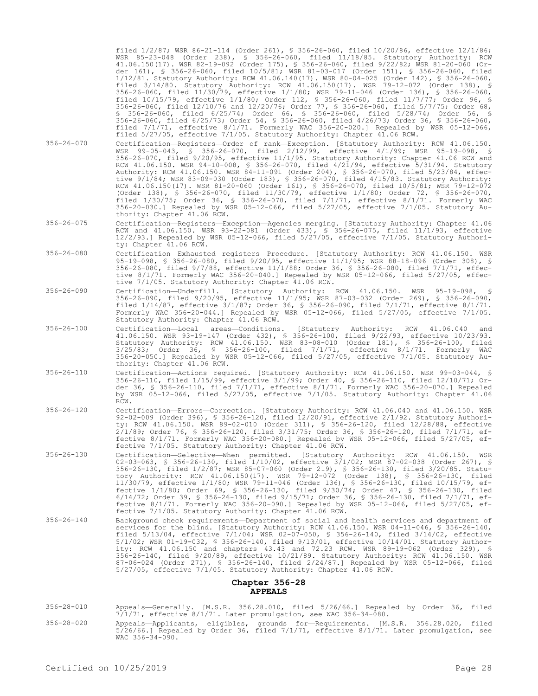filed 1/2/87; WSR 86-21-114 (Order 261), § 356-26-060, filed 10/20/86, effective 12/1/86; WSR 85-23-048 (Order 238), § 356-26-060, filed 11/18/85. Statutory Authority: RCW 41.06.150(17). WSR 82-19-092 (Order 175), § 356-26-060, filed 9/22/82; WSR 81-20-060 (Order 161), § 356-26-060, filed 10/5/81; WSR 81-03-017 (Order 151), § 356-26-060, filed 1/12/81. Statutory Authority: RCW 41.06.140(17). WSR 80-04-025 (Order 142), § 356-26-060, filed 3/14/80. Statutory Authority: RCW 41.06.150(17). WSR 79-12-072 (Order 138), § 356-26-060, filed 11/30/79, effective 1/1/80; WSR 79-11-046 (Order 136), § 356-26-060, filed 10/15/79, effective 1/1/80; Order 112, § 356-26-060, filed 11/7/77; Order 96, § 356-26-060, filed 12/10/76 and 12/20/76; Order 77, § 356-26-060, filed 5/7/75; Order 68, § 356-26-060, filed 6/25/74; Order 66, § 356-26-060, filed 5/28/74; Order 56, § 356-26-060, filed 6/25/73; Order 54, § 356-26-060, filed 4/26/73; Order 36, § 356-26-060, filed 7/1/71, effective 8/1/71. Formerly WAC 356-20-020.] Repealed by WSR 05-12-066, filed 5/27/05, effective 7/1/05. Statutory Authority: Chapter 41.06 RCW.

- 356-26-070 Certification—Registers—Order of rank—Exception. [Statutory Authority: RCW 41.06.150. WSR 99-05-043, § 356-26-070, filed 2/12/99, effective 4/1/99; WSR 95-19-098, § 356-26-070, filed 9/20/95, effective 11/1/95. Statutory Authority: Chapter 41.06 RCW and RCW 41.06.150. WSR 94-10-008, § 356-26-070, filed 4/21/94, effective 5/31/94. Statutory Authority: RCW 41.06.150. WSR 84-11-091 (Order 204), § 356-26-070, filed 5/23/84, effective 9/1/84; WSR 83-09-030 (Order 183), § 356-26-070, filed 4/15/83. Statutory Authority: RCW 41.06.150(17). WSR 81-20-060 (Order 161), § 356-26-070, filed 10/5/81; WSR 79-12-072 (Order 138), § 356-26-070, filed 11/30/79, effective 1/1/80; Order 72, § 356-26-070, filed 1/30/75; Order 36, § 356-26-070, filed 7/1/71, effective 8/1/71. Formerly WAC 356-20-030.] Repealed by WSR 05-12-066, filed 5/27/05, effective 7/1/05. Statutory Authority: Chapter 41.06 RCW.
- 356-26-075 Certification—Registers—Exception—Agencies merging. [Statutory Authority: Chapter 41.06 RCW and 41.06.150. WSR 93-22-081 (Order 433), § 356-26-075, filed 11/1/93, effective 12/2/93.] Repealed by WSR 05-12-066, filed 5/27/05, effective 7/1/05. Statutory Authority: Chapter 41.06 RCW.
- 356-26-080 Certification—Exhausted registers—Procedure. [Statutory Authority: RCW 41.06.150. WSR 95-19-098, § 356-26-080, filed 9/20/95, effective 11/1/95; WSR 88-18-096 (Order 308), § 356-26-080, filed 9/7/88, effective 11/1/88; Order 36, § 356-26-080, filed 7/1/71, effective 8/1/71. Formerly WAC 356-20-040.] Repealed by WSR 05-12-066, filed 5/27/05, effective 7/1/05. Statutory Authority: Chapter 41.06 RCW.
- 356-26-090 Certification—Underfill. [Statutory Authority: RCW 41.06.150. WSR 95-19-098, § 356-26-090, filed 9/20/95, effective 11/1/95; WSR 87-03-032 (Order 269), § 356-26-090, filed 1/14/87, effective 3/1/87; Order 36, § 356-26-090, filed 7/1/71, effective 8/1/71. Formerly WAC 356-20-044.] Repealed by WSR 05-12-066, filed 5/27/05, effective 7/1/05. Statutory Authority: Chapter 41.06 RCW.
- 356-26-100 Certification—Local areas—Conditions. [Statutory Authority: RCW 41.06.040 and 41.06.150. WSR 93-19-147 (Order 432), § 356-26-100, filed 9/22/93, effective 10/23/93. Statutory Authority: RCW 41.06.150. WSR 83-08-010 (Order 181), § 356-26-100, filed 3/25/83; Order 36, § 356-26-100, filed 7/1/71, effective 8/1/71. Formerly WAC 356-20-050.] Repealed by WSR 05-12-066, filed 5/27/05, effective 7/1/05. Statutory Authority: Chapter 41.06 RCW.
- 356-26-110 Certification—Actions required. [Statutory Authority: RCW 41.06.150. WSR 99-03-044, § 356-26-110, filed 1/15/99, effective 3/1/99; Order 40, § 356-26-110, filed 12/10/71; Order 36, § 356-26-110, filed 7/1/71, effective 8/1/71. Formerly WAC 356-20-070.] Repealed by WSR 05-12-066, filed 5/27/05, effective 7/1/05. Statutory Authority: Chapter 41.06 RCW.
- 356-26-120 Certification—Errors—Correction. [Statutory Authority: RCW 41.06.040 and 41.06.150. WSR 92-02-009 (Order 396), § 356-26-120, filed 12/20/91, effective 2/1/92. Statutory Authority: RCW 41.06.150. WSR 89-02-010 (Order 311), § 356-26-120, filed 12/28/88, effective 2/1/89; Order 76, § 356-26-120, filed 3/31/75; Order 36, § 356-26-120, filed 7/1/71, effective 8/1/71. Formerly WAC 356-20-080.] Repealed by WSR 05-12-066, filed 5/27/05, effective 7/1/05. Statutory Authority: Chapter 41.06 RCW.
- 356-26-130 Certification—Selective—When permitted. [Statutory Authority: RCW 41.06.150. WSR 02-03-063, § 356-26-130, filed 1/10/02, effective 3/1/02; WSR 87-02-038 (Order 267), § 356-26-130, filed 1/2/87; WSR 85-07-060 (Order 219), § 356-26-130, filed 3/20/85. Statutory Authority: RCW 41.06.150(17). WSR 79-12-072 (Order 138), § 356-26-130, filed 11/30/79, effective 1/1/80; WSR 79-11-046 (Order 136), § 356-26-130, filed 10/15/79, effective 1/1/80; Order 69, § 356-26-130, filed 9/30/74; Order 47, § 356-26-130, filed 6/14/72; Order 39, § 356-26-130, filed 9/15/71; Order 36, § 356-26-130, filed 7/1/71, effective 8/1/71. Formerly WAC 356-20-090.] Repealed by WSR 05-12-066, filed 5/27/05, effective 7/1/05. Statutory Authority: Chapter 41.06 RCW.
- 356-26-140 Background check requirements—Department of social and health services and department of services for the blind. [Statutory Authority: RCW 41.06.150. WSR 04-11-046, § 356-26-140, filed 5/13/04, effective 7/1/04; WSR 02-07-050, § 356-26-140, filed 3/14/02, effective 5/1/02; WSR 01-19-032, § 356-26-140, filed 9/13/01, effective 10/14/01. Statutory Authority: RCW 41.06.150 and chapters 43.43 and 72.23 RCW. WSR 89-19-062 (Order 329), § 356-26-140, filed 9/20/89, effective 10/21/89. Statutory Authority: RCW 41.06.150. WSR 87-06-024 (Order 271), § 356-26-140, filed 2/24/87.] Repealed by WSR 05-12-066, filed 5/27/05, effective 7/1/05. Statutory Authority: Chapter 41.06 RCW.

#### **Chapter 356-28 APPEALS**

- 356-28-010 Appeals—Generally. [M.S.R. 356.28.010, filed 5/26/66.] Repealed by Order 36, filed 7/1/71, effective 8/1/71. Later promulgation, see WAC 356-34-080.
- 356-28-020 Appeals—Applicants, eligibles, grounds for—Requirements. [M.S.R. 356.28.020, filed 5/26/66.] Repealed by Order 36, filed 7/1/71, effective 8/1/71. Later promulgation, see  $WAC$  356-34-090.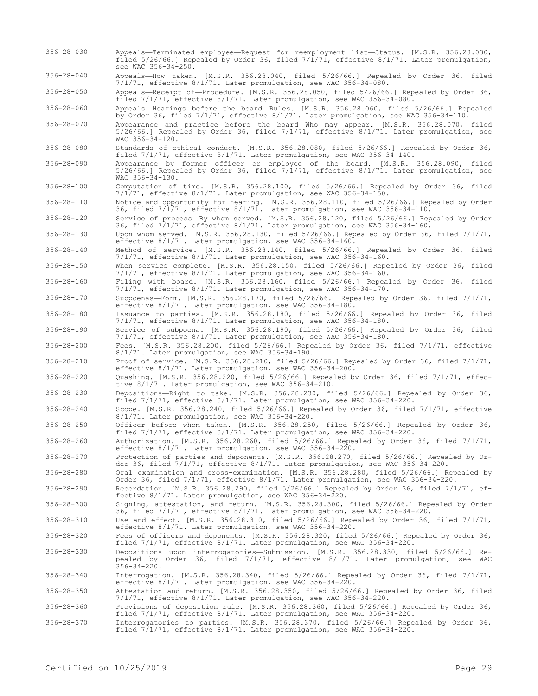- 356-28-030 Appeals—Terminated employee—Request for reemployment list—Status. [M.S.R. 356.28.030, filed 5/26/66.] Repealed by Order 36, filed 7/1/71, effective 8/1/71. Later promulgation, see WAC 356-34-250.
- 356-28-040 Appeals—How taken. [M.S.R. 356.28.040, filed 5/26/66.] Repealed by Order 36, filed 7/1/71, effective 8/1/71. Later promulgation, see WAC 356-34-080.

356-28-050 Appeals—Receipt of—Procedure. [M.S.R. 356.28.050, filed 5/26/66.] Repealed by Order 36, filed 7/1/71, effective 8/1/71. Later promulgation, see WAC 356-34-080.

356-28-060 Appeals—Hearings before the board—Rules. [M.S.R. 356.28.060, filed 5/26/66.] Repealed by Order 36, filed 7/1/71, effective 8/1/71. Later promulgation, see WAC 356-34-110.

- 356-28-070 Appearance and practice before the board—Who may appear. [M.S.R. 356.28.070, filed 5/26/66.] Repealed by Order 36, filed 7/1/71, effective 8/1/71. Later promulgation, see  $WAC$  356-34-120.
- 356-28-080 Standards of ethical conduct. [M.S.R. 356.28.080, filed 5/26/66.] Repealed by Order 36, filed 7/1/71, effective 8/1/71. Later promulgation, see WAC 356-34-140.
- 356-28-090 Appearance by former officer or employee of the board. [M.S.R. 356.28.090, filed 5/26/66.] Repealed by Order 36, filed 7/1/71, effective 8/1/71. Later promulgation, see WAC 356-34-130.
- 356-28-100 Computation of time. [M.S.R. 356.28.100, filed 5/26/66.] Repealed by Order 36, filed 7/1/71, effective 8/1/71. Later promulgation, see WAC 356-34-150.
- 356-28-110 Notice and opportunity for hearing. [M.S.R. 356.28.110, filed 5/26/66.] Repealed by Order 36, filed 7/1/71, effective 8/1/71. Later promulgation, see WAC 356-34-110.
- 356-28-120 Service of process—By whom served. [M.S.R. 356.28.120, filed 5/26/66.] Repealed by Order 36, filed 7/1/71, effective 8/1/71. Later promulgation, see WAC 356-34-160.
- 356-28-130 Upon whom served. [M.S.R. 356.28.130, filed 5/26/66.] Repealed by Order 36, filed 7/1/71, effective 8/1/71. Later promulgation, see WAC 356-34-160.

356-28-140 Method of service. [M.S.R. 356.28.140, filed 5/26/66.] Repealed by Order 36, filed 7/1/71, effective 8/1/71. Later promulgation, see WAC 356-34-160.

356-28-150 When service complete. [M.S.R. 356.28.150, filed 5/26/66.] Repealed by Order 36, filed 7/1/71, effective 8/1/71. Later promulgation, see WAC 356-34-160.

356-28-160 Filing with board. [M.S.R. 356.28.160, filed 5/26/66.] Repealed by Order 36, filed 7/1/71, effective 8/1/71. Later promulgation, see WAC 356-34-170.

356-28-170 Subpoenas—Form. [M.S.R. 356.28.170, filed 5/26/66.] Repealed by Order 36, filed 7/1/71, effective 8/1/71. Later promulgation, see WAC 356-34-180.

356-28-180 Issuance to parties. [M.S.R. 356.28.180, filed 5/26/66.] Repealed by Order 36, filed 7/1/71, effective 8/1/71. Later promulgation, see WAC 356-34-180.

356-28-190 Service of subpoena. [M.S.R. 356.28.190, filed 5/26/66.] Repealed by Order 36, filed 7/1/71, effective 8/1/71. Later promulgation, see WAC 356-34-180.

356-28-200 Fees. [M.S.R. 356.28.200, filed 5/26/66.] Repealed by Order 36, filed 7/1/71, effective 8/1/71. Later promulgation, see WAC 356-34-190.

356-28-210 Proof of service. [M.S.R. 356.28.210, filed 5/26/66.] Repealed by Order 36, filed 7/1/71, effective 8/1/71. Later promulgation, see WAC 356-34-200.

356-28-220 Quashing. [M.S.R. 356.28.220, filed 5/26/66.] Repealed by Order 36, filed 7/1/71, effective 8/1/71. Later promulgation, see WAC 356-34-210.

356-28-230 Depositions—Right to take. [M.S.R. 356.28.230, filed 5/26/66.] Repealed by Order 36, filed 7/1/71, effective 8/1/71. Later promulgation, see WAC 356-34-220. 356-28-240 Scope. [M.S.R. 356.28.240, filed 5/26/66.] Repealed by Order 36, filed 7/1/71, effective

8/1/71. Later promulgation, see WAC 356-34-220.

356-28-250 Officer before whom taken. [M.S.R. 356.28.250, filed 5/26/66.] Repealed by Order 36, filed 7/1/71, effective 8/1/71. Later promulgation, see WAC 356-34-220.

- 356-28-260 Authorization. [M.S.R. 356.28.260, filed 5/26/66.] Repealed by Order 36, filed 7/1/71, effective 8/1/71. Later promulgation, see WAC 356-34-220.
- 356-28-270 Protection of parties and deponents. [M.S.R. 356.28.270, filed 5/26/66.] Repealed by Order 36, filed  $7/1/71$ , effective  $8/1/71$ . Later promulgation, see WAC 356-34-220.
- 356-28-280 Oral examination and cross-examination. [M.S.R. 356.28.280, filed 5/26/66.] Repealed by Order 36, filed 7/1/71, effective 8/1/71. Later promulgation, see WAC 356-34-220. 356-28-290 Recordation. [M.S.R. 356.28.290, filed 5/26/66.] Repealed by Order 36, filed 7/1/71, ef-

fective 8/1/71. Later promulgation, see WAC 356-34-220.

356-28-300 Signing, attestation, and return. [M.S.R. 356.28.300, filed 5/26/66.] Repealed by Order 36, filed 7/1/71, effective 8/1/71. Later promulgation, see WAC 356-34-220.

356-28-310 Use and effect. [M.S.R. 356.28.310, filed 5/26/66.] Repealed by Order 36, filed 7/1/71, effective 8/1/71. Later promulgation, see WAC 356-34-220.

356-28-320 Fees of officers and deponents. [M.S.R. 356.28.320, filed 5/26/66.] Repealed by Order 36, filed 7/1/71, effective 8/1/71. Later promulgation, see WAC 356-34-220.

- 356-28-330 Depositions upon interrogatories—Submission. [M.S.R. 356.28.330, filed 5/26/66.] Repealed by Order 36, filed 7/1/71, effective 8/1/71. Later promulgation, see WAC  $356 - 34 - 220$ .
- 356-28-340 Interrogation. [M.S.R. 356.28.340, filed 5/26/66.] Repealed by Order 36, filed 7/1/71, effective 8/1/71. Later promulgation, see WAC 356-34-220.

356-28-350 Attestation and return. [M.S.R. 356.28.350, filed 5/26/66.] Repealed by Order 36, filed 7/1/71, effective 8/1/71. Later promulgation, see WAC 356-34-220.

356-28-360 Provisions of deposition rule. [M.S.R. 356.28.360, filed 5/26/66.] Repealed by Order 36, filed 7/1/71, effective 8/1/71. Later promulgation, see WAC 356-34-220.

356-28-370 Interrogatories to parties. [M.S.R. 356.28.370, filed 5/26/66.] Repealed by Order 36, filed 7/1/71, effective 8/1/71. Later promulgation, see WAC 356-34-220.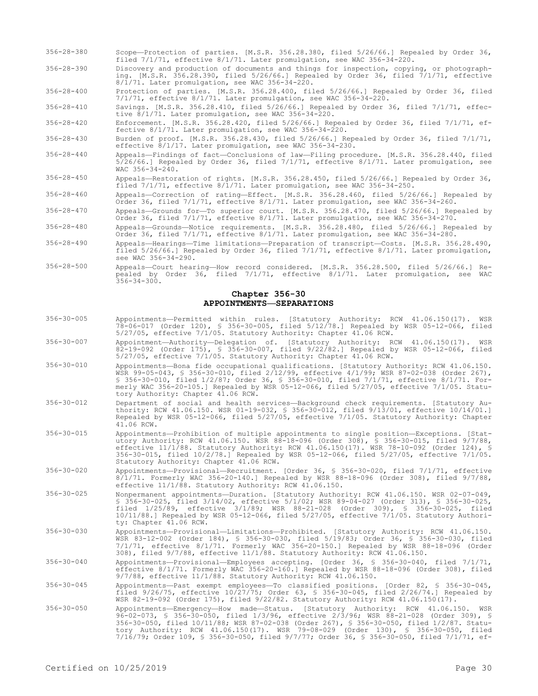- 356-28-380 Scope—Protection of parties. [M.S.R. 356.28.380, filed 5/26/66.] Repealed by Order 36, filed 7/1/71, effective 8/1/71. Later promulgation, see WAC 356-34-220.
- 356-28-390 Discovery and production of documents and things for inspection, copying, or photographing. [M.S.R. 356.28.390, filed 5/26/66.] Repealed by Order 36, filed 7/1/71, effective 8/1/71. Later promulgation, see WAC 356-34-220.

356-28-400 Protection of parties. [M.S.R. 356.28.400, filed 5/26/66.] Repealed by Order 36, filed 7/1/71, effective 8/1/71. Later promulgation, see WAC 356-34-220.

356-28-410 Savings. [M.S.R. 356.28.410, filed 5/26/66.] Repealed by Order 36, filed 7/1/71, effective 8/1/71. Later promulgation, see WAC 356-34-220.

356-28-420 Enforcement. [M.S.R. 356.28.420, filed 5/26/66.] Repealed by Order 36, filed 7/1/71, effective 8/1/71. Later promulgation, see WAC 356-34-220.

356-28-430 Burden of proof. [M.S.R. 356.28.430, filed 5/26/66.] Repealed by Order 36, filed 7/1/71, effective 8/1/17. Later promulgation, see WAC 356-34-230.

- 356-28-440 Appeals—Findings of fact—Conclusions of law—Filing procedure. [M.S.R. 356.28.440, filed  $5/26/66.$ ] Repealed by Order 36, filed  $7/1/71$ , effective  $8/1/71$ . Later promulgation, see WAC 356-34-240.
- 356-28-450 Appeals—Restoration of rights. [M.S.R. 356.28.450, filed 5/26/66.] Repealed by Order 36, filed  $7/1/71$ , effective  $8/1/71$ . Later promulgation, see WAC 356-34-250.
- 356-28-460 Appeals—Correction of rating—Effect. [M.S.R. 356.28.460, filed 5/26/66.] Repealed by Order 36, filed 7/1/71, effective 8/1/71. Later promulgation, see WAC 356-34-260.
- 356-28-470 Appeals—Grounds for—To superior court. [M.S.R. 356.28.470, filed 5/26/66.] Repealed by Order 36, filed 7/1/71, effective 8/1/71. Later promulgation, see WAC 356-34-270.
- 356-28-480 Appeals—Grounds—Notice requirements. [M.S.R. 356.28.480, filed 5/26/66.] Repealed by Order 36, filed 7/1/71, effective 8/1/71. Later promulgation, see WAC 356-34-280.
- 356-28-490 Appeals—Hearings—Time limitations—Preparation of transcript—Costs. [M.S.R. 356.28.490, filed 5/26/66.] Repealed by Order 36, filed 7/1/71, effective 8/1/71. Later promulgation, see WAC 356-34-290.
- 356-28-500 Appeals—Court hearing—How record considered. [M.S.R. 356.28.500, filed 5/26/66.] Repealed by Order 36, filed 7/1/71, effective 8/1/71. Later promulgation, see WAC  $356 - 34 - 300$ .

# **Chapter 356-30 APPOINTMENTS—SEPARATIONS**

- 356-30-005 Appointments—Permitted within rules. [Statutory Authority: RCW 41.06.150(17). WSR 78-06-017 (Order 120), § 356-30-005, filed 5/12/78.] Repealed by WSR 05-12-066, filed 5/27/05, effective 7/1/05. Statutory Authority: Chapter 41.06 RCW.
- 356-30-007 Appointment—Authority—Delegation of. [Statutory Authority: RCW 41.06.150(17). WSR 82-19-092 (Order 175), § 356-30-007, filed 9/22/82.] Repealed by WSR 05-12-066, filed 5/27/05, effective 7/1/05. Statutory Authority: Chapter 41.06 RCW.
- 356-30-010 Appointments—Bona fide occupational qualifications. [Statutory Authority: RCW 41.06.150. WSR 99-05-043, § 356-30-010, filed 2/12/99, effective 4/1/99; WSR 87-02-038 (Order 267), § 356-30-010, filed 1/2/87; Order 36, § 356-30-010, filed 7/1/71, effective 8/1/71. Formerly WAC 356-20-105.] Repealed by WSR 05-12-066, filed 5/27/05, effective 7/1/05. Statutory Authority: Chapter 41.06 RCW.
- 356-30-012 Department of social and health services—Background check requirements. [Statutory Authority: RCW 41.06.150. WSR 01-19-032, § 356-30-012, filed 9/13/01, effective 10/14/01.] Repealed by WSR 05-12-066, filed 5/27/05, effective 7/1/05. Statutory Authority: Chapter 41.06 RCW.
- 356-30-015 Appointments—Prohibition of multiple appointments to single position—Exceptions. [Statutory Authority: RCW 41.06.150. WSR 88-18-096 (Order 308), § 356-30-015, filed 9/7/88, effective 11/1/88. Statutory Authority: RCW 41.06.150(17). WSR 78-10-092 (Order 124), § 356-30-015, filed 10/2/78.] Repealed by WSR 05-12-066, filed 5/27/05, effective 7/1/05. Statutory Authority: Chapter 41.06 RCW.
- 356-30-020 Appointments—Provisional—Recruitment. [Order 36, § 356-30-020, filed 7/1/71, effective 8/1/71. Formerly WAC 356-20-140.] Repealed by WSR 88-18-096 (Order 308), filed 9/7/88, effective 11/1/88. Statutory Authority: RCW 41.06.150.
- 356-30-025 Nonpermanent appointments—Duration. [Statutory Authority: RCW 41.06.150. WSR 02-07-049, § 356-30-025, filed 3/14/02, effective 5/1/02; WSR 89-04-027 (Order 313), § 356-30-025, filed 1/25/89, effective 3/1/89; WSR 88-21-028 (Order 309), § 356-30-025, filed 10/11/88.] Repealed by WSR 05-12-066, filed 5/27/05, effective 7/1/05. Statutory Authority: Chapter 41.06 RCW.
- 356-30-030 Appointments—Provisional—Limitations—Prohibited. [Statutory Authority: RCW 41.06.150. WSR 83-12-002 (Order 184), § 356-30-030, filed 5/19/83; Order 36, § 356-30-030, filed 7/1/71, effective 8/1/71. Formerly WAC 356-20-150.] Repealed by WSR 88-18-096 (Order 308), filed 9/7/88, effective 11/1/88. Statutory Authority: RCW 41.06.150.
- 356-30-040 Appointments—Provisional—Employees accepting. [Order 36, § 356-30-040, filed 7/1/71, effective 8/1/71. Formerly WAC 356-20-160.] Repealed by WSR 88-18-096 (Order 308), filed 9/7/88, effective 11/1/88. Statutory Authority: RCW 41.06.150.
- 356-30-045 Appointments—Past exempt employees—To classified positions. [Order 82, § 356-30-045, filed 9/26/75, effective 10/27/75; Order 63, § 356-30-045, filed 2/26/74.] Repealed by WSR 82-19-092 (Order 175), filed 9/22/82. Statutory Authority: RCW 41.06.150(17).
- 356-30-050 Appointments—Emergency—How made—Status. [Statutory Authority: RCW 41.06.150. WSR 96-02-073, § 356-30-050, filed 1/3/96, effective 2/3/96; WSR 88-21-028 (Order 309), § 356-30-050, filed 10/11/88; WSR 87-02-038 (Order 267), § 356-30-050, filed 1/2/87. Statutory Authority: RCW 41.06.150(17). WSR 79-08-029 (Order 130), § 356-30-050, filed 7/16/79; Order 109, § 356-30-050, filed 9/7/77; Order 36, § 356-30-050, filed 7/1/71, ef-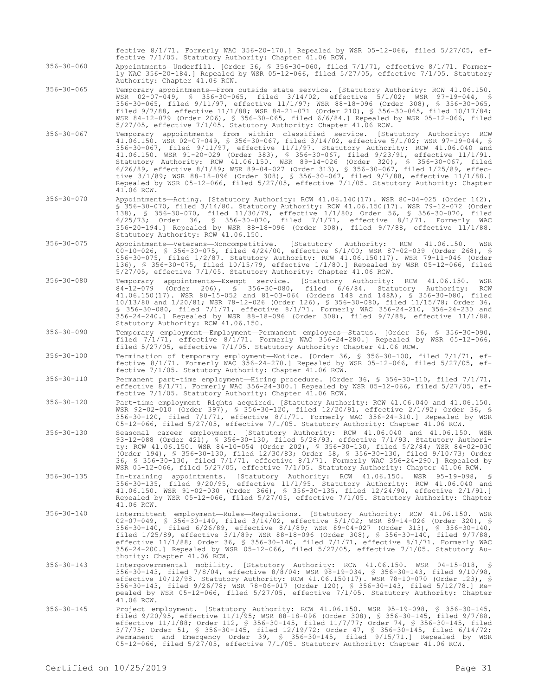fective 7/1/05. Statutory Authority: Chapter 41.06 RCW. 356-30-060 Appointments—Underfill. [Order 36, § 356-30-060, filed 7/1/71, effective 8/1/71. Formerly WAC 356-20-184.] Repealed by WSR 05-12-066, filed 5/27/05, effective 7/1/05. Statutory Authority: Chapter 41.06 RCW. 356-30-065 Temporary appointments—From outside state service. [Statutory Authority: RCW 41.06.150. WSR 02-07-049, § 356-30-065, filed 3/14/02, effective 5/1/02; WSR 97-19-044, § 356-30-065, filed 9/11/97, effective 11/1/97; WSR 88-18-096 (Order 308), § 356-30-065, filed 9/7/88, effective 11/1/88; WSR 84-21-071 (Order 210), § 356-30-065, filed 10/17/84; WSR 84-12-079 (Order 206), § 356-30-065, filed 6/6/84.] Repealed by WSR 05-12-066, filed 5/27/05, effective 7/1/05. Statutory Authority: Chapter 41.06 RCW. 356-30-067 Temporary appointments from within classified service. [Statutory Authority: RCW 41.06.150. WSR 02-07-049, § 356-30-067, filed 3/14/02, effective 5/1/02; WSR 97-19-044, § 356-30-067, filed 9/11/97, effective 11/1/97. Statutory Authority: RCW 41.06.040 and 41.06.150. WSR 91-20-029 (Order 383), § 356-30-067, filed 9/23/91, effective 11/1/91. Statutory Authority: RCW 41.06.150. WSR 89-14-026 (Order 320), § 356-30-067, filed 6/26/89, effective 8/1/89; WSR 89-04-027 (Order 313), § 356-30-067, filed 1/25/89, effective 3/1/89; WSR 88-18-096 (Order 308), § 356-30-067, filed 9/7/88, effective 11/1/88.] Repealed by WSR 05-12-066, filed 5/27/05, effective 7/1/05. Statutory Authority: Chapter 41.06 RCW. 356-30-070 Appointments—Acting. [Statutory Authority: RCW 41.06.140(17). WSR 80-04-025 (Order 142), § 356-30-070, filed 3/14/80. Statutory Authority: RCW 41.06.150(17). WSR 79-12-072 (Order 138), § 356-30-070, filed 11/30/79, effective 1/1/80; Order 56, § 356-30-070, filed 6/25/73; Order 36, § 356-30-070, filed 7/1/71, effective 8/1/71. Formerly WAC 356-20-194.] Repealed by WSR 88-18-096 (Order 308), filed 9/7/88, effective 11/1/88. Statutory Authority: RCW 41.06.150.

fective 8/1/71. Formerly WAC 356-20-170.] Repealed by WSR 05-12-066, filed 5/27/05, ef-

- 356-30-075 Appointments—Veterans—Noncompetitive. [Statutory Authority: RCW 41.06.150. WSR 00-10-026, § 356-30-075, filed 4/24/00, effective 6/1/00; WSR 87-02-039 (Order 268), § 356-30-075, filed 1/2/87. Statutory Authority: RCW 41.06.150(17). WSR 79-11-046 (Order 136), § 356-30-075, filed 10/15/79, effective 1/1/80.] Repealed by WSR 05-12-066, filed 5/27/05, effective 7/1/05. Statutory Authority: Chapter 41.06 RCW.
- 356-30-080 Temporary appointments—Exempt service. [Statutory Authority: RCW 41.06.150. WSR 84-12-079 (Order 206), § 356-30-080, filed 6/6/84. Statutory Authority: RCW 41.06.150(17). WSR 80-15-052 and 81-03-064 (Orders 148 and 148A), § 356-30-080, filed 10/13/80 and 1/20/81; WSR 78-12-026 (Order 126), § 356-30-080, filed 11/15/78; Order 36, § 356-30-080, filed 7/1/71, effective 8/1/71. Formerly WAC 356-24-210, 356-24-230 and 356-24-240.] Repealed by WSR 88-18-096 (Order 308), filed 9/7/88, effective 11/1/88. Statutory Authority: RCW 41.06.150.
- 356-30-090 Temporary employment—Employment—Permanent employees—Status. [Order 36, § 356-30-090, filed 7/1/71, effective 8/1/71. Formerly WAC 356-24-280.] Repealed by WSR 05-12-066, filed 5/27/05, effective 7/1/05. Statutory Authority: Chapter 41.06 RCW.
- 356-30-100 Termination of temporary employment—Notice. [Order 36, § 356-30-100, filed 7/1/71, effective 8/1/71. Formerly WAC 356-24-270.] Repealed by WSR 05-12-066, filed 5/27/05, effective 7/1/05. Statutory Authority: Chapter 41.06 RCW.
- 356-30-110 Permanent part-time employment—Hiring procedure. [Order 36, § 356-30-110, filed 7/1/71, effective 8/1/71. Formerly WAC 356-24-300.] Repealed by WSR 05-12-066, filed 5/27/05, effective 7/1/05. Statutory Authority: Chapter 41.06 RCW.
- 356-30-120 Part-time employment—Rights acquired. [Statutory Authority: RCW 41.06.040 and 41.06.150. WSR 92-02-010 (Order 397), § 356-30-120, filed 12/20/91, effective 2/1/92; Order 36, § 356-30-120, filed 7/1/71, effective 8/1/71. Formerly WAC 356-24-310.] Repealed by WSR 05-12-066, filed 5/27/05, effective 7/1/05. Statutory Authority: Chapter 41.06 RCW.
- 356-30-130 Seasonal career employment. [Statutory Authority: RCW 41.06.040 and 41.06.150. WSR 93-12-088 (Order 421), § 356-30-130, filed 5/28/93, effective 7/1/93. Statutory Authority: RCW 41.06.150. WSR 84-10-054 (Order 202), § 356-30-130, filed 5/2/84; WSR 84-02-030 (Order 194), § 356-30-130, filed 12/30/83; Order 58, § 356-30-130, filed 9/10/73; Order 36, § 356-30-130, filed 7/1/71, effective 8/1/71. Formerly WAC 356-24-290.] Repealed by WSR 05-12-066, filed 5/27/05, effective 7/1/05. Statutory Authority: Chapter 41.06 RCW.
- 356-30-135 In-training appointments. [Statutory Authority: RCW 41.06.150. WSR 95-19-098, § 356-30-135, filed 9/20/95, effective 11/1/95. Statutory Authority: RCW 41.06.040 and 41.06.150. WSR 91-02-030 (Order 366), § 356-30-135, filed 12/24/90, effective 2/1/91.] Repealed by WSR 05-12-066, filed 5/27/05, effective 7/1/05. Statutory Authority: Chapter 41.06 RCW.
- 356-30-140 Intermittent employment—Rules—Regulations. [Statutory Authority: RCW 41.06.150. WSR 02-07-049, § 356-30-140, filed 3/14/02, effective 5/1/02; WSR 89-14-026 (Order 320), § 356-30-140, filed 6/26/89, effective 8/1/89; WSR 89-04-027 (Order 313), § 356-30-140, filed 1/25/89, effective 3/1/89; WSR 88-18-096 (Order 308), § 356-30-140, filed 9/7/88, effective 11/1/88; Order 36, § 356-30-140, filed 7/1/71, effective 8/1/71. Formerly WAC 356-24-200.] Repealed by WSR 05-12-066, filed 5/27/05, effective 7/1/05. Statutory Authority: Chapter 41.06 RCW.
- 356-30-143 Intergovernmental mobility. [Statutory Authority: RCW 41.06.150. WSR 04-15-018, § 356-30-143, filed 7/8/04, effective 8/8/04; WSR 98-19-034, § 356-30-143, filed 9/10/98, effective 10/12/98. Statutory Authority: RCW 41.06.150(17). WSR 78-10-070 (Order 123), § 356-30-143, filed 9/26/78; WSR 78-06-017 (Order 120), § 356-30-143, filed 5/12/78.] Repealed by WSR 05-12-066, filed 5/27/05, effective 7/1/05. Statutory Authority: Chapter 41.06 RCW.
- 356-30-145 Project employment. [Statutory Authority: RCW 41.06.150. WSR 95-19-098, § 356-30-145, filed 9/20/95, effective 11/1/95; WSR 88-18-096 (Order 308), § 356-30-145, filed 9/7/88, effective 11/1/88; Order 112, § 356-30-145, filed 11/7/77; Order 74, § 356-30-145, filed 3/7/75; Order 51, § 356-30-145, filed 12/19/72; Order 47, § 356-30-145, filed 6/14/72; Permanent and Emergency Order 39, § 356-30-145, filed 9/15/71.] Repealed by WSR 05-12-066, filed 5/27/05, effective 7/1/05. Statutory Authority: Chapter 41.06 RCW.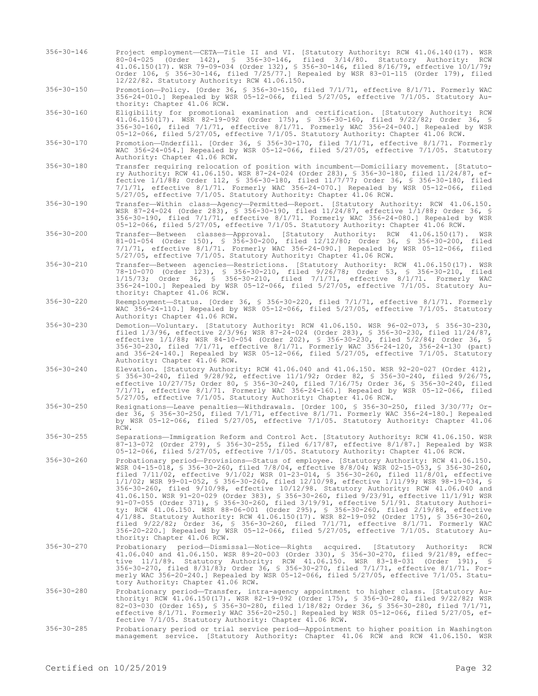356-30-146 Project employment—CETA—Title II and VI. [Statutory Authority: RCW 41.06.140(17). WSR 80-04-025 (Order 142), § 356-30-146, filed 3/14/80. Statutory Authority: RCW 41.06.150(17). WSR 79-09-034 (Order 132), § 356-30-146, filed 8/16/79, effective 10/1/79; Order 106, § 356-30-146, filed 7/25/77.] Repealed by WSR 83-01-115 (Order 179), filed 12/22/82. Statutory Authority: RCW 41.06.150.

356-30-150 Promotion—Policy. [Order 36, § 356-30-150, filed 7/1/71, effective 8/1/71. Formerly WAC 356-24-010.] Repealed by WSR 05-12-066, filed 5/27/05, effective 7/1/05. Statutory Authority: Chapter 41.06 RCW.

- 356-30-160 Eligibility for promotional examination and certification. [Statutory Authority: RCW 41.06.150(17). WSR 82-19-092 (Order 175), § 356-30-160, filed 9/22/82; Order 36, § 356-30-160, filed 7/1/71, effective 8/1/71. Formerly WAC 356-24-040.] Repealed by WSR 05-12-066, filed 5/27/05, effective 7/1/05. Statutory Authority: Chapter 41.06 RCW.
- 356-30-170 Promotion—Underfill. [Order 36, § 356-30-170, filed 7/1/71, effective 8/1/71. Formerly WAC 356-24-054.] Repealed by WSR 05-12-066, filed 5/27/05, effective 7/1/05. Statutory Authority: Chapter 41.06 RCW.
- 356-30-180 Transfer requiring relocation of position with incumbent—Domiciliary movement. [Statutory Authority: RCW 41.06.150. WSR 87-24-024 (Order 283), § 356-30-180, filed 11/24/87, effective 1/1/88; Order 112, § 356-30-180, filed 11/7/77; Order 36, § 356-30-180, filed 7/1/71, effective 8/1/71. Formerly WAC 356-24-070.] Repealed by WSR 05-12-066, filed 5/27/05, effective 7/1/05. Statutory Authority: Chapter 41.06 RCW.
- 356-30-190 Transfer—Within class—Agency—Permitted—Report. [Statutory Authority: RCW 41.06.150. WSR 87-24-024 (Order 283), § 356-30-190, filed 11/24/87, effective 1/1/88; Order 36, § 356-30-190, filed 7/1/71, effective 8/1/71. Formerly WAC 356-24-080.] Repealed by WSR 05-12-066, filed 5/27/05, effective 7/1/05. Statutory Authority: Chapter 41.06 RCW.
- 356-30-200 Transfer—Between classes—Approval. [Statutory Authority: RCW 41.06.150(17). WSR 81-01-054 (Order 150), § 356-30-200, filed 12/12/80; Order 36, § 356-30-200, filed 7/1/71, effective 8/1/71. Formerly WAC 356-24-090.] Repealed by WSR 05-12-066, filed 5/27/05, effective 7/1/05. Statutory Authority: Chapter 41.06 RCW.
- 356-30-210 Transfer—Between agencies—Restrictions. [Statutory Authority: RCW 41.06.150(17). WSR 78-10-070 (Order 123), § 356-30-210, filed 9/26/78; Order 53, § 356-30-210, filed 1/15/73; Order 36, § 356-30-210, filed 7/1/71, effective 8/1/71. Formerly WAC 356-24-100.] Repealed by WSR 05-12-066, filed 5/27/05, effective 7/1/05. Statutory Authority: Chapter 41.06 RCW.
- 356-30-220 Reemployment—Status. [Order 36, § 356-30-220, filed 7/1/71, effective 8/1/71. Formerly WAC 356-24-110.] Repealed by WSR 05-12-066, filed 5/27/05, effective 7/1/05. Statutory Authority: Chapter 41.06 RCW.
- 356-30-230 Demotion—Voluntary. [Statutory Authority: RCW 41.06.150. WSR 96-02-073, § 356-30-230, filed 1/3/96, effective 2/3/96; WSR 87-24-024 (Order 283), § 356-30-230, filed 11/24/87, effective 1/1/88; WSR 84-10-054 (Order 202), § 356-30-230, filed 5/2/84; Order 36, § 356-30-230, filed 7/1/71, effective 8/1/71. Formerly WAC 356-24-120, 356-24-130 (part) and 356-24-140.] Repealed by WSR 05-12-066, filed 5/27/05, effective 7/1/05. Statutory Authority: Chapter 41.06 RCW.
- 356-30-240 Elevation. [Statutory Authority: RCW 41.06.040 and 41.06.150. WSR 92-20-027 (Order 412), § 356-30-240, filed 9/28/92, effective 11/1/92; Order 82, § 356-30-240, filed 9/26/75, effective 10/27/75; Order 80, § 356-30-240, filed 7/16/75; Order 36, § 356-30-240, filed 7/1/71, effective 8/1/71. Formerly WAC 356-24-160.] Repealed by WSR 05-12-066, filed 5/27/05, effective 7/1/05. Statutory Authority: Chapter 41.06 RCW.
- 356-30-250 Resignations—Leave penalties—Withdrawals. [Order 100, § 356-30-250, filed 3/30/77; Order 36, § 356-30-250, filed 7/1/71, effective 8/1/71. Formerly WAC 356-24-180.] Repealed by WSR 05-12-066, filed 5/27/05, effective 7/1/05. Statutory Authority: Chapter 41.06 RCW.
- 356-30-255 Separations—Immigration Reform and Control Act. [Statutory Authority: RCW 41.06.150. WSR 87-13-072 (Order 279), § 356-30-255, filed 6/17/87, effective 8/1/87.] Repealed by WSR 05-12-066, filed 5/27/05, effective 7/1/05. Statutory Authority: Chapter 41.06 RCW.
- 356-30-260 Probationary period—Provisions—Status of employee. [Statutory Authority: RCW 41.06.150. WSR 04-15-018, § 356-30-260, filed 7/8/04, effective 8/8/04; WSR 02-15-053, § 356-30-260, filed 7/11/02, effective 9/1/02; WSR 01-23-014, § 356-30-260, filed 11/8/01, effective 1/1/02; WSR 99-01-052, § 356-30-260, filed 12/10/98, effective 1/11/99; WSR 98-19-034, § 356-30-260, filed 9/10/98, effective 10/12/98. Statutory Authority: RCW 41.06.040 and 41.06.150. WSR 91-20-029 (Order 383), § 356-30-260, filed 9/23/91, effective 11/1/91; WSR 91-07-055 (Order 371), § 356-30-260, filed 3/19/91, effective 5/1/91. Statutory Authority: RCW 41.06.150. WSR 88-06-001 (Order 295), § 356-30-260, filed 2/19/88, effective 4/1/88. Statutory Authority: RCW 41.06.150(17). WSR 82-19-092 (Order 175), § 356-30-260, filed 9/22/82; Order 36, § 356-30-260, filed 7/1/71, effective 8/1/71. Formerly WAC 356-20-220.] Repealed by WSR 05-12-066, filed 5/27/05, effective 7/1/05. Statutory Authority: Chapter 41.06 RCW.
- 356-30-270 Probationary period—Dismissal—Notice—Rights acquired. [Statutory Authority: RCW 41.06.040 and 41.06.150. WSR 89-20-003 (Order 330), § 356-30-270, filed 9/21/89, effective 11/1/89. Statutory Authority: RCW 41.06.150. WSR 83-18-031 (Order 191), § 356-30-270, filed 8/31/83; Order 36, § 356-30-270, filed 7/1/71, effective 8/1/71. Formerly WAC 356-20-240.] Repealed by WSR 05-12-066, filed 5/27/05, effective 7/1/05. Statutory Authority: Chapter 41.06 RCW.
- 356-30-280 Probationary period—Transfer, intra-agency appointment to higher class. [Statutory Authority: RCW 41.06.150(17). WSR 82-19-092 (Order 175), § 356-30-280, filed 9/22/82; WSR 82-03-030 (Order 165), § 356-30-280, filed 1/18/82; Order 36, § 356-30-280, filed 7/1/71, effective 8/1/71. Formerly WAC 356-20-250.] Repealed by WSR 05-12-066, filed 5/27/05, effective 7/1/05. Statutory Authority: Chapter 41.06 RCW.
- 356-30-285 Probationary period or trial service period—Appointment to higher position in Washington management service. [Statutory Authority: Chapter 41.06 RCW and RCW 41.06.150. WSR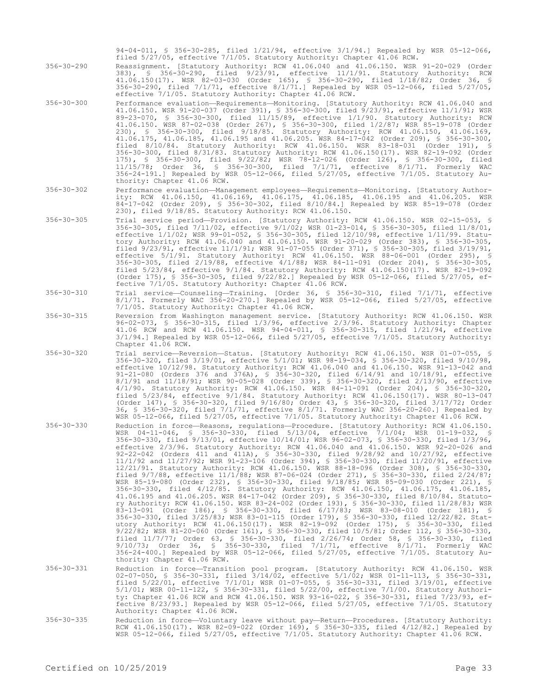94-04-011, § 356-30-285, filed 1/21/94, effective 3/1/94.] Repealed by WSR 05-12-066, filed 5/27/05, effective 7/1/05. Statutory Authority: Chapter 41.06 RCW.

356-30-290 Reassignment. [Statutory Authority: RCW 41.06.040 and 41.06.150. WSR 91-20-029 (Order 383), § 356-30-290, filed 9/23/91, effective 11/1/91. Statutory Authority: RCW 41.06.150(17). WSR 82-03-030 (Order 165), § 356-30-290, filed 1/18/82; Order 36, § 356-30-290, filed 7/1/71, effective 8/1/71.] Repealed by WSR 05-12-066, filed 5/27/05, effective 7/1/05. Statutory Authority: Chapter 41.06 RCW.

- 356-30-300 Performance evaluation—Requirements—Monitoring. [Statutory Authority: RCW 41.06.040 and 41.06.150. WSR 91-20-037 (Order 391), § 356-30-300, filed 9/23/91, effective 11/1/91; WSR 89-23-070, § 356-30-300, filed 11/15/89, effective 1/1/90. Statutory Authority: RCW 41.06.150. WSR 87-02-038 (Order 267), § 356-30-300, filed 1/2/87; WSR 85-19-078 (Order 230), § 356-30-300, filed 9/18/85. Statutory Authority: RCW 41.06.150, 41.06.169, 41.06.175, 41.06.185, 41.06.195 and 41.06.205. WSR 84-17-042 (Order 209), § 356-30-300, filed 8/10/84. Statutory Authority: RCW 41.06.150. WSR 83-18-031 (Order 191), § 356-30-300, filed 8/31/83. Statutory Authority: RCW 41.06.150(17). WSR 82-19-092 (Order 175), § 356-30-300, filed 9/22/82; WSR 78-12-026 (Order 126), § 356-30-300, filed 11/15/78; Order 36, § 356-30-300, filed 7/1/71, effective 8/1/71. Formerly WAC 356-24-191.] Repealed by WSR 05-12-066, filed 5/27/05, effective 7/1/05. Statutory Authority: Chapter 41.06 RCW.
- 356-30-302 Performance evaluation—Management employees—Requirements—Monitoring. [Statutory Authority: RCW 41.06.150, 41.06.169, 41.06.175, 41.06.185, 41.06.195 and 41.06.205. WSR 84-17-042 (Order 209), § 356-30-302, filed 8/10/84.] Repealed by WSR 85-19-078 (Order 230), filed 9/18/85. Statutory Authority: RCW 41.06.150.
- 356-30-305 Trial service period—Provision. [Statutory Authority: RCW 41.06.150. WSR 02-15-053, § 356-30-305, filed 7/11/02, effective 9/1/02; WSR 01-23-014, § 356-30-305, filed 11/8/01, effective 1/1/02; WSR 99-01-052, § 356-30-305, filed 12/10/98, effective 1/11/99. Statutory Authority: RCW 41.06.040 and 41.06.150. WSR 91-20-029 (Order 383), § 356-30-305, filed 9/23/91, effective 11/1/91; WSR 91-07-055 (Order 371), § 356-30-305, filed 3/19/91, effective 5/1/91. Statutory Authority: RCW 41.06.150. WSR 88-06-001 (Order 295), § 356-30-305, filed 2/19/88, effective 4/1/88; WSR 84-11-091 (Order 204), § 356-30-305, filed 5/23/84, effective 9/1/84. Statutory Authority: RCW 41.06.150(17). WSR 82-19-092 (Order 175), § 356-30-305, filed 9/22/82.] Repealed by WSR 05-12-066, filed 5/27/05, effective 7/1/05. Statutory Authority: Chapter 41.06 RCW.
- 356-30-310 Trial service—Counseling—Training. [Order 36, § 356-30-310, filed 7/1/71, effective 8/1/71. Formerly WAC 356-20-270.] Repealed by WSR 05-12-066, filed 5/27/05, effective 7/1/05. Statutory Authority: Chapter 41.06 RCW.
- 356-30-315 Reversion from Washington management service. [Statutory Authority: RCW 41.06.150. WSR 96-02-073, § 356-30-315, filed 1/3/96, effective 2/3/96. Statutory Authority: Chapter 41.06 RCW and RCW 41.06.150. WSR 94-04-011, § 356-30-315, filed 1/21/94, effective 3/1/94.] Repealed by WSR 05-12-066, filed 5/27/05, effective 7/1/05. Statutory Authority: Chapter 41.06 RCW.
- 356-30-320 Trial service—Reversion—Status. [Statutory Authority: RCW 41.06.150. WSR 01-07-055, § 356-30-320, filed 3/19/01, effective 5/1/01; WSR 98-19-034, § 356-30-320, filed 9/10/98, effective 10/12/98. Statutory Authority: RCW 41.06.040 and 41.06.150. WSR 91-13-042 and 91-21-080 (Orders 376 and 376A), § 356-30-320, filed 6/14/91 and 10/18/91, effective 8/1/91 and 11/18/91; WSR 90-05-028 (Order 339), § 356-30-320, filed 2/13/90, effective 4/1/90. Statutory Authority: RCW 41.06.150. WSR 84-11-091 (Order 204), § 356-30-320, filed 5/23/84, effective 9/1/84. Statutory Authority: RCW 41.06.150(17). WSR 80-13-047 (Order 147), § 356-30-320, filed 9/16/80; Order 43, § 356-30-320, filed 3/17/72; Order 36, § 356-30-320, filed 7/1/71, effective 8/1/71. Formerly WAC 356-20-260.] Repealed by WSR 05-12-066, filed 5/27/05, effective 7/1/05. Statutory Authority: Chapter 41.06 RCW.
- 356-30-330 Reduction in force—Reasons, regulations—Procedure. [Statutory Authority: RCW 41.06.150. WSR 04-11-046, § 356-30-330, filed 5/13/04, effective 7/1/04; WSR 01-19-032, § 356-30-330, filed 9/13/01, effective 10/14/01; WSR 96-02-073, § 356-30-330, filed 1/3/96, effective 2/3/96. Statutory Authority: RCW 41.06.040 and 41.06.150. WSR 92-20-026 and 92-22-042 (Orders 411 and 411A), § 356-30-330, filed 9/28/92 and 10/27/92, effective 11/1/92 and 11/27/92; WSR 91-23-106 (Order 394), § 356-30-330, filed 11/20/91, effective 12/21/91. Statutory Authority: RCW 41.06.150. WSR 88-18-096 (Order 308), § 356-30-330, filed 9/7/88, effective 11/1/88; WSR 87-06-024 (Order 271), § 356-30-330, filed 2/24/87; WSR 85-19-080 (Order 232), § 356-30-330, filed 9/18/85; WSR 85-09-030 (Order 221), § 356-30-330, filed 4/12/85. Statutory Authority: RCW 41.06.150, 41.06.175, 41.06.185, 41.06.195 and 41.06.205. WSR 84-17-042 (Order 209), § 356-30-330, filed 8/10/84. Statutory Authority: RCW 41.06.150. WSR 83-24-002 (Order 193), § 356-30-330, filed 11/28/83; WSR 83-13-091 (Order 186), § 356-30-330, filed 6/17/83; WSR 83-08-010 (Order 181), § 356-30-330, filed 3/25/83; WSR 83-01-115 (Order 179), § 356-30-330, filed 12/22/82. Statutory Authority: RCW 41.06.150(17). WSR 82-19-092 (Order 175), § 356-30-330, filed 9/22/82; WSR 81-20-060 (Order 161), § 356-30-330, filed 10/5/81; Order 112, § 356-30-330, filed 11/7/77; Order 63, § 356-30-330, filed 2/26/74; Order 58, § 356-30-330, filed 9/10/73; Order 36, § 356-30-330, filed 7/1/71, effective 8/1/71. Formerly WAC 356-24-400.] Repealed by WSR 05-12-066, filed 5/27/05, effective 7/1/05. Statutory Authority: Chapter 41.06 RCW.
- 356-30-331 Reduction in force—Transition pool program. [Statutory Authority: RCW 41.06.150. WSR 02-07-050, § 356-30-331, filed 3/14/02, effective 5/1/02; WSR 01-11-113, § 356-30-331,<br>filed 5/22/01, effective 7/1/01; WSR 01-07-055, § 356-30-331, filed 3/19/01, effective<br>5/1/01; WSR 00-11-122, § 356-30-331, filed 5/22/ ty: Chapter 41.06 RCW and RCW 41.06.150. WSR 93-16-022, § 356-30-331, filed 7/23/93, effective 8/23/93.] Repealed by WSR 05-12-066, filed 5/27/05, effective 7/1/05. Statutory Authority: Chapter 41.06 RCW.
- 356-30-335 Reduction in force—Voluntary leave without pay—Return—Procedures. [Statutory Authority: RCW 41.06.150(17). WSR 82-09-022 (Order 169), § 356-30-335, filed 4/12/82.] Repealed by WSR 05-12-066, filed 5/27/05, effective 7/1/05. Statutory Authority: Chapter 41.06 RCW.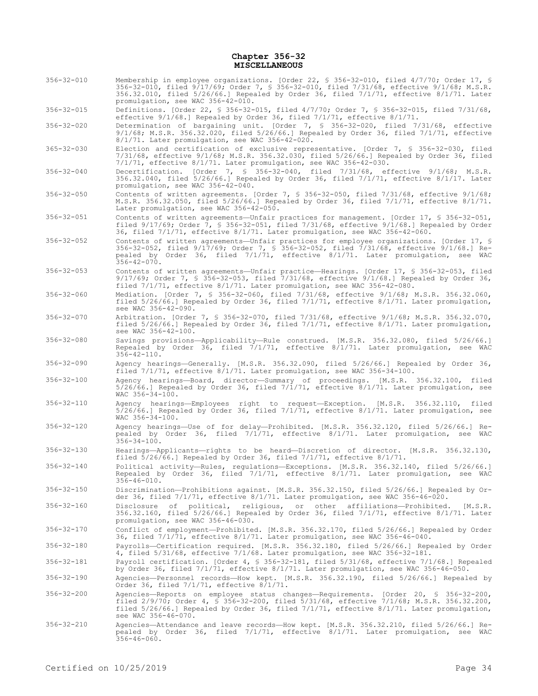## **Chapter 356-32 MISCELLANEOUS**

- 356-32-010 Membership in employee organizations. [Order 22, § 356-32-010, filed 4/7/70; Order 17, § 356-32-010, filed 9/17/69; Order 7, § 356-32-010, filed 7/31/68, effective 9/1/68; M.S.R. 356.32.010, filed 5/26/66.] Repealed by Order 36, filed 7/1/71, effective 8/1/71. Later promulgation, see WAC 356-42-010.
- 356-32-015 Definitions. [Order 22, § 356-32-015, filed 4/7/70; Order 7, § 356-32-015, filed 7/31/68, effective 9/1/68.] Repealed by Order 36, filed 7/1/71, effective 8/1/71.
- 356-32-020 Determination of bargaining unit. [Order 7, § 356-32-020, filed 7/31/68, effective 9/1/68; M.S.R. 356.32.020, filed 5/26/66.] Repealed by Order 36, filed 7/1/71, effective 8/1/71. Later promulgation, see WAC 356-42-020.
- 365-32-030 Election and certification of exclusive representative. [Order 7, § 356-32-030, filed 7/31/68, effective 9/1/68; M.S.R. 356.32.030, filed 5/26/66.] Repealed by Order 36, filed 7/1/71, effective 8/1/71. Later promulgation, see WAC 356-42-030.
- 356-32-040 Decertification. [Order 7, § 356-32-040, filed 7/31/68, effective 9/1/68; M.S.R. 356.32.040, filed 5/26/66.] Repealed by Order 36, filed 7/1/71, effective 8/1/17. Later promulgation, see WAC 356-42-040.
- 356-32-050 Contents of written agreements. [Order 7, § 356-32-050, filed 7/31/68, effective 9/1/68; M.S.R. 356.32.050, filed 5/26/66.] Repealed by Order 36, filed 7/1/71, effective 8/1/71. Later promulgation, see WAC 356-42-050.
- 356-32-051 Contents of written agreements—Unfair practices for management. [Order 17, § 356-32-051, filed 9/17/69; Order 7, § 356-32-051, filed 7/31/68, effective 9/1/68.] Repealed by Order 36, filed 7/1/71, effective 8/1/71. Later promulgation, see WAC 356-42-060.
- 356-32-052 Contents of written agreements—Unfair practices for employee organizations. [Order 17, § 356-32-052, filed 9/17/69; Order 7, § 356-32-052, filed 7/31/68, effective 9/1/68.] Repealed by Order 36, filed 7/1/71, effective 8/1/71. Later promulgation, see WAC  $356 - 42 - 070$ .
- 356-32-053 Contents of written agreements—Unfair practice—Hearings. [Order 17, § 356-32-053, filed 9/17/69; Order 7, § 356-32-053, filed 7/31/68, effective 9/1/68.] Repealed by Order 36, filed 7/1/71, effective 8/1/71. Later promulgation, see WAC 356-42-080.
- 356-32-060 Mediation. [Order 7, § 356-32-060, filed 7/31/68, effective 9/1/68; M.S.R. 356.32.060, filed 5/26/66.] Repealed by Order 36, filed 7/1/71, effective 8/1/71. Later promulgation, see WAC 356-42-090.
- 356-32-070 Arbitration. [Order 7, § 356-32-070, filed 7/31/68, effective 9/1/68; M.S.R. 356.32.070, filed 5/26/66.] Repealed by Order 36, filed 7/1/71, effective 8/1/71. Later promulgation, see WAC 356-42-100.
- 356-32-080 Savings provisions—Applicability—Rule construed. [M.S.R. 356.32.080, filed 5/26/66.] Repealed by Order 36, filed 7/1/71, effective 8/1/71. Later promulgation, see WAC  $356 - 42 - 110$ .
- 356-32-090 Agency hearings—Generally. [M.S.R. 356.32.090, filed 5/26/66.] Repealed by Order 36, filed 7/1/71, effective 8/1/71. Later promulgation, see WAC 356-34-100.
- 356-32-100 Agency hearings—Board, director—Summary of proceedings. [M.S.R. 356.32.100, filed 5/26/66.] Repealed by Order 36, filed 7/1/71, effective 8/1/71. Later promulgation, see  $WAC$  356-34-100.
- 356-32-110 Agency hearings—Employees right to request—Exception. [M.S.R. 356.32.110, filed 5/26/66.] Repealed by Order 36, filed 7/1/71, effective 8/1/71. Later promulgation, see  $WAC$  356-34-100.
- 356-32-120 Agency hearings—Use of for delay—Prohibited. [M.S.R. 356.32.120, filed 5/26/66.] Repealed by Order 36, filed 7/1/71, effective 8/1/71. Later promulgation, see WAC 356-34-100.
- 356-32-130 Hearings—Applicants—rights to be heard—Discretion of director. [M.S.R. 356.32.130, filed 5/26/66.] Repealed by Order 36, filed 7/1/71, effective 8/1/71.
- 356-32-140 Political activity—Rules, regulations—Exceptions. [M.S.R. 356.32.140, filed 5/26/66.] Repealed by Order 36, filed 7/1/71, effective 8/1/71. Later promulgation, see WAC 356-46-010.
- 356-32-150 Discrimination—Prohibitions against. [M.S.R. 356.32.150, filed 5/26/66.] Repealed by Order 36, filed 7/1/71, effective 8/1/71. Later promulgation, see WAC 356-46-020.
- 356-32-160 Disclosure of political, religious, or other affiliations—Prohibited. [M.S.R. 356.32.160, filed 5/26/66.] Repealed by Order 36, filed 7/1/71, effective 8/1/71. Later promulgation, see WAC 356-46-030.

356-32-170 Conflict of employment—Prohibited. [M.S.R. 356.32.170, filed 5/26/66.] Repealed by Order 36, filed 7/1/71, effective 8/1/71. Later promulgation, see WAC 356-46-040.

356-32-180 Payrolls—Certification required. [M.S.R. 356.32.180, filed 5/26/66.] Repealed by Order 4, filed 5/31/68, effective 7/1/68. Later promulgation, see WAC 356-32-181.

356-32-181 Payroll certification. [Order 4, § 356-32-181, filed 5/31/68, effective 7/1/68.] Repealed by Order 36, filed 7/1/71, effective 8/1/71. Later promulgation, see WAC 356-46-050.

- 356-32-190 Agencies—Personnel records—How kept. [M.S.R. 356.32.190, filed 5/26/66.] Repealed by Order 36, filed 7/1/71, effective 8/1/71.
- 356-32-200 Agencies—Reports on employee status changes—Requirements. [Order 20, § 356-32-200, filed 2/9/70; Order 4, § 356-32-200, filed 5/31/68, effective 7/1/68; M.S.R. 356.32.200, filed 5/26/66.] Repealed by Order 36, filed 7/1/71, effective 8/1/71. Later promulgation, see WAC 356-46-070.
- 356-32-210 Agencies—Attendance and leave records—How kept. [M.S.R. 356.32.210, filed 5/26/66.] Repealed by Order 36, filed 7/1/71, effective 8/1/71. Later promulgation, see WAC  $356 - 46 - 060$ .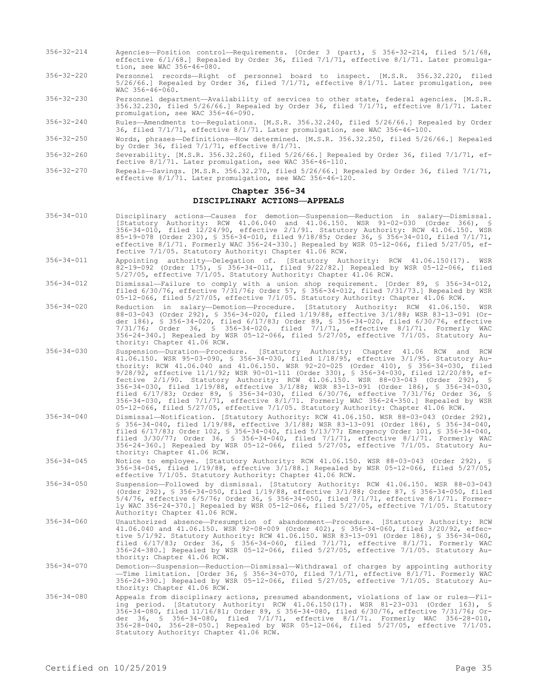- 356-32-214 Agencies—Position control—Requirements. [Order 3 (part), § 356-32-214, filed 5/1/68, effective 6/1/68.] Repealed by Order 36, filed 7/1/71, effective 8/1/71. Later promulgation, see WAC 356-46-080.
- 356-32-220 Personnel records—Right of personnel board to inspect. [M.S.R. 356.32.220, filed 5/26/66.] Repealed by Order 36, filed 7/1/71, effective 8/1/71. Later promulgation, see WAC 356-46-060.
- 356-32-230 Personnel department—Availability of services to other state, federal agencies. [M.S.R. 356.32.230, filed 5/26/66.] Repealed by Order 36, filed 7/1/71, effective 8/1/71. Later promulgation, see WAC 356-46-090.

356-32-240 Rules—Amendments to—Regulations. [M.S.R. 356.32.240, filed 5/26/66.] Repealed by Order 36, filed 7/1/71, effective 8/1/71. Later promulgation, see WAC 356-46-100.

356-32-250 Words, phrases—Definitions—How determined. [M.S.R. 356.32.250, filed 5/26/66.] Repealed by Order 36, filed 7/1/71, effective 8/1/71.

356-32-260 Severability. [M.S.R. 356.32.260, filed 5/26/66.] Repealed by Order 36, filed 7/1/71, effective 8/1/71. Later promulgation, see WAC 356-46-110.

356-32-270 Repeals—Savings. [M.S.R. 356.32.270, filed 5/26/66.] Repealed by Order 36, filed 7/1/71, effective 8/1/71. Later promulgation, see WAC 356-46-120.

# **Chapter 356-34**

## **DISCIPLINARY ACTIONS—APPEALS**

- 356-34-010 Disciplinary actions—Causes for demotion—Suspension—Reduction in salary—Dismissal. [Statutory Authority: RCW 41.06.040 and 41.06.150. WSR 91-02-030 (Order 366), § 356-34-010, filed 12/24/90, effective 2/1/91. Statutory Authority: RCW 41.06.150. WSR 85-19-078 (Order 230), § 356-34-010, filed 9/18/85; Order 36, § 356-34-010, filed 7/1/71, effective 8/1/71. Formerly WAC 356-24-330.] Repealed by WSR 05-12-066, filed 5/27/05, effective 7/1/05. Statutory Authority: Chapter 41.06 RCW.
- 356-34-011 Appointing authority—Delegation of. [Statutory Authority: RCW 41.06.150(17). WSR 82-19-092 (Order 175), § 356-34-011, filed 9/22/82.] Repealed by WSR 05-12-066, filed 5/27/05, effective 7/1/05. Statutory Authority: Chapter 41.06 RCW.
- 356-34-012 Dismissal—Failure to comply with a union shop requirement. [Order 89, § 356-34-012, filed 6/30/76, effective 7/31/76; Order 57, § 356-34-012, filed 7/31/73.] Repealed by WSR 05-12-066, filed 5/27/05, effective 7/1/05. Statutory Authority: Chapter 41.06 RCW.
- 356-34-020 Reduction in salary—Demotion—Procedure. [Statutory Authority: RCW 41.06.150. WSR 88-03-043 (Order 292), § 356-34-020, filed 1/19/88, effective 3/1/88; WSR 83-13-091 (Order 186), § 356-34-020, filed 6/17/83; Order 89, § 356-34-020, filed 6/30/76, effective 7/31/76; Order 36, § 356-34-020, filed 7/1/71, effective 8/1/71. Formerly WAC 356-24-340.] Repealed by WSR 05-12-066, filed 5/27/05, effective 7/1/05. Statutory Authority: Chapter 41.06 RCW.
- 356-34-030 Suspension—Duration—Procedure. [Statutory Authority: Chapter 41.06 RCW and RCW 41.06.150. WSR 95-03-090, § 356-34-030, filed 1/18/95, effective 3/1/95. Statutory Authority: RCW 41.06.040 and 41.06.150. WSR 92-20-025 (Order 410), § 356-34-030, filed 9/28/92, effective 11/1/92; WSR 90-01-111 (Order 330), § 356-34-030, filed 12/20/89, effective 2/1/90. Statutory Authority: RCW 41.06.150. WSR 88-03-043 (Order 292), § 356-34-030, filed 1/19/88, effective 3/1/88; WSR 83-13-091 (Order 186), § 356-34-030, filed 6/17/83; Order 89, § 356-34-030, filed 6/30/76, effective 7/31/76; Order 36, § 356-34-030, filed 7/1/71, effective 8/1/71. Formerly WAC 356-24-350.] Repealed by WSR 05-12-066, filed 5/27/05, effective 7/1/05. Statutory Authority: Chapter 41.06 RCW.
- 356-34-040 Dismissal—Notification. [Statutory Authority: RCW 41.06.150. WSR 88-03-043 (Order 292), § 356-34-040, filed 1/19/88, effective 3/1/88; WSR 83-13-091 (Order 186), § 356-34-040, filed 6/17/83; Order 102, § 356-34-040, filed 5/13/77; Emergency Order 101, § 356-34-040, filed 3/30/77; Order 36, § 356-34-040, filed 7/1/71, effective 8/1/71. Formerly WAC 356-24-360.] Repealed by WSR 05-12-066, filed 5/27/05, effective 7/1/05. Statutory Authority: Chapter 41.06 RCW.
- 356-34-045 Notice to employee. [Statutory Authority: RCW 41.06.150. WSR 88-03-043 (Order 292), § 356-34-045, filed 1/19/88, effective 3/1/88.] Repealed by WSR 05-12-066, filed 5/27/05, effective 7/1/05. Statutory Authority: Chapter 41.06 RCW.
- 356-34-050 Suspension—Followed by dismissal. [Statutory Authority: RCW 41.06.150. WSR 88-03-043 (Order 292), § 356-34-050, filed 1/19/88, effective 3/1/88; Order 87, § 356-34-050, filed 5/4/76, effective 6/5/76; Order 36, § 356-34-050, filed 7/1/71, effective 8/1/71. Formerly WAC 356-24-370.] Repealed by WSR 05-12-066, filed 5/27/05, effective 7/1/05. Statutory Authority: Chapter 41.06 RCW.
- 356-34-060 Unauthorized absence—Presumption of abandonment—Procedure. [Statutory Authority: RCW 41.06.040 and 41.06.150. WSR 92-08-009 (Order 402), § 356-34-060, filed 3/20/92, effective 5/1/92. Statutory Authority: RCW 41.06.150. WSR 83-13-091 (Order 186), § 356-34-060, filed 6/17/83; Order 36, § 356-34-060, filed 7/1/71, effective 8/1/71. Formerly WAC 356-24-380.] Repealed by WSR 05-12-066, filed 5/27/05, effective 7/1/05. Statutory Authority: Chapter 41.06 RCW.
- 356-34-070 Demotion—Suspension—Reduction—Dismissal—Withdrawal of charges by appointing authority —Time limitation. [Order 36, § 356-34-070, filed 7/1/71, effective 8/1/71. Formerly WAC 356-24-390.] Repealed by WSR 05-12-066, filed 5/27/05, effective 7/1/05. Statutory Au-thority: Chapter 41.06 RCW.
- 356-34-080 Appeals from disciplinary actions, presumed abandonment, violations of law or rules—Filing period. [Statutory Authority: RCW 41.06.150(17). WSR 81-23-031 (Order 163), § 356-34-080, filed 11/16/81; Order 89, § 356-34-080, filed 6/30/76, effective 7/31/76; Order 36, § 356-34-080, filed 7/1/71, effective 8/1/71. Formerly WAC 356-28-010, 356-28-040, 356-28-050.] Repealed by WSR 05-12-066, filed 5/27/05, effective 7/1/05. Statutory Authority: Chapter 41.06 RCW.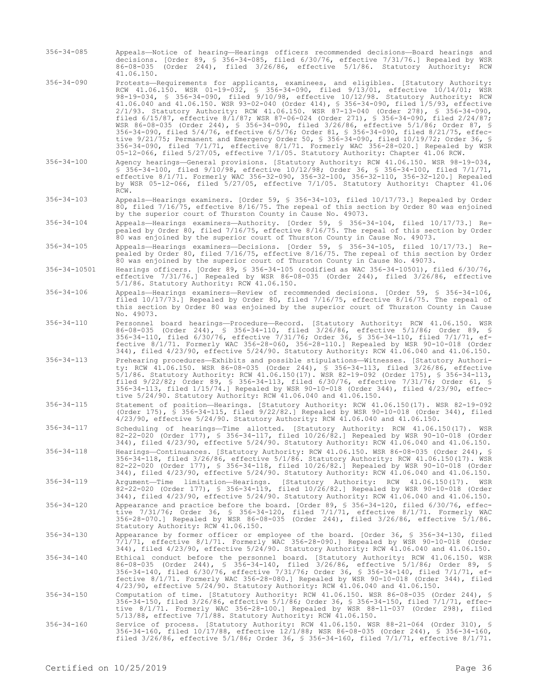- 356-34-085 Appeals—Notice of hearing—Hearings officers recommended decisions—Board hearings and decisions. [Order 89, § 356-34-085, filed 6/30/76, effective 7/31/76.] Repealed by WSR 86-08-035 (Order 244), filed 3/26/86, effective 5/1/86. Statutory Authority: RCW 41.06.150.
- 356-34-090 Protests—Requirements for applicants, examinees, and eligibles. [Statutory Authority: RCW 41.06.150. WSR 01-19-032, § 356-34-090, filed 9/13/01, effective 10/14/01; WSR 98-19-034, § 356-34-090, filed 9/10/98, effective 10/12/98. Statutory Authority: RCW 41.06.040 and 41.06.150. WSR 93-02-040 (Order 414), § 356-34-090, filed 1/5/93, effective 2/1/93. Statutory Authority: RCW 41.06.150. WSR 87-13-040 (Order 278), § 356-34-090, filed 6/15/87, effective 8/1/87; WSR 87-06-024 (Order 271), § 356-34-090, filed 2/24/87; WSR 86-08-035 (Order 244), § 356-34-090, filed 3/26/86, effective 5/1/86; Order 87, § 356-34-090, filed 5/4/76, effective 6/5/76; Order 81, § 356-34-090, filed 8/21/75, effective 9/21/75; Permanent and Emergency Order 50, § 356-34-090, filed 10/19/72; Order 36, § 356-34-090, filed 7/1/71, effective 8/1/71. Formerly WAC 356-28-020.] Repealed by WSR 05-12-066, filed 5/27/05, effective 7/1/05. Statutory Authority: Chapter 41.06 RCW.
- 356-34-100 Agency hearings—General provisions. [Statutory Authority: RCW 41.06.150. WSR 98-19-034, § 356-34-100, filed 9/10/98, effective 10/12/98; Order 36, § 356-34-100, filed 7/1/71, effective 8/1/71. Formerly WAC 356-32-090, 356-32-100, 356-32-110, 356-32-120.] Repealed by WSR 05-12-066, filed 5/27/05, effective 7/1/05. Statutory Authority: Chapter 41.06 RCW.

356-34-103 Appeals—Hearings examiners. [Order 59, § 356-34-103, filed 10/17/73.] Repealed by Order 80, filed 7/16/75, effective 8/16/75. The repeal of this section by Order 80 was enjoined by the superior court of Thurston County in Cause No. 49073.

356-34-104 Appeals—Hearings examiners—Authority. [Order 59, § 356-34-104, filed 10/17/73.] Repealed by Order 80, filed 7/16/75, effective 8/16/75. The repeal of this section by Order 80 was enjoined by the superior court of Thurston County in Cause No. 49073.

- 356-34-105 Appeals—Hearings examiners—Decisions. [Order 59, § 356-34-105, filed 10/17/73.] Repealed by Order 80, filed 7/16/75, effective 8/16/75. The repeal of this section by Order 80 was enjoined by the superior court of Thurston County in Cause No. 49073.
- 356-34-10501 Hearings officers. [Order 89, § 356-34-105 (codified as WAC 356-34-10501), filed 6/30/76, effective 7/31/76.] Repealed by WSR 86-08-035 (Order 244), filed 3/26/86, effective 5/1/86. Statutory Authority: RCW 41.06.150.
- 356-34-106 Appeals—Hearings examiners—Review of recommended decisions. [Order 59, § 356-34-106, filed 10/17/73.] Repealed by Order 80, filed 7/16/75, effective 8/16/75. The repeal of this section by Order 80 was enjoined by the superior court of Thurston County in Cause No. 49073.
- 356-34-110 Personnel board hearings—Procedure—Record. [Statutory Authority: RCW 41.06.150. WSR 86-08-035 (Order 244), § 356-34-110, filed 3/26/86, effective 5/1/86; Order 89, § 356-34-110, filed 6/30/76, effective 7/31/76; Order 36, § 356-34-110, filed 7/1/71, effective 8/1/71. Formerly WAC 356-28-060, 356-28-110.] Repealed by WSR 90-10-018 (Order
- 344), filed 4/23/90, effective 5/24/90. Statutory Authority: RCW 41.06.040 and 41.06.150. 356-34-113 Prehearing procedures—Exhibits and possible stipulations—Witnesses. [Statutory Authority: RCW 41.06.150. WSR 86-08-035 (Order 244), § 356-34-113, filed 3/26/86, effective 5/1/86. Statutory Authority: RCW 41.06.150(17). WSR 82-19-092 (Order 175), § 356-34-113, filed 9/22/82; Order 89, § 356-34-113, filed 6/30/76, effective 7/31/76; Order 61, § 356-34-113, filed 1/15/74.] Repealed by WSR 90-10-018 (Order 344), filed 4/23/90, effective 5/24/90. Statutory Authority: RCW 41.06.040 and 41.06.150.
- 356-34-115 Statement of position—Hearings. [Statutory Authority: RCW 41.06.150(17). WSR 82-19-092 (Order 175), § 356-34-115, filed 9/22/82.] Repealed by WSR 90-10-018 (Order 344), filed 4/23/90, effective 5/24/90. Statutory Authority: RCW 41.06.040 and 41.06.150.
- 356-34-117 Scheduling of hearings—Time allotted. [Statutory Authority: RCW 41.06.150(17). WSR 82-22-020 (Order 177), § 356-34-117, filed 10/26/82.] Repealed by WSR 90-10-018 (Order 344), filed 4/23/90, effective 5/24/90. Statutory Authority: RCW 41.06.040 and 41.06.150.
- 356-34-118 Hearings—Continuances. [Statutory Authority: RCW 41.06.150. WSR 86-08-035 (Order 244), § 356-34-118, filed 3/26/86, effective 5/1/86. Statutory Authority: RCW 41.06.150(17). WSR 82-22-020 (Order 177), § 356-34-118, filed 10/26/82.] Repealed by WSR 90-10-018 (Order 344), filed 4/23/90, effective 5/24/90. Statutory Authority: RCW 41.06.040 and 41.06.150.
- 356-34-119 Argument—Time limitation—Hearings. [Statutory Authority: RCW 41.06.150(17). WSR 82-22-020 (Order 177), § 356-34-119, filed 10/26/82.] Repealed by WSR 90-10-018 (Order 344), filed 4/23/90, effective 5/24/90. Statutory Authority: RCW 41.06.040 and 41.06.150.
- 356-34-120 Appearance and practice before the board. [Order 89, § 356-34-120, filed 6/30/76, effective 7/31/76; Order 36, § 356-34-120, filed 7/1/71, effective 8/1/71. Formerly WAC 356-28-070.] Repealed by WSR 86-08-035 (Order 244), filed 3/26/86, effective 5/1/86. Statutory Authority: RCW 41.06.150.
- 356-34-130 Appearance by former officer or employee of the board. [Order 36, § 356-34-130, filed 7/1/71, effective 8/1/71. Formerly WAC 356-28-090.] Repealed by WSR 90-10-018 (Order 344), filed 4/23/90, effective 5/24/90. Statutory Authority: RCW 41.06.040 and 41.06.150.
- 356-34-140 Ethical conduct before the personnel board. [Statutory Authority: RCW 41.06.150. WSR 86-08-035 (Order 244), § 356-34-140, filed 3/26/86, effective 5/1/86; Order 89, § 356-34-140, filed 6/30/76, effective 7/31/76; Order 36, § 356-34-140, filed 7/1/71, effective 8/1/71. Formerly WAC 356-28-080.] Repealed by WSR 90-10-018 (Order 344), filed 4/23/90, effective 5/24/90. Statutory Authority: RCW 41.06.040 and 41.06.150.

356-34-150 Computation of time. [Statutory Authority: RCW 41.06.150. WSR 86-08-035 (Order 244), § 356-34-150, filed 3/26/86, effective 5/1/86; Order 36, § 356-34-150, filed 7/1/71, effective 8/1/71. Formerly WAC 356-28-100.] Repealed by WSR 88-11-037 (Order 298), filed 5/13/88, effective 7/1/88. Statutory Authority: RCW 41.06.150.

356-34-160 Service of process. [Statutory Authority: RCW 41.06.150. WSR 88-21-064 (Order 310), § 356-34-160, filed 10/17/88, effective 12/1/88; WSR 86-08-035 (Order 244), § 356-34-160, filed 3/26/86, effective 5/1/86; Order 36, § 356-34-160, filed 7/1/71, effective 8/1/71.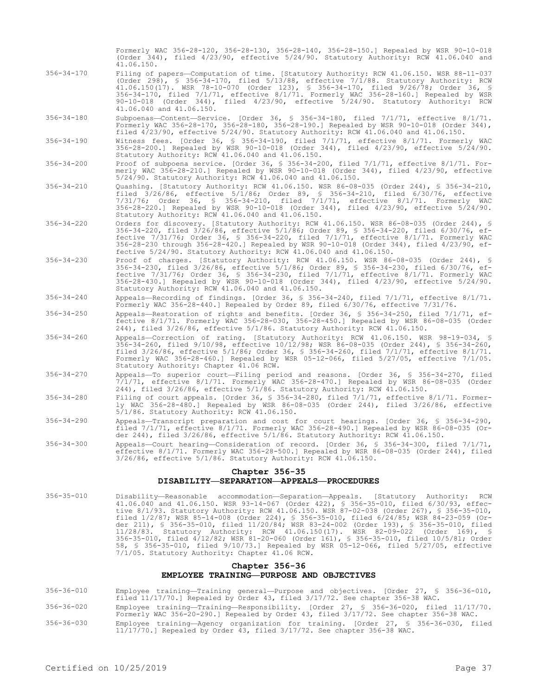Formerly WAC 356-28-120, 356-28-130, 356-28-140, 356-28-150.] Repealed by WSR 90-10-018 (Order 344), filed 4/23/90, effective 5/24/90. Statutory Authority: RCW 41.06.040 and 41.06.150.

- 356-34-170 Filing of papers—Computation of time. [Statutory Authority: RCW 41.06.150. WSR 88-11-037 (Order 298), § 356-34-170, filed 5/13/88, effective 7/1/88. Statutory Authority: RCW 41.06.150(17). WSR 78-10-070 (Order 123), § 356-34-170, filed 9/26/78; Order 36, § 356-34-170, filed 7/1/71, effective 8/1/71. Formerly WAC 356-28-160.] Repealed by WSR 90-10-018 (Order 344), filed 4/23/90, effective 5/24/90. Statutory Authority: RCW 41.06.040 and 41.06.150.
- 356-34-180 Subpoenas—Content—Service. [Order 36, § 356-34-180, filed 7/1/71, effective 8/1/71. Formerly WAC 356-28-170, 356-28-180, 356-28-190.] Repealed by WSR 90-10-018 (Order 344), filed 4/23/90, effective 5/24/90. Statutory Authority: RCW 41.06.040 and 41.06.150.
- 356-34-190 Witness fees. [Order 36, § 356-34-190, filed 7/1/71, effective 8/1/71. Formerly WAC 356-28-200.] Repealed by WSR 90-10-018 (Order 344), filed 4/23/90, effective 5/24/90. Statutory Authority: RCW 41.06.040 and 41.06.150.
- 356-34-200 Proof of subpoena service. [Order 36, § 356-34-200, filed 7/1/71, effective 8/1/71. Formerly WAC 356-28-210.] Repealed by WSR 90-10-018 (Order 344), filed 4/23/90, effective 5/24/90. Statutory Authority: RCW 41.06.040 and 41.06.150.
- 356-34-210 Quashing. [Statutory Authority: RCW 41.06.150. WSR 86-08-035 (Order 244), § 356-34-210, filed 3/26/86, effective 5/1/86; Order 89, § 356-34-210, filed 6/30/76, effective 7/31/76; Order 36, § 356-34-210, filed 7/1/71, effective 8/1/71. Formerly WAC 356-28-220.] Repealed by WSR 90-10-018 (Order 344), filed 4/23/90, effective 5/24/90. Statutory Authority: RCW 41.06.040 and 41.06.150.
- 356-34-220 Orders for discovery. [Statutory Authority: RCW 41.06.150. WSR 86-08-035 (Order 244), § 356-34-220, filed 3/26/86, effective 5/1/86; Order 89, § 356-34-220, filed 6/30/76, effective 7/31/76; Order 36, § 356-34-220, filed 7/1/71, effective 8/1/71. Formerly WAC 356-28-230 through 356-28-420.] Repealed by WSR 90-10-018 (Order 344), filed 4/23/90, effective 5/24/90. Statutory Authority: RCW 41.06.040 and 41.06.150.
- 356-34-230 Proof of charges. [Statutory Authority: RCW 41.06.150. WSR 86-08-035 (Order 244), § 356-34-230, filed 3/26/86, effective 5/1/86; Order 89, § 356-34-230, filed 6/30/76, effective 7/31/76; Order 36, § 356-34-230, filed 7/1/71, effective 8/1/71. Formerly WAC 356-28-430.] Repealed by WSR 90-10-018 (Order 344), filed 4/23/90, effective 5/24/90. Statutory Authority: RCW 41.06.040 and 41.06.150.
- 356-34-240 Appeals—Recording of findings. [Order 36, § 356-34-240, filed 7/1/71, effective 8/1/71. Formerly WAC 356-28-440.] Repealed by Order 89, filed 6/30/76, effective 7/31/76.
- 356-34-250 Appeals—Restoration of rights and benefits. [Order 36, § 356-34-250, filed 7/1/71, effective 8/1/71. Formerly WAC 356-28-030, 356-28-450.] Repealed by WSR 86-08-035 (Order 244), filed 3/26/86, effective 5/1/86. Statutory Authority: RCW 41.06.150.
- 356-34-260 Appeals—Correction of rating. [Statutory Authority: RCW 41.06.150. WSR 98-19-034, § 356-34-260, filed 9/10/98, effective 10/12/98; WSR 86-08-035 (Order 244), § 356-34-260, filed 3/26/86, effective 5/1/86; Order 36, § 356-34-260, filed 7/1/71, effective 8/1/71. Formerly WAC 356-28-460.] Repealed by WSR 05-12-066, filed 5/27/05, effective 7/1/05. Statutory Authority: Chapter 41.06 RCW.
- 356-34-270 Appeals—To superior court—Filing period and reasons. [Order 36, § 356-34-270, filed 7/1/71, effective 8/1/71. Formerly WAC 356-28-470.] Repealed by WSR 86-08-035 (Order 244), filed 3/26/86, effective 5/1/86. Statutory Authority: RCW 41.06.150.
- 356-34-280 Filing of court appeals. [Order 36, § 356-34-280, filed 7/1/71, effective 8/1/71. Formerly WAC 356-28-480.] Repealed by WSR 86-08-035 (Order 244), filed 3/26/86, effective 5/1/86. Statutory Authority: RCW 41.06.150.
- 356-34-290 Appeals—Transcript preparation and cost for court hearings. [Order 36, § 356-34-290, filed 7/1/71, effective 8/1/71. Formerly WAC 356-28-490.] Repealed by WSR 86-08-035 (Order 244), filed 3/26/86, effective 5/1/86. Statutory Authority: RCW 41.06.150.
- 356-34-300 Appeals—Court hearing—Consideration of record. [Order 36, § 356-34-300, filed 7/1/71, effective 8/1/71. Formerly WAC 356-28-500.] Repealed by WSR 86-08-035 (Order 244), filed 3/26/86, effective 5/1/86. Statutory Authority: RCW 41.06.150.

# **Chapter 356-35 DISABILITY—SEPARATION—APPEALS—PROCEDURES**

356-35-010 Disability—Reasonable accommodation—Separation—Appeals. [Statutory Authority: RCW 41.06.040 and 41.06.150. WSR 93-14-067 (Order 422), § 356-35-010, filed 6/30/93, effective 8/1/93. Statutory Authority: RCW 41.06.150. WSR 87-02-038 (Order 267), § 356-35-010, filed 1/2/87; WSR 85-14-008 (Order 224), § 356-35-010, filed 6/24/85; WSR 84-23-059 (Order 211), § 356-35-010, filed 11/20/84; WSR 83-24-002 (Order 193), § 356-35-010, filed 11/28/83. Statutory Authority: RCW 41.06.150(17). WSR 82-09-022 (Order 169), § 356-35-010, filed 4/12/82; WSR 81-20-060 (Order 161), § 356-35-010, filed 10/5/81; Order 58, § 356-35-010, filed 9/10/73.] Repealed by WSR 05-12-066, filed 5/27/05, effective 7/1/05. Statutory Authority: Chapter 41.06 RCW.

# **Chapter 356-36 EMPLOYEE TRAINING—PURPOSE AND OBJECTIVES**

- 356-36-010 Employee training—Training general—Purpose and objectives. [Order 27, § 356-36-010, filed 11/17/70.] Repealed by Order 43, filed 3/17/72. See chapter 356-38 WAC.
- 356-36-020 Employee training—Training—Responsibility. [Order 27, § 356-36-020, filed 11/17/70. Formerly WAC 356-20-290.] Repealed by Order 43, filed 3/17/72. See chapter 356-38 WAC.
- 356-36-030 Employee training—Agency organization for training. [Order 27, § 356-36-030, filed 11/17/70.] Repealed by Order 43, filed 3/17/72. See chapter 356-38 WAC.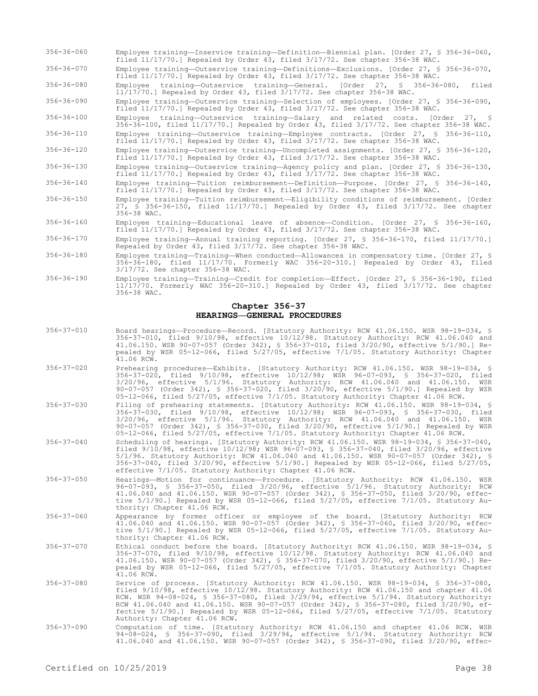356-36-060 Employee training—Inservice training—Definition—Biennial plan. [Order 27, § 356-36-060, filed 11/17/70.] Repealed by Order 43, filed 3/17/72. See chapter 356-38 WAC.

356-36-070 Employee training—Outservice training—Definitions—Exclusions. [Order 27, § 356-36-070, filed 11/17/70.] Repealed by Order 43, filed 3/17/72. See chapter 356-38 WAC.

356-36-080 Employee training—Outservice training—General. [Order 27, § 356-36-080, filed 11/17/70.] Repealed by Order 43, filed 3/17/72. See chapter 356-38 WAC.

356-36-090 Employee training—Outservice training—Selection of employees. [Order 27, § 356-36-090, filed 11/17/70.] Repealed by Order 43, filed 3/17/72. See chapter 356-38 WAC.

356-36-100 Employee training—Outservice training—Salary and related costs. [Order 27, § 356-36-100, filed 11/17/70.] Repealed by Order 43, filed 3/17/72. See chapter 356-38 WAC. 356-36-110 Employee training—Outservice training—Employee contracts. [Order 27, § 356-36-110, filed 11/17/70.] Repealed by Order 43, filed 3/17/72. See chapter 356-38 WAC.

356-36-120 Employee training—Outservice training—Uncompleted assignments. [Order 27, § 356-36-120, filed 11/17/70.] Repealed by Order 43, filed 3/17/72. See chapter 356-38 WAC.

356-36-130 Employee training—Outservice training—Agency policy and plan. [Order 27, § 356-36-130, filed 11/17/70.] Repealed by Order 43, filed 3/17/72. See chapter 356-38 WAC.

- 356-36-140 Employee training—Tuition reimbursement—Definition—Purpose. [Order 27, § 356-36-140, filed 11/17/70.] Repealed by Order 43, filed 3/17/72. See chapter 356-38 WAC.
- 356-36-150 Employee training—Tuition reimbursement—Eligibility conditions of reimbursement. [Order 27, § 356-36-150, filed 11/17/70.] Repealed by Order 43, filed 3/17/72. See chapter 356-38 WAC.
- 356-36-160 Employee training—Educational leave of absence—Condition. [Order 27, § 356-36-160, filed 11/17/70.] Repealed by Order 43, filed 3/17/72. See chapter 356-38 WAC.
- 356-36-170 Employee training—Annual training reporting. [Order 27, § 356-36-170, filed 11/17/70.] Repealed by Order 43, filed 3/17/72. See chapter 356-38 WAC.
- 356-36-180 Employee training—Training—When conducted—Allowances in compensatory time. [Order 27, § 356-36-180, filed 11/17/70. Formerly WAC 356-20-310.] Repealed by Order 43, filed 3/17/72. See chapter 356-38 WAC.
- 356-36-190 Employee training—Training—Credit for completion—Effect. [Order 27, § 356-36-190, filed 11/17/70. Formerly WAC 356-20-310.] Repealed by Order 43, filed 3/17/72. See chapter 356-38 WAC.

# **Chapter 356-37 HEARINGS—GENERAL PROCEDURES**

- 356-37-010 Board hearings—Procedure—Record. [Statutory Authority: RCW 41.06.150. WSR 98-19-034, § 356-37-010, filed 9/10/98, effective 10/12/98. Statutory Authority: RCW 41.06.040 and 41.06.150. WSR 90-07-057 (Order 342), § 356-37-010, filed 3/20/90, effective 5/1/90.] Repealed by WSR 05-12-066, filed 5/27/05, effective 7/1/05. Statutory Authority: Chapter  $41.06$  RCW.
- 356-37-020 Prehearing procedures—Exhibits. [Statutory Authority: RCW 41.06.150. WSR 98-19-034, § 356-37-020, filed 9/10/98, effective 10/12/98; WSR 96-07-093, § 356-37-020, filed 3/20/96, effective 5/1/96. Statutory Authority: RCW 41.06.040 and 41.06.150. WSR 90-07-057 (Order 342), § 356-37-020, filed 3/20/90, effective 5/1/90.] Repealed by WSR 05-12-066, filed 5/27/05, effective 7/1/05. Statutory Authority: Chapter 41.06 RCW.
- 356-37-030 Filing of prehearing statements. [Statutory Authority: RCW 41.06.150. WSR 98-19-034, § 356-37-030, filed 9/10/98, effective 10/12/98; WSR 96-07-093, § 356-37-030, filed 3/20/96, effective 5/1/96. Statutory Authority: RCW 41.06.040 and 41.06.150. WSR 90-07-057 (Order 342), § 356-37-030, filed 3/20/90, effective 5/1/90.] Repealed by WSR 05-12-066, filed 5/27/05, effective 7/1/05. Statutory Authority: Chapter 41.06 RCW.
- 356-37-040 Scheduling of hearings. [Statutory Authority: RCW 41.06.150. WSR 98-19-034, § 356-37-040, filed 9/10/98, effective 10/12/98; WSR 96-07-093, § 356-37-040, filed 3/20/96, effective 5/1/96. Statutory Authority: RCW 41.06.040 and 41.06.150. WSR 90-07-057 (Order 342), § 356-37-040, filed 3/20/90, effective 5/1/90.] Repealed by WSR 05-12-066, filed 5/27/05, effective 7/1/05. Statutory Authority: Chapter 41.06 RCW.
- 356-37-050 Hearings—Motion for continuance—Procedure. [Statutory Authority: RCW 41.06.150. WSR 96-07-093, § 356-37-050, filed 3/20/96, effective 5/1/96. Statutory Authority: RCW 41.06.040 and 41.06.150. WSR 90-07-057 (Order 342), § 356-37-050, filed 3/20/90, effective 5/1/90.] Repealed by WSR 05-12-066, filed 5/27/05, effective 7/1/05. Statutory Authority: Chapter 41.06 RCW.
- 356-37-060 Appearance by former officer or employee of the board. [Statutory Authority: RCW 41.06.040 and 41.06.150. WSR 90-07-057 (Order 342), § 356-37-060, filed 3/20/90, effective 5/1/90.] Repealed by WSR 05-12-066, filed 5/27/05, effective 7/1/05. Statutory Authority: Chapter 41.06 RCW.
- 356-37-070 Ethical conduct before the board. [Statutory Authority: RCW 41.06.150. WSR 98-19-034, § 356-37-070, filed 9/10/98, effective 10/12/98. Statutory Authority: RCW 41.06.040 and 41.06.150. WSR 90-07-057 (Order 342), § 356-37-070, filed 3/20/90, effective 5/1/90.] Repealed by WSR 05-12-066, filed 5/27/05, effective 7/1/05. Statutory Authority: Chapter 41.06 RCW.
- 356-37-080 Service of process. [Statutory Authority: RCW 41.06.150. WSR 98-19-034, § 356-37-080, filed 9/10/98, effective 10/12/98. Statutory Authority: RCW 41.06.150 and chapter 41.06 RCW. WSR 94-08-024, § 356-37-080, filed 3/29/94, effective 5/1/94. Statutory Authority: RCW 41.06.040 and 41.06.150. WSR 90-07-057 (Order 342), § 356-37-080, filed 3/20/90, effective 5/1/90.] Repealed by WSR 05-12-066, filed 5/27/05, effective 7/1/05. Statutory Authority: Chapter 41.06 RCW.
- 356-37-090 Computation of time. [Statutory Authority: RCW 41.06.150 and chapter 41.06 RCW. WSR 94-08-024, § 356-37-090, filed 3/29/94, effective 5/1/94. Statutory Authority: RCW 41.06.040 and 41.06.150. WSR 90-07-057 (Order 342), § 356-37-090, filed 3/20/90, effec-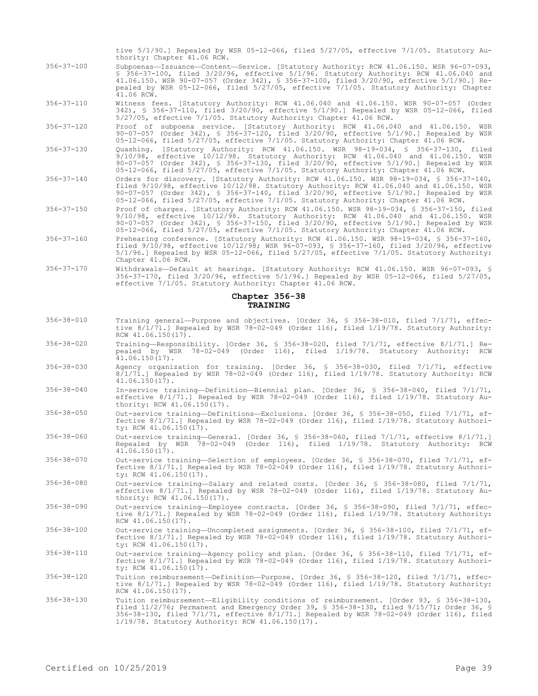tive 5/1/90.] Repealed by WSR 05-12-066, filed 5/27/05, effective 7/1/05. Statutory Authority: Chapter 41.06 RCW.

- 356-37-100 Subpoenas—Issuance—Content—Service. [Statutory Authority: RCW 41.06.150. WSR 96-07-093, § 356-37-100, filed 3/20/96, effective 5/1/96. Statutory Authority: RCW 41.06.040 and 41.06.150. WSR 90-07-057 (Order 342), § 356-37-100, filed 3/20/90, effective 5/1/90.] Repealed by WSR 05-12-066, filed 5/27/05, effective 7/1/05. Statutory Authority: Chapter  $41.06$  RCW.
- 356-37-110 Witness fees. [Statutory Authority: RCW 41.06.040 and 41.06.150. WSR 90-07-057 (Order 342), § 356-37-110, filed 3/20/90, effective 5/1/90.] Repealed by WSR 05-12-066, filed 5/27/05, effective 7/1/05. Statutory Authority: Chapter 41.06 RCW.
- 356-37-120 Proof of subpoena service. [Statutory Authority: RCW 41.06.040 and 41.06.150. WSR 90-07-057 (Order 342), § 356-37-120, filed 3/20/90, effective 5/1/90.] Repealed by WSR 05-12-066, filed 5/27/05, effective 7/1/05. Statutory Authority: Chapter 41.06 RCW.
- 356-37-130 Quashing. [Statutory Authority: RCW 41.06.150. WSR 98-19-034, § 356-37-130, filed 9/10/98, effective 10/12/98. Statutory Authority: RCW 41.06.040 and 41.06.150. WSR 90-07-057 (Order 342), § 356-37-130, filed 3/20/90, effective 5/1/90.] Repealed by WSR 05-12-066, filed 5/27/05, effective 7/1/05. Statutory Authority: Chapter 41.06 RCW.
- 356-37-140 Orders for discovery. [Statutory Authority: RCW 41.06.150. WSR 98-19-034, § 356-37-140, filed 9/10/98, effective 10/12/98. Statutory Authority: RCW 41.06.040 and 41.06.150. WSR 90-07-057 (Order 342), § 356-37-140, filed 3/20/90, effective 5/1/90.] Repealed by WSR 05-12-066, filed 5/27/05, effective 7/1/05. Statutory Authority: Chapter 41.06 RCW.
- 356-37-150 Proof of charges. [Statutory Authority: RCW 41.06.150. WSR 98-19-034, § 356-37-150, filed 9/10/98, effective 10/12/98. Statutory Authority: RCW 41.06.040 and 41.06.150. WSR 90-07-057 (Order 342), § 356-37-150, filed 3/20/90, effective 5/1/90.] Repealed by WSR 05-12-066, filed 5/27/05, effective 7/1/05. Statutory Authority: Chapter 41.06 RCW.
- 356-37-160 Prehearing conference. [Statutory Authority: RCW 41.06.150. WSR 98-19-034, § 356-37-160, filed 9/10/98, effective 10/12/98; WSR 96-07-093, § 356-37-160, filed 3/20/96, effective 5/1/96.] Repealed by WSR 05-12-066, filed 5/27/05, effective 7/1/05. Statutory Authority: Chapter 41.06 RCW.
- 356-37-170 Withdrawals—Default at hearings. [Statutory Authority: RCW 41.06.150. WSR 96-07-093, § 356-37-170, filed 3/20/96, effective 5/1/96.] Repealed by WSR 05-12-066, filed 5/27/05, effective 7/1/05. Statutory Authority: Chapter 41.06 RCW.

## **Chapter 356-38 TRAINING**

- 356-38-010 Training general—Purpose and objectives. [Order 36, § 356-38-010, filed 7/1/71, effective 8/1/71.] Repealed by WSR 78-02-049 (Order 116), filed 1/19/78. Statutory Authority: RCW 41.06.150(17).
- 356-38-020 Training—Responsibility. [Order 36, § 356-38-020, filed 7/1/71, effective 8/1/71.] Repealed by WSR 78-02-049 (Order 116), filed 1/19/78. Statutory Authority: RCW  $41.06.150(17)$ .
- 356-38-030 Agency organization for training. [Order 36, § 356-38-030, filed 7/1/71, effective 8/1/71.] Repealed by WSR 78-02-049 (Order 116), filed 1/19/78. Statutory Authority: RCW  $41.06.150(17)$ .
- 356-38-040 In-service training—Definition—Biennial plan. [Order 36, § 356-38-040, filed 7/1/71, effective 8/1/71.] Repealed by WSR 78-02-049 (Order 116), filed 1/19/78. Statutory Authority: RCW 41.06.150(17).
- 356-38-050 Out-service training—Definitions—Exclusions. [Order 36, § 356-38-050, filed 7/1/71, effective 8/1/71.] Repealed by WSR 78-02-049 (Order 116), filed 1/19/78. Statutory Authority: RCW 41.06.150(17).
- 356-38-060 Out-service training—General. [Order 36, § 356-38-060, filed 7/1/71, effective 8/1/71.] Repealed by WSR 78-02-049 (Order 116), filed 1/19/78. Statutory Authority: RCW 41.06.150(17).
- 356-38-070 Out-service training—Selection of employees. [Order 36, § 356-38-070, filed 7/1/71, effective 8/1/71.] Repealed by WSR 78-02-049 (Order 116), filed 1/19/78. Statutory Authority: RCW 41.06.150(17).
- 356-38-080 Out-service training—Salary and related costs. [Order 36, § 356-38-080, filed 7/1/71, effective 8/1/71.] Repealed by WSR 78-02-049 (Order 116), filed 1/19/78. Statutory Authority: RCW 41.06.150(17).
- 356-38-090 Out-service training—Employee contracts. [Order 36, § 356-38-090, filed 7/1/71, effective 8/1/71.] Repealed by WSR 78-02-049 (Order 116), filed 1/19/78. Statutory Authority: RCW 41.06.150(17).
- 356-38-100 Out-service training—Uncompleted assignments. [Order 36, § 356-38-100, filed 7/1/71, effective 8/1/71.] Repealed by WSR 78-02-049 (Order 116), filed 1/19/78. Statutory Authority: RCW 41.06.150(17).
- 356-38-110 Out-service training—Agency policy and plan. [Order 36, § 356-38-110, filed 7/1/71, effective 8/1/71.] Repealed by WSR 78-02-049 (Order 116), filed 1/19/78. Statutory Authority: RCW 41.06.150(17).
- 356-38-120 Tuition reimbursement—Definition—Purpose. [Order 36, § 356-38-120, filed 7/1/71, effec-tive 8/1/71.] Repealed by WSR 78-02-049 (Order 116), filed 1/19/78. Statutory Authority: RCW 41.06.150(17).
- 356-38-130 Tuition reimbursement—Eligibility conditions of reimbursement. [Order 93, § 356-38-130, filed 11/2/76; Permanent and Emergency Order 39, § 356-38-130, filed 9/15/71; Order 36, § 356-38-130, filed 7/1/71, effective 8/1/71.] Repealed by WSR 78-02-049 (Order 116), filed 1/19/78. Statutory Authority: RCW 41.06.150(17).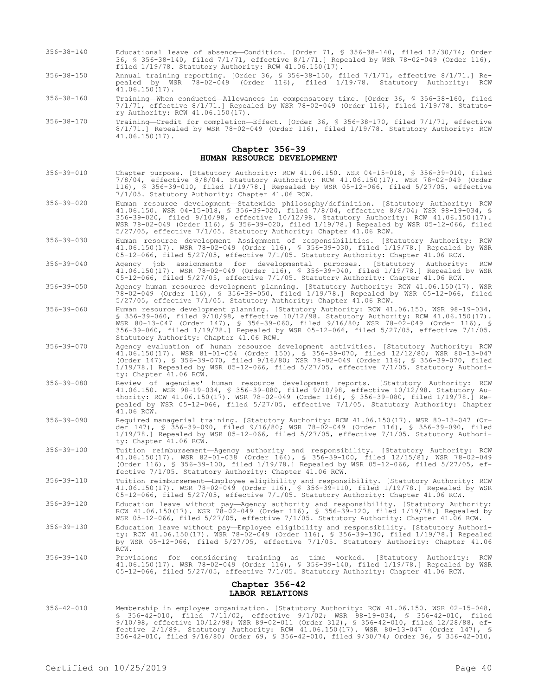- 356-38-140 Educational leave of absence—Condition. [Order 71, § 356-38-140, filed 12/30/74; Order 36, § 356-38-140, filed 7/1/71, effective 8/1/71.] Repealed by WSR 78-02-049 (Order 116), filed 1/19/78. Statutory Authority: RCW 41.06.150(17).
- 356-38-150 Annual training reporting. [Order 36, § 356-38-150, filed 7/1/71, effective 8/1/71.] Repealed by WSR 78-02-049 (Order 116), filed 1/19/78. Statutory Authority: RCW  $41.06.150(17)$ .
- 356-38-160 Training—When conducted—Allowances in compensatory time. [Order 36, § 356-38-160, filed 7/1/71, effective 8/1/71.] Repealed by WSR 78-02-049 (Order 116), filed 1/19/78. Statutory Authority: RCW 41.06.150(17).
- 356-38-170 Training—Credit for completion—Effect. [Order 36, § 356-38-170, filed 7/1/71, effective 8/1/71.] Repealed by WSR 78-02-049 (Order 116), filed 1/19/78. Statutory Authority: RCW 41.06.150(17).

## **Chapter 356-39 HUMAN RESOURCE DEVELOPMENT**

- 356-39-010 Chapter purpose. [Statutory Authority: RCW 41.06.150. WSR 04-15-018, § 356-39-010, filed 7/8/04, effective 8/8/04. Statutory Authority: RCW 41.06.150(17). WSR 78-02-049 (Order 116), § 356-39-010, filed 1/19/78.] Repealed by WSR 05-12-066, filed 5/27/05, effective 7/1/05. Statutory Authority: Chapter 41.06 RCW.
- 356-39-020 Human resource development—Statewide philosophy/definition. [Statutory Authority: RCW 41.06.150. WSR 04-15-018, § 356-39-020, filed 7/8/04, effective 8/8/04; WSR 98-19-034, § 356-39-020, filed 9/10/98, effective 10/12/98. Statutory Authority: RCW 41.06.150(17). WSR 78-02-049 (Order 116), § 356-39-020, filed 1/19/78.] Repealed by WSR 05-12-066, filed 5/27/05, effective 7/1/05. Statutory Authority: Chapter 41.06 RCW.
- 356-39-030 Human resource development—Assignment of responsibilities. [Statutory Authority: RCW 41.06.150(17). WSR 78-02-049 (Order 116), § 356-39-030, filed 1/19/78.] Repealed by WSR 05-12-066, filed 5/27/05, effective 7/1/05. Statutory Authority: Chapter 41.06 RCW.
- 356-39-040 Agency job assignments for developmental purposes. [Statutory Authority: RCW 41.06.150(17). WSR 78-02-049 (Order 116), § 356-39-040, filed 1/19/78.] Repealed by WSR 05-12-066, filed 5/27/05, effective 7/1/05. Statutory Authority: Chapter 41.06 RCW.
- 356-39-050 Agency human resource development planning. [Statutory Authority: RCW 41.06.150(17). WSR 78-02-049 (Order 116), § 356-39-050, filed 1/19/78.] Repealed by WSR 05-12-066, filed 5/27/05, effective 7/1/05. Statutory Authority: Chapter 41.06 RCW.
- 356-39-060 Human resource development planning. [Statutory Authority: RCW 41.06.150. WSR 98-19-034, § 356-39-060, filed 9/10/98, effective 10/12/98. Statutory Authority: RCW 41.06.150(17). WSR 80-13-047 (Order 147), § 356-39-060, filed 9/16/80; WSR 78-02-049 (Order 116), § 356-39-060, filed 1/19/78.] Repealed by WSR 05-12-066, filed 5/27/05, effective 7/1/05. Statutory Authority: Chapter 41.06 RCW.
- 356-39-070 Agency evaluation of human resource development activities. [Statutory Authority: RCW 41.06.150(17). WSR 81-01-054 (Order 150), § 356-39-070, filed 12/12/80; WSR 80-13-047 (Order 147), § 356-39-070, filed 9/16/80; WSR 78-02-049 (Order 116), § 356-39-070, filed 1/19/78.] Repealed by WSR 05-12-066, filed 5/27/05, effective 7/1/05. Statutory Authority: Chapter 41.06 RCW.
- 356-39-080 Review of agencies' human resource development reports. [Statutory Authority: RCW 41.06.150. WSR 98-19-034, § 356-39-080, filed 9/10/98, effective 10/12/98. Statutory Authority: RCW 41.06.150(17). WSR 78-02-049 (Order 116), § 356-39-080, filed 1/19/78.] Repealed by WSR 05-12-066, filed 5/27/05, effective 7/1/05. Statutory Authority: Chapter 41.06 RCW.
- 356-39-090 Required managerial training. [Statutory Authority: RCW 41.06.150(17). WSR 80-13-047 (Order 147), § 356-39-090, filed 9/16/80; WSR 78-02-049 (Order 116), § 356-39-090, filed 1/19/78.] Repealed by WSR 05-12-066, filed 5/27/05, effective 7/1/05. Statutory Authority: Chapter 41.06 RCW.
- 356-39-100 Tuition reimbursement—Agency authority and responsibility. [Statutory Authority: RCW 41.06.150(17). WSR 82-01-038 (Order 164), § 356-39-100, filed 12/15/81; WSR 78-02-049 (Order 116), § 356-39-100, filed 1/19/78.] Repealed by WSR 05-12-066, filed 5/27/05, effective 7/1/05. Statutory Authority: Chapter 41.06 RCW.
- 356-39-110 Tuition reimbursement—Employee eligibility and responsibility. [Statutory Authority: RCW 41.06.150(17). WSR 78-02-049 (Order 116), § 356-39-110, filed 1/19/78.] Repealed by WSR 05-12-066, filed 5/27/05, effective 7/1/05. Statutory Authority: Chapter 41.06 RCW.
- 356-39-120 Education leave without pay—Agency authority and responsibility. [Statutory Authority: RCW 41.06.150(17). WSR 78-02-049 (Order 116), § 356-39-120, filed 1/19/78.] Repealed by WSR 05-12-066, filed 5/27/05, effective 7/1/05. Statutory Authority: Chapter 41.06 RCW.
- 356-39-130 Education leave without pay—Employee eligibility and responsibility. [Statutory Authority: RCW 41.06.150(17). WSR 78-02-049 (Order 116), § 356-39-130, filed 1/19/78.] Repealed by WSR 05-12-066, filed 5/27/05, effective 7/1/05. Statutory Authority: Chapter 41.06 RCW.
- 356-39-140 Provisions for considering training as time worked. [Statutory Authority: RCW 41.06.150(17). WSR 78-02-049 (Order 116), § 356-39-140, filed 1/19/78.] Repealed by WSR 05-12-066, filed 5/27/05, effective 7/1/05. Statutory Authority: Chapter 41.06 RCW.

#### **Chapter 356-42 LABOR RELATIONS**

356-42-010 Membership in employee organization. [Statutory Authority: RCW 41.06.150. WSR 02-15-048, § 356-42-010, filed 7/11/02, effective 9/1/02; WSR 98-19-034, § 356-42-010, filed 9/10/98, effective 10/12/98; WSR 89-02-011 (Order 312), § 356-42-010, filed 12/28/88, effective 2/1/89. Statutory Authority: RCW 41.06.150(17). WSR 80-13-047 (Order 147), § 356-42-010, filed 9/16/80; Order 69, § 356-42-010, filed 9/30/74; Order 36, § 356-42-010,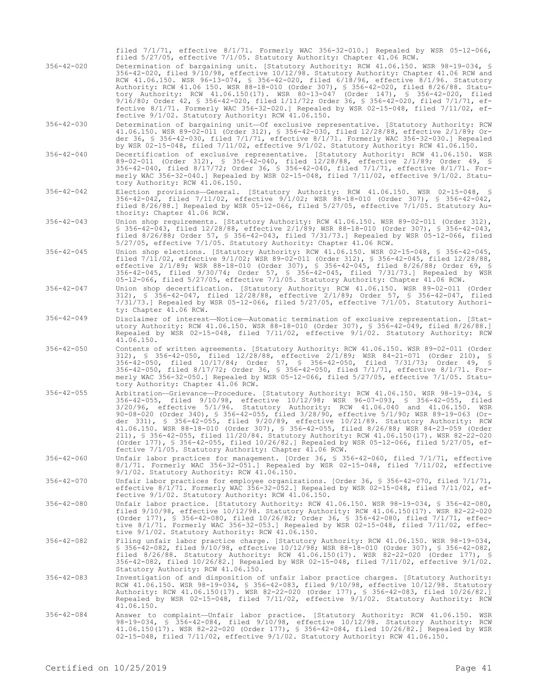| $356 - 42 - 020$ | filed 7/1/71, effective 8/1/71. Formerly WAC 356-32-010.] Repealed by WSR 05-12-066,<br>filed 5/27/05, effective 7/1/05. Statutory Authority: Chapter 41.06 RCW.<br>Determination of bargaining unit. [Statutory Authority: RCW 41.06.150. WSR 98-19-034, §<br>356-42-020, filed 9/10/98, effective 10/12/98. Statutory Authority: Chapter 41.06 RCW and<br>RCW 41.06.150. WSR 96-13-074, § 356-42-020, filed 6/18/96, effective 8/1/96. Statutory<br>Authority: RCW 41.06 150. WSR 88-18-010 (Order 307), § 356-42-020, filed 8/26/88. Statu-<br>tory Authority: RCW 41.06.150(17). WSR 80-13-047 (Order 147), § 356-42-020, filed<br>$9/16/80$ ; Order 42, § 356-42-020, filed $1/11/72$ ; Order 36, § 356-42-020, filed $7/1/71$ , ef-<br>fective $8/1/71$ . Formerly WAC 356-32-020.] Repealed by WSR 02-15-048, filed $7/11/02$ , ef-<br>fective 9/1/02. Statutory Authority: RCW 41.06.150. |
|------------------|---------------------------------------------------------------------------------------------------------------------------------------------------------------------------------------------------------------------------------------------------------------------------------------------------------------------------------------------------------------------------------------------------------------------------------------------------------------------------------------------------------------------------------------------------------------------------------------------------------------------------------------------------------------------------------------------------------------------------------------------------------------------------------------------------------------------------------------------------------------------------------------------------|
| $356 - 42 - 030$ | Determination of bargaining unit-Of exclusive representative. [Statutory Authority: RCW<br>41.06.150. WSR 89-02-011 (Order 312), § 356-42-030, filed 12/28/88, effective 2/1/89; Or-<br>der 36, § 356-42-030, filed 7/1/71, effective 8/1/71. Formerly WAC 356-32-030.] Repealed<br>by WSR 02-15-048, filed $7/11/02$ , effective $9/1/02$ . Statutory Authority: RCW 41.06.150.                                                                                                                                                                                                                                                                                                                                                                                                                                                                                                                  |
| $356 - 42 - 040$ | Decertification of exclusive representative. [Statutory Authority: RCW 41.06.150. WSR<br>89-02-011 (Order 312), § 356-42-040, filed 12/28/88, effective 2/1/89; Order 49, §<br>356-42-040, filed 8/17/72; Order 36, § 356-42-040, filed 7/1/71, effective 8/1/71. For-<br>merly WAC 356-32-040.] Repealed by WSR 02-15-048, filed 7/11/02, effective 9/1/02. Statu-<br>tory Authority: RCW 41.06.150.                                                                                                                                                                                                                                                                                                                                                                                                                                                                                             |
| $356 - 42 - 042$ | Election provisions-General. [Statutory Authority: RCW 41.06.150. WSR 02-15-048, §<br>356-42-042, filed 7/11/02, effective 9/1/02; WSR 88-18-010 (Order 307), § 356-42-042,<br>filed 8/26/88.] Repealed by WSR 05-12-066, filed 5/27/05, effective 7/1/05. Statutory Au-<br>thority: Chapter 41.06 RCW.                                                                                                                                                                                                                                                                                                                                                                                                                                                                                                                                                                                           |
| $356 - 42 - 043$ | Union shop requirements. [Statutory Authority: RCW 41.06.150. WSR 89-02-011 (Order 312),<br>$$356-42-043$ , filed $12/28/88$ , effective $2/1/89$ ; WSR 88-18-010 (Order 307), $$356-42-043$ ,<br>filed $8/26/88$ ; Order 57, § 356-42-043, filed $7/31/73$ .] Repealed by WSR 05-12-066, filed<br>5/27/05, effective 7/1/05. Statutory Authority: Chapter 41.06 RCW.                                                                                                                                                                                                                                                                                                                                                                                                                                                                                                                             |
| $356 - 42 - 045$ | Union shop elections. [Statutory Authority: RCW 41.06.150. WSR 02-15-048, § 356-42-045,<br>filed 7/11/02, effective 9/1/02, WSR 89-02-011 (Order 312), \$ 356-42-045, filed 12/28/88,<br>effective $2/1/89$ ; WSR 88-18-010 (Order 307), § 356-42-045, filed 8/26/88; Order 69, §<br>356-42-045, filed 9/30/74; Order 57, § 356-42-045, filed 7/31/73.] Repealed by WSR<br>05-12-066, filed 5/27/05, effective 7/1/05. Statutory Authority: Chapter 41.06 RCW.                                                                                                                                                                                                                                                                                                                                                                                                                                    |
| $356 - 42 - 047$ | Union shop decertification. [Statutory Authority: RCW 41.06.150. WSR 89-02-011 (Order<br>312), § 356-42-047, filed 12/28/88, effective 2/1/89; Order 57, § 356-42-047, filed<br>$7/31/73$ .] Repealed by WSR 05-12-066, filed 5/27/05, effective $7/1/05$ . Statutory Authori-<br>ty: Chapter 41.06 RCW.                                                                                                                                                                                                                                                                                                                                                                                                                                                                                                                                                                                          |
| $356 - 42 - 049$ | Disclaimer of interest—Notice—Automatic termination of exclusive representation. [Stat-<br>utory Authority: RCW 41.06.150. WSR 88-18-010 (Order 307), \$ 356-42-049, filed 8/26/88.]<br>Repealed by WSR 02-15-048, filed 7/11/02, effective 9/1/02. Statutory Authority: RCW<br>41.06.150.                                                                                                                                                                                                                                                                                                                                                                                                                                                                                                                                                                                                        |
| $356 - 42 - 050$ | Contents of written agreements. [Statutory Authority: RCW 41.06.150. WSR 89-02-011 (Order<br>312), \$ 356-42-050, filed 12/28/88, effective 2/1/89; WSR 84-21-071 (Order 210), \$<br>356-42-050, filed 10/17/84; Order 57, § 356-42-050, filed 7/31/73; Order 49, §<br>356-42-050, filed 8/17/72; Order 36, § 356-42-050, filed 7/1/71, effective 8/1/71. For-<br>merly WAC 356-32-050.] Repealed by WSR 05-12-066, filed 5/27/05, effective 7/1/05. Statu-<br>tory Authority: Chapter 41.06 RCW.                                                                                                                                                                                                                                                                                                                                                                                                 |
| $356 - 42 - 055$ | Arbitration-Grievance-Procedure. [Statutory Authority: RCW 41.06.150. WSR 98-19-034, §<br>356-42-055, filed 9/10/98, effective 10/12/98; WSR 96-07-093, § 356-42-055, filed<br>$3/20/96$ , effective $5/1/96$ . Statutory Authority: RCW 41.06.040 and 41.06.150.<br>WSR<br>90-08-020 (Order 340), § 356-42-055, filed 3/28/90, effective 5/1/90; WSR 89-19-063 (Or-<br>der 331), § 356-42-055, filed $9/20/89$ , effective $10/21/89$ . Statutory Authority: RCW<br>41.06.150. WSR 88-18-010 (Order 307), § 356-42-055, filed 8/26/88; WSR 84-23-059 (Order<br>211), § 356-42-055, filed 11/20/84. Statutory Authority: RCW 41.06.150(17). WSR 82-22-020<br>(Order 177), § 356-42-055, filed 10/26/82.] Repealed by WSR 05-12-066, filed 5/27/05, ef-<br>fective 7/1/05. Statutory Authority: Chapter 41.06 RCW.                                                                                 |
| $356 - 42 - 060$ | Unfair labor practices for management. [Order 36, § 356-42-060, filed 7/1/71, effective<br>8/1/71. Formerly WAC 356-32-051.] Repealed by WSR 02-15-048, filed 7/11/02, effective<br>9/1/02. Statutory Authority: RCW 41.06.150.                                                                                                                                                                                                                                                                                                                                                                                                                                                                                                                                                                                                                                                                   |
| $356 - 42 - 070$ | Unfair labor practices for employee organizations. [Order 36, § 356-42-070, filed $7/1/71$ ,<br>effective $8/1/71$ . Formerly WAC 356-32-052.] Repealed by WSR 02-15-048, filed $7/11/02$ , ef-<br>fective 9/1/02. Statutory Authority: RCW 41.06.150.                                                                                                                                                                                                                                                                                                                                                                                                                                                                                                                                                                                                                                            |
| $356 - 42 - 080$ | Unfair labor practice. [Statutory Authority: RCW 41.06.150. WSR 98-19-034, \$ 356-42-080,<br>filed $9/10/98$ , effective $10/12/98$ . Statutory Authority: RCW 41.06.150(17). WSR 82-22-020<br>(Order 177), § 356-42-080, filed 10/26/82; Order 36, § 356-42-080, filed 7/1/71, effec-<br>tive 8/1/71. Formerly WAC 356-32-053.] Repealed by WSR 02-15-048, filed 7/11/02, effec-<br>tive 9/1/02. Statutory Authority: RCW 41.06.150.                                                                                                                                                                                                                                                                                                                                                                                                                                                             |
| $356 - 42 - 082$ | Filing unfair labor practice charge. [Statutory Authority: RCW 41.06.150. WSR 98-19-034,<br>\$ 356-42-082, filed 9/10/98, effective 10/12/98; WSR 88-18-010 (Order 307), \$ 356-42-082,<br>filed $8/26/88$ . Statutory Authority: RCW $41.06.150(17)$ . WSR $82-22-020$ (Order 177), §<br>356-42-082, filed 10/26/82.] Repealed by WSR 02-15-048, filed 7/11/02, effective 9/1/02.<br>Statutory Authority: RCW 41.06.150.                                                                                                                                                                                                                                                                                                                                                                                                                                                                         |
| $356 - 42 - 083$ | Investigation of and disposition of unfair labor practice charges. [Statutory Authority:                                                                                                                                                                                                                                                                                                                                                                                                                                                                                                                                                                                                                                                                                                                                                                                                          |
|                  | RCW 41.06.150. WSR 98-19-034, \$ 356-42-083, filed 9/10/98, effective 10/12/98. Statutory<br>Authority: RCW 41.06.150(17). WSR 82-22-020 (Order 177), § 356-42-083, filed 10/26/82.]<br>Repealed by WSR 02-15-048, filed 7/11/02, effective 9/1/02. Statutory Authority: RCW<br>41.06.150.                                                                                                                                                                                                                                                                                                                                                                                                                                                                                                                                                                                                        |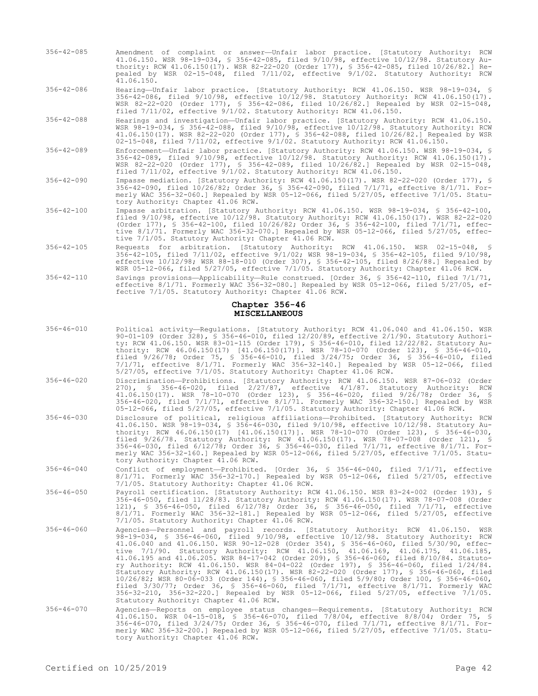356-42-085 Amendment of complaint or answer—Unfair labor practice. [Statutory Authority: RCW 41.06.150. WSR 98-19-034, § 356-42-085, filed 9/10/98, effective 10/12/98. Statutory Authority: RCW 41.06.150(17). WSR 82-22-020 (Order 177), § 356-42-085, filed 10/26/82.] Repealed by WSR 02-15-048, filed 7/11/02, effective 9/1/02. Statutory Authority: RCW 41.06.150.

356-42-086 Hearing—Unfair labor practice. [Statutory Authority: RCW 41.06.150. WSR 98-19-034, § 356-42-086, filed 9/10/98, effective 10/12/98. Statutory Authority: RCW 41.06.150(17). WSR 82-22-020 (Order 177), § 356-42-086, filed 10/26/82.] Repealed by WSR 02-15-048, filed 7/11/02, effective 9/1/02. Statutory Authority: RCW 41.06.150.

356-42-088 Hearings and investigation—Unfair labor practice. [Statutory Authority: RCW 41.06.150. WSR 98-19-034, § 356-42-088, filed 9/10/98, effective 10/12/98. Statutory Authority: RCW 41.06.150(17). WSR 82-22-020 (Order 177), § 356-42-088, filed 10/26/82.] Repealed by WSR 02-15-048, filed 7/11/02, effective 9/1/02. Statutory Authority: RCW 41.06.150.

- 356-42-089 Enforcement—Unfair labor practice. [Statutory Authority: RCW 41.06.150. WSR 98-19-034, § 356-42-089, filed 9/10/98, effective 10/12/98. Statutory Authority: RCW 41.06.150(17). WSR 82-22-020 (Order 177), § 356-42-089, filed 10/26/82.] Repealed by WSR 02-15-048, filed 7/11/02, effective 9/1/02. Statutory Authority: RCW 41.06.150.
- 356-42-090 Impasse mediation. [Statutory Authority: RCW 41.06.150(17). WSR 82-22-020 (Order 177), § 356-42-090, filed 10/26/82; Order 36, § 356-42-090, filed 7/1/71, effective 8/1/71. Formerly WAC 356-32-060.] Repealed by WSR 05-12-066, filed 5/27/05, effective 7/1/05. Statutory Authority: Chapter 41.06 RCW.
- 356-42-100 Impasse arbitration. [Statutory Authority: RCW 41.06.150. WSR 98-19-034, § 356-42-100, filed 9/10/98, effective 10/12/98. Statutory Authority: RCW 41.06.150(17). WSR 82-22-020 (Order 177), § 356-42-100, filed 10/26/82; Order 36, § 356-42-100, filed 7/1/71, effective 8/1/71. Formerly WAC 356-32-070.] Repealed by WSR 05-12-066, filed 5/27/05, effective 7/1/05. Statutory Authority: Chapter 41.06 RCW.
- 356-42-105 Requests for arbitration. [Statutory Authority: RCW 41.06.150. WSR 02-15-048, § 356-42-105, filed 7/11/02, effective 9/1/02; WSR 98-19-034, § 356-42-105, filed 9/10/98, effective 10/12/98; WSR 88-18-010 (Order 307), § 356-42-105, filed 8/26/88.] Repealed by WSR 05-12-066, filed 5/27/05, effective 7/1/05. Statutory Authority: Chapter 41.06 RCW.
- 356-42-110 Savings provisions—Applicability—Rule construed. [Order 36, § 356-42-110, filed 7/1/71, effective 8/1/71. Formerly WAC 356-32-080.] Repealed by WSR 05-12-066, filed 5/27/05, effective 7/1/05. Statutory Authority: Chapter 41.06 RCW.

#### **Chapter 356-46 MISCELLANEOUS**

356-46-010 Political activity—Regulations. [Statutory Authority: RCW 41.06.040 and 41.06.150. WSR 90-01-109 (Order 328), § 356-46-010, filed 12/20/89, effective 2/1/90. Statutory Authority: RCW 41.06.150. WSR 83-01-115 (Order 179), § 356-46-010, filed 12/22/82. Statutory Authority: RCW 46.06.150(17) [41.06.150(17)]. WSR 78-10-070 (Order 123), § 356-46-010, filed 9/26/78; Order 75, § 356-46-010, filed 3/24/75; Order 36, § 356-46-010, filed 7/1/71, effective 8/1/71. Formerly WAC 356-32-140.] Repealed by WSR 05-12-066, filed 5/27/05, effective 7/1/05. Statutory Authority: Chapter 41.06 RCW. 356-46-020 Discrimination—Prohibitions. [Statutory Authority: RCW 41.06.150. WSR 87-06-032 (Order 270), § 356-46-020, filed 2/27/87, effective 4/1/87. Statutory Authority: RCW 41.06.150(17). WSR 78-10-070 (Order 123), § 356-46-020, filed 9/26/78; Order 36, § 356-46-020, filed 7/1/71, effective 8/1/71. Formerly WAC 356-32-150.] Repealed by WSR 05-12-066, filed 5/27/05, effective 7/1/05. Statutory Authority: Chapter 41.06 RCW. 356-46-030 Disclosure of political, religious affiliations—Prohibited. [Statutory Authority: RCW 41.06.150. WSR 98-19-034, § 356-46-030, filed 9/10/98, effective 10/12/98. Statutory Authority: RCW 46.06.150(17) [41.06.150(17)]. WSR 78-10-070 (Order 123), § 356-46-030, filed 9/26/78. Statutory Authority: RCW 41.06.150(17). WSR 78-07-008 (Order 121), § 356-46-030, filed 6/12/78; Order 36, § 356-46-030, filed 7/1/71, effective 8/1/71. Formerly WAC 356-32-160.] Repealed by WSR 05-12-066, filed 5/27/05, effective 7/1/05. Statutory Authority: Chapter 41.06 RCW. 356-46-040 Conflict of employment—Prohibited. [Order 36, § 356-46-040, filed 7/1/71, effective 8/1/71. Formerly WAC 356-32-170.] Repealed by WSR 05-12-066, filed 5/27/05, effective 7/1/05. Statutory Authority: Chapter 41.06 RCW. 356-46-050 Payroll certification. [Statutory Authority: RCW 41.06.150. WSR 83-24-002 (Order 193), § 356-46-050, filed 11/28/83. Statutory Authority: RCW 41.06.150(17). WSR 78-07-008 (Order 121), § 356-46-050, filed 6/12/78; Order 36, § 356-46-050, filed 7/1/71, effective 8/1/71. Formerly WAC 356-32-181.] Repealed by WSR 05-12-066, filed 5/27/05, effective 7/1/05. Statutory Authority: Chapter 41.06 RCW. 356-46-060 Agencies—Personnel and payroll records. [Statutory Authority: RCW 41.06.150. WSR 98-19-034, § 356-46-060, filed 9/10/98, effective 10/12/98. Statutory Authority: RCW 41.06.040 and 41.06.150. WSR 90-12-028 (Order 354), § 356-46-060, filed 5/30/90, effective 7/1/90. Statutory Authority: RCW 41.06.150, 41.06.169, 41.06.175, 41.06.185, 41.06.195 and 41.06.205. WSR 84-17-042 (Order 209), § 356-46-060, filed 8/10/84. Statutory Authority: RCW 41.06.150. WSR 84-04-022 (Order 197), § 356-46-060, filed 1/24/84. Statutory Authority: RCW 41.06.150(17). WSR 82-22-020 (Order 177), § 356-46-060, filed 10/26/82; WSR 80-06-033 (Order 144), § 356-46-060, filed 5/9/80; Order 100, § 356-46-060,<br>filed 3/30/77; Order 36, § 356-46-060, filed 7/1/71, effective 8/1/71. Formerly WAC<br>356-32-210, 356-32-220.] Repealed by WSR 05-12-0 Statutory Authority: Chapter 41.06 RCW. 356-46-070 Agencies—Reports on employee status changes—Requirements. [Statutory Authority: RCW 41.06.150. WSR 04-15-018, § 356-46-070, filed 7/8/04, effective 8/8/04; Order 75, § 356-46-070, filed 3/24/75; Order 36, § 356-46-070, filed 7/1/71, effective 8/1/71. Formerly WAC 356-32-200.] Repealed by WSR 05-12-066, filed 5/27/05, effective 7/1/05. Statutory Authority: Chapter 41.06 RCW.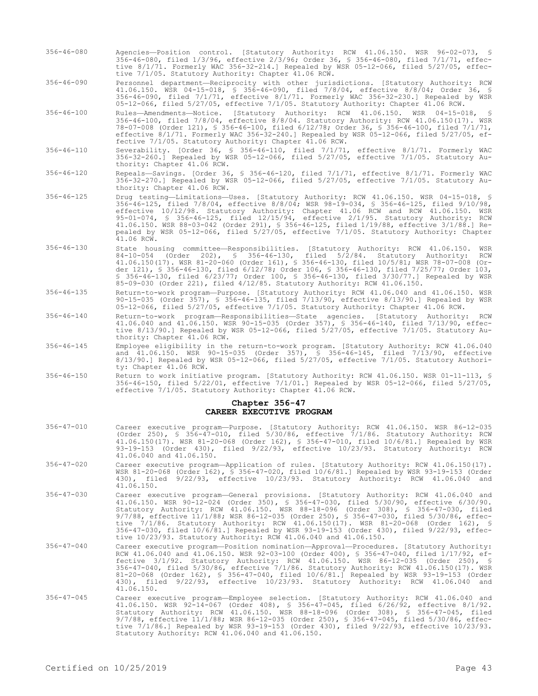- 356-46-080 Agencies—Position control. [Statutory Authority: RCW 41.06.150. WSR 96-02-073, § 356-46-080, filed 1/3/96, effective 2/3/96; Order 36, § 356-46-080, filed 7/1/71, effective 8/1/71. Formerly WAC 356-32-214.] Repealed by WSR 05-12-066, filed 5/27/05, effective 7/1/05. Statutory Authority: Chapter 41.06 RCW.
- 356-46-090 Personnel department—Reciprocity with other jurisdictions. [Statutory Authority: RCW 41.06.150. WSR 04-15-018, § 356-46-090, filed 7/8/04, effective 8/8/04; Order 36, § 356-46-090, filed 7/1/71, effective 8/1/71. Formerly WAC 356-32-230.] Repealed by WSR 05-12-066, filed 5/27/05, effective 7/1/05. Statutory Authority: Chapter 41.06 RCW.
- 356-46-100 Rules—Amendments—Notice. [Statutory Authority: RCW 41.06.150. WSR 04-15-018, § 356-46-100, filed 7/8/04, effective 8/8/04. Statutory Authority: RCW 41.06.150(17). WSR 78-07-008 (Order 121), § 356-46-100, filed 6/12/78; Order 36, § 356-46-100, filed 7/1/71, effective 8/1/71. Formerly WAC 356-32-240.] Repealed by WSR 05-12-066, filed 5/27/05, effective 7/1/05. Statutory Authority: Chapter 41.06 RCW.
- 356-46-110 Severability. [Order 36, § 356-46-110, filed 7/1/71, effective 8/1/71. Formerly WAC 356-32-260.] Repealed by WSR 05-12-066, filed 5/27/05, effective 7/1/05. Statutory Authority: Chapter 41.06 RCW.
- 356-46-120 Repeals—Savings. [Order 36, § 356-46-120, filed 7/1/71, effective 8/1/71. Formerly WAC 356-32-270.] Repealed by WSR 05-12-066, filed 5/27/05, effective 7/1/05. Statutory Authority: Chapter 41.06 RCW.
- 356-46-125 Drug testing—Limitations—Uses. [Statutory Authority: RCW 41.06.150. WSR 04-15-018, § 356-46-125, filed 7/8/04, effective 8/8/04; WSR 98-19-034, § 356-46-125, filed 9/10/98, effective 10/12/98. Statutory Authority: Chapter 41.06 RCW and RCW 41.06.150. WSR 95-01-074, § 356-46-125, filed 12/15/94, effective 2/1/95. Statutory Authority: RCW 41.06.150. WSR 88-03-042 (Order 291), § 356-46-125, filed 1/19/88, effective 3/1/88.] Repealed by WSR 05-12-066, filed 5/27/05, effective 7/1/05. Statutory Authority: Chapter  $41.06$  RCW.
- 356-46-130 State housing committee—Responsibilities. [Statutory Authority: RCW 41.06.150. WSR 84-10-054 (Order 202), § 356-46-130, filed 5/2/84. Statutory Authority: RCW 41.06.150(17). WSR 81-20-060 (Order 161), § 356-46-130, filed 10/5/81; WSR 78-07-008 (Order 121), § 356-46-130, filed 6/12/78; Order 106, § 356-46-130, filed 7/25/77; Order 103, § 356-46-130, filed 6/23/77; Order 100, § 356-46-130, filed 3/30/77.] Repealed by WSR 85-09-030 (Order 221), filed 4/12/85. Statutory Authority: RCW 41.06.150.
- 356-46-135 Return-to-work program—Purpose. [Statutory Authority: RCW 41.06.040 and 41.06.150. WSR 90-15-035 (Order 357), § 356-46-135, filed 7/13/90, effective 8/13/90.] Repealed by WSR 05-12-066, filed 5/27/05, effective 7/1/05. Statutory Authority: Chapter 41.06 RCW.
- 356-46-140 Return-to-work program—Responsibilities—State agencies. [Statutory Authority: RCW 41.06.040 and 41.06.150. WSR 90-15-035 (Order 357), § 356-46-140, filed 7/13/90, effective 8/13/90.] Repealed by WSR 05-12-066, filed 5/27/05, effective 7/1/05. Statutory Authority: Chapter 41.06 RCW.
- 356-46-145 Employee eligibility in the return-to-work program. [Statutory Authority: RCW 41.06.040 and 41.06.150. WSR 90-15-035 (Order 357), § 356-46-145, filed 7/13/90, effective 8/13/90.] Repealed by WSR 05-12-066, filed 5/27/05, effective 7/1/05. Statutory Authority: Chapter 41.06 RCW.
- 356-46-150 Return to work initiative program. [Statutory Authority: RCW 41.06.150. WSR 01-11-113, § 356-46-150, filed 5/22/01, effective 7/1/01.] Repealed by WSR 05-12-066, filed 5/27/05, effective 7/1/05. Statutory Authority: Chapter 41.06 RCW.

#### **Chapter 356-47 CAREER EXECUTIVE PROGRAM**

- 356-47-010 Career executive program—Purpose. [Statutory Authority: RCW 41.06.150. WSR 86-12-035 (Order 250), § 356-47-010, filed 5/30/86, effective 7/1/86. Statutory Authority: RCW 41.06.150(17). WSR 81-20-068 (Order 162), § 356-47-010, filed 10/6/81.] Repealed by WSR 93-19-153 (Order 430), filed 9/22/93, effective 10/23/93. Statutory Authority: RCW 41.06.040 and 41.06.150. 356-47-020 Career executive program—Application of rules. [Statutory Authority: RCW 41.06.150(17). WSR 81-20-068 (Order 162), § 356-47-020, filed 10/6/81.] Repealed by WSR 93-19-153 (Order 430), filed 9/22/93, effective 10/23/93. Statutory Authority: RCW 41.06.040 and 41.06.150.
- 356-47-030 Career executive program—General provisions. [Statutory Authority: RCW 41.06.040 and 41.06.150. WSR 90-12-024 (Order 350), § 356-47-030, filed 5/30/90, effective 6/30/90. Statutory Authority: RCW 41.06.150. WSR 88-18-096 (Order 308), § 356-47-030, filed 9/7/88, effective 11/1/88; WSR 86-12-035 (Order 250), § 356-47-030, filed 5/30/86, effective 7/1/86. Statutory Authority: RCW 41.06.150(17). WSR 81-20-068 (Order 162), § 356-47-030, filed 10/6/81.] Repealed by WSR 93-19-153 (Order 430), filed 9/22/93, effective 10/23/93. Statutory Authority: RCW 41.06.040 and 41.06.150.
- 356-47-040 Career executive program—Position nomination—Approval—Procedures. [Statutory Authority: RCW 41.06.040 and 41.06.150. WSR 92-03-100 (Order 400), § 356-47-040, filed 1/17/92, effective 3/1/92. Statutory Authority: RCW 41.06.150. WSR 86-12-035 (Order 250), § 356-47-040, filed 5/30/86, effective 7/1/86. Statutory Authority: RCW 41.06.150(17). WSR 81-20-068 (Order 162), § 356-47-040, filed 10/6/81.] Repealed by WSR 93-19-153 (Order 430), filed 9/22/93, effective 10/23/93. Statutory Authority: RCW 41.06.040 and 41.06.150.
- 356-47-045 Career executive program—Employee selection. [Statutory Authority: RCW 41.06.040 and 41.06.150. WSR 92-14-067 (Order 408), § 356-47-045, filed 6/26/92, effective 8/1/92. Statutory Authority: RCW 41.06.150. WSR 88-18-096 (Order 308), § 356-47-045, filed 9/7/88, effective 11/1/88; WSR 86-12-035 (Order 250), § 356-47-045, filed 5/30/86, effective 7/1/86.] Repealed by WSR 93-19-153 (Order 430), filed 9/22/93, effective 10/23/93. Statutory Authority: RCW 41.06.040 and 41.06.150.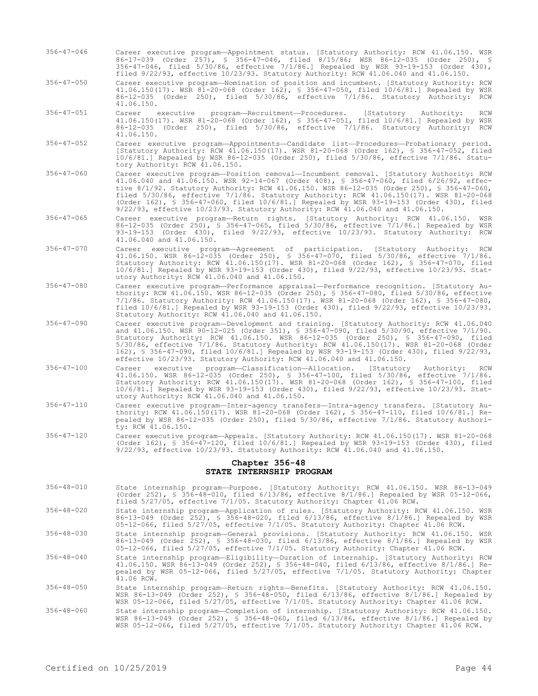- 356-47-046 Career executive program—Appointment status. [Statutory Authority: RCW 41.06.150. WSR 86-17-039 (Order 257), § 356-47-046, filed 8/15/86; WSR 86-12-035 (Order 250), § 356-47-046, filed 5/30/86, effective 7/1/86.] Repealed by WSR 93-19-153 (Order 430), filed 9/22/93, effective 10/23/93. Statutory Authority: RCW 41.06.040 and 41.06.150.
- 356-47-050 Career executive program—Nomination of position and incumbent. [Statutory Authority: RCW 41.06.150(17). WSR 81-20-068 (Order 162), § 356-47-050, filed 10/6/81.] Repealed by WSR 86-12-035 (Order 250), filed 5/30/86, effective 7/1/86. Statutory Authority: RCW 41.06.150.
- 356-47-051 Career executive program—Recruitment—Procedures. [Statutory Authority: RCW 41.06.150(17). WSR 81-20-068 (Order 162), § 356-47-051, filed 10/6/81.] Repealed by WSR 86-12-035 (Order 250), filed 5/30/86, effective 7/1/86. Statutory Authority: RCW 41.06.150.
- 356-47-052 Career executive program—Appointments—Candidate list—Procedures—Probationary period. [Statutory Authority: RCW 41.06.150(17). WSR 81-20-068 (Order 162), § 356-47-052, filed 10/6/81.] Repealed by WSR 86-12-035 (Order 250), filed 5/30/86, effective 7/1/86. Statutory Authority: RCW 41.06.150.
- 356-47-060 Career executive program—Position removal—Incumbent removal. [Statutory Authority: RCW 41.06.040 and 41.06.150. WSR 92-14-067 (Order 408), § 356-47-060, filed 6/26/92, effective 8/1/92. Statutory Authority: RCW 41.06.150. WSR 86-12-035 (Order 250), § 356-47-060, filed 5/30/86, effective 7/1/86. Statutory Authority: RCW 41.06.150(17). WSR 81-20-068 (Order 162), § 356-47-060, filed 10/6/81.] Repealed by WSR 93-19-153 (Order 430), filed 9/22/93, effective 10/23/93. Statutory Authority: RCW 41.06.040 and 41.06.150.
- 356-47-065 Career executive program—Return rights. [Statutory Authority: RCW 41.06.150. WSR 86-12-035 (Order 250), § 356-47-065, filed 5/30/86, effective 7/1/86.] Repealed by WSR 93-19-153 (Order 430), filed 9/22/93, effective 10/23/93. Statutory Authority: RCW 41.06.040 and 41.06.150.
- 356-47-070 Career executive program—Agreement of participation. [Statutory Authority: RCW 41.06.150. WSR 86-12-035 (Order 250), § 356-47-070, filed 5/30/86, effective 7/1/86. Statutory Authority: RCW 41.06.150(17). WSR 81-20-068 (Order 162), § 356-47-070, filed 10/6/81.] Repealed by WSR 93-19-153 (Order 430), filed 9/22/93, effective 10/23/93. Statutory Authority: RCW 41.06.040 and 41.06.150.
- 356-47-080 Career executive program—Performance appraisal—Performance recognition. [Statutory Authority: RCW 41.06.150. WSR 86-12-035 (Order 250), § 356-47-080, filed 5/30/86, effective 7/1/86. Statutory Authority: RCW 41.06.150(17). WSR 81-20-068 (Order 162), § 356-47-080, filed 10/6/81.] Repealed by WSR 93-19-153 (Order 430), filed 9/22/93, effective 10/23/93. Statutory Authority: RCW 41.06.040 and 41.06.150.
- 356-47-090 Career executive program—Development and training. [Statutory Authority: RCW 41.06.040 and 41.06.150. WSR 90-12-025 (Order 351), § 356-47-090, filed 5/30/90, effective 7/1/90. Statutory Authority: RCW 41.06.150. WSR 86-12-035 (Order 250), § 356-47-090, filed 5/30/86, effective 7/1/86. Statutory Authority: RCW 41.06.150(17). WSR 81-20-068 (Order 162), § 356-47-090, filed 10/6/81.] Repealed by WSR 93-19-153 (Order 430), filed 9/22/93, effective 10/23/93. Statutory Authority: RCW 41.06.040 and 41.06.150.
- 356-47-100 Career executive program—Classification—Allocation. [Statutory Authority: RCW 41.06.150. WSR 86-12-035 (Order 250), § 356-47-100, filed 5/30/86, effective 7/1/86. Statutory Authority: RCW 41.06.150(17). WSR 81-20-068 (Order 162), § 356-47-100, filed 10/6/81.] Repealed by WSR 93-19-153 (Order 430), filed 9/22/93, effective 10/23/93. Statutory Authority: RCW 41.06.040 and 41.06.150.
- 356-47-110 Career executive program—Inter-agency transfers—Intra-agency transfers. [Statutory Authority: RCW 41.06.150(17). WSR 81-20-068 (Order 162), § 356-47-110, filed 10/6/81.] Repealed by WSR 86-12-035 (Order 250), filed 5/30/86, effective 7/1/86. Statutory Authority: RCW 41.06.150.
- 356-47-120 Career executive program—Appeals. [Statutory Authority: RCW 41.06.150(17). WSR 81-20-068 (Order 162), § 356-47-120, filed 10/6/81.] Repealed by WSR 93-19-153 (Order 430), filed 9/22/93, effective 10/23/93. Statutory Authority: RCW 41.06.040 and 41.06.150.

## **Chapter 356-48 STATE INTERNSHIP PROGRAM**

- 356-48-010 State internship program—Purpose. [Statutory Authority: RCW 41.06.150. WSR 86-13-049 (Order 252), § 356-48-010, filed 6/13/86, effective 8/1/86.] Repealed by WSR 05-12-066, filed 5/27/05, effective 7/1/05. Statutory Authority: Chapter 41.06 RCW.
- 356-48-020 State internship program—Application of rules. [Statutory Authority: RCW 41.06.150. WSR 86-13-049 (Order 252), § 356-48-020, filed 6/13/86, effective 8/1/86.] Repealed by WSR 05-12-066, filed 5/27/05, effective 7/1/05. Statutory Authority: Chapter 41.06 RCW.
- 356-48-030 State internship program—General provisions. [Statutory Authority: RCW 41.06.150. WSR 86-13-049 (Order 252), § 356-48-030, filed 6/13/86, effective 8/1/86.] Repealed by WSR 05-12-066, filed 5/27/05, effective 7/1/05. Statutory Authority: Chapter 41.06 RCW.
- 356-48-040 State internship program—Eligibility—Duration of internship. [Statutory Authority: RCW 41.06.150. WSR 86-13-049 (Order 252), § 356-48-040, filed 6/13/86, effective 8/1/86.] Repealed by WSR 05-12-066, filed 5/27/05, effective 7/1/05. Statutory Authority: Chapter  $41.06$  RCW.
- 356-48-050 State internship program—Return rights—Benefits. [Statutory Authority: RCW 41.06.150. WSR 86-13-049 (Order 252), § 356-48-050, filed 6/13/86, effective 8/1/86.] Repealed by WSR 05-12-066, filed 5/27/05, effective 7/1/05. Statutory Authority: Chapter 41.06 RCW.
- 356-48-060 State internship program—Completion of internship. [Statutory Authority: RCW 41.06.150. WSR 86-13-049 (Order 252), § 356-48-060, filed 6/13/86, effective 8/1/86.] Repealed by WSR 05-12-066, filed 5/27/05, effective 7/1/05. Statutory Authority: Chapter 41.06 RCW.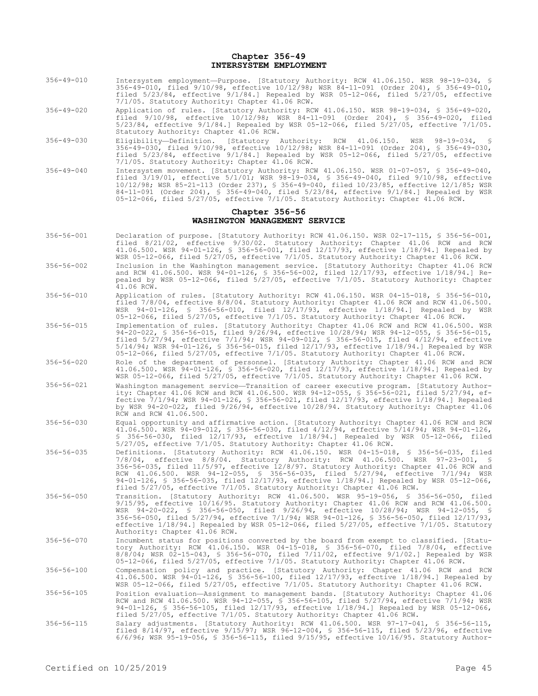#### **Chapter 356-49 INTERSYSTEM EMPLOYMENT**

- 356-49-010 Intersystem employment—Purpose. [Statutory Authority: RCW 41.06.150. WSR 98-19-034, § 356-49-010, filed 9/10/98, effective 10/12/98; WSR 84-11-091 (Order 204), § 356-49-010, filed 5/23/84, effective 9/1/84.] Repealed by WSR 05-12-066, filed 5/27/05, effective 7/1/05. Statutory Authority: Chapter 41.06 RCW.
- 356-49-020 Application of rules. [Statutory Authority: RCW 41.06.150. WSR 98-19-034, § 356-49-020, filed 9/10/98, effective 10/12/98; WSR 84-11-091 (Order 204), § 356-49-020, filed 5/23/84, effective 9/1/84.] Repealed by WSR 05-12-066, filed 5/27/05, effective 7/1/05. Statutory Authority: Chapter 41.06 RCW.
- 356-49-030 Eligibility—Definition. [Statutory Authority: RCW 41.06.150. WSR 98-19-034, § 356-49-030, filed 9/10/98, effective 10/12/98; WSR 84-11-091 (Order 204), § 356-49-030, filed 5/23/84, effective 9/1/84.] Repealed by WSR 05-12-066, filed 5/27/05, effective 7/1/05. Statutory Authority: Chapter 41.06 RCW.
- 356-49-040 Intersystem movement. [Statutory Authority: RCW 41.06.150. WSR 01-07-057, § 356-49-040, filed 3/19/01, effective 5/1/01; WSR 98-19-034, § 356-49-040, filed 9/10/98, effective 10/12/98; WSR 85-21-113 (Order 237), § 356-49-040, filed 10/23/85, effective 12/1/85; WSR 84-11-091 (Order 204), § 356-49-040, filed 5/23/84, effective 9/1/84.] Repealed by WSR 05-12-066, filed 5/27/05, effective 7/1/05. Statutory Authority: Chapter 41.06 RCW.

## **Chapter 356-56 WASHINGTON MANAGEMENT SERVICE**

- 356-56-001 Declaration of purpose. [Statutory Authority: RCW 41.06.150. WSR 02-17-115, § 356-56-001, filed 8/21/02, effective 9/30/02. Statutory Authority: Chapter 41.06 RCW and RCW 41.06.500. WSR 94-01-126, § 356-56-001, filed 12/17/93, effective 1/18/94.] Repealed by WSR 05-12-066, filed 5/27/05, effective 7/1/05. Statutory Authority: Chapter 41.06 RCW.
- 356-56-002 Inclusion in the Washington management service. [Statutory Authority: Chapter 41.06 RCW and RCW 41.06.500. WSR 94-01-126, § 356-56-002, filed 12/17/93, effective 1/18/94.] Repealed by WSR 05-12-066, filed 5/27/05, effective 7/1/05. Statutory Authority: Chapter 41.06 RCW.
- 356-56-010 Application of rules. [Statutory Authority: RCW 41.06.150. WSR 04-15-018, § 356-56-010, filed 7/8/04, effective 8/8/04. Statutory Authority: Chapter 41.06 RCW and RCW 41.06.500. WSR 94-01-126, § 356-56-010, filed 12/17/93, effective 1/18/94.] Repealed by WSR 05-12-066, filed 5/27/05, effective 7/1/05. Statutory Authority: Chapter 41.06 RCW.
- 356-56-015 Implementation of rules. [Statutory Authority: Chapter 41.06 RCW and RCW 41.06.500. WSR 94-20-022, § 356-56-015, filed 9/26/94, effective 10/28/94; WSR 94-12-055, § 356-56-015, filed 5/27/94, effective 7/1/94; WSR 94-09-012, § 356-56-015, filed 4/12/94, effective 5/14/94; WSR 94-01-126, § 356-56-015, filed 12/17/93, effective 1/18/94.] Repealed by WSR 05-12-066, filed 5/27/05, effective 7/1/05. Statutory Authority: Chapter 41.06 RCW.
- 356-56-020 Role of the department of personnel. [Statutory Authority: Chapter 41.06 RCW and RCW 41.06.500. WSR 94-01-126, § 356-56-020, filed 12/17/93, effective 1/18/94.] Repealed by WSR 05-12-066, filed 5/27/05, effective 7/1/05. Statutory Authority: Chapter 41.06 RCW.
- 356-56-021 Washington management service—Transition of career executive program. [Statutory Authority: Chapter 41.06 RCW and RCW 41.06.500. WSR 94-12-055, § 356-56-021, filed 5/27/94, effective 7/1/94; WSR 94-01-126, § 356-56-021, filed 12/17/93, effective 1/18/94.] Repealed by WSR 94-20-022, filed 9/26/94, effective 10/28/94. Statutory Authority: Chapter 41.06 RCW and RCW 41.06.500.
- 356-56-030 Equal opportunity and affirmative action. [Statutory Authority: Chapter 41.06 RCW and RCW 41.06.500. WSR 94-09-012, § 356-56-030, filed 4/12/94, effective 5/14/94; WSR 94-01-126, § 356-56-030, filed 12/17/93, effective 1/18/94.] Repealed by WSR 05-12-066, filed 5/27/05, effective 7/1/05. Statutory Authority: Chapter 41.06 RCW.
- 356-56-035 Definitions. [Statutory Authority: RCW 41.06.150. WSR 04-15-018, § 356-56-035, filed 7/8/04, effective 8/8/04. Statutory Authority: RCW 41.06.500. WSR 97-23-001, § 356-56-035, filed 11/5/97, effective 12/8/97. Statutory Authority: Chapter 41.06 RCW and RCW 41.06.500. WSR 94-12-055, § 356-56-035, filed 5/27/94, effective 7/1/94; WSR 94-01-126, § 356-56-035, filed 12/17/93, effective 1/18/94.] Repealed by WSR 05-12-066, filed 5/27/05, effective 7/1/05. Statutory Authority: Chapter 41.06 RCW.
- 356-56-050 Transition. [Statutory Authority: RCW 41.06.500. WSR 95-19-056, § 356-56-050, filed 9/15/95, effective 10/16/95. Statutory Authority: Chapter 41.06 RCW and RCW 41.06.500. WSR 94-20-022, § 356-56-050, filed 9/26/94, effective 10/28/94; WSR 94-12-055, § 356-56-050, filed 5/27/94, effective 7/1/94; WSR 94-01-126, § 356-56-050, filed 12/17/93, effective 1/18/94.] Repealed by WSR 05-12-066, filed 5/27/05, effective 7/1/05. Statutory Authority: Chapter 41.06 RCW.
- 356-56-070 Incumbent status for positions converted by the board from exempt to classified. [Statutory Authority: RCW 41.06.150. WSR 04-15-018, § 356-56-070, filed 7/8/04, effective 8/8/04; WSR 02-15-043, § 356-56-070, filed 7/11/02, effective 9/1/02.] Repealed by WSR 05-12-066, filed 5/27/05, effective 7/1/05. Statutory Authority: Chapter 41.06 RCW.
- 356-56-100 Compensation policy and practice. [Statutory Authority: Chapter 41.06 RCW and RCW 41.06.500. WSR 94-01-126, § 356-56-100, filed 12/17/93, effective 1/18/94.] Repealed by WSR 05-12-066, filed 5/27/05, effective 7/1/05. Statutory Authority: Chapter 41.06 RCW.
- 356-56-105 Position evaluation—Assignment to management bands. [Statutory Authority: Chapter 41.06 RCW and RCW 41.06.500. WSR 94-12-055, § 356-56-105, filed 5/27/94, effective 7/1/94; WSR 94-01-126, § 356-56-105, filed 12/17/93, effective 1/18/94.] Repealed by WSR 05-12-066, filed 5/27/05, effective 7/1/05. Statutory Authority: Chapter 41.06 RCW.
- 356-56-115 Salary adjustments. [Statutory Authority: RCW 41.06.500. WSR 97-17-041, § 356-56-115, filed 8/14/97, effective 9/15/97; WSR 96-12-004, § 356-56-115, filed 5/23/96, effective 6/6/96; WSR 95-19-056, § 356-56-115, filed 9/15/95, effective 10/16/95. Statutory Author-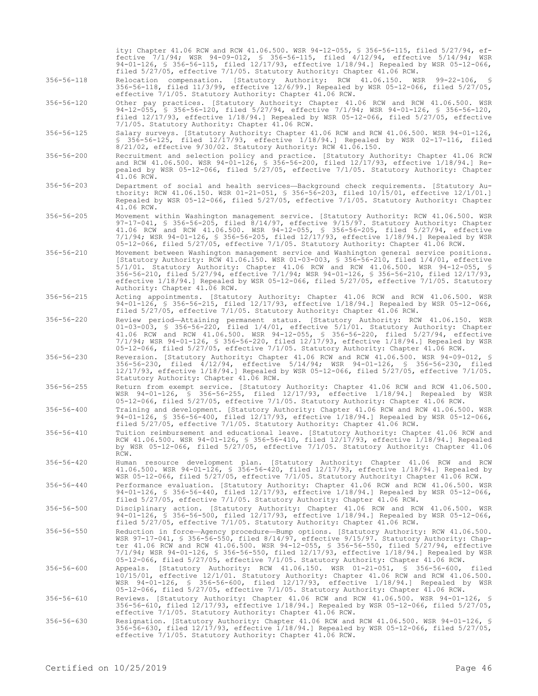|                  | ity: Chapter 41.06 RCW and RCW 41.06.500. WSR 94-12-055, § 356-56-115, filed 5/27/94, ef-<br>fective 7/1/94; WSR 94-09-012, § 356-56-115, filed 4/12/94, effective 5/14/94; WSR<br>94-01-126, \$ 356-56-115, filed 12/17/93, effective 1/18/94.] Repealed by WSR 05-12-066,<br>filed 5/27/05, effective 7/1/05. Statutory Authority: Chapter 41.06 RCW.                                                                                                                                                      |
|------------------|--------------------------------------------------------------------------------------------------------------------------------------------------------------------------------------------------------------------------------------------------------------------------------------------------------------------------------------------------------------------------------------------------------------------------------------------------------------------------------------------------------------|
| $356 - 56 - 118$ | Relocation compensation. [Statutory Authority: RCW 41.06.150. WSR 99-22-106, §<br>356-56-118, filed $11/3/99$ , effective $12/6/99$ .] Repealed by WSR 05-12-066, filed 5/27/05,<br>effective 7/1/05. Statutory Authority: Chapter 41.06 RCW.                                                                                                                                                                                                                                                                |
| $356 - 56 - 120$ | Other pay practices. [Statutory Authority: Chapter 41.06 RCW and RCW 41.06.500. WSR<br>94-12-055, § 356-56-120, filed 5/27/94, effective 7/1/94; WSR 94-01-126, § 356-56-120,<br>filed $12/17/93$ , effective $1/18/94$ .] Repealed by WSR 05-12-066, filed 5/27/05, effective<br>7/1/05. Statutory Authority: Chapter 41.06 RCW.                                                                                                                                                                            |
| $356 - 56 - 125$ | Salary surveys. [Statutory Authority: Chapter 41.06 RCW and RCW 41.06.500. WSR 94-01-126,<br>$$356-56-125$ , filed $12/17/93$ , effective $1/18/94$ . Repealed by WSR 02-17-116, filed<br>$8/21/02$ , effective $9/30/02$ . Statutory Authority: RCW 41.06.150.                                                                                                                                                                                                                                              |
| $356 - 56 - 200$ | Recruitment and selection policy and practice. [Statutory Authority: Chapter 41.06 RCW<br>and RCW 41.06.500. WSR 94-01-126, § 356-56-200, filed 12/17/93, effective 1/18/94.] Re-<br>pealed by WSR 05-12-066, filed 5/27/05, effective 7/1/05. Statutory Authority: Chapter<br>41.06 RCW.                                                                                                                                                                                                                    |
| $356 - 56 - 203$ | Department of social and health services-Background check requirements. [Statutory Au-<br>thority: RCW 41.06.150. WSR 01-21-051, § 356-56-203, filed 10/15/01, effective 12/1/01.]<br>Repealed by WSR 05-12-066, filed 5/27/05, effective 7/1/05. Statutory Authority: Chapter<br>41.06 RCW.                                                                                                                                                                                                                 |
| $356 - 56 - 205$ | Movement within Washington management service. [Statutory Authority: RCW 41.06.500. WSR<br>$97-17-041$ , § 356-56-205, filed 8/14/97, effective $9/15/97$ . Statutory Authority: Chapter<br>41.06 RCW and RCW 41.06.500. WSR 94-12-055, \$ 356-56-205, filed 5/27/94, effective<br>7/1/94; WSR 94-01-126, \$ 356-56-205, filed 12/17/93, effective 1/18/94.] Repealed by WSR<br>05-12-066, filed 5/27/05, effective 7/1/05. Statutory Authority: Chapter 41.06 RCW.                                          |
| $356 - 56 - 210$ | Movement between Washington management service and Washington general service positions.<br>[Statutory Authority: RCW 41.06.150. WSR 01-03-003, § 356-56-210, filed $1/4/01$ , effective<br>$5/1/01$ . Statutory Authority: Chapter 41.06 RCW and RCW 41.06.500. WSR 94-12-055, §<br>356-56-210, filed 5/27/94, effective 7/1/94; WSR 94-01-126, § 356-56-210, filed 12/17/93,<br>effective 1/18/94.] Repealed by WSR 05-12-066, filed 5/27/05, effective 7/1/05. Statutory<br>Authority: Chapter 41.06 RCW. |
| $356 - 56 - 215$ | Acting appointments. [Statutory Authority: Chapter 41.06 RCW and RCW 41.06.500. WSR<br>94-01-126, \$ 356-56-215, filed 12/17/93, effective 1/18/94.] Repealed by WSR 05-12-066,<br>filed 5/27/05, effective 7/1/05. Statutory Authority: Chapter 41.06 RCW.                                                                                                                                                                                                                                                  |
| $356 - 56 - 220$ | Review period-Attaining permanent status. [Statutory Authority: RCW 41.06.150. WSR<br>$01-03-003$ , § 356-56-220, filed $1/4/01$ , effective $5/1/01$ . Statutory Authority: Chapter<br>41.06 RCW and RCW 41.06.500. WSR 94-12-055, § 356-56-220, filed 5/27/94, effective<br>7/1/94; WSR 94-01-126, \$ 356-56-220, filed 12/17/93, effective 1/18/94.] Repealed by WSR<br>05-12-066, filed 5/27/05, effective 7/1/05. Statutory Authority: Chapter 41.06 RCW.                                               |
| 356-56-230       | Reversion. [Statutory Authority: Chapter 41.06 RCW and RCW 41.06.500. WSR 94-09-012, §<br>356-56-230, filed 4/12/94, effective 5/14/94; WSR 94-01-126, § 356-56-230, filed<br>$12/17/93$ , effective $1/18/94$ .] Repealed by WSR 05-12-066, filed 5/27/05, effective 7/1/05.<br>Statutory Authority: Chapter 41.06 RCW.                                                                                                                                                                                     |
| $356 - 56 - 255$ | Return from exempt service. [Statutory Authority: Chapter 41.06 RCW and RCW 41.06.500.<br>WSR 94-01-126, § 356-56-255, filed 12/17/93, effective 1/18/94.] Repealed by WSR<br>05-12-066, filed 5/27/05, effective 7/1/05. Statutory Authority: Chapter 41.06 RCW.                                                                                                                                                                                                                                            |
| $356 - 56 - 400$ | Training and development. [Statutory Authority: Chapter 41.06 RCW and RCW 41.06.500. WSR<br>94-01-126, § 356-56-400, filed 12/17/93, effective 1/18/94.] Repealed by WSR 05-12-066,<br>filed 5/27/05, effective 7/1/05. Statutory Authority: Chapter 41.06 RCW.                                                                                                                                                                                                                                              |
| $356 - 56 - 410$ | Tuition reimbursement and educational leave. [Statutory Authority: Chapter 41.06 RCW and<br>RCW 41.06.500. WSR 94-01-126, \$ 356-56-410, filed 12/17/93, effective 1/18/94.] Repealed<br>by WSR 05-12-066, filed 5/27/05, effective 7/1/05. Statutory Authority: Chapter 41.06<br>RCW.                                                                                                                                                                                                                       |
| $356 - 56 - 420$ | Human resource development plan. [Statutory Authority: Chapter 41.06 RCW and RCW<br>41.06.500. WSR 94-01-126, \$ 356-56-420, filed 12/17/93, effective 1/18/94.] Repealed by<br>WSR 05-12-066, filed 5/27/05, effective 7/1/05. Statutory Authority: Chapter 41.06 RCW.                                                                                                                                                                                                                                      |
| $356 - 56 - 440$ | Performance evaluation. [Statutory Authority: Chapter 41.06 RCW and RCW 41.06.500. WSR<br>94-01-126, § 356-56-440, filed 12/17/93, effective 1/18/94.] Repealed by WSR 05-12-066,<br>filed 5/27/05, effective 7/1/05. Statutory Authority: Chapter 41.06 RCW.                                                                                                                                                                                                                                                |
| $356 - 56 - 500$ | Disciplinary action. [Statutory Authority: Chapter 41.06 RCW and RCW 41.06.500. WSR<br>94-01-126, \$ 356-56-500, filed 12/17/93, effective 1/18/94.] Repealed by WSR 05-12-066,<br>filed 5/27/05, effective 7/1/05. Statutory Authority: Chapter 41.06 RCW.                                                                                                                                                                                                                                                  |
| $356 - 56 - 550$ | Reduction in force—Agency procedure—Bump options. [Statutory Authority: RCW 41.06.500.<br>WSR 97-17-041, § 356-56-550, filed 8/14/97, effective 9/15/97. Statutory Authority: Chap-<br>ter 41.06 RCW and RCW 41.06.500. WSR 94-12-055, § 356-56-550, filed 5/27/94, effective<br>7/1/94; WSR 94-01-126, \$ 356-56-550, filed 12/17/93, effective 1/18/94.] Repealed by WSR<br>05-12-066, filed 5/27/05, effective 7/1/05. Statutory Authority: Chapter 41.06 RCW.                                            |
| $356 - 56 - 600$ | Appeals. [Statutory Authority: RCW 41.06.150. WSR 01-21-051, \$ 356-56-600, filed<br>10/15/01, effective 12/1/01. Statutory Authority: Chapter 41.06 RCW and RCW 41.06.500.<br>WSR 94-01-126, § 356-56-600, filed 12/17/93, effective 1/18/94.] Repealed by WSR<br>05-12-066, filed 5/27/05, effective 7/1/05. Statutory Authority: Chapter 41.06 RCW.                                                                                                                                                       |
| 356-56-610       | Reviews. [Statutory Authority: Chapter 41.06 RCW and RCW 41.06.500. WSR 94-01-126, §<br>356-56-610, filed 12/17/93, effective 1/18/94.] Repealed by WSR 05-12-066, filed 5/27/05,<br>effective 7/1/05. Statutory Authority: Chapter 41.06 RCW.                                                                                                                                                                                                                                                               |
| $356 - 56 - 630$ | Resignation. [Statutory Authority: Chapter 41.06 RCW and RCW 41.06.500. WSR 94-01-126, \$<br>356-56-630, filed 12/17/93, effective 1/18/94.] Repealed by WSR 05-12-066, filed 5/27/05,<br>effective 7/1/05. Statutory Authority: Chapter 41.06 RCW.                                                                                                                                                                                                                                                          |